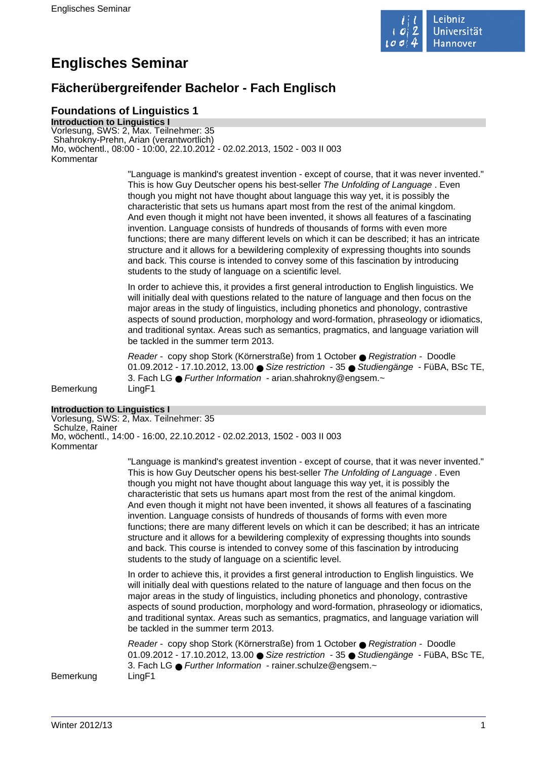

# **Englisches Seminar**

# **Fächerübergreifender Bachelor - Fach Englisch**

## **Foundations of Linguistics 1**

**Introduction to Linguistics I** Vorlesung, SWS: 2, Max. Teilnehmer: 35 Shahrokny-Prehn, Arian (verantwortlich) Mo, wöchentl., 08:00 - 10:00, 22.10.2012 - 02.02.2013, 1502 - 003 II 003 Kommentar

> "Language is mankind's greatest invention - except of course, that it was never invented." This is how Guy Deutscher opens his best-seller The Unfolding of Language . Even though you might not have thought about language this way yet, it is possibly the characteristic that sets us humans apart most from the rest of the animal kingdom. And even though it might not have been invented, it shows all features of a fascinating invention. Language consists of hundreds of thousands of forms with even more functions; there are many different levels on which it can be described; it has an intricate structure and it allows for a bewildering complexity of expressing thoughts into sounds and back. This course is intended to convey some of this fascination by introducing students to the study of language on a scientific level.

> In order to achieve this, it provides a first general introduction to English linguistics. We will initially deal with questions related to the nature of language and then focus on the major areas in the study of linguistics, including phonetics and phonology, contrastive aspects of sound production, morphology and word-formation, phraseology or idiomatics, and traditional syntax. Areas such as semantics, pragmatics, and language variation will be tackled in the summer term 2013.

Reader - copy shop Stork (Körnerstraße) from 1 October ● Registration - Doodle 01.09.2012 - 17.10.2012, 13.00 ● Size restriction - 35 ● Studiengänge - FüBA, BSc TE, 3. Fach LG ● Further Information - arian.shahrokny@engsem.~

Bemerkung LingF1

## **Introduction to Linguistics I**

Vorlesung, SWS: 2, Max. Teilnehmer: 35 Schulze, Rainer Mo, wöchentl., 14:00 - 16:00, 22.10.2012 - 02.02.2013, 1502 - 003 II 003 Kommentar

> "Language is mankind's greatest invention - except of course, that it was never invented." This is how Guy Deutscher opens his best-seller The Unfolding of Language . Even though you might not have thought about language this way yet, it is possibly the characteristic that sets us humans apart most from the rest of the animal kingdom. And even though it might not have been invented, it shows all features of a fascinating invention. Language consists of hundreds of thousands of forms with even more functions; there are many different levels on which it can be described; it has an intricate structure and it allows for a bewildering complexity of expressing thoughts into sounds and back. This course is intended to convey some of this fascination by introducing students to the study of language on a scientific level.

> In order to achieve this, it provides a first general introduction to English linguistics. We will initially deal with questions related to the nature of language and then focus on the major areas in the study of linguistics, including phonetics and phonology, contrastive aspects of sound production, morphology and word-formation, phraseology or idiomatics, and traditional syntax. Areas such as semantics, pragmatics, and language variation will be tackled in the summer term 2013.

> Reader - copy shop Stork (Körnerstraße) from 1 October ● Registration - Doodle 01.09.2012 - 17.10.2012, 13.00 ● Size restriction - 35 ● Studiengänge - FüBA, BSc TE, 3. Fach LG ● Further Information - rainer.schulze@engsem.~

Bemerkung LingF1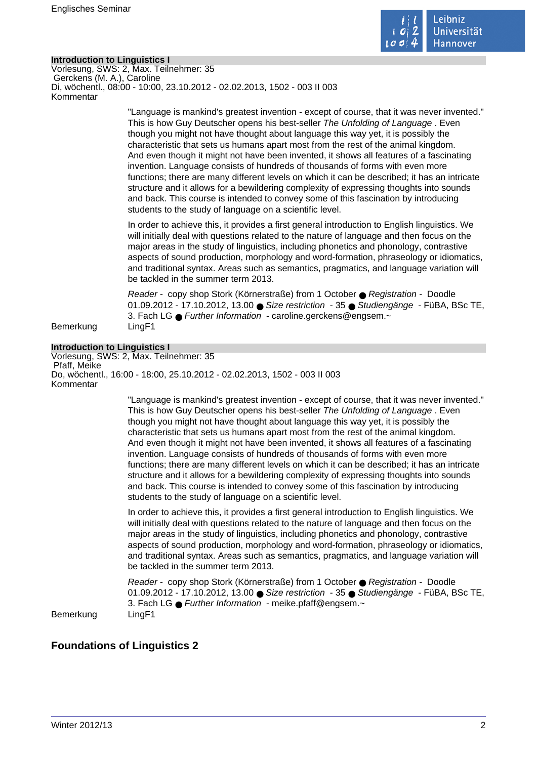

## **Introduction to Linguistics I**

Vorlesung, SWS: 2, Max. Teilnehmer: 35 Gerckens (M. A.), Caroline Di, wöchentl., 08:00 - 10:00, 23.10.2012 - 02.02.2013, 1502 - 003 II 003 Kommentar

> "Language is mankind's greatest invention - except of course, that it was never invented." This is how Guy Deutscher opens his best-seller The Unfolding of Language . Even though you might not have thought about language this way yet, it is possibly the characteristic that sets us humans apart most from the rest of the animal kingdom. And even though it might not have been invented, it shows all features of a fascinating invention. Language consists of hundreds of thousands of forms with even more functions; there are many different levels on which it can be described; it has an intricate structure and it allows for a bewildering complexity of expressing thoughts into sounds and back. This course is intended to convey some of this fascination by introducing students to the study of language on a scientific level.

> In order to achieve this, it provides a first general introduction to English linguistics. We will initially deal with questions related to the nature of language and then focus on the major areas in the study of linguistics, including phonetics and phonology, contrastive aspects of sound production, morphology and word-formation, phraseology or idiomatics, and traditional syntax. Areas such as semantics, pragmatics, and language variation will be tackled in the summer term 2013.

> Reader - copy shop Stork (Körnerstraße) from 1 October ● Registration - Doodle 01.09.2012 - 17.10.2012, 13.00 ● Size restriction - 35 ● Studiengänge - FüBA, BSc TE, 3. Fach LG ● Further Information - caroline.gerckens@engsem.~

Bemerkung LingF1

#### **Introduction to Linguistics I**

Vorlesung, SWS: 2, Max. Teilnehmer: 35 Pfaff, Meike Do, wöchentl., 16:00 - 18:00, 25.10.2012 - 02.02.2013, 1502 - 003 II 003 Kommentar

> "Language is mankind's greatest invention - except of course, that it was never invented." This is how Guy Deutscher opens his best-seller The Unfolding of Language . Even though you might not have thought about language this way yet, it is possibly the characteristic that sets us humans apart most from the rest of the animal kingdom. And even though it might not have been invented, it shows all features of a fascinating invention. Language consists of hundreds of thousands of forms with even more functions; there are many different levels on which it can be described; it has an intricate structure and it allows for a bewildering complexity of expressing thoughts into sounds and back. This course is intended to convey some of this fascination by introducing students to the study of language on a scientific level.

> In order to achieve this, it provides a first general introduction to English linguistics. We will initially deal with questions related to the nature of language and then focus on the major areas in the study of linguistics, including phonetics and phonology, contrastive aspects of sound production, morphology and word-formation, phraseology or idiomatics, and traditional syntax. Areas such as semantics, pragmatics, and language variation will be tackled in the summer term 2013.

> Reader - copy shop Stork (Körnerstraße) from 1 October ● Registration - Doodle 01.09.2012 - 17.10.2012, 13.00 ● Size restriction - 35 ● Studiengänge - FüBA, BSc TE, 3. Fach LG ● Further Information - meike.pfaff@engsem.~

Bemerkung LingF1

## **Foundations of Linguistics 2**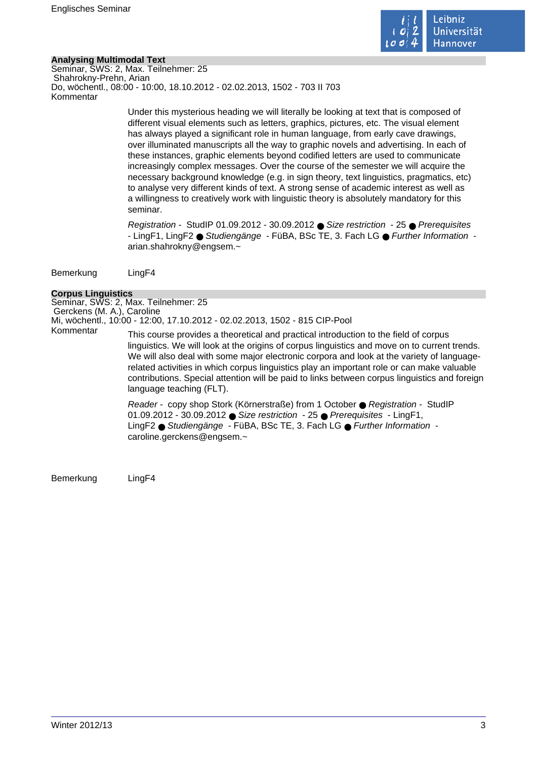

## **Analysing Multimodal Text**

Seminar, SWS: 2, Max. Teilnehmer: 25 Shahrokny-Prehn, Arian Do, wöchentl., 08:00 - 10:00, 18.10.2012 - 02.02.2013, 1502 - 703 II 703 Kommentar

> Under this mysterious heading we will literally be looking at text that is composed of different visual elements such as letters, graphics, pictures, etc. The visual element has always played a significant role in human language, from early cave drawings, over illuminated manuscripts all the way to graphic novels and advertising. In each of these instances, graphic elements beyond codified letters are used to communicate increasingly complex messages. Over the course of the semester we will acquire the necessary background knowledge (e.g. in sign theory, text linguistics, pragmatics, etc) to analyse very different kinds of text. A strong sense of academic interest as well as a willingness to creatively work with linguistic theory is absolutely mandatory for this seminar.

Registration - StudIP 01.09.2012 - 30.09.2012 ● Size restriction - 25 ● Prerequisites - LingF1, LingF2 ● Studiengänge - FüBA, BSc TE, 3. Fach LG ● Further Information arian.shahrokny@engsem.~

Bemerkung LingF4

## **Corpus Linguistics**

Seminar, SWS: 2, Max. Teilnehmer: 25 Gerckens (M. A.), Caroline Mi, wöchentl., 10:00 - 12:00, 17.10.2012 - 02.02.2013, 1502 - 815 CIP-Pool This course provides a theoretical and practical introduction to the field of corpus

linguistics. We will look at the origins of corpus linguistics and move on to current trends. We will also deal with some major electronic corpora and look at the variety of languagerelated activities in which corpus linguistics play an important role or can make valuable contributions. Special attention will be paid to links between corpus linguistics and foreign language teaching (FLT).

Reader - copy shop Stork (Körnerstraße) from 1 October ● Registration - StudIP 01.09.2012 - 30.09.2012 ● Size restriction - 25 ● Prerequisites - LingF1, LingF2 ● Studiengänge - FüBA, BSc TE, 3. Fach LG ● Further Information caroline.gerckens@engsem.~

Bemerkung LingF4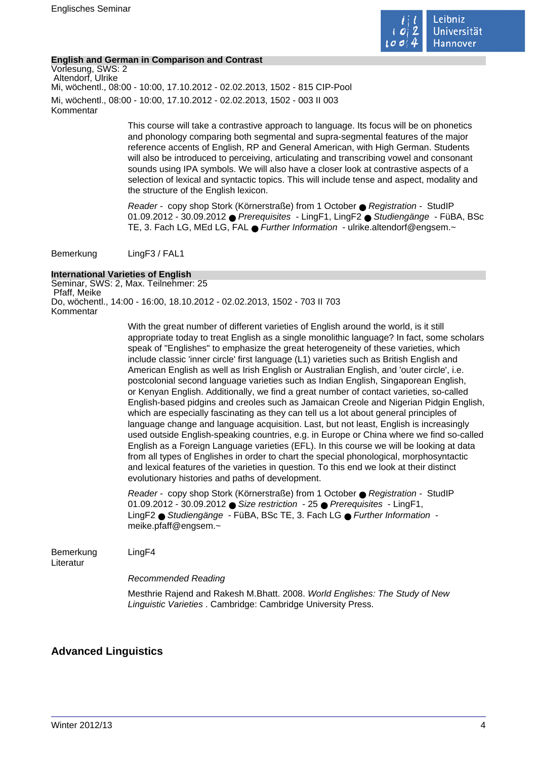

## **English and German in Comparison and Contrast**

Vorlesung, SWS: 2 Altendorf, Ulrike Mi, wöchentl., 08:00 - 10:00, 17.10.2012 - 02.02.2013, 1502 - 815 CIP-Pool Mi, wöchentl., 08:00 - 10:00, 17.10.2012 - 02.02.2013, 1502 - 003 II 003 Kommentar

> This course will take a contrastive approach to language. Its focus will be on phonetics and phonology comparing both segmental and supra-segmental features of the major reference accents of English, RP and General American, with High German. Students will also be introduced to perceiving, articulating and transcribing vowel and consonant sounds using IPA symbols. We will also have a closer look at contrastive aspects of a selection of lexical and syntactic topics. This will include tense and aspect, modality and the structure of the English lexicon.

Reader - copy shop Stork (Körnerstraße) from 1 October ● Registration - StudIP 01.09.2012 - 30.09.2012 ● Prerequisites - LingF1, LingF2 ● Studiengänge - FüBA, BSc TE, 3. Fach LG, MEd LG, FAL ● Further Information - ulrike.altendorf@engsem.~

Bemerkung LingF3 / FAL1

## **International Varieties of English**

Seminar, SWS: 2, Max. Teilnehmer: 25 Pfaff, Meike Do, wöchentl., 14:00 - 16:00, 18.10.2012 - 02.02.2013, 1502 - 703 II 703 Kommentar

> With the great number of different varieties of English around the world, is it still appropriate today to treat English as a single monolithic language? In fact, some scholars speak of "Englishes" to emphasize the great heterogeneity of these varieties, which include classic 'inner circle' first language (L1) varieties such as British English and American English as well as Irish English or Australian English, and 'outer circle', i.e. postcolonial second language varieties such as Indian English, Singaporean English, or Kenyan English. Additionally, we find a great number of contact varieties, so-called English-based pidgins and creoles such as Jamaican Creole and Nigerian Pidgin English, which are especially fascinating as they can tell us a lot about general principles of language change and language acquisition. Last, but not least, English is increasingly used outside English-speaking countries, e.g. in Europe or China where we find so-called English as a Foreign Language varieties (EFL). In this course we will be looking at data from all types of Englishes in order to chart the special phonological, morphosyntactic and lexical features of the varieties in question. To this end we look at their distinct evolutionary histories and paths of development.

Reader - copy shop Stork (Körnerstraße) from 1 October ● Registration - StudIP 01.09.2012 - 30.09.2012 ● Size restriction - 25 ● Prerequisites - LingF1, LingF2 ● Studiengänge - FüBA, BSc TE, 3. Fach LG ● Further Information meike.pfaff@engsem.~

Bemerkung LingF4

Literatur

Recommended Reading

Mesthrie Rajend and Rakesh M.Bhatt. 2008. World Englishes: The Study of New Linguistic Varieties . Cambridge: Cambridge University Press.

## **Advanced Linguistics**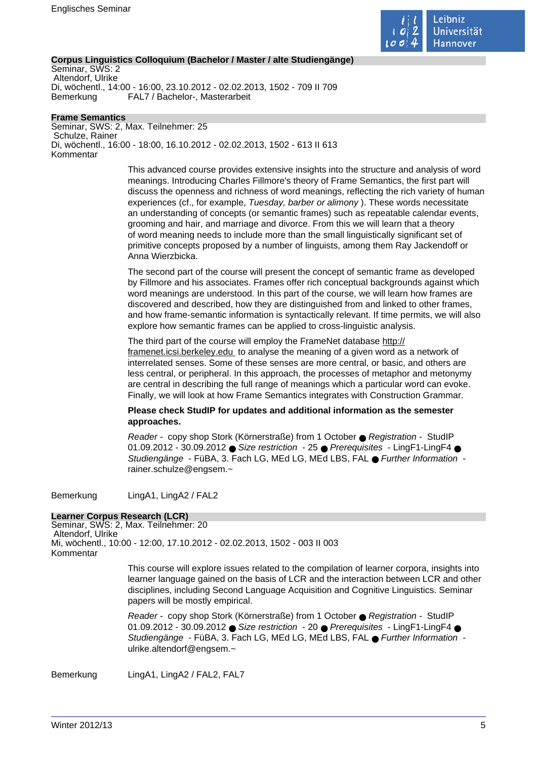

## **Corpus Linguistics Colloquium (Bachelor / Master / alte Studiengänge)**

Seminar, SWS: 2 Altendorf, Ulrike Di, wöchentl., 14:00 - 16:00, 23.10.2012 - 02.02.2013, 1502 - 709 II 709 Bemerkung FAL7 / Bachelor-, Masterarbeit

**Frame Semantics** Seminar, SWS: 2, Max. Teilnehmer: 25 Schulze, Rainer Di, wöchentl., 16:00 - 18:00, 16.10.2012 - 02.02.2013, 1502 - 613 II 613 Kommentar

> This advanced course provides extensive insights into the structure and analysis of word meanings. Introducing Charles Fillmore's theory of Frame Semantics, the first part will discuss the openness and richness of word meanings, reflecting the rich variety of human experiences (cf., for example, Tuesday, barber or alimony ). These words necessitate an understanding of concepts (or semantic frames) such as repeatable calendar events, grooming and hair, and marriage and divorce. From this we will learn that a theory of word meaning needs to include more than the small linguistically significant set of primitive concepts proposed by a number of linguists, among them Ray Jackendoff or Anna Wierzbicka.

> The second part of the course will present the concept of semantic frame as developed by Fillmore and his associates. Frames offer rich conceptual backgrounds against which word meanings are understood. In this part of the course, we will learn how frames are discovered and described, how they are distinguished from and linked to other frames, and how frame-semantic information is syntactically relevant. If time permits, we will also explore how semantic frames can be applied to cross-linguistic analysis.

The third part of the course will employ the FrameNet database http:// framenet.icsi.berkeley.edu to analyse the meaning of a given word as a network of interrelated senses. Some of these senses are more central, or basic, and others are less central, or peripheral. In this approach, the processes of metaphor and metonymy are central in describing the full range of meanings which a particular word can evoke. Finally, we will look at how Frame Semantics integrates with Construction Grammar.

## **Please check StudIP for updates and additional information as the semester approaches.**

Reader - copy shop Stork (Körnerstraße) from 1 October ● Registration - StudIP 01.09.2012 - 30.09.2012 ● Size restriction - 25 ● Prerequisites - LingF1-LingF4 ● Studiengänge - FüBA, 3. Fach LG, MEd LG, MEd LBS, FAL ● Further Information rainer.schulze@engsem.~

Bemerkung LingA1, LingA2 / FAL2

## **Learner Corpus Research (LCR)**

Seminar, SWS: 2, Max. Teilnehmer: 20 Altendorf, Ulrike Mi, wöchentl., 10:00 - 12:00, 17.10.2012 - 02.02.2013, 1502 - 003 II 003 Kommentar

> This course will explore issues related to the compilation of learner corpora, insights into learner language gained on the basis of LCR and the interaction between LCR and other disciplines, including Second Language Acquisition and Cognitive Linguistics. Seminar papers will be mostly empirical.

Reader - copy shop Stork (Körnerstraße) from 1 October ● Registration - StudIP 01.09.2012 - 30.09.2012 ● Size restriction - 20 ● Prerequisites - LingF1-LingF4 ● Studiengänge - FüBA, 3. Fach LG, MEd LG, MEd LBS, FAL ● Further Information ulrike.altendorf@engsem.~

Bemerkung LingA1, LingA2 / FAL2, FAL7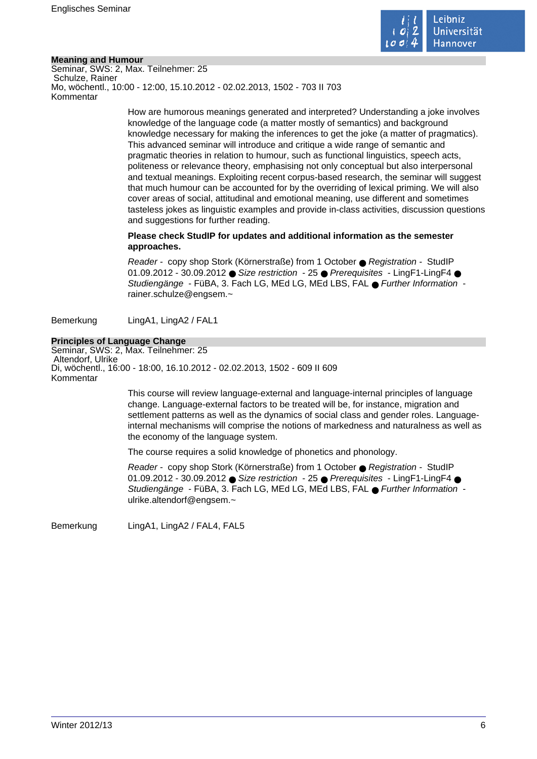

## **Meaning and Humour**

Seminar, SWS: 2, Max. Teilnehmer: 25 Schulze, Rainer Mo, wöchentl., 10:00 - 12:00, 15.10.2012 - 02.02.2013, 1502 - 703 II 703 Kommentar

> How are humorous meanings generated and interpreted? Understanding a joke involves knowledge of the language code (a matter mostly of semantics) and background knowledge necessary for making the inferences to get the joke (a matter of pragmatics). This advanced seminar will introduce and critique a wide range of semantic and pragmatic theories in relation to humour, such as functional linguistics, speech acts, politeness or relevance theory, emphasising not only conceptual but also interpersonal and textual meanings. Exploiting recent corpus-based research, the seminar will suggest that much humour can be accounted for by the overriding of lexical priming. We will also cover areas of social, attitudinal and emotional meaning, use different and sometimes tasteless jokes as linguistic examples and provide in-class activities, discussion questions and suggestions for further reading.

## **Please check StudIP for updates and additional information as the semester approaches.**

Reader - copy shop Stork (Körnerstraße) from 1 October ● Registration - StudIP 01.09.2012 - 30.09.2012 ● Size restriction - 25 ● Prerequisites - LingF1-LingF4 ● Studiengänge - FüBA, 3. Fach LG, MEd LG, MEd LBS, FAL ● Further Information rainer.schulze@engsem.~

Bemerkung LingA1, LingA2 / FAL1

## **Principles of Language Change**

Seminar, SWS: 2, Max. Teilnehmer: 25 Altendorf, Ulrike Di, wöchentl., 16:00 - 18:00, 16.10.2012 - 02.02.2013, 1502 - 609 II 609 Kommentar

> This course will review language-external and language-internal principles of language change. Language-external factors to be treated will be, for instance, migration and settlement patterns as well as the dynamics of social class and gender roles. Languageinternal mechanisms will comprise the notions of markedness and naturalness as well as the economy of the language system.

The course requires a solid knowledge of phonetics and phonology.

Reader - copy shop Stork (Körnerstraße) from 1 October ● Registration - StudIP 01.09.2012 - 30.09.2012 ● Size restriction - 25 ● Prerequisites - LingF1-LingF4 ● Studiengänge - FüBA, 3. Fach LG, MEd LG, MEd LBS, FAL ● Further Information ulrike.altendorf@engsem.~

Bemerkung LingA1, LingA2 / FAL4, FAL5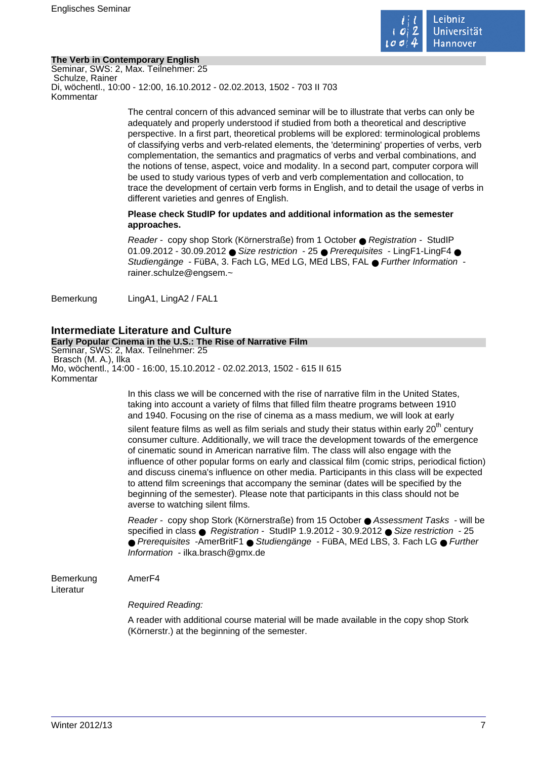

## **The Verb in Contemporary English**

Seminar, SWS: 2, Max. Teilnehmer: 25 Schulze, Rainer Di, wöchentl., 10:00 - 12:00, 16.10.2012 - 02.02.2013, 1502 - 703 II 703 Kommentar

> The central concern of this advanced seminar will be to illustrate that verbs can only be adequately and properly understood if studied from both a theoretical and descriptive perspective. In a first part, theoretical problems will be explored: terminological problems of classifying verbs and verb-related elements, the 'determining' properties of verbs, verb complementation, the semantics and pragmatics of verbs and verbal combinations, and the notions of tense, aspect, voice and modality. In a second part, computer corpora will be used to study various types of verb and verb complementation and collocation, to trace the development of certain verb forms in English, and to detail the usage of verbs in different varieties and genres of English.

## **Please check StudIP for updates and additional information as the semester approaches.**

Reader - copy shop Stork (Körnerstraße) from 1 October ● Registration - StudIP 01.09.2012 - 30.09.2012 ● Size restriction - 25 ● Prerequisites - LingF1-LingF4 ● Studiengänge - FüBA, 3. Fach LG, MEd LG, MEd LBS, FAL ● Further Information rainer.schulze@engsem.~

Bemerkung LingA1, LingA2 / FAL1

## **Intermediate Literature and Culture**

## **Early Popular Cinema in the U.S.: The Rise of Narrative Film**

Seminar, SWS: 2, Max. Teilnehmer: 25 Brasch (M. A.), Ilka Mo, wöchentl., 14:00 - 16:00, 15.10.2012 - 02.02.2013, 1502 - 615 II 615 Kommentar

> In this class we will be concerned with the rise of narrative film in the United States, taking into account a variety of films that filled film theatre programs between 1910 and 1940. Focusing on the rise of cinema as a mass medium, we will look at early

silent feature films as well as film serials and study their status within early  $20<sup>th</sup>$  century consumer culture. Additionally, we will trace the development towards of the emergence of cinematic sound in American narrative film. The class will also engage with the influence of other popular forms on early and classical film (comic strips, periodical fiction) and discuss cinema's influence on other media. Participants in this class will be expected to attend film screenings that accompany the seminar (dates will be specified by the beginning of the semester). Please note that participants in this class should not be averse to watching silent films.

Reader - copy shop Stork (Körnerstraße) from 15 October ● Assessment Tasks - will be specified in class ● Registration - StudIP 1.9.2012 - 30.9.2012 ● Size restriction - 25 ● Prerequisites -AmerBritF1 ● Studiengänge - FüBA, MEd LBS, 3. Fach LG ● Further Information - ilka.brasch@gmx.de

## Bemerkung AmerF4

Literatur

Required Reading:

A reader with additional course material will be made available in the copy shop Stork (Körnerstr.) at the beginning of the semester.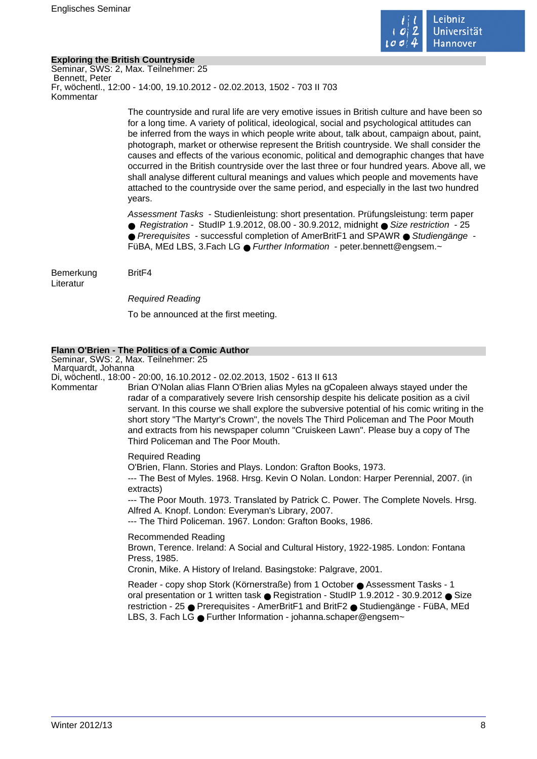

## **Exploring the British Countryside**

Seminar, SWS: 2, Max. Teilnehmer: 25 Bennett, Peter Fr, wöchentl., 12:00 - 14:00, 19.10.2012 - 02.02.2013, 1502 - 703 II 703 Kommentar

> The countryside and rural life are very emotive issues in British culture and have been so for a long time. A variety of political, ideological, social and psychological attitudes can be inferred from the ways in which people write about, talk about, campaign about, paint, photograph, market or otherwise represent the British countryside. We shall consider the causes and effects of the various economic, political and demographic changes that have occurred in the British countryside over the last three or four hundred years. Above all, we shall analyse different cultural meanings and values which people and movements have attached to the countryside over the same period, and especially in the last two hundred years.

Assessment Tasks - Studienleistung: short presentation. Prüfungsleistung: term paper ● Registration - StudIP 1.9.2012, 08.00 - 30.9.2012, midnight ● Size restriction - 25 ● Prerequisites - successful completion of AmerBritF1 and SPAWR ● Studiengänge -FüBA, MEd LBS, 3.Fach LG ● Further Information - peter.bennett@engsem.~

Bemerkung BritF4 Literatur

Required Reading To be announced at the first meeting.

## **Flann O'Brien - The Politics of a Comic Author**

Seminar, SWS: 2, Max. Teilnehmer: 25 Marquardt, Johanna

Di, wöchentl., 18:00 - 20:00, 16.10.2012 - 02.02.2013, 1502 - 613 II 613

Kommentar Brian O'Nolan alias Flann O'Brien alias Myles na gCopaleen always stayed under the radar of a comparatively severe Irish censorship despite his delicate position as a civil servant. In this course we shall explore the subversive potential of his comic writing in the short story "The Martyr's Crown", the novels The Third Policeman and The Poor Mouth and extracts from his newspaper column "Cruiskeen Lawn". Please buy a copy of The Third Policeman and The Poor Mouth.

Required Reading

O'Brien, Flann. Stories and Plays. London: Grafton Books, 1973. --- The Best of Myles. 1968. Hrsg. Kevin O Nolan. London: Harper Perennial, 2007. (in extracts)

--- The Poor Mouth. 1973. Translated by Patrick C. Power. The Complete Novels. Hrsg. Alfred A. Knopf. London: Everyman's Library, 2007.

--- The Third Policeman. 1967. London: Grafton Books, 1986.

Recommended Reading Brown, Terence. Ireland: A Social and Cultural History, 1922-1985. London: Fontana Press, 1985. Cronin, Mike. A History of Ireland. Basingstoke: Palgrave, 2001.

Reader - copy shop Stork (Körnerstraße) from 1 October ● Assessment Tasks - 1 oral presentation or 1 written task ● Registration - StudIP 1.9.2012 - 30.9.2012 ● Size restriction - 25 ● Prerequisites - AmerBritF1 and BritF2 ● Studiengänge - FüBA, MEd LBS, 3. Fach LG ● Further Information - johanna.schaper@engsem~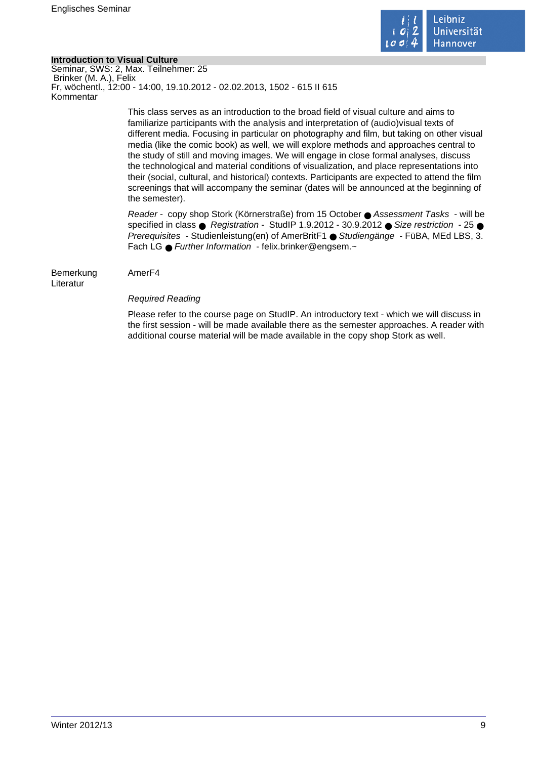

## **Introduction to Visual Culture**

Seminar, SWS: 2, Max. Teilnehmer: 25 Brinker (M. A.), Felix Fr, wöchentl., 12:00 - 14:00, 19.10.2012 - 02.02.2013, 1502 - 615 II 615 Kommentar

> This class serves as an introduction to the broad field of visual culture and aims to familiarize participants with the analysis and interpretation of (audio)visual texts of different media. Focusing in particular on photography and film, but taking on other visual media (like the comic book) as well, we will explore methods and approaches central to the study of still and moving images. We will engage in close formal analyses, discuss the technological and material conditions of visualization, and place representations into their (social, cultural, and historical) contexts. Participants are expected to attend the film screenings that will accompany the seminar (dates will be announced at the beginning of the semester).

> Reader - copy shop Stork (Körnerstraße) from 15 October ● Assessment Tasks - will be specified in class  $\bullet$  Registration - StudIP 1.9.2012 - 30.9.2012  $\bullet$  Size restriction - 25  $\bullet$ Prerequisites - Studienleistung(en) of AmerBritF1 ● Studiengänge - FüBA, MEd LBS, 3. Fach LG ● Further Information - felix.brinker@engsem.~

Bemerkung AmerF4 Literatur

## Required Reading

Please refer to the course page on StudIP. An introductory text - which we will discuss in the first session - will be made available there as the semester approaches. A reader with additional course material will be made available in the copy shop Stork as well.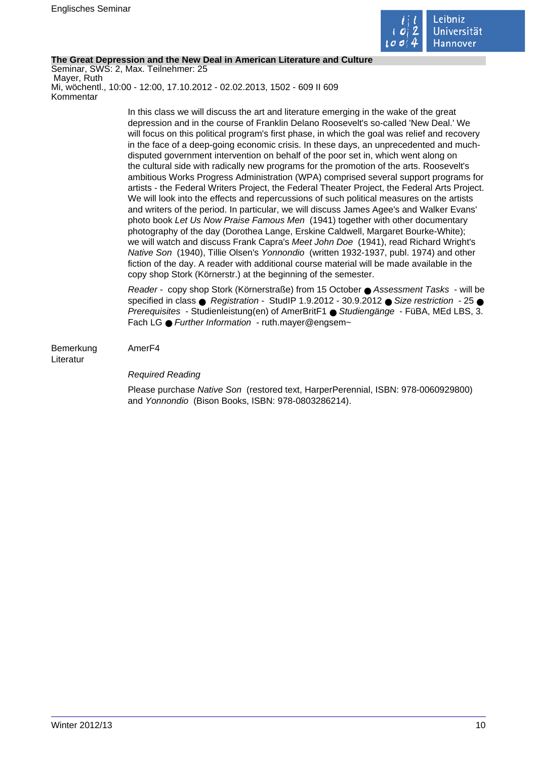

## **The Great Depression and the New Deal in American Literature and Culture**

Seminar, SWS: 2, Max. Teilnehmer: 25 Mayer, Ruth Mi, wöchentl., 10:00 - 12:00, 17.10.2012 - 02.02.2013, 1502 - 609 II 609 Kommentar

> In this class we will discuss the art and literature emerging in the wake of the great depression and in the course of Franklin Delano Roosevelt's so-called 'New Deal.' We will focus on this political program's first phase, in which the goal was relief and recovery in the face of a deep-going economic crisis. In these days, an unprecedented and muchdisputed government intervention on behalf of the poor set in, which went along on the cultural side with radically new programs for the promotion of the arts. Roosevelt's ambitious Works Progress Administration (WPA) comprised several support programs for artists - the Federal Writers Project, the Federal Theater Project, the Federal Arts Project. We will look into the effects and repercussions of such political measures on the artists and writers of the period. In particular, we will discuss James Agee's and Walker Evans' photo book Let Us Now Praise Famous Men (1941) together with other documentary photography of the day (Dorothea Lange, Erskine Caldwell, Margaret Bourke-White); we will watch and discuss Frank Capra's Meet John Doe (1941), read Richard Wright's Native Son (1940), Tillie Olsen's Yonnondio (written 1932-1937, publ. 1974) and other fiction of the day. A reader with additional course material will be made available in the copy shop Stork (Körnerstr.) at the beginning of the semester.

> Reader - copy shop Stork (Körnerstraße) from 15 October ● Assessment Tasks - will be specified in class  $\bullet$  Registration - StudIP 1.9.2012 - 30.9.2012  $\bullet$  Size restriction - 25  $\bullet$ Prerequisites - Studienleistung(en) of AmerBritF1 ● Studiengänge - FüBA, MEd LBS, 3. Fach LG ● Further Information - ruth.maver@engsem~

Bemerkung AmerF4 Literatur

## Required Reading

Please purchase Native Son (restored text, HarperPerennial, ISBN: 978-0060929800) and Yonnondio (Bison Books, ISBN: 978-0803286214).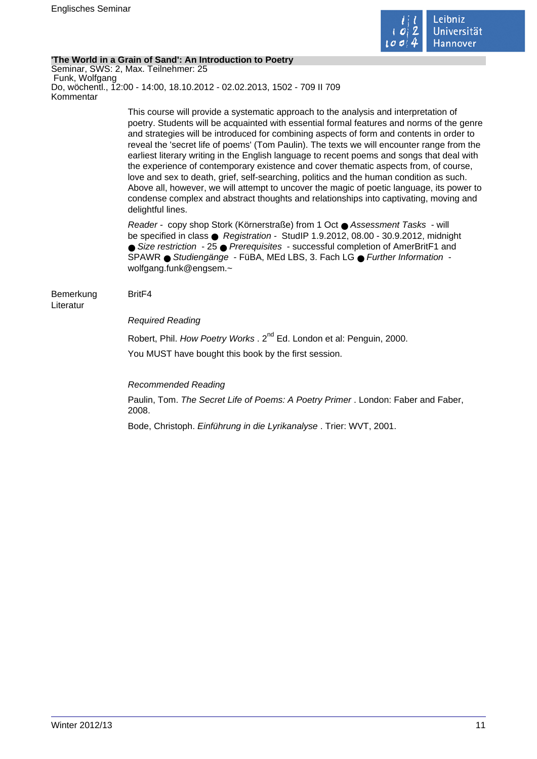

## **'The World in a Grain of Sand': An Introduction to Poetry**

Seminar, SWS: 2, Max. Teilnehmer: 25 Funk, Wolfgang Do, wöchentl., 12:00 - 14:00, 18.10.2012 - 02.02.2013, 1502 - 709 II 709 Kommentar

> This course will provide a systematic approach to the analysis and interpretation of poetry. Students will be acquainted with essential formal features and norms of the genre and strategies will be introduced for combining aspects of form and contents in order to reveal the 'secret life of poems' (Tom Paulin). The texts we will encounter range from the earliest literary writing in the English language to recent poems and songs that deal with the experience of contemporary existence and cover thematic aspects from, of course, love and sex to death, grief, self-searching, politics and the human condition as such. Above all, however, we will attempt to uncover the magic of poetic language, its power to condense complex and abstract thoughts and relationships into captivating, moving and delightful lines.

Reader - copy shop Stork (Körnerstraße) from 1 Oct ● Assessment Tasks - will be specified in class ● Registration - StudIP 1.9.2012, 08.00 - 30.9.2012, midnight ● Size restriction - 25 ● Prerequisites - successful completion of AmerBritF1 and SPAWR ● Studiengänge - FüBA, MEd LBS, 3. Fach LG ● Further Information wolfgang.funk@engsem.~

#### Bemerkung BritF4 Literatur

## Required Reading

Robert, Phil. How Poetry Works . 2<sup>nd</sup> Ed. London et al: Penguin, 2000. You MUST have bought this book by the first session.

Recommended Reading

Paulin, Tom. The Secret Life of Poems: A Poetry Primer . London: Faber and Faber, 2008.

Bode, Christoph. Einführung in die Lyrikanalyse . Trier: WVT, 2001.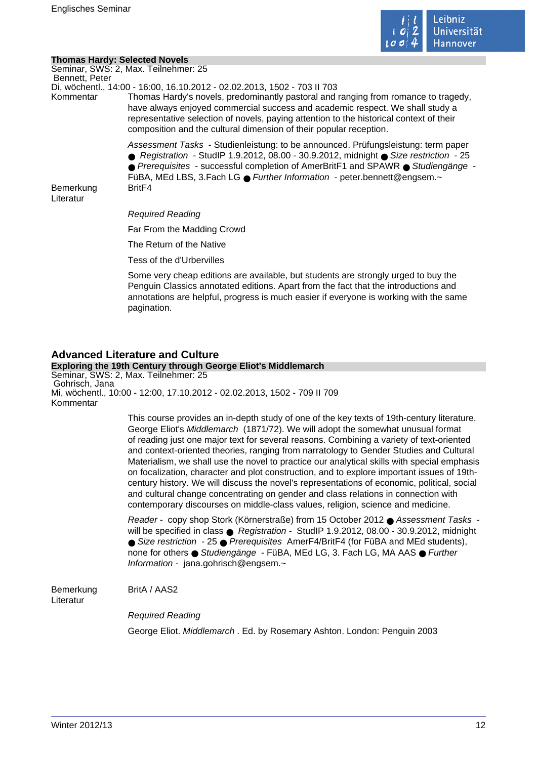

## **Thomas Hardy: Selected Novels**

Seminar, SWS: 2, Max. Teilnehmer: 25 Bennett, Peter

Di, wöchentl., 14:00 - 16:00, 16.10.2012 - 02.02.2013, 1502 - 703 II 703

Kommentar Thomas Hardy's novels, predominantly pastoral and ranging from romance to tragedy, have always enjoyed commercial success and academic respect. We shall study a representative selection of novels, paying attention to the historical context of their composition and the cultural dimension of their popular reception.

Assessment Tasks - Studienleistung: to be announced. Prüfungsleistung: term paper

● Registration - StudIP 1.9.2012, 08.00 - 30.9.2012, midnight ● Size restriction - 25 ● Prerequisites - successful completion of AmerBritF1 and SPAWR ● Studiengänge -

FüBA, MEd LBS, 3.Fach LG ● Further Information - peter.bennett@engsem.~

Bemerkung BritF4 Literatur

Required Reading

Far From the Madding Crowd

The Return of the Native

Tess of the d'Urbervilles

Some very cheap editions are available, but students are strongly urged to buy the Penguin Classics annotated editions. Apart from the fact that the introductions and annotations are helpful, progress is much easier if everyone is working with the same pagination.

## **Advanced Literature and Culture**

**Exploring the 19th Century through George Eliot's Middlemarch** Seminar, SWS: 2, Max. Teilnehmer: 25 Gohrisch, Jana Mi, wöchentl., 10:00 - 12:00, 17.10.2012 - 02.02.2013, 1502 - 709 II 709 Kommentar

> This course provides an in-depth study of one of the key texts of 19th-century literature, George Eliot's Middlemarch (1871/72). We will adopt the somewhat unusual format of reading just one major text for several reasons. Combining a variety of text-oriented and context-oriented theories, ranging from narratology to Gender Studies and Cultural Materialism, we shall use the novel to practice our analytical skills with special emphasis on focalization, character and plot construction, and to explore important issues of 19thcentury history. We will discuss the novel's representations of economic, political, social and cultural change concentrating on gender and class relations in connection with contemporary discourses on middle-class values, religion, science and medicine.

> Reader - copy shop Stork (Körnerstraße) from 15 October 2012 ● Assessment Tasks will be specified in class  $\bullet$  Registration - StudIP 1.9.2012, 08.00 - 30.9.2012, midnight ● Size restriction - 25 ● Prerequisites AmerF4/BritF4 (for FüBA and MEd students), none for others ● Studiengänge - FüBA, MEd LG, 3. Fach LG, MA AAS ● Further Information - jana.gohrisch@engsem.~

Bemerkung BritA / AAS2 Literatur

Required Reading

George Eliot. Middlemarch . Ed. by Rosemary Ashton. London: Penguin 2003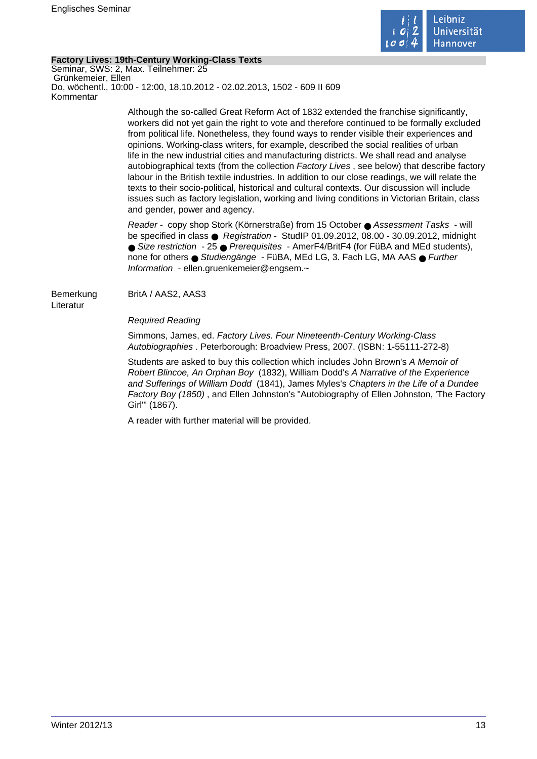

## **Factory Lives: 19th-Century Working-Class Texts**

Seminar, SWS: 2, Max. Teilnehmer: 25 Grünkemeier, Ellen Do, wöchentl., 10:00 - 12:00, 18.10.2012 - 02.02.2013, 1502 - 609 II 609 Kommentar

> Although the so-called Great Reform Act of 1832 extended the franchise significantly, workers did not yet gain the right to vote and therefore continued to be formally excluded from political life. Nonetheless, they found ways to render visible their experiences and opinions. Working-class writers, for example, described the social realities of urban life in the new industrial cities and manufacturing districts. We shall read and analyse autobiographical texts (from the collection Factory Lives , see below) that describe factory labour in the British textile industries. In addition to our close readings, we will relate the texts to their socio-political, historical and cultural contexts. Our discussion will include issues such as factory legislation, working and living conditions in Victorian Britain, class and gender, power and agency.

Reader - copy shop Stork (Körnerstraße) from 15 October ● Assessment Tasks - will be specified in class ● Registration - StudIP 01.09.2012, 08.00 - 30.09.2012, midnight ● Size restriction - 25 ● Prerequisites - AmerF4/BritF4 (for FüBA and MEd students), none for others ● Studiengänge - FüBA, MEd LG, 3. Fach LG, MA AAS ● Further Information - ellen.gruenkemeier@engsem.~

Bemerkung BritA / AAS2, AAS3 Literatur

Required Reading

Simmons, James, ed. Factory Lives. Four Nineteenth-Century Working-Class Autobiographies . Peterborough: Broadview Press, 2007. (ISBN: 1-55111-272-8)

Students are asked to buy this collection which includes John Brown's A Memoir of Robert Blincoe, An Orphan Boy (1832), William Dodd's A Narrative of the Experience and Sufferings of William Dodd (1841), James Myles's Chapters in the Life of a Dundee Factory Boy (1850) , and Ellen Johnston's "Autobiography of Ellen Johnston, 'The Factory Girl'" (1867).

A reader with further material will be provided.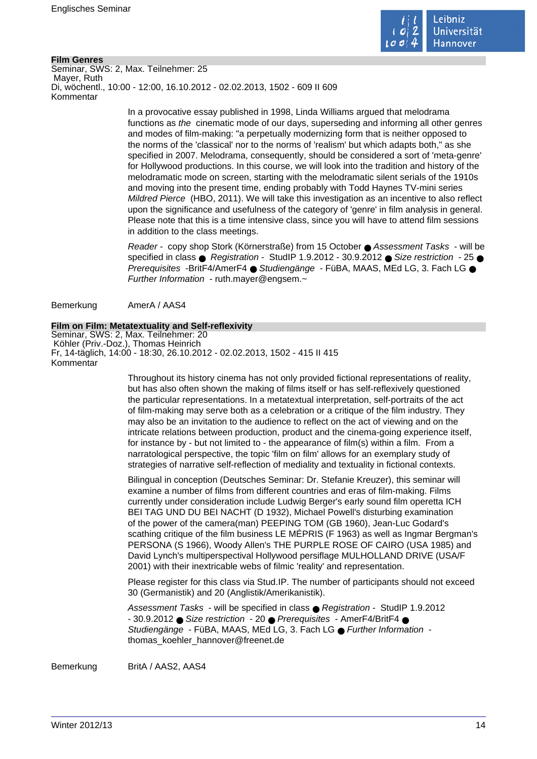

## **Film Genres**

Seminar, SWS: 2, Max. Teilnehmer: 25 Mayer, Ruth Di, wöchentl., 10:00 - 12:00, 16.10.2012 - 02.02.2013, 1502 - 609 II 609 Kommentar

> In a provocative essay published in 1998, Linda Williams argued that melodrama functions as the cinematic mode of our days, superseding and informing all other genres and modes of film-making: "a perpetually modernizing form that is neither opposed to the norms of the 'classical' nor to the norms of 'realism' but which adapts both," as she specified in 2007. Melodrama, consequently, should be considered a sort of 'meta-genre' for Hollywood productions. In this course, we will look into the tradition and history of the melodramatic mode on screen, starting with the melodramatic silent serials of the 1910s and moving into the present time, ending probably with Todd Haynes TV-mini series Mildred Pierce (HBO, 2011). We will take this investigation as an incentive to also reflect upon the significance and usefulness of the category of 'genre' in film analysis in general. Please note that this is a time intensive class, since you will have to attend film sessions in addition to the class meetings.

> Reader - copy shop Stork (Körnerstraße) from 15 October ● Assessment Tasks - will be specified in class  $\bullet$  Registration - StudIP 1.9.2012 - 30.9.2012  $\bullet$  Size restriction - 25  $\bullet$ Prerequisites -BritF4/AmerF4 ● Studiengänge - FüBA, MAAS, MEd LG, 3, Fach LG ● Further Information - ruth.mayer@engsem.~

Bemerkung AmerA / AAS4

#### **Film on Film: Metatextuality and Self-reflexivity**

Seminar, SWS: 2, Max. Teilnehmer: 20 Köhler (Priv.-Doz.), Thomas Heinrich Fr, 14-täglich, 14:00 - 18:30, 26.10.2012 - 02.02.2013, 1502 - 415 II 415 Kommentar

> Throughout its history cinema has not only provided fictional representations of reality, but has also often shown the making of films itself or has self-reflexively questioned the particular representations. In a metatextual interpretation, self-portraits of the act of film-making may serve both as a celebration or a critique of the film industry. They may also be an invitation to the audience to reflect on the act of viewing and on the intricate relations between production, product and the cinema-going experience itself, for instance by - but not limited to - the appearance of film(s) within a film. From a narratological perspective, the topic 'film on film' allows for an exemplary study of strategies of narrative self-reflection of mediality and textuality in fictional contexts.

Bilingual in conception (Deutsches Seminar: Dr. Stefanie Kreuzer), this seminar will examine a number of films from different countries and eras of film-making. Films currently under consideration include Ludwig Berger's early sound film operetta ICH BEI TAG UND DU BEI NACHT (D 1932), Michael Powell's disturbing examination of the power of the camera(man) PEEPING TOM (GB 1960), Jean-Luc Godard's scathing critique of the film business LE MÉPRIS (F 1963) as well as Ingmar Bergman's PERSONA (S 1966), Woody Allen's THE PURPLE ROSE OF CAIRO (USA 1985) and David Lynch's multiperspectival Hollywood persiflage MULHOLLAND DRIVE (USA/F 2001) with their inextricable webs of filmic 'reality' and representation.

Please register for this class via Stud.IP. The number of participants should not exceed 30 (Germanistik) and 20 (Anglistik/Amerikanistik).

Assessment Tasks - will be specified in class ● Registration - StudIP 1.9.2012 - 30.9.2012 ● Size restriction - 20 ● Prerequisites - AmerF4/BritF4 ● Studiengänge - FüBA, MAAS, MEd LG, 3, Fach LG ● Further Information thomas\_koehler\_hannover@freenet.de

Bemerkung BritA / AAS2, AAS4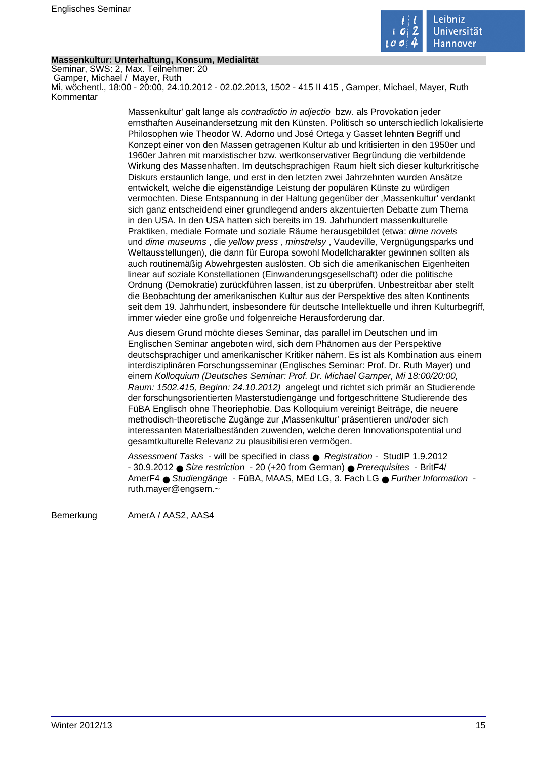

## **Massenkultur: Unterhaltung, Konsum, Medialität**

Seminar, SWS: 2, Max. Teilnehmer: 20 Gamper, Michael / Mayer, Ruth Mi, wöchentl., 18:00 - 20:00, 24.10.2012 - 02.02.2013, 1502 - 415 II 415 , Gamper, Michael, Mayer, Ruth Kommentar

> Massenkultur' galt lange als contradictio in adjectio bzw. als Provokation jeder ernsthaften Auseinandersetzung mit den Künsten. Politisch so unterschiedlich lokalisierte Philosophen wie Theodor W. Adorno und José Ortega y Gasset lehnten Begriff und Konzept einer von den Massen getragenen Kultur ab und kritisierten in den 1950er und 1960er Jahren mit marxistischer bzw. wertkonservativer Begründung die verbildende Wirkung des Massenhaften. Im deutschsprachigen Raum hielt sich dieser kulturkritische Diskurs erstaunlich lange, und erst in den letzten zwei Jahrzehnten wurden Ansätze entwickelt, welche die eigenständige Leistung der populären Künste zu würdigen vermochten. Diese Entspannung in der Haltung gegenüber der 'Massenkultur' verdankt sich ganz entscheidend einer grundlegend anders akzentuierten Debatte zum Thema in den USA. In den USA hatten sich bereits im 19. Jahrhundert massenkulturelle Praktiken, mediale Formate und soziale Räume herausgebildet (etwa: dime novels und dime museums , die yellow press , minstrelsy , Vaudeville, Vergnügungsparks und Weltausstellungen), die dann für Europa sowohl Modellcharakter gewinnen sollten als auch routinemäßig Abwehrgesten auslösten. Ob sich die amerikanischen Eigenheiten linear auf soziale Konstellationen (Einwanderungsgesellschaft) oder die politische Ordnung (Demokratie) zurückführen lassen, ist zu überprüfen. Unbestreitbar aber stellt die Beobachtung der amerikanischen Kultur aus der Perspektive des alten Kontinents seit dem 19. Jahrhundert, insbesondere für deutsche Intellektuelle und ihren Kulturbegriff, immer wieder eine große und folgenreiche Herausforderung dar.

> Aus diesem Grund möchte dieses Seminar, das parallel im Deutschen und im Englischen Seminar angeboten wird, sich dem Phänomen aus der Perspektive deutschsprachiger und amerikanischer Kritiker nähern. Es ist als Kombination aus einem interdisziplinären Forschungsseminar (Englisches Seminar: Prof. Dr. Ruth Mayer) und einem Kolloquium (Deutsches Seminar: Prof. Dr. Michael Gamper, Mi 18:00/20:00, Raum: 1502.415, Beginn: 24.10.2012) angelegt und richtet sich primär an Studierende der forschungsorientierten Masterstudiengänge und fortgeschrittene Studierende des FüBA Englisch ohne Theoriephobie. Das Kolloquium vereinigt Beiträge, die neuere methodisch-theoretische Zugänge zur 'Massenkultur' präsentieren und/oder sich interessanten Materialbeständen zuwenden, welche deren Innovationspotential und gesamtkulturelle Relevanz zu plausibilisieren vermögen.

Assessment Tasks - will be specified in class ● Registration - StudIP 1.9.2012 - 30.9.2012 ● Size restriction - 20 (+20 from German) ● Prerequisites - BritF4/ AmerF4 ● Studiengänge - FüBA, MAAS, MEd LG, 3. Fach LG ● Further Information ruth.mayer@engsem.~

Bemerkung AmerA / AAS2, AAS4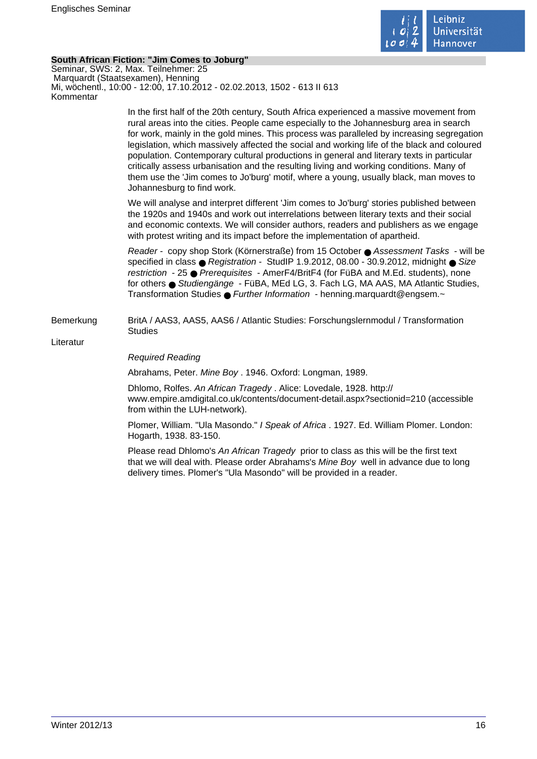

## **South African Fiction: "Jim Comes to Joburg"**

Seminar, SWS: 2, Max. Teilnehmer: 25 Marquardt (Staatsexamen), Henning Mi, wöchentl., 10:00 - 12:00, 17.10.2012 - 02.02.2013, 1502 - 613 II 613 Kommentar

> In the first half of the 20th century, South Africa experienced a massive movement from rural areas into the cities. People came especially to the Johannesburg area in search for work, mainly in the gold mines. This process was paralleled by increasing segregation legislation, which massively affected the social and working life of the black and coloured population. Contemporary cultural productions in general and literary texts in particular critically assess urbanisation and the resulting living and working conditions. Many of them use the 'Jim comes to Jo'burg' motif, where a young, usually black, man moves to Johannesburg to find work.

We will analyse and interpret different 'Jim comes to Jo'burg' stories published between the 1920s and 1940s and work out interrelations between literary texts and their social and economic contexts. We will consider authors, readers and publishers as we engage with protest writing and its impact before the implementation of apartheid.

Reader - copy shop Stork (Körnerstraße) from 15 October ● Assessment Tasks - will be specified in class ● Registration - StudIP 1.9.2012, 08.00 - 30.9.2012, midnight ● Size restriction - 25 ● Prerequisites - AmerF4/BritF4 (for FüBA and M.Ed. students), none for others ● Studiengänge - FüBA, MEd LG, 3. Fach LG, MA AAS, MA Atlantic Studies, Transformation Studies ● Further Information - henning.marquardt@engsem.~

Bemerkung BritA / AAS3, AAS5, AAS6 / Atlantic Studies: Forschungslernmodul / Transformation Studies

Literatur

## Required Reading

Abrahams, Peter. Mine Boy . 1946. Oxford: Longman, 1989.

Dhlomo, Rolfes. An African Tragedy . Alice: Lovedale, 1928. http:// www.empire.amdigital.co.uk/contents/document-detail.aspx?sectionid=210 (accessible from within the LUH-network).

Plomer, William. "Ula Masondo." I Speak of Africa . 1927. Ed. William Plomer. London: Hogarth, 1938. 83-150.

Please read Dhlomo's An African Tragedy prior to class as this will be the first text that we will deal with. Please order Abrahams's Mine Boy well in advance due to long delivery times. Plomer's "Ula Masondo" will be provided in a reader.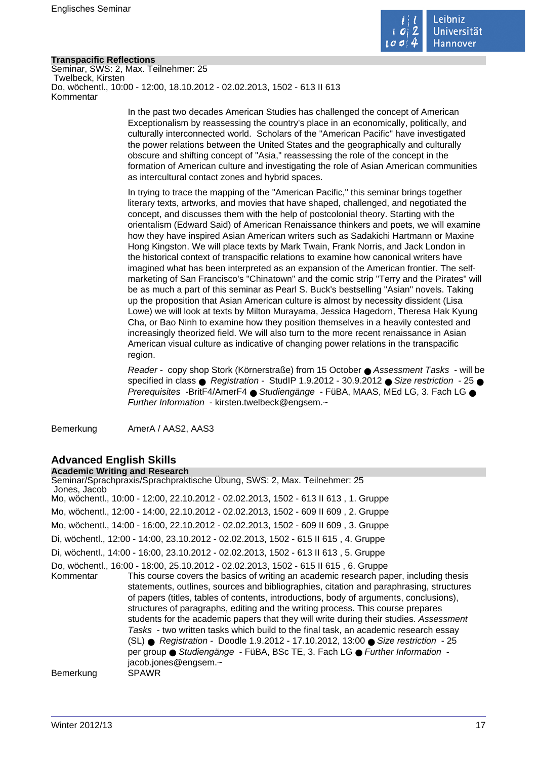

## **Transpacific Reflections**

Seminar, SWS: 2, Max. Teilnehmer: 25 Twelbeck, Kirsten Do, wöchentl., 10:00 - 12:00, 18.10.2012 - 02.02.2013, 1502 - 613 II 613 Kommentar

> In the past two decades American Studies has challenged the concept of American Exceptionalism by reassessing the country's place in an economically, politically, and culturally interconnected world. Scholars of the "American Pacific" have investigated the power relations between the United States and the geographically and culturally obscure and shifting concept of "Asia," reassessing the role of the concept in the formation of American culture and investigating the role of Asian American communities as intercultural contact zones and hybrid spaces.

In trying to trace the mapping of the "American Pacific," this seminar brings together literary texts, artworks, and movies that have shaped, challenged, and negotiated the concept, and discusses them with the help of postcolonial theory. Starting with the orientalism (Edward Said) of American Renaissance thinkers and poets, we will examine how they have inspired Asian American writers such as Sadakichi Hartmann or Maxine Hong Kingston. We will place texts by Mark Twain, Frank Norris, and Jack London in the historical context of transpacific relations to examine how canonical writers have imagined what has been interpreted as an expansion of the American frontier. The selfmarketing of San Francisco's "Chinatown" and the comic strip "Terry and the Pirates" will be as much a part of this seminar as Pearl S. Buck's bestselling "Asian" novels. Taking up the proposition that Asian American culture is almost by necessity dissident (Lisa Lowe) we will look at texts by Milton Murayama, Jessica Hagedorn, Theresa Hak Kyung Cha, or Bao Ninh to examine how they position themselves in a heavily contested and increasingly theorized field. We will also turn to the more recent renaissance in Asian American visual culture as indicative of changing power relations in the transpacific region.

Reader - copy shop Stork (Körnerstraße) from 15 October ● Assessment Tasks - will be specified in class ● Registration - StudIP 1.9.2012 - 30.9.2012 ● Size restriction - 25 ● Prerequisites -BritF4/AmerF4 ● Studiengänge - FüBA, MAAS, MEd LG, 3. Fach LG ● Further Information - kirsten.twelbeck@engsem.~

Bemerkung AmerA / AAS2, AAS3

#### **Advanced English Skills Academic Writing and Research**

| ACQUEINIC WITCHING AND INESEARCH |                                                                                                                                                                                                                                                                                                                                                                                                                                                                                                                                                                                                                                                                                                                                                                                                                                   |
|----------------------------------|-----------------------------------------------------------------------------------------------------------------------------------------------------------------------------------------------------------------------------------------------------------------------------------------------------------------------------------------------------------------------------------------------------------------------------------------------------------------------------------------------------------------------------------------------------------------------------------------------------------------------------------------------------------------------------------------------------------------------------------------------------------------------------------------------------------------------------------|
| Jones, Jacob                     | Seminar/Sprachpraxis/Sprachpraktische Übung, SWS: 2, Max. Teilnehmer: 25                                                                                                                                                                                                                                                                                                                                                                                                                                                                                                                                                                                                                                                                                                                                                          |
|                                  | Mo, wöchentl., 10:00 - 12:00, 22.10.2012 - 02.02.2013, 1502 - 613 II 613, 1. Gruppe                                                                                                                                                                                                                                                                                                                                                                                                                                                                                                                                                                                                                                                                                                                                               |
|                                  | Mo, wöchentl., 12:00 - 14:00, 22.10.2012 - 02.02.2013, 1502 - 609 II 609, 2. Gruppe                                                                                                                                                                                                                                                                                                                                                                                                                                                                                                                                                                                                                                                                                                                                               |
|                                  | Mo, wöchentl., 14:00 - 16:00, 22.10.2012 - 02.02.2013, 1502 - 609 II 609, 3. Gruppe                                                                                                                                                                                                                                                                                                                                                                                                                                                                                                                                                                                                                                                                                                                                               |
|                                  | Di, wöchentl., 12:00 - 14:00, 23.10.2012 - 02.02.2013, 1502 - 615 II 615, 4. Gruppe                                                                                                                                                                                                                                                                                                                                                                                                                                                                                                                                                                                                                                                                                                                                               |
|                                  | Di, wöchentl., 14:00 - 16:00, 23.10.2012 - 02.02.2013, 1502 - 613 II 613, 5. Gruppe                                                                                                                                                                                                                                                                                                                                                                                                                                                                                                                                                                                                                                                                                                                                               |
| Kommentar                        | Do, wöchentl., 16:00 - 18:00, 25.10.2012 - 02.02.2013, 1502 - 615 II 615, 6. Gruppe<br>This course covers the basics of writing an academic research paper, including thesis<br>statements, outlines, sources and bibliographies, citation and paraphrasing, structures<br>of papers (titles, tables of contents, introductions, body of arguments, conclusions),<br>structures of paragraphs, editing and the writing process. This course prepares<br>students for the academic papers that they will write during their studies. Assessment<br>Tasks - two written tasks which build to the final task, an academic research essay<br>(SL) ● Registration - Doodle 1.9.2012 - 17.10.2012, 13:00 ● Size restriction - 25<br>per group ● Studiengänge - FüBA, BSc TE, 3. Fach LG ● Further Information -<br>jacob.jones@engsem.~ |
| Bemerkung                        | SPAWR                                                                                                                                                                                                                                                                                                                                                                                                                                                                                                                                                                                                                                                                                                                                                                                                                             |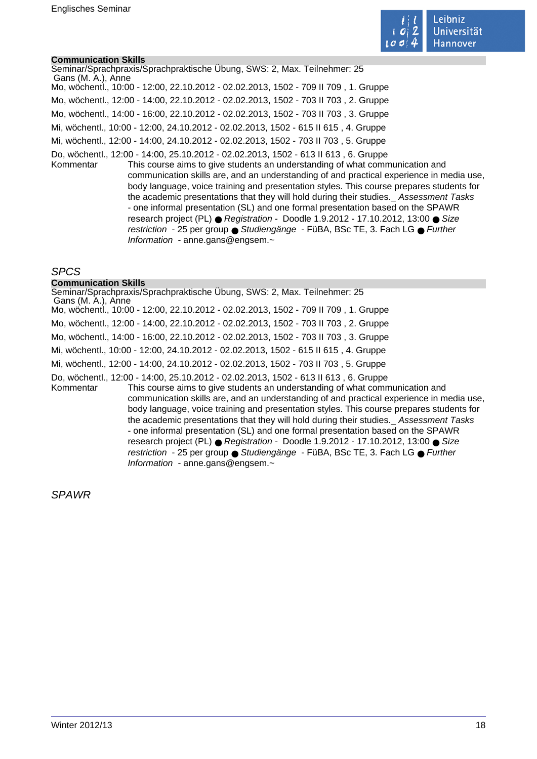

## **Communication Skills**

Seminar/Sprachpraxis/Sprachpraktische Übung, SWS: 2, Max. Teilnehmer: 25 Gans (M. A.), Anne Mo, wöchentl., 10:00 - 12:00, 22.10.2012 - 02.02.2013, 1502 - 709 II 709 , 1. Gruppe Mo, wöchentl., 12:00 - 14:00, 22.10.2012 - 02.02.2013, 1502 - 703 II 703 , 2. Gruppe Mo, wöchentl., 14:00 - 16:00, 22.10.2012 - 02.02.2013, 1502 - 703 II 703 , 3. Gruppe Mi, wöchentl., 10:00 - 12:00, 24.10.2012 - 02.02.2013, 1502 - 615 II 615 , 4. Gruppe Mi, wöchentl., 12:00 - 14:00, 24.10.2012 - 02.02.2013, 1502 - 703 II 703 , 5. Gruppe Do, wöchentl., 12:00 - 14:00, 25.10.2012 - 02.02.2013, 1502 - 613 II 613 , 6. Gruppe Kommentar This course aims to give students an understanding of what communication and communication skills are, and an understanding of and practical experience in media use, body language, voice training and presentation styles. This course prepares students for the academic presentations that they will hold during their studies.Assessment Tasks - one informal presentation (SL) and one formal presentation based on the SPAWR research project (PL) ● Registration - Doodle 1.9.2012 - 17.10.2012, 13:00 ● Size restriction - 25 per group ● Studiengänge - FüBA, BSc TE, 3. Fach LG ● Further

Information - anne.gans@engsem.~

Information - anne.gans@engsem.~

## SPCS

#### **Communication Skills**

Seminar/Sprachpraxis/Sprachpraktische Übung, SWS: 2, Max. Teilnehmer: 25 Gans (M. A.), Anne Mo, wöchentl., 10:00 - 12:00, 22.10.2012 - 02.02.2013, 1502 - 709 II 709 , 1. Gruppe Mo, wöchentl., 12:00 - 14:00, 22.10.2012 - 02.02.2013, 1502 - 703 II 703 , 2. Gruppe Mo, wöchentl., 14:00 - 16:00, 22.10.2012 - 02.02.2013, 1502 - 703 II 703 , 3. Gruppe Mi, wöchentl., 10:00 - 12:00, 24.10.2012 - 02.02.2013, 1502 - 615 II 615 , 4. Gruppe Mi, wöchentl., 12:00 - 14:00, 24.10.2012 - 02.02.2013, 1502 - 703 II 703 , 5. Gruppe Do, wöchentl., 12:00 - 14:00, 25.10.2012 - 02.02.2013, 1502 - 613 II 613 , 6. Gruppe Kommentar This course aims to give students an understanding of what communication and communication skills are, and an understanding of and practical experience in media use, body language, voice training and presentation styles. This course prepares students for the academic presentations that they will hold during their studies.Assessment Tasks - one informal presentation (SL) and one formal presentation based on the SPAWR research project (PL) ● Registration - Doodle 1.9.2012 - 17.10.2012, 13:00 ● Size restriction - 25 per group ● Studiengänge - FüBA, BSc TE, 3. Fach LG ● Further

SPAWR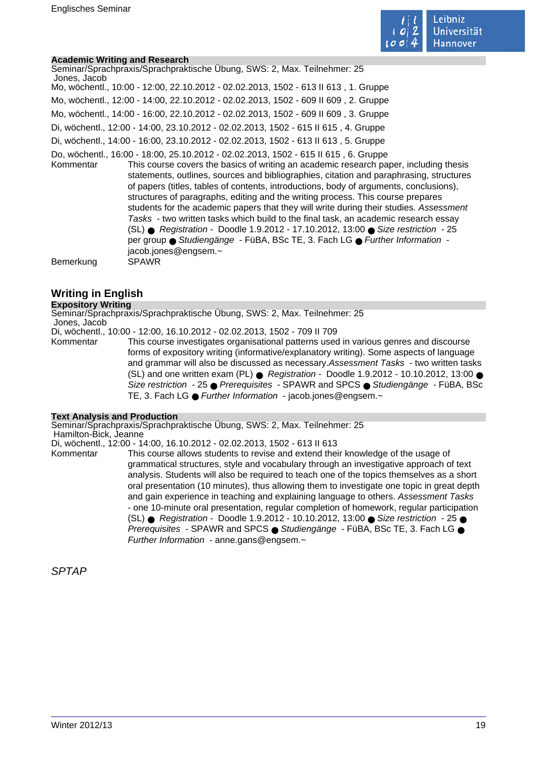

## **Academic Writing and Research**

| Seminar/Sprachpraxis/Sprachpraktische Übung, SWS: 2, Max. Teilnehmer: 25<br>Jones, Jacob                                                                                                                                                                                                                                                                                                                                                                                                                                                                                                                                                                                                                                                                                                                                                       |
|------------------------------------------------------------------------------------------------------------------------------------------------------------------------------------------------------------------------------------------------------------------------------------------------------------------------------------------------------------------------------------------------------------------------------------------------------------------------------------------------------------------------------------------------------------------------------------------------------------------------------------------------------------------------------------------------------------------------------------------------------------------------------------------------------------------------------------------------|
| Mo, wöchentl., 10:00 - 12:00, 22.10.2012 - 02.02.2013, 1502 - 613 II 613, 1. Gruppe                                                                                                                                                                                                                                                                                                                                                                                                                                                                                                                                                                                                                                                                                                                                                            |
| Mo, wöchentl., 12:00 - 14:00, 22.10.2012 - 02.02.2013, 1502 - 609 II 609, 2. Gruppe                                                                                                                                                                                                                                                                                                                                                                                                                                                                                                                                                                                                                                                                                                                                                            |
| Mo, wöchentl., 14:00 - 16:00, 22.10.2012 - 02.02.2013, 1502 - 609 II 609, 3. Gruppe                                                                                                                                                                                                                                                                                                                                                                                                                                                                                                                                                                                                                                                                                                                                                            |
| Di, wöchentl., 12:00 - 14:00, 23.10.2012 - 02.02.2013, 1502 - 615 II 615, 4. Gruppe                                                                                                                                                                                                                                                                                                                                                                                                                                                                                                                                                                                                                                                                                                                                                            |
| Di, wöchentl., 14:00 - 16:00, 23.10.2012 - 02.02.2013, 1502 - 613 II 613, 5. Gruppe                                                                                                                                                                                                                                                                                                                                                                                                                                                                                                                                                                                                                                                                                                                                                            |
| Do, wöchentl., 16:00 - 18:00, 25.10.2012 - 02.02.2013, 1502 - 615 II 615, 6. Gruppe<br>This course covers the basics of writing an academic research paper, including thesis<br>Kommentar<br>statements, outlines, sources and bibliographies, citation and paraphrasing, structures<br>of papers (titles, tables of contents, introductions, body of arguments, conclusions),<br>structures of paragraphs, editing and the writing process. This course prepares<br>students for the academic papers that they will write during their studies. Assessment<br>Tasks - two written tasks which build to the final task, an academic research essay<br>(SL) ● Registration - Doodle 1.9.2012 - 17.10.2012, 13:00 ● Size restriction - 25<br>per group ● Studiengänge - FüBA, BSc TE, 3. Fach LG ● Further Information -<br>jacob.jones@engsem.~ |
| Bemerkung<br><b>SPAWR</b>                                                                                                                                                                                                                                                                                                                                                                                                                                                                                                                                                                                                                                                                                                                                                                                                                      |

## **Writing in English**

## **Expository Writing**

Seminar/Sprachpraxis/Sprachpraktische Übung, SWS: 2, Max. Teilnehmer: 25 Jones, Jacob

Di, wöchentl., 10:00 - 12:00, 16.10.2012 - 02.02.2013, 1502 - 709 II 709

Kommentar This course investigates organisational patterns used in various genres and discourse forms of expository writing (informative/explanatory writing). Some aspects of language and grammar will also be discussed as necessary.Assessment Tasks - two written tasks (SL) and one written exam (PL) ● Registration - Doodle 1.9.2012 - 10.10.2012, 13:00 ● Size restriction - 25 ● Prerequisites - SPAWR and SPCS ● Studiengänge - FüBA, BSc TE, 3. Fach LG ● Further Information - jacob.jones@engsem.~

## **Text Analysis and Production**

Seminar/Sprachpraxis/Sprachpraktische Übung, SWS: 2, Max. Teilnehmer: 25 Hamilton-Bick, Jeanne

Di, wöchentl., 12:00 - 14:00, 16.10.2012 - 02.02.2013, 1502 - 613 II 613

Kommentar This course allows students to revise and extend their knowledge of the usage of grammatical structures, style and vocabulary through an investigative approach of text analysis. Students will also be required to teach one of the topics themselves as a short oral presentation (10 minutes), thus allowing them to investigate one topic in great depth and gain experience in teaching and explaining language to others. Assessment Tasks - one 10-minute oral presentation, regular completion of homework, regular participation (SL) ● Registration - Doodle 1.9.2012 - 10.10.2012, 13:00 ● Size restriction - 25 ● Prerequisites - SPAWR and SPCS ● Studiengänge - FüBA, BSc TE, 3. Fach LG ● Further Information - anne.gans@engsem. $\sim$ 

SPTAP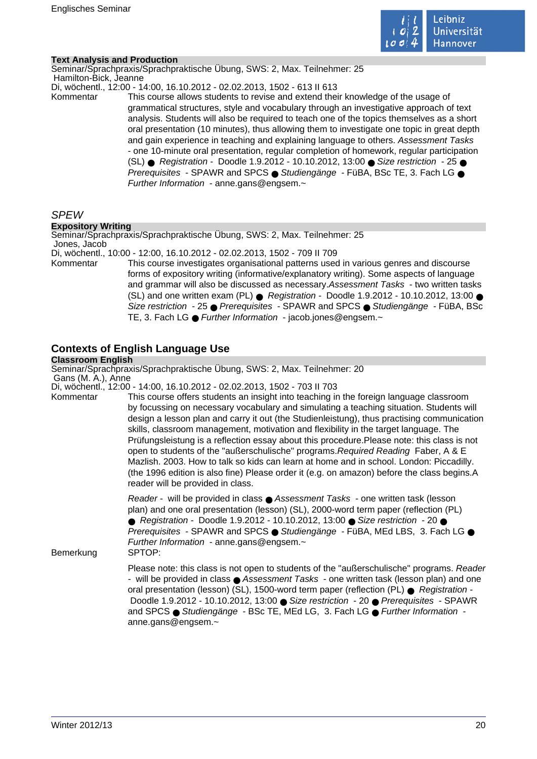

## **Text Analysis and Production**

Seminar/Sprachpraxis/Sprachpraktische Übung, SWS: 2, Max. Teilnehmer: 25 Hamilton-Bick, Jeanne

Di, wöchentl., 12:00 - 14:00, 16.10.2012 - 02.02.2013, 1502 - 613 II 613

Kommentar This course allows students to revise and extend their knowledge of the usage of grammatical structures, style and vocabulary through an investigative approach of text analysis. Students will also be required to teach one of the topics themselves as a short oral presentation (10 minutes), thus allowing them to investigate one topic in great depth and gain experience in teaching and explaining language to others. Assessment Tasks - one 10-minute oral presentation, regular completion of homework, regular participation (SL) ● Registration - Doodle 1.9.2012 - 10.10.2012, 13:00 ● Size restriction - 25 ● Prerequisites - SPAWR and SPCS ● Studiengänge - FüBA, BSc TE, 3. Fach LG ● Further Information - anne.gans@engsem.~

## SPEW

## **Expository Writing**

Seminar/Sprachpraxis/Sprachpraktische Übung, SWS: 2, Max. Teilnehmer: 25 Jones, Jacob

Di, wöchentl., 10:00 - 12:00, 16.10.2012 - 02.02.2013, 1502 - 709 II 709

Kommentar This course investigates organisational patterns used in various genres and discourse forms of expository writing (informative/explanatory writing). Some aspects of language and grammar will also be discussed as necessary.Assessment Tasks - two written tasks (SL) and one written exam (PL)  $\bullet$  Registration - Doodle 1.9.2012 - 10.10.2012, 13:00  $\bullet$ Size restriction - 25 ● Prerequisites - SPAWR and SPCS ● Studiengänge - FüBA, BSc TE, 3. Fach LG ● Further Information - jacob.jones@engsem.~

## **Contexts of English Language Use**

## **Classroom English**

Seminar/Sprachpraxis/Sprachpraktische Übung, SWS: 2, Max. Teilnehmer: 20 Gans (M. A.), Anne

Di, wöchentl., 12:00 - 14:00, 16.10.2012 - 02.02.2013, 1502 - 703 II 703

Kommentar This course offers students an insight into teaching in the foreign language classroom by focussing on necessary vocabulary and simulating a teaching situation. Students will design a lesson plan and carry it out (the Studienleistung), thus practising communication skills, classroom management, motivation and flexibility in the target language. The Prüfungsleistung is a reflection essay about this procedure.Please note: this class is not open to students of the "außerschulische" programs.Required Reading Faber, A & E Mazlish. 2003. How to talk so kids can learn at home and in school. London: Piccadilly. (the 1996 edition is also fine) Please order it (e.g. on amazon) before the class begins.A reader will be provided in class.

> Reader - will be provided in class ● Assessment Tasks - one written task (lesson plan) and one oral presentation (lesson) (SL), 2000-word term paper (reflection (PL) ● Registration - Doodle 1.9.2012 - 10.10.2012, 13:00 ● Size restriction - 20 ● Prerequisites - SPAWR and SPCS ● Studiengänge - FüBA, MEd LBS, 3. Fach LG ● Further Information - anne.gans@engsem.~

Bemerkung SPTOP:

Please note: this class is not open to students of the "außerschulische" programs. Reader - will be provided in class ● Assessment Tasks - one written task (lesson plan) and one oral presentation (lesson) (SL), 1500-word term paper (reflection (PL) ● Registration - Doodle 1.9.2012 - 10.10.2012, 13:00 ● Size restriction - 20 ● Prerequisites - SPAWR and SPCS ● Studiengänge - BSc TE, MEd LG, 3. Fach LG ● Further Information anne.gans@engsem.~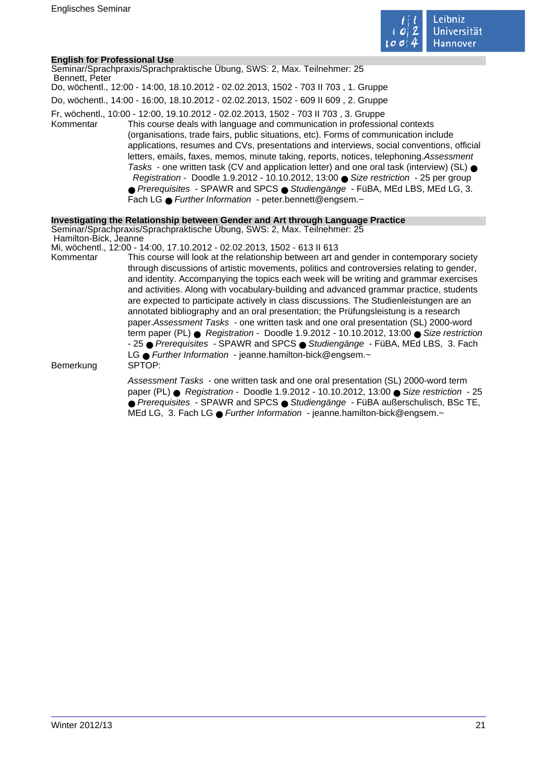

## **English for Professional Use**

| Bennett, Peter        | Seminar/Sprachpraxis/Sprachpraktische Ubung, SWS: 2, Max. Teilnehmer: 25                                                                                                                                                                                                                                                                                                                                                                                                                                                                                                                                                                                                                                                                                                              |
|-----------------------|---------------------------------------------------------------------------------------------------------------------------------------------------------------------------------------------------------------------------------------------------------------------------------------------------------------------------------------------------------------------------------------------------------------------------------------------------------------------------------------------------------------------------------------------------------------------------------------------------------------------------------------------------------------------------------------------------------------------------------------------------------------------------------------|
|                       | Do, wöchentl., 12:00 - 14:00, 18.10.2012 - 02.02.2013, 1502 - 703 II 703, 1. Gruppe                                                                                                                                                                                                                                                                                                                                                                                                                                                                                                                                                                                                                                                                                                   |
|                       | Do, wöchentl., 14:00 - 16:00, 18.10.2012 - 02.02.2013, 1502 - 609 II 609, 2. Gruppe                                                                                                                                                                                                                                                                                                                                                                                                                                                                                                                                                                                                                                                                                                   |
| Kommentar             | Fr, wöchentl., 10:00 - 12:00, 19.10.2012 - 02.02.2013, 1502 - 703 II 703, 3. Gruppe<br>This course deals with language and communication in professional contexts<br>(organisations, trade fairs, public situations, etc). Forms of communication include<br>applications, resumes and CVs, presentations and interviews, social conventions, official<br>letters, emails, faxes, memos, minute taking, reports, notices, telephoning. Assessment<br>Tasks - one written task (CV and application letter) and one oral task (interview) (SL) $\bullet$<br>Registration - Doodle 1.9.2012 - 10.10.2012, 13:00 Size restriction - 25 per group<br>● Prerequisites - SPAWR and SPCS ● Studiengänge - FüBA, MEd LBS, MEd LG, 3.<br>Fach LG • Further Information - peter bennett@engsem.~ |
| Hamilton-Bick, Jeanne | Investigating the Relationship between Gender and Art through Language Practice<br>Seminar/Sprachpraxis/Sprachpraktische Übung, SWS: 2, Max. Teilnehmer: 25                                                                                                                                                                                                                                                                                                                                                                                                                                                                                                                                                                                                                           |
|                       | Mi, wöchentl., 12:00 - 14:00, 17.10.2012 - 02.02.2013, 1502 - 613 II 613                                                                                                                                                                                                                                                                                                                                                                                                                                                                                                                                                                                                                                                                                                              |
| Kommentar             | This course will look at the relationship between art and gender in contemporary society<br>through discussions of artistic movements, politics and controversies relating to gender,<br>and identity. Accompanying the topics each week will be writing and grammar exercises<br>and activities. Along with vocabulary-building and advanced grammar practice, students<br>are expected to participate actively in class discussions. The Studienleistungen are an<br>annotated bibliography and an oral presentation; the Prüfungsleistung is a research<br>paper. Assessment Tasks - one written task and one oral presentation (SL) 2000-word<br>term paper (PL) $\bullet$ Registration - Doodle 1.9.2012 - 10.10.2012, 13:00 $\bullet$ Size restriction                          |

LG ● Further Information - jeanne.hamilton-bick@engsem.~<br>SPTOP:

Bemerkung

Assessment Tasks - one written task and one oral presentation (SL) 2000-word term paper (PL) ● Registration - Doodle 1.9.2012 - 10.10.2012, 13:00 ● Size restriction - 25 ● Prerequisites - SPAWR and SPCS ● Studiengänge - FüBA außerschulisch, BSc TE, MEd LG, 3. Fach LG ● Further Information - jeanne.hamilton-bick@engsem.~

- 25 ● Prerequisites - SPAWR and SPCS ● Studiengänge - FüBA, MEd LBS, 3. Fach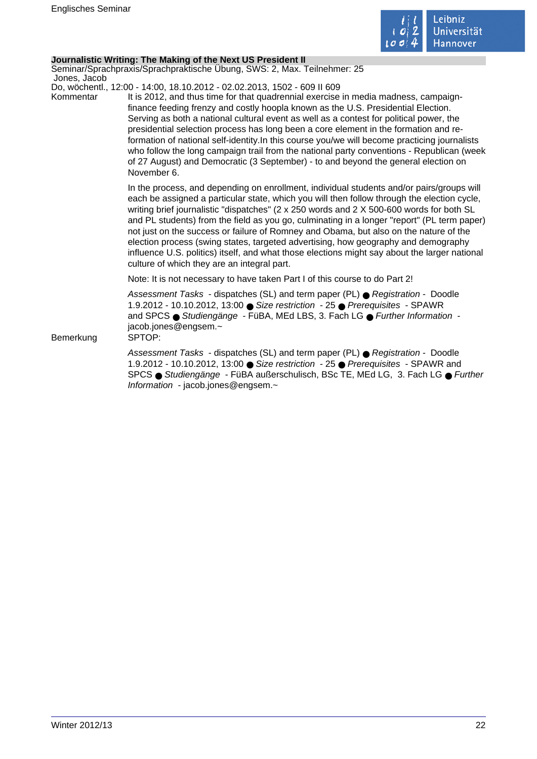

## **Journalistic Writing: The Making of the Next US President II**

Seminar/Sprachpraxis/Sprachpraktische Übung, SWS: 2, Max. Teilnehmer: 25 Jones, Jacob

Do, wöchentl., 12:00 - 14:00, 18.10.2012 - 02.02.2013, 1502 - 609 II 609

Kommentar It is 2012, and thus time for that quadrennial exercise in media madness, campaignfinance feeding frenzy and costly hoopla known as the U.S. Presidential Election. Serving as both a national cultural event as well as a contest for political power, the presidential selection process has long been a core element in the formation and reformation of national self-identity.In this course you/we will become practicing journalists who follow the long campaign trail from the national party conventions - Republican (week of 27 August) and Democratic (3 September) - to and beyond the general election on November 6.

> In the process, and depending on enrollment, individual students and/or pairs/groups will each be assigned a particular state, which you will then follow through the election cycle, writing brief journalistic "dispatches" (2 x 250 words and 2 X 500-600 words for both SL and PL students) from the field as you go, culminating in a longer "report" (PL term paper) not just on the success or failure of Romney and Obama, but also on the nature of the election process (swing states, targeted advertising, how geography and demography influence U.S. politics) itself, and what those elections might say about the larger national culture of which they are an integral part.

Note: It is not necessary to have taken Part I of this course to do Part 2!

Assessment Tasks - dispatches (SL) and term paper (PL) ● Registration - Doodle 1.9.2012 - 10.10.2012, 13:00 ● Size restriction - 25 ● Prerequisites - SPAWR and SPCS ● Studiengänge - FüBA, MEd LBS, 3. Fach LG ● Further Information jacob.jones@engsem.~

Bemerkung SPTOP:

Assessment Tasks - dispatches (SL) and term paper (PL) ● Registration - Doodle 1.9.2012 - 10.10.2012, 13:00 ● Size restriction - 25 ● Prerequisites - SPAWR and SPCS ● Studiengänge - FüBA außerschulisch, BSc TE, MEd LG, 3. Fach LG ● Further Information - jacob.jones@engsem.~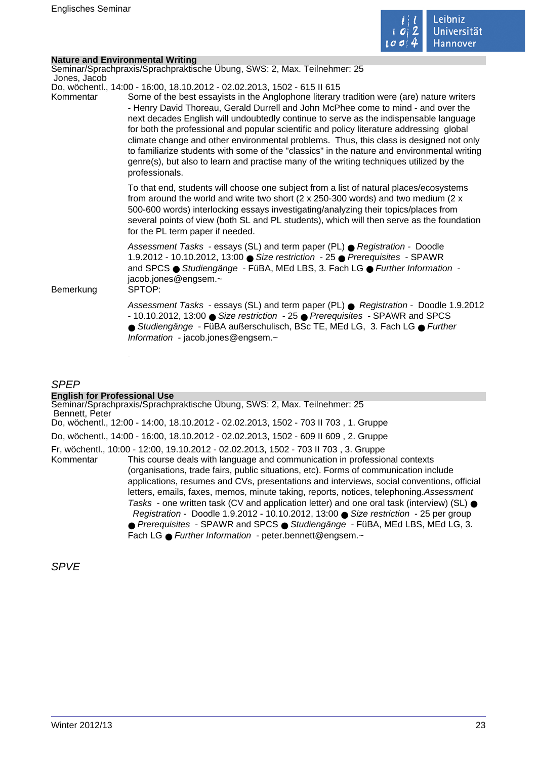

|              | <b>Nature and Environmental Writing</b>                                                                                                                                                                                                                                                                                                                                                                                                                                                                                                                                                                                                                                                                                                               |
|--------------|-------------------------------------------------------------------------------------------------------------------------------------------------------------------------------------------------------------------------------------------------------------------------------------------------------------------------------------------------------------------------------------------------------------------------------------------------------------------------------------------------------------------------------------------------------------------------------------------------------------------------------------------------------------------------------------------------------------------------------------------------------|
| Jones, Jacob | Seminar/Sprachpraxis/Sprachpraktische Übung, SWS: 2, Max. Teilnehmer: 25                                                                                                                                                                                                                                                                                                                                                                                                                                                                                                                                                                                                                                                                              |
| Kommentar    | Do, wöchentl., 14:00 - 16:00, 18.10.2012 - 02.02.2013, 1502 - 615 II 615<br>Some of the best essayists in the Anglophone literary tradition were (are) nature writers<br>- Henry David Thoreau, Gerald Durrell and John McPhee come to mind - and over the<br>next decades English will undoubtedly continue to serve as the indispensable language<br>for both the professional and popular scientific and policy literature addressing global<br>climate change and other environmental problems. Thus, this class is designed not only<br>to familiarize students with some of the "classics" in the nature and environmental writing<br>genre(s), but also to learn and practise many of the writing techniques utilized by the<br>professionals. |
|              | To that end, students will choose one subject from a list of natural places/ecosystems<br>from around the world and write two short ( $2 \times 250-300$ words) and two medium ( $2 \times$<br>500-600 words) interlocking essays investigating/analyzing their topics/places from<br>several points of view (both SL and PL students), which will then serve as the foundation<br>for the PL term paper if needed.                                                                                                                                                                                                                                                                                                                                   |
| Bemerkung    | Assessment Tasks - essays (SL) and term paper (PL) ● Registration - Doodle<br>1.9.2012 - 10.10.2012, 13:00 ● Size restriction - 25 ● Prerequisites - SPAWR<br>and SPCS ● Studiengänge - FüBA, MEd LBS, 3. Fach LG ● Further Information -<br>jacob.jones@engsem.~<br>SPTOP:                                                                                                                                                                                                                                                                                                                                                                                                                                                                           |
|              | Assessment Tasks - essays (SL) and term paper (PL) ● Registration - Doodle 1.9.2012<br>- 10.10.2012, 13:00 ● Size restriction - 25 ● Prerequisites - SPAWR and SPCS<br>● Studiengänge - FüBA außerschulisch, BSc TE, MEd LG, 3. Fach LG ● Further<br>Information - jacob.jones@engsem.~                                                                                                                                                                                                                                                                                                                                                                                                                                                               |
|              |                                                                                                                                                                                                                                                                                                                                                                                                                                                                                                                                                                                                                                                                                                                                                       |

## SPEP

## **English for Professional Use**

Seminar/Sprachpraxis/Sprachpraktische Übung, SWS: 2, Max. Teilnehmer: 25 Bennett, Peter Do, wöchentl., 12:00 - 14:00, 18.10.2012 - 02.02.2013, 1502 - 703 II 703 , 1. Gruppe Do, wöchentl., 14:00 - 16:00, 18.10.2012 - 02.02.2013, 1502 - 609 II 609 , 2. Gruppe Fr, wöchentl., 10:00 - 12:00, 19.10.2012 - 02.02.2013, 1502 - 703 II 703 , 3. Gruppe Kommentar This course deals with language and communication in professional contexts (organisations, trade fairs, public situations, etc). Forms of communication include applications, resumes and CVs, presentations and interviews, social conventions, official letters, emails, faxes, memos, minute taking, reports, notices, telephoning.Assessment Tasks - one written task (CV and application letter) and one oral task (interview) (SL)  $\bullet$  Registration - Doodle 1.9.2012 - 10.10.2012, 13:00 ● Size restriction - 25 per group ● Prerequisites - SPAWR and SPCS ● Studiengänge - FüBA, MEd LBS, MEd LG, 3. Fach LG ● Further Information - peter.bennett@engsem.~

SPVE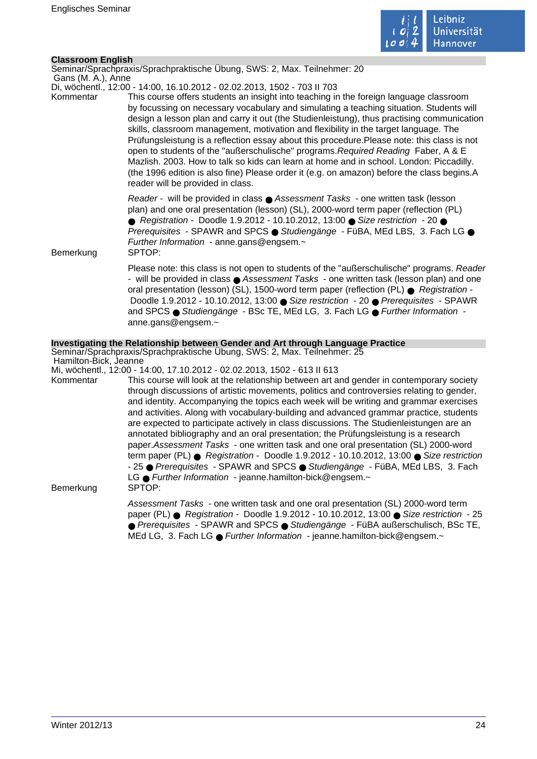

## **Classroom English**

Seminar/Sprachpraxis/Sprachpraktische Übung, SWS: 2, Max. Teilnehmer: 20

 Gans (M. A.), Anne Di, wöchentl., 12:00 - 14:00, 16.10.2012 - 02.02.2013, 1502 - 703 II 703

Kommentar This course offers students an insight into teaching in the foreign language classroom by focussing on necessary vocabulary and simulating a teaching situation. Students will design a lesson plan and carry it out (the Studienleistung), thus practising communication skills, classroom management, motivation and flexibility in the target language. The Prüfungsleistung is a reflection essay about this procedure.Please note: this class is not open to students of the "außerschulische" programs.Required Reading Faber, A & E Mazlish. 2003. How to talk so kids can learn at home and in school. London: Piccadilly. (the 1996 edition is also fine) Please order it (e.g. on amazon) before the class begins.A reader will be provided in class.

> Reader - will be provided in class ● Assessment Tasks - one written task (lesson plan) and one oral presentation (lesson) (SL), 2000-word term paper (reflection (PL) ● Registration - Doodle 1.9.2012 - 10.10.2012, 13:00 ● Size restriction - 20 ● Prerequisites - SPAWR and SPCS ● Studiengänge - FüBA, MEd LBS, 3. Fach LG ● Further Information - anne.gans@engsem.~

Bemerkung SPTOP:

Please note: this class is not open to students of the "außerschulische" programs. Reader - will be provided in class ● Assessment Tasks - one written task (lesson plan) and one oral presentation (lesson) (SL), 1500-word term paper (reflection (PL) ● Registration - Doodle 1.9.2012 - 10.10.2012, 13:00 ● Size restriction - 20 ● Prerequisites - SPAWR and SPCS ● Studiengänge - BSc TE, MEd LG, 3, Fach LG ● Further Information anne.gans@engsem.~

## **Investigating the Relationship between Gender and Art through Language Practice**

Seminar/Sprachpraxis/Sprachpraktische Übung, SWS: 2, Max. Teilnehmer: 25 Hamilton-Bick, Jeanne

Mi, wöchentl., 12:00 - 14:00, 17.10.2012 - 02.02.2013, 1502 - 613 II 613

Kommentar This course will look at the relationship between art and gender in contemporary society through discussions of artistic movements, politics and controversies relating to gender, and identity. Accompanying the topics each week will be writing and grammar exercises and activities. Along with vocabulary-building and advanced grammar practice, students are expected to participate actively in class discussions. The Studienleistungen are an annotated bibliography and an oral presentation; the Prüfungsleistung is a research paper.Assessment Tasks - one written task and one oral presentation (SL) 2000-word term paper (PL) ● Registration - Doodle 1.9.2012 - 10.10.2012, 13:00 ● Size restriction - 25 ● Prerequisites - SPAWR and SPCS ● Studiengänge - FüBA, MEd LBS, 3. Fach LG ● Further Information - jeanne.hamilton-bick@engsem.~ Bemerkung SPTOP:

> Assessment Tasks - one written task and one oral presentation (SL) 2000-word term paper (PL) ● Registration - Doodle 1.9.2012 - 10.10.2012, 13:00 ● Size restriction - 25 ● Prerequisites - SPAWR and SPCS ● Studiengänge - FüBA außerschulisch, BSc TE, MEd LG, 3. Fach LG ● Further Information - jeanne.hamilton-bick@engsem.~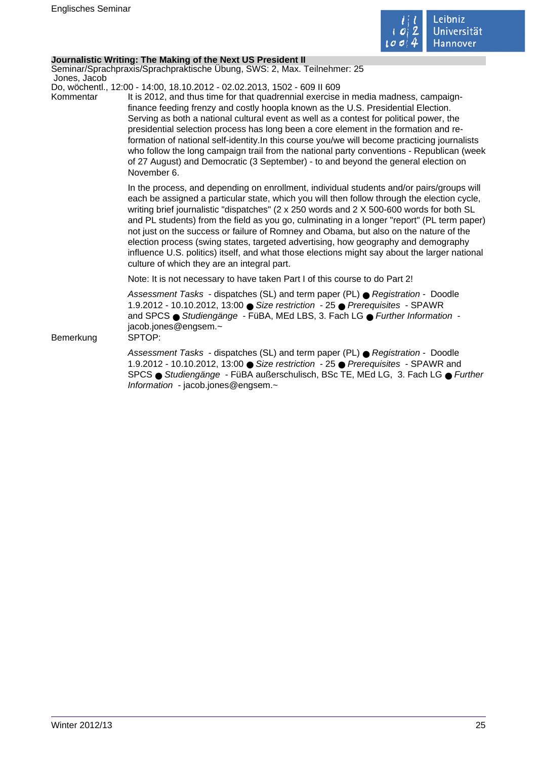

## **Journalistic Writing: The Making of the Next US President II**

Seminar/Sprachpraxis/Sprachpraktische Übung, SWS: 2, Max. Teilnehmer: 25 Jones, Jacob

Do, wöchentl., 12:00 - 14:00, 18.10.2012 - 02.02.2013, 1502 - 609 II 609

Kommentar It is 2012, and thus time for that quadrennial exercise in media madness, campaignfinance feeding frenzy and costly hoopla known as the U.S. Presidential Election. Serving as both a national cultural event as well as a contest for political power, the presidential selection process has long been a core element in the formation and reformation of national self-identity.In this course you/we will become practicing journalists who follow the long campaign trail from the national party conventions - Republican (week of 27 August) and Democratic (3 September) - to and beyond the general election on November 6.

> In the process, and depending on enrollment, individual students and/or pairs/groups will each be assigned a particular state, which you will then follow through the election cycle, writing brief journalistic "dispatches" (2 x 250 words and 2 X 500-600 words for both SL and PL students) from the field as you go, culminating in a longer "report" (PL term paper) not just on the success or failure of Romney and Obama, but also on the nature of the election process (swing states, targeted advertising, how geography and demography influence U.S. politics) itself, and what those elections might say about the larger national culture of which they are an integral part.

Note: It is not necessary to have taken Part I of this course to do Part 2!

Assessment Tasks - dispatches (SL) and term paper (PL) ● Registration - Doodle 1.9.2012 - 10.10.2012, 13:00 ● Size restriction - 25 ● Prerequisites - SPAWR and SPCS ● Studiengänge - FüBA, MEd LBS, 3. Fach LG ● Further Information jacob.jones@engsem.~

Bemerkung SPTOP:

Assessment Tasks - dispatches (SL) and term paper (PL) ● Registration - Doodle 1.9.2012 - 10.10.2012, 13:00 ● Size restriction - 25 ● Prerequisites - SPAWR and SPCS ● Studiengänge - FüBA außerschulisch, BSc TE, MEd LG, 3. Fach LG ● Further Information - jacob.jones@engsem.~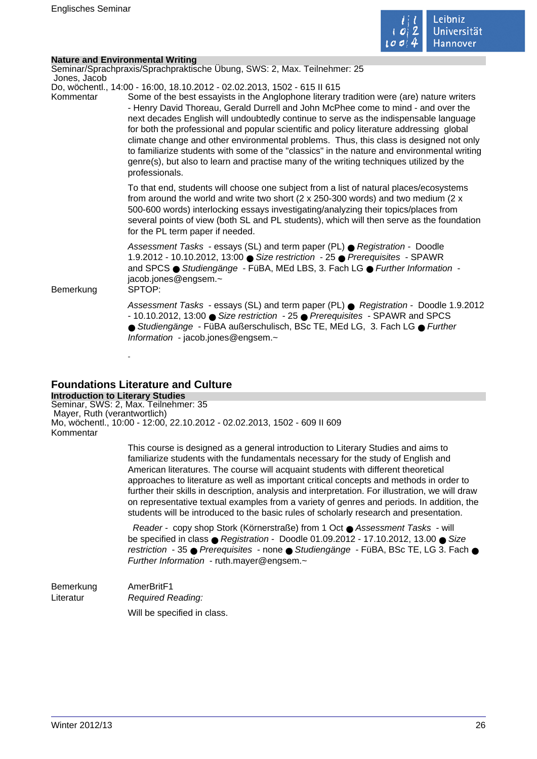

| <b>Nature and Environmental Writing</b><br>Jones, Jacob | Seminar/Sprachpraxis/Sprachpraktische Übung, SWS: 2, Max. Teilnehmer: 25                                                                                                                                                                                                                                                                                                                                                                                                                                                                                                                                                                                                                                                                              |
|---------------------------------------------------------|-------------------------------------------------------------------------------------------------------------------------------------------------------------------------------------------------------------------------------------------------------------------------------------------------------------------------------------------------------------------------------------------------------------------------------------------------------------------------------------------------------------------------------------------------------------------------------------------------------------------------------------------------------------------------------------------------------------------------------------------------------|
| Kommentar                                               | Do, wöchentl., 14:00 - 16:00, 18.10.2012 - 02.02.2013, 1502 - 615 II 615<br>Some of the best essayists in the Anglophone literary tradition were (are) nature writers<br>- Henry David Thoreau, Gerald Durrell and John McPhee come to mind - and over the<br>next decades English will undoubtedly continue to serve as the indispensable language<br>for both the professional and popular scientific and policy literature addressing global<br>climate change and other environmental problems. Thus, this class is designed not only<br>to familiarize students with some of the "classics" in the nature and environmental writing<br>genre(s), but also to learn and practise many of the writing techniques utilized by the<br>professionals. |
|                                                         | To that end, students will choose one subject from a list of natural places/ecosystems<br>from around the world and write two short ( $2 \times 250-300$ words) and two medium ( $2 \times$<br>500-600 words) interlocking essays investigating/analyzing their topics/places from<br>several points of view (both SL and PL students), which will then serve as the foundation<br>for the PL term paper if needed.                                                                                                                                                                                                                                                                                                                                   |
| Bemerkung                                               | Assessment Tasks - essays (SL) and term paper (PL) ● Registration - Doodle<br>1.9.2012 - 10.10.2012, 13:00 ● Size restriction - 25 ● Prerequisites - SPAWR<br>and SPCS ● Studiengänge - FüBA, MEd LBS, 3. Fach LG ● Further Information -<br>jacob.jones@engsem.~<br>SPTOP:                                                                                                                                                                                                                                                                                                                                                                                                                                                                           |
|                                                         | Assessment Tasks - essays (SL) and term paper (PL) ● Registration - Doodle 1.9.2012<br>- 10.10.2012, 13:00 ● Size restriction - 25 ● Prerequisites - SPAWR and SPCS<br>● Studiengänge - FüBA außerschulisch, BSc TE, MEd LG, 3. Fach LG ● Further<br>Information - jacob.jones@engsem.~                                                                                                                                                                                                                                                                                                                                                                                                                                                               |

## **Foundations Literature and Culture**

**Introduction to Literary Studies** Seminar, SWS: 2, Max. Teilnehmer: 35 Mayer, Ruth (verantwortlich) Mo, wöchentl., 10:00 - 12:00, 22.10.2012 - 02.02.2013, 1502 - 609 II 609 Kommentar

> This course is designed as a general introduction to Literary Studies and aims to familiarize students with the fundamentals necessary for the study of English and American literatures. The course will acquaint students with different theoretical approaches to literature as well as important critical concepts and methods in order to further their skills in description, analysis and interpretation. For illustration, we will draw on representative textual examples from a variety of genres and periods. In addition, the students will be introduced to the basic rules of scholarly research and presentation.

> Reader - copy shop Stork (Körnerstraße) from 1 Oct ● Assessment Tasks - will be specified in class  $\bullet$  Registration - Doodle 01.09.2012 - 17.10.2012, 13.00  $\bullet$  Size restriction - 35 ● Prerequisites - none ● Studiengänge - FüBA, BSc TE, LG 3. Fach ● Further Information - ruth.mayer@engsem.~

Bemerkung AmerBritF1 Literatur Required Reading: Will be specified in class.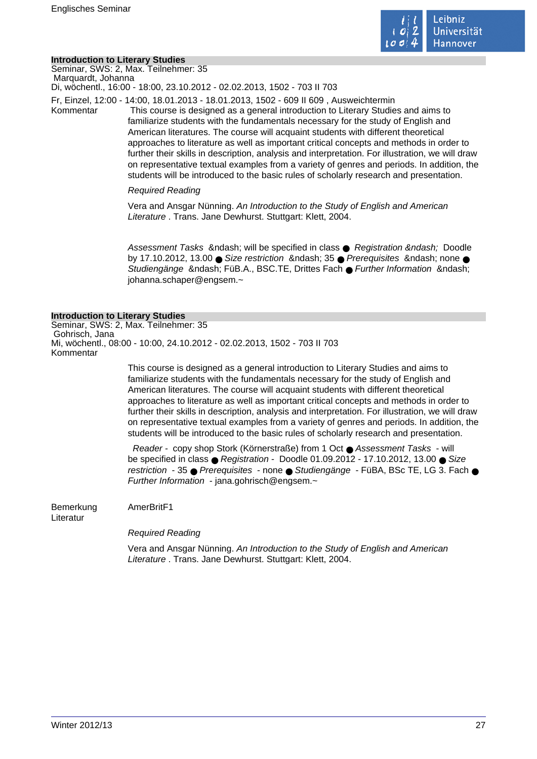

## **Introduction to Literary Studies**

Seminar, SWS: 2, Max. Teilnehmer: 35 Marquardt, Johanna

Di, wöchentl., 16:00 - 18:00, 23.10.2012 - 02.02.2013, 1502 - 703 II 703

Fr, Einzel, 12:00 - 14:00, 18.01.2013 - 18.01.2013, 1502 - 609 II 609 , Ausweichtermin

Kommentar This course is designed as a general introduction to Literary Studies and aims to familiarize students with the fundamentals necessary for the study of English and American literatures. The course will acquaint students with different theoretical approaches to literature as well as important critical concepts and methods in order to further their skills in description, analysis and interpretation. For illustration, we will draw on representative textual examples from a variety of genres and periods. In addition, the students will be introduced to the basic rules of scholarly research and presentation.

## Required Reading

Vera and Ansgar Nünning. An Introduction to the Study of English and American Literature . Trans. Jane Dewhurst. Stuttgart: Klett. 2004.

Assessment Tasks & ndash; will be specified in class  $\bullet$  Registration & ndash; Doodle by 17.10.2012, 13.00  $\bullet$  Size restriction & ndash; 35  $\bullet$  Prerequisites & ndash; none  $\bullet$ Studiengänge – FüB.A., BSC.TE, Drittes Fach ● Further Information – johanna.schaper@engsem.~

## **Introduction to Literary Studies**

Seminar, SWS: 2, Max. Teilnehmer: 35 Gohrisch, Jana Mi, wöchentl., 08:00 - 10:00, 24.10.2012 - 02.02.2013, 1502 - 703 II 703 Kommentar

> This course is designed as a general introduction to Literary Studies and aims to familiarize students with the fundamentals necessary for the study of English and American literatures. The course will acquaint students with different theoretical approaches to literature as well as important critical concepts and methods in order to further their skills in description, analysis and interpretation. For illustration, we will draw on representative textual examples from a variety of genres and periods. In addition, the students will be introduced to the basic rules of scholarly research and presentation.

> Reader - copy shop Stork (Körnerstraße) from 1 Oct ● Assessment Tasks - will be specified in class  $\bullet$  Registration - Doodle 01.09.2012 - 17.10.2012, 13.00  $\bullet$  Size restriction - 35 ● Prerequisites - none ● Studiengänge - FüBA, BSc TE, LG 3. Fach ● Further Information - jana.gohrisch@engsem.~

Bemerkung AmerBritF1 Literatur

Required Reading

Vera and Ansgar Nünning. An Introduction to the Study of English and American Literature . Trans. Jane Dewhurst. Stuttgart: Klett, 2004.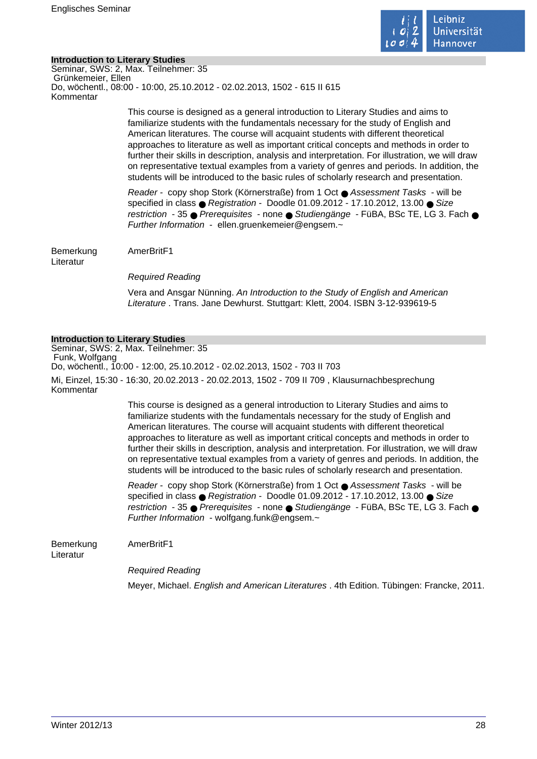

## **Introduction to Literary Studies**

Seminar, SWS: 2, Max. Teilnehmer: 35 Grünkemeier, Ellen Do, wöchentl., 08:00 - 10:00, 25.10.2012 - 02.02.2013, 1502 - 615 II 615 Kommentar

> This course is designed as a general introduction to Literary Studies and aims to familiarize students with the fundamentals necessary for the study of English and American literatures. The course will acquaint students with different theoretical approaches to literature as well as important critical concepts and methods in order to further their skills in description, analysis and interpretation. For illustration, we will draw on representative textual examples from a variety of genres and periods. In addition, the students will be introduced to the basic rules of scholarly research and presentation.

> Reader - copy shop Stork (Körnerstraße) from 1 Oct ● Assessment Tasks - will be specified in class  $\bullet$  Registration - Doodle 01.09.2012 - 17.10.2012, 13.00  $\bullet$  Size restriction - 35 ● Prerequisites - none ● Studiengänge - FüBA, BSc TE, LG 3, Fach ● Further Information - ellen.gruenkemeier@engsem.~

Bemerkung AmerBritF1

Literatur

Required Reading

Vera and Ansgar Nünning. An Introduction to the Study of English and American Literature . Trans. Jane Dewhurst. Stuttgart: Klett, 2004. ISBN 3-12-939619-5

## **Introduction to Literary Studies**

Seminar, SWS: 2, Max. Teilnehmer: 35 Funk, Wolfgang Do, wöchentl., 10:00 - 12:00, 25.10.2012 - 02.02.2013, 1502 - 703 II 703 Mi, Einzel, 15:30 - 16:30, 20.02.2013 - 20.02.2013, 1502 - 709 II 709 , Klausurnachbesprechung Kommentar

> This course is designed as a general introduction to Literary Studies and aims to familiarize students with the fundamentals necessary for the study of English and American literatures. The course will acquaint students with different theoretical approaches to literature as well as important critical concepts and methods in order to further their skills in description, analysis and interpretation. For illustration, we will draw on representative textual examples from a variety of genres and periods. In addition, the students will be introduced to the basic rules of scholarly research and presentation.

> Reader - copy shop Stork (Körnerstraße) from 1 Oct ● Assessment Tasks - will be specified in class ● Registration - Doodle 01.09.2012 - 17.10.2012, 13.00 ● Size restriction - 35 ● Prerequisites - none ● Studiengänge - FüBA, BSc TE, LG 3. Fach ● Further Information - wolfgang.funk@engsem.~

Bemerkung AmerBritF1

Literatur

Required Reading

Meyer, Michael. English and American Literatures . 4th Edition. Tübingen: Francke, 2011.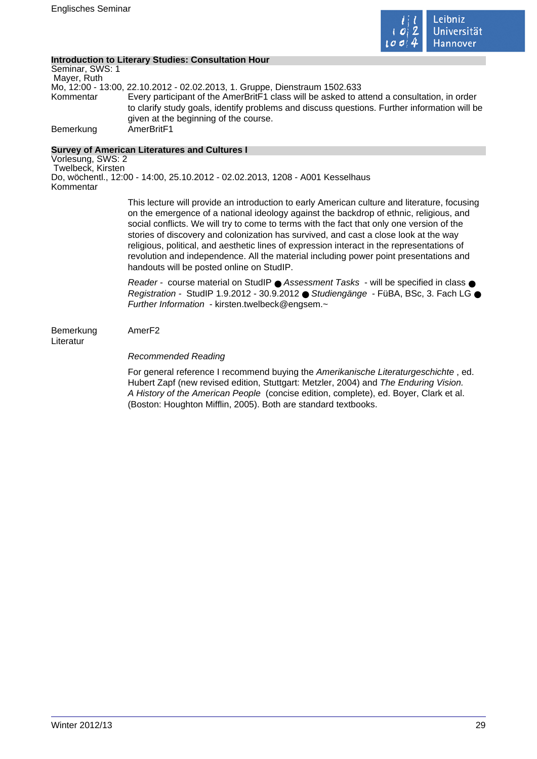

## **Introduction to Literary Studies: Consultation Hour**

Seminar, SWS: 1 Mayer, Ruth Mo, 12:00 - 13:00, 22.10.2012 - 02.02.2013, 1. Gruppe, Dienstraum 1502.633 Kommentar Every participant of the AmerBritF1 class will be asked to attend a consultation, in order to clarify study goals, identify problems and discuss questions. Further information will be given at the beginning of the course. Bemerkung AmerBritF1

## **Survey of American Literatures and Cultures I**

Vorlesung, SWS: 2 Twelbeck, Kirsten Do, wöchentl., 12:00 - 14:00, 25.10.2012 - 02.02.2013, 1208 - A001 Kesselhaus Kommentar

> This lecture will provide an introduction to early American culture and literature, focusing on the emergence of a national ideology against the backdrop of ethnic, religious, and social conflicts. We will try to come to terms with the fact that only one version of the stories of discovery and colonization has survived, and cast a close look at the way religious, political, and aesthetic lines of expression interact in the representations of revolution and independence. All the material including power point presentations and handouts will be posted online on StudIP.

> Reader - course material on StudIP ● Assessment Tasks - will be specified in class ● Registration - StudIP 1.9.2012 - 30.9.2012 ● Studiengänge - FüBA, BSc, 3. Fach LG ● Further Information - kirsten.twelbeck@engsem.~

Bemerkung AmerF2 Literatur

## Recommended Reading

For general reference I recommend buying the Amerikanische Literaturgeschichte , ed. Hubert Zapf (new revised edition, Stuttgart: Metzler, 2004) and The Enduring Vision. A History of the American People (concise edition, complete), ed. Boyer, Clark et al. (Boston: Houghton Mifflin, 2005). Both are standard textbooks.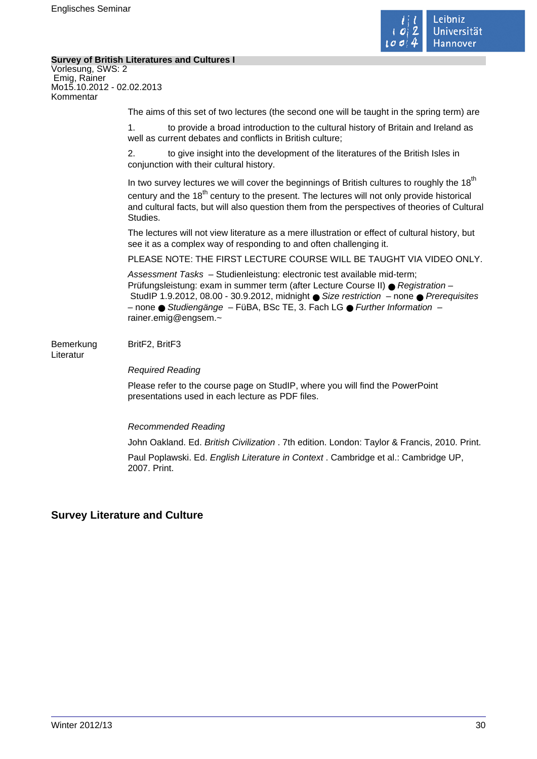

 $\mathcal{L}_{\mathcal{A}}$ 

## **Survey of British Literatures and Cultures I**

| Vorlesung, SWS: 2<br>Emig, Rainer<br>Mo15.10.2012 - 02.02.2013<br>Kommentar |                                                                                                                                                                                                                                                                                                                                                           |
|-----------------------------------------------------------------------------|-----------------------------------------------------------------------------------------------------------------------------------------------------------------------------------------------------------------------------------------------------------------------------------------------------------------------------------------------------------|
|                                                                             | The aims of this set of two lectures (the second one will be taught in the spring term) are                                                                                                                                                                                                                                                               |
|                                                                             | to provide a broad introduction to the cultural history of Britain and Ireland as<br>$\mathbf 1$ .<br>well as current debates and conflicts in British culture;                                                                                                                                                                                           |
|                                                                             | 2.<br>to give insight into the development of the literatures of the British Isles in<br>conjunction with their cultural history.                                                                                                                                                                                                                         |
|                                                                             | In two survey lectures we will cover the beginnings of British cultures to roughly the 18 <sup>th</sup><br>century and the 18 <sup>th</sup> century to the present. The lectures will not only provide historical<br>and cultural facts, but will also question them from the perspectives of theories of Cultural<br>Studies.                            |
|                                                                             | The lectures will not view literature as a mere illustration or effect of cultural history, but<br>see it as a complex way of responding to and often challenging it.                                                                                                                                                                                     |
|                                                                             | PLEASE NOTE: THE FIRST LECTURE COURSE WILL BE TAUGHT VIA VIDEO ONLY.                                                                                                                                                                                                                                                                                      |
|                                                                             | Assessment Tasks - Studienleistung: electronic test available mid-term;<br>Prüfungsleistung: exam in summer term (after Lecture Course II) ● Registration -<br>StudIP 1.9.2012, 08.00 - 30.9.2012, midnight ● Size restriction - none ● Prerequisites<br>- none ● Studiengänge - FüBA, BSc TE, 3. Fach LG ● Further Information -<br>rainer.emig@engsem.~ |
| Bemerkung<br>Literatur                                                      | BritF2, BritF3                                                                                                                                                                                                                                                                                                                                            |
|                                                                             | <b>Required Reading</b>                                                                                                                                                                                                                                                                                                                                   |
|                                                                             | Please refer to the course page on StudIP, where you will find the PowerPoint<br>presentations used in each lecture as PDF files.                                                                                                                                                                                                                         |
|                                                                             | <b>Recommended Reading</b>                                                                                                                                                                                                                                                                                                                                |
|                                                                             | John Oakland. Ed. British Civilization . 7th edition. London: Taylor & Francis, 2010. Print.                                                                                                                                                                                                                                                              |
|                                                                             | Paul Poplawski. Ed. English Literature in Context . Cambridge et al.: Cambridge UP,                                                                                                                                                                                                                                                                       |

# **Survey Literature and Culture**

2007. Print.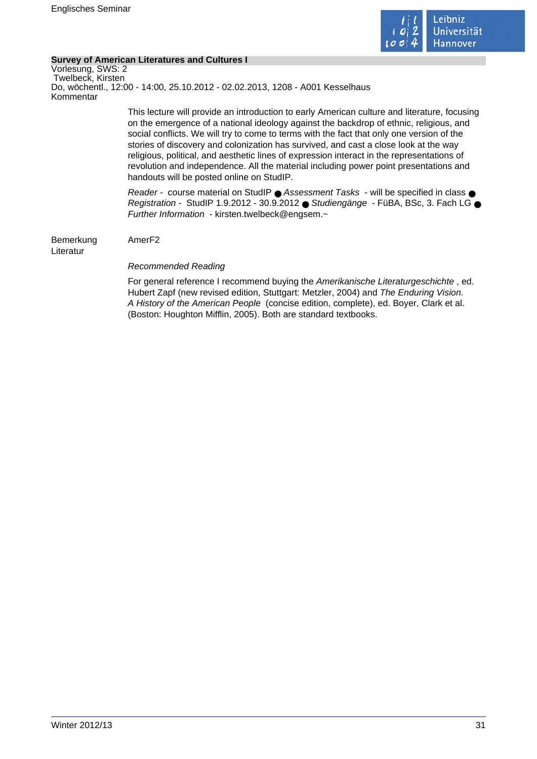

## **Survey of American Literatures and Cultures I**

Vorlesung, SWS: 2 Twelbeck, Kirsten Do, wöchentl., 12:00 - 14:00, 25.10.2012 - 02.02.2013, 1208 - A001 Kesselhaus Kommentar This lecture will provide an introduction to early American culture and literature, focusing on the emergence of a national ideology against the backdrop of ethnic, religious, and social conflicts. We will try to come to terms with the fact that only one version of the stories of discovery and colonization has survived, and cast a close look at the way religious, political, and aesthetic lines of expression interact in the representations of revolution and independence. All the material including power point presentations and handouts will be posted online on StudIP. Reader - course material on StudIP ● Assessment Tasks - will be specified in class ● Registration - StudIP 1.9.2012 - 30.9.2012 ● Studiengänge - FüBA, BSc, 3. Fach LG ● Further Information - kirsten.twelbeck@engsem.~ Bemerkung AmerF2 Literatur Recommended Reading For general reference I recommend buying the Amerikanische Literaturgeschichte , ed. Hubert Zapf (new revised edition, Stuttgart: Metzler, 2004) and The Enduring Vision. A History of the American People (concise edition, complete), ed. Boyer, Clark et al. (Boston: Houghton Mifflin, 2005). Both are standard textbooks.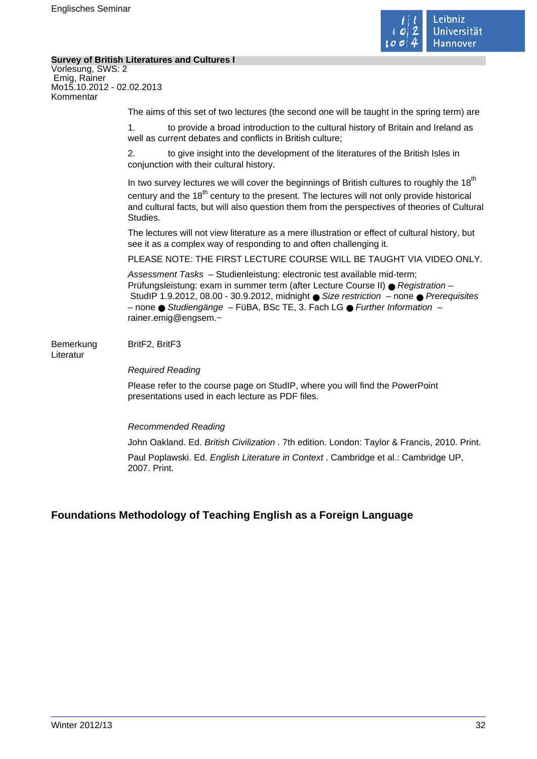

÷,

## **Survey of British Literatures and Cultures I**

| Vorlesung, SWS: 2<br>Emig, Rainer<br>Mo15.10.2012 - 02.02.2013<br>Kommentar |                                                                                                                                                                                                                                                                                                                                                                         |
|-----------------------------------------------------------------------------|-------------------------------------------------------------------------------------------------------------------------------------------------------------------------------------------------------------------------------------------------------------------------------------------------------------------------------------------------------------------------|
|                                                                             | The aims of this set of two lectures (the second one will be taught in the spring term) are                                                                                                                                                                                                                                                                             |
|                                                                             | to provide a broad introduction to the cultural history of Britain and Ireland as<br>1 <sub>1</sub><br>well as current debates and conflicts in British culture;                                                                                                                                                                                                        |
|                                                                             | 2.<br>to give insight into the development of the literatures of the British Isles in<br>conjunction with their cultural history.                                                                                                                                                                                                                                       |
|                                                                             | In two survey lectures we will cover the beginnings of British cultures to roughly the 18 <sup>th</sup><br>century and the 18 <sup>th</sup> century to the present. The lectures will not only provide historical<br>and cultural facts, but will also question them from the perspectives of theories of Cultural<br>Studies.                                          |
|                                                                             | The lectures will not view literature as a mere illustration or effect of cultural history, but<br>see it as a complex way of responding to and often challenging it.                                                                                                                                                                                                   |
|                                                                             | PLEASE NOTE: THE FIRST LECTURE COURSE WILL BE TAUGHT VIA VIDEO ONLY.                                                                                                                                                                                                                                                                                                    |
|                                                                             | Assessment Tasks - Studienleistung: electronic test available mid-term;<br>Prüfungsleistung: exam in summer term (after Lecture Course II) ● Registration -<br>StudIP 1.9.2012, 08.00 - 30.9.2012, midnight $\bullet$ Size restriction - none $\bullet$ Prerequisites<br>- none Studiengänge - FüBA, BSc TE, 3. Fach LG · Further Information -<br>rainer.emig@engsem.~ |
| Bemerkung<br>Literatur                                                      | BritF2, BritF3                                                                                                                                                                                                                                                                                                                                                          |
|                                                                             | <b>Required Reading</b>                                                                                                                                                                                                                                                                                                                                                 |
|                                                                             | Please refer to the course page on StudIP, where you will find the PowerPoint<br>presentations used in each lecture as PDF files.                                                                                                                                                                                                                                       |
|                                                                             | <b>Recommended Reading</b>                                                                                                                                                                                                                                                                                                                                              |
|                                                                             | John Oakland. Ed. British Civilization . 7th edition. London: Taylor & Francis, 2010. Print.                                                                                                                                                                                                                                                                            |
|                                                                             |                                                                                                                                                                                                                                                                                                                                                                         |

Paul Poplawski. Ed. English Literature in Context . Cambridge et al.: Cambridge UP, 2007. Print.

# **Foundations Methodology of Teaching English as a Foreign Language**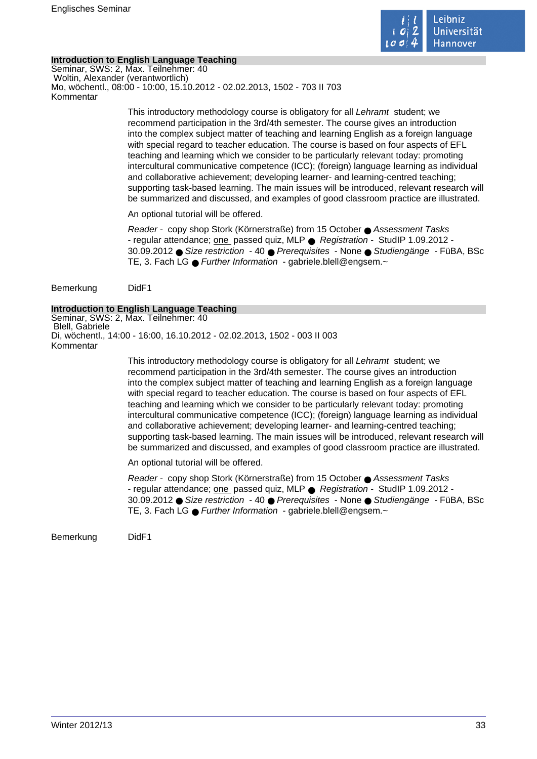

## **Introduction to English Language Teaching**

Seminar, SWS: 2, Max. Teilnehmer: 40 Woltin, Alexander (verantwortlich) Mo, wöchentl., 08:00 - 10:00, 15.10.2012 - 02.02.2013, 1502 - 703 II 703 Kommentar

> This introductory methodology course is obligatory for all Lehramt student; we recommend participation in the 3rd/4th semester. The course gives an introduction into the complex subject matter of teaching and learning English as a foreign language with special regard to teacher education. The course is based on four aspects of EFL teaching and learning which we consider to be particularly relevant today: promoting intercultural communicative competence (ICC); (foreign) language learning as individual and collaborative achievement; developing learner- and learning-centred teaching; supporting task-based learning. The main issues will be introduced, relevant research will be summarized and discussed, and examples of good classroom practice are illustrated.

An optional tutorial will be offered.

Reader - copy shop Stork (Körnerstraße) from 15 October ● Assessment Tasks - regular attendance; one passed quiz, MLP ● Registration - StudIP 1.09.2012 - 30.09.2012 ● Size restriction - 40 ● Prerequisites - None ● Studiengänge - FüBA, BSc TE, 3. Fach LG ● Further Information - gabriele.blell@engsem.~

Bemerkung DidF1

## **Introduction to English Language Teaching**

Seminar, SWS: 2, Max. Teilnehmer: 40 Blell, Gabriele Di, wöchentl., 14:00 - 16:00, 16.10.2012 - 02.02.2013, 1502 - 003 II 003 Kommentar

> This introductory methodology course is obligatory for all Lehramt student; we recommend participation in the 3rd/4th semester. The course gives an introduction into the complex subject matter of teaching and learning English as a foreign language with special regard to teacher education. The course is based on four aspects of EFL teaching and learning which we consider to be particularly relevant today: promoting intercultural communicative competence (ICC); (foreign) language learning as individual and collaborative achievement; developing learner- and learning-centred teaching; supporting task-based learning. The main issues will be introduced, relevant research will be summarized and discussed, and examples of good classroom practice are illustrated.

An optional tutorial will be offered.

Reader - copy shop Stork (Körnerstraße) from 15 October ● Assessment Tasks - regular attendance; one passed quiz, MLP ● Registration - StudIP 1.09.2012 - 30.09.2012 ● Size restriction - 40 ● Prerequisites - None ● Studiengänge - FüBA, BSc TE, 3. Fach LG ● Further Information - gabriele.blell@engsem.~

Bemerkung DidF1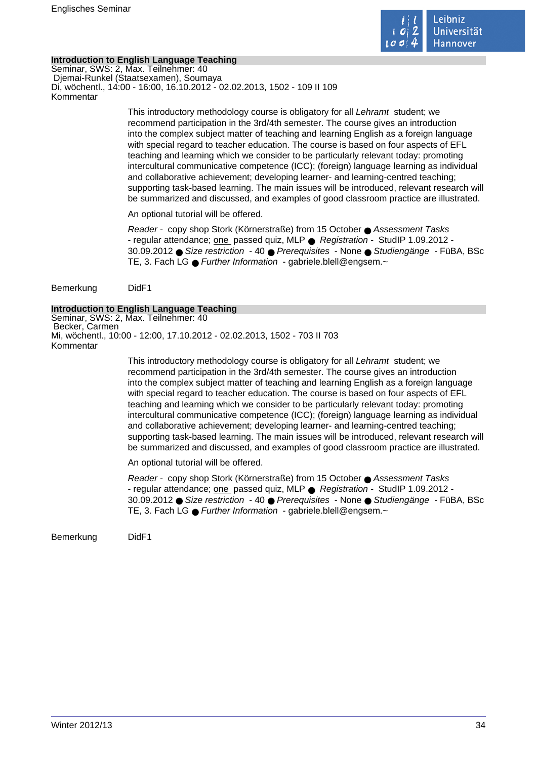

## **Introduction to English Language Teaching**

Seminar, SWS: 2, Max. Teilnehmer: 40 Djemai-Runkel (Staatsexamen), Soumaya Di, wöchentl., 14:00 - 16:00, 16.10.2012 - 02.02.2013, 1502 - 109 II 109 Kommentar

> This introductory methodology course is obligatory for all Lehramt student; we recommend participation in the 3rd/4th semester. The course gives an introduction into the complex subject matter of teaching and learning English as a foreign language with special regard to teacher education. The course is based on four aspects of EFL teaching and learning which we consider to be particularly relevant today: promoting intercultural communicative competence (ICC); (foreign) language learning as individual and collaborative achievement; developing learner- and learning-centred teaching; supporting task-based learning. The main issues will be introduced, relevant research will be summarized and discussed, and examples of good classroom practice are illustrated.

An optional tutorial will be offered.

Reader - copy shop Stork (Körnerstraße) from 15 October ● Assessment Tasks - regular attendance; one passed quiz, MLP ● Registration - StudIP 1.09.2012 - 30.09.2012 ● Size restriction - 40 ● Prerequisites - None ● Studiengänge - FüBA, BSc TE, 3. Fach LG ● Further Information - gabriele.blell@engsem.~

Bemerkung DidF1

## **Introduction to English Language Teaching**

Seminar, SWS: 2, Max. Teilnehmer: 40 Becker, Carmen Mi, wöchentl., 10:00 - 12:00, 17.10.2012 - 02.02.2013, 1502 - 703 II 703 Kommentar

> This introductory methodology course is obligatory for all Lehramt student; we recommend participation in the 3rd/4th semester. The course gives an introduction into the complex subject matter of teaching and learning English as a foreign language with special regard to teacher education. The course is based on four aspects of EFL teaching and learning which we consider to be particularly relevant today: promoting intercultural communicative competence (ICC); (foreign) language learning as individual and collaborative achievement; developing learner- and learning-centred teaching; supporting task-based learning. The main issues will be introduced, relevant research will be summarized and discussed, and examples of good classroom practice are illustrated.

An optional tutorial will be offered.

Reader - copy shop Stork (Körnerstraße) from 15 October ● Assessment Tasks - regular attendance; one passed quiz, MLP ● Registration - StudIP 1.09.2012 - 30.09.2012 ● Size restriction - 40 ● Prerequisites - None ● Studiengänge - FüBA, BSc TE, 3. Fach LG ● Further Information - gabriele.blell@engsem.~

Bemerkung DidF1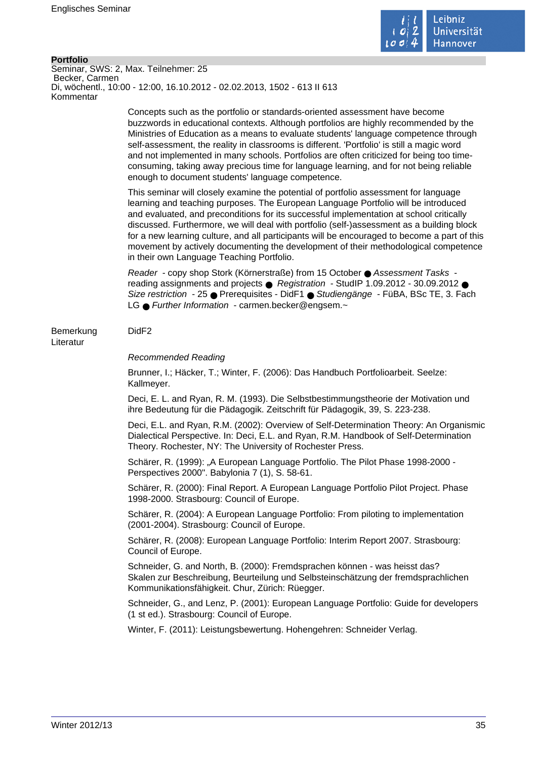

#### **Portfolio**

Seminar, SWS: 2, Max. Teilnehmer: 25 Becker, Carmen Di, wöchentl., 10:00 - 12:00, 16.10.2012 - 02.02.2013, 1502 - 613 II 613 Kommentar

> Concepts such as the portfolio or standards-oriented assessment have become buzzwords in educational contexts. Although portfolios are highly recommended by the Ministries of Education as a means to evaluate students' language competence through self-assessment, the reality in classrooms is different. 'Portfolio' is still a magic word and not implemented in many schools. Portfolios are often criticized for being too timeconsuming, taking away precious time for language learning, and for not being reliable enough to document students' language competence.

This seminar will closely examine the potential of portfolio assessment for language learning and teaching purposes. The European Language Portfolio will be introduced and evaluated, and preconditions for its successful implementation at school critically discussed. Furthermore, we will deal with portfolio (self-)assessment as a building block for a new learning culture, and all participants will be encouraged to become a part of this movement by actively documenting the development of their methodological competence in their own Language Teaching Portfolio.

Reader - copy shop Stork (Körnerstraße) from 15 October ● Assessment Tasks reading assignments and projects ● Registration - StudIP 1.09.2012 - 30.09.2012 ● Size restriction - 25 ● Prerequisites - DidF1 ● Studiengänge - FüBA, BSc TE, 3. Fach LG ● Further Information - carmen.becker@engsem.~

## Bemerkung DidF2

Literatur

#### Recommended Reading

Brunner, I.; Häcker, T.; Winter, F. (2006): Das Handbuch Portfolioarbeit. Seelze: Kallmeyer.

Deci, E. L. and Ryan, R. M. (1993). Die Selbstbestimmungstheorie der Motivation und ihre Bedeutung für die Pädagogik. Zeitschrift für Pädagogik, 39, S. 223-238.

Deci, E.L. and Ryan, R.M. (2002): Overview of Self-Determination Theory: An Organismic Dialectical Perspective. In: Deci, E.L. and Ryan, R.M. Handbook of Self-Determination Theory. Rochester, NY: The University of Rochester Press.

Schärer, R. (1999): "A European Language Portfolio. The Pilot Phase 1998-2000 -Perspectives 2000". Babylonia 7 (1), S. 58-61.

Schärer, R. (2000): Final Report. A European Language Portfolio Pilot Project. Phase 1998-2000. Strasbourg: Council of Europe.

Schärer, R. (2004): A European Language Portfolio: From piloting to implementation (2001-2004). Strasbourg: Council of Europe.

Schärer, R. (2008): European Language Portfolio: Interim Report 2007. Strasbourg: Council of Europe.

Schneider, G. and North, B. (2000): Fremdsprachen können - was heisst das? Skalen zur Beschreibung, Beurteilung und Selbsteinschätzung der fremdsprachlichen Kommunikationsfähigkeit. Chur, Zürich: Rüegger.

Schneider, G., and Lenz, P. (2001): European Language Portfolio: Guide for developers (1 st ed.). Strasbourg: Council of Europe.

Winter, F. (2011): Leistungsbewertung. Hohengehren: Schneider Verlag.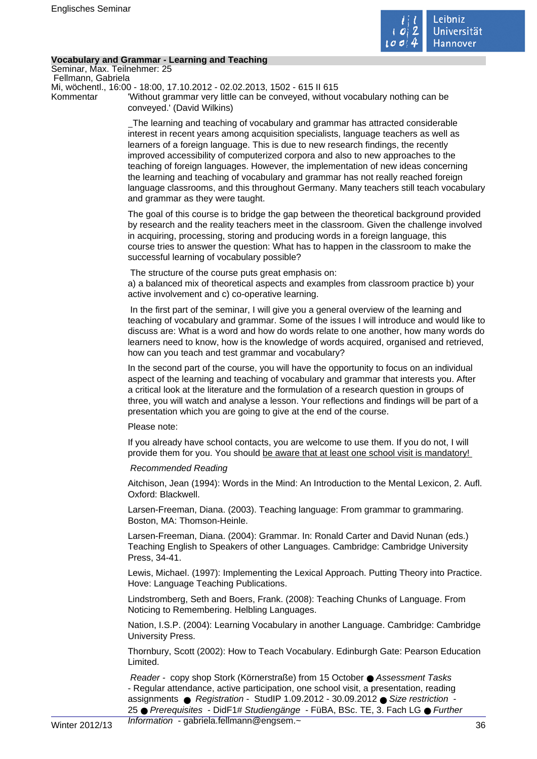

## **Vocabulary and Grammar - Learning and Teaching**

Seminar, Max. Teilnehmer: 25 Fellmann, Gabriela

Mi, wöchentl., 16:00 - 18:00, 17.10.2012 - 02.02.2013, 1502 - 615 II 615

Kommentar 'Without grammar very little can be conveyed, without vocabulary nothing can be conveyed.' (David Wilkins)

> The learning and teaching of vocabulary and grammar has attracted considerable interest in recent years among acquisition specialists, language teachers as well as learners of a foreign language. This is due to new research findings, the recently improved accessibility of computerized corpora and also to new approaches to the teaching of foreign languages. However, the implementation of new ideas concerning the learning and teaching of vocabulary and grammar has not really reached foreign language classrooms, and this throughout Germany. Many teachers still teach vocabulary and grammar as they were taught.

> The goal of this course is to bridge the gap between the theoretical background provided by research and the reality teachers meet in the classroom. Given the challenge involved in acquiring, processing, storing and producing words in a foreign language, this course tries to answer the question: What has to happen in the classroom to make the successful learning of vocabulary possible?

The structure of the course puts great emphasis on:

a) a balanced mix of theoretical aspects and examples from classroom practice b) your active involvement and c) co-operative learning.

 In the first part of the seminar, I will give you a general overview of the learning and teaching of vocabulary and grammar. Some of the issues I will introduce and would like to discuss are: What is a word and how do words relate to one another, how many words do learners need to know, how is the knowledge of words acquired, organised and retrieved, how can you teach and test grammar and vocabulary?

In the second part of the course, you will have the opportunity to focus on an individual aspect of the learning and teaching of vocabulary and grammar that interests you. After a critical look at the literature and the formulation of a research question in groups of three, you will watch and analyse a lesson. Your reflections and findings will be part of a presentation which you are going to give at the end of the course.

## Please note:

If you already have school contacts, you are welcome to use them. If you do not, I will provide them for you. You should be aware that at least one school visit is mandatory!

## Recommended Reading

Aitchison, Jean (1994): Words in the Mind: An Introduction to the Mental Lexicon, 2. Aufl. Oxford: Blackwell.

Larsen-Freeman, Diana. (2003). Teaching language: From grammar to grammaring. Boston, MA: Thomson-Heinle.

Larsen-Freeman, Diana. (2004): Grammar. In: Ronald Carter and David Nunan (eds.) Teaching English to Speakers of other Languages. Cambridge: Cambridge University Press, 34-41.

Lewis, Michael. (1997): Implementing the Lexical Approach. Putting Theory into Practice. Hove: Language Teaching Publications.

Lindstromberg, Seth and Boers, Frank. (2008): Teaching Chunks of Language. From Noticing to Remembering. Helbling Languages.

Nation, I.S.P. (2004): Learning Vocabulary in another Language. Cambridge: Cambridge University Press.

Thornbury, Scott (2002): How to Teach Vocabulary. Edinburgh Gate: Pearson Education Limited.

Reader - copy shop Stork (Körnerstraße) from 15 October ● Assessment Tasks - Regular attendance, active participation, one school visit, a presentation, reading assignments ● Registration - StudIP 1.09.2012 - 30.09.2012 ● Size restriction 25 ● Prerequisites - DidF1# Studiengänge - FüBA, BSc. TE, 3. Fach LG ● Further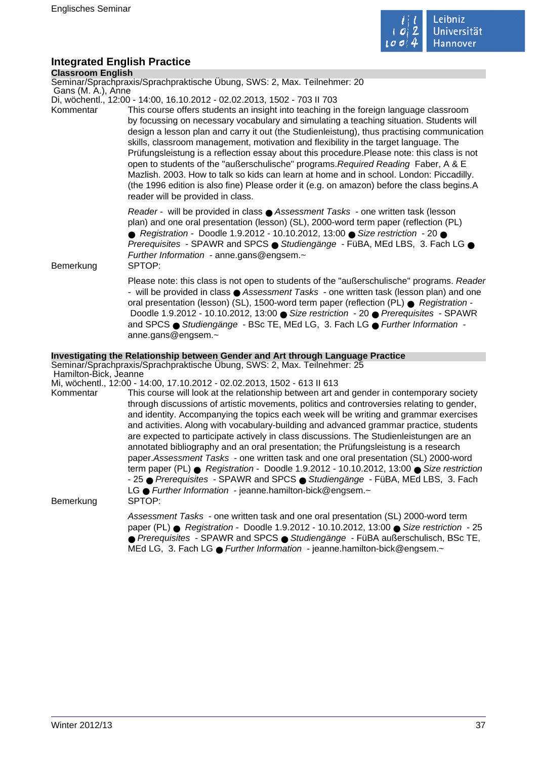

# **Integrated English Practice**

**Classroom English**

Seminar/Sprachpraxis/Sprachpraktische Übung, SWS: 2, Max. Teilnehmer: 20

Gans (M. A.), Anne

- Di, wöchentl., 12:00 14:00, 16.10.2012 02.02.2013, 1502 703 II 703
- Kommentar This course offers students an insight into teaching in the foreign language classroom by focussing on necessary vocabulary and simulating a teaching situation. Students will design a lesson plan and carry it out (the Studienleistung), thus practising communication skills, classroom management, motivation and flexibility in the target language. The Prüfungsleistung is a reflection essay about this procedure.Please note: this class is not open to students of the "außerschulische" programs.Required Reading Faber, A & E Mazlish. 2003. How to talk so kids can learn at home and in school. London: Piccadilly. (the 1996 edition is also fine) Please order it (e.g. on amazon) before the class begins.A reader will be provided in class.

Reader - will be provided in class ● Assessment Tasks - one written task (lesson plan) and one oral presentation (lesson) (SL), 2000-word term paper (reflection (PL) ● Registration - Doodle 1.9.2012 - 10.10.2012, 13:00 ● Size restriction - 20 ● Prerequisites - SPAWR and SPCS ● Studiengänge - FüBA, MEd LBS, 3. Fach LG ● Further Information - anne.gans@engsem.~

Bemerkung SPTOP:

Please note: this class is not open to students of the "außerschulische" programs. Reader - will be provided in class ● Assessment Tasks - one written task (lesson plan) and one oral presentation (lesson) (SL), 1500-word term paper (reflection (PL) ● Registration -Doodle 1.9.2012 - 10.10.2012, 13:00 ● Size restriction - 20 ● Prerequisites - SPAWR and SPCS ● Studiengänge - BSc TE, MEd LG, 3. Fach LG ● Further Information anne.gans@engsem.~

#### **Investigating the Relationship between Gender and Art through Language Practice**

Seminar/Sprachpraxis/Sprachpraktische Übung, SWS: 2, Max. Teilnehmer: 25 Hamilton-Bick, Jeanne

Mi, wöchentl., 12:00 - 14:00, 17.10.2012 - 02.02.2013, 1502 - 613 II 613

Kommentar This course will look at the relationship between art and gender in contemporary society through discussions of artistic movements, politics and controversies relating to gender, and identity. Accompanying the topics each week will be writing and grammar exercises and activities. Along with vocabulary-building and advanced grammar practice, students are expected to participate actively in class discussions. The Studienleistungen are an annotated bibliography and an oral presentation; the Prüfungsleistung is a research paper.Assessment Tasks - one written task and one oral presentation (SL) 2000-word term paper (PL) ● Registration - Doodle 1.9.2012 - 10.10.2012, 13:00 ● Size restriction - 25 ● Prerequisites - SPAWR and SPCS ● Studiengänge - FüBA, MEd LBS, 3. Fach LG ● Further Information - jeanne.hamilton-bick@engsem.~

Bemerkung SPTOP:

Assessment Tasks - one written task and one oral presentation (SL) 2000-word term paper (PL) ● Registration - Doodle 1.9.2012 - 10.10.2012, 13:00 ● Size restriction - 25 ● Prerequisites - SPAWR and SPCS ● Studiengänge - FüBA außerschulisch, BSc TE, MEd LG, 3. Fach LG ● Further Information - jeanne.hamilton-bick@engsem.~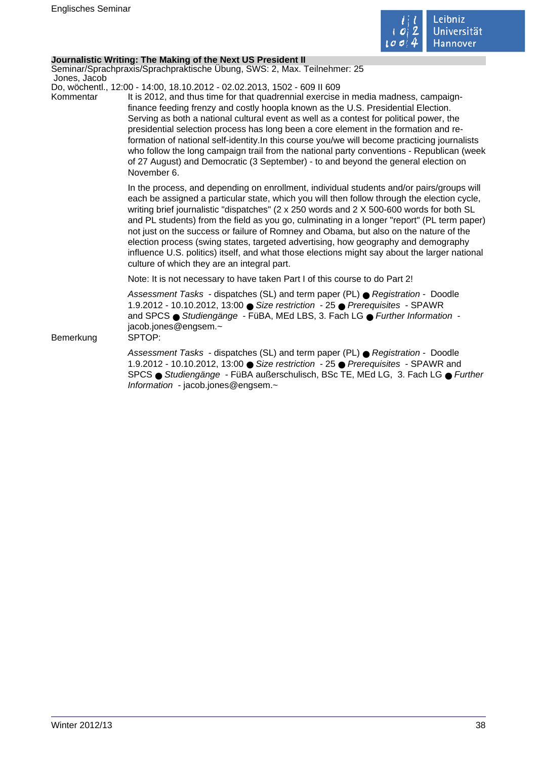

#### **Journalistic Writing: The Making of the Next US President II**

Seminar/Sprachpraxis/Sprachpraktische Übung, SWS: 2, Max. Teilnehmer: 25 Jones, Jacob

Do, wöchentl., 12:00 - 14:00, 18.10.2012 - 02.02.2013, 1502 - 609 II 609

Kommentar It is 2012, and thus time for that quadrennial exercise in media madness, campaignfinance feeding frenzy and costly hoopla known as the U.S. Presidential Election. Serving as both a national cultural event as well as a contest for political power, the presidential selection process has long been a core element in the formation and reformation of national self-identity.In this course you/we will become practicing journalists who follow the long campaign trail from the national party conventions - Republican (week of 27 August) and Democratic (3 September) - to and beyond the general election on November 6.

> In the process, and depending on enrollment, individual students and/or pairs/groups will each be assigned a particular state, which you will then follow through the election cycle, writing brief journalistic "dispatches" (2 x 250 words and 2 X 500-600 words for both SL and PL students) from the field as you go, culminating in a longer "report" (PL term paper) not just on the success or failure of Romney and Obama, but also on the nature of the election process (swing states, targeted advertising, how geography and demography influence U.S. politics) itself, and what those elections might say about the larger national culture of which they are an integral part.

Note: It is not necessary to have taken Part I of this course to do Part 2!

Assessment Tasks - dispatches (SL) and term paper (PL) ● Registration - Doodle 1.9.2012 - 10.10.2012, 13:00 ● Size restriction - 25 ● Prerequisites - SPAWR and SPCS ● Studiengänge - FüBA, MEd LBS, 3. Fach LG ● Further Information jacob.jones@engsem.~

Bemerkung SPTOP:

Assessment Tasks - dispatches (SL) and term paper (PL) ● Registration - Doodle 1.9.2012 - 10.10.2012, 13:00 ● Size restriction - 25 ● Prerequisites - SPAWR and SPCS ● Studiengänge - FüBA außerschulisch, BSc TE, MEd LG, 3. Fach LG ● Further Information - jacob.jones@engsem.~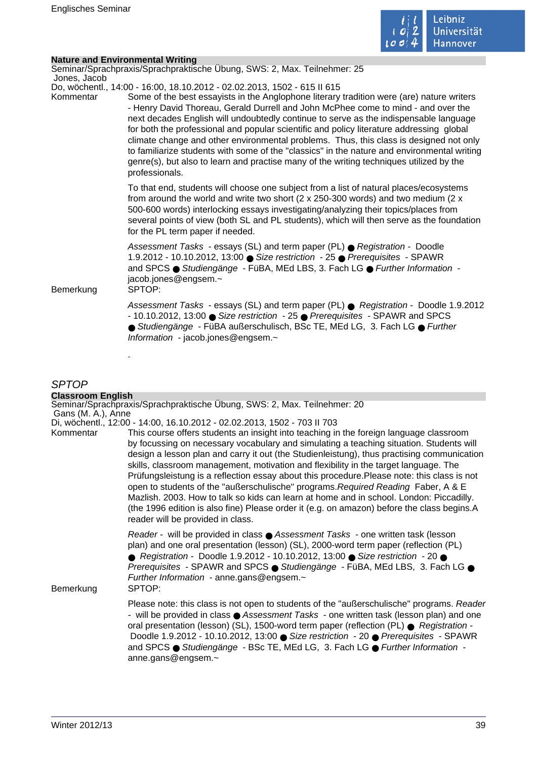

 $\mathcal{L}_{\mathcal{A}}$ 

## **Nature and Environmental Writing**

| Jones, Jacob | Seminar/Sprachpraxis/Sprachpraktische Übung, SWS: 2, Max. Teilnehmer: 25                                                                                                                                                                                                                                                                                                                                                                                                                                                                                                                                                                                                                                                                              |
|--------------|-------------------------------------------------------------------------------------------------------------------------------------------------------------------------------------------------------------------------------------------------------------------------------------------------------------------------------------------------------------------------------------------------------------------------------------------------------------------------------------------------------------------------------------------------------------------------------------------------------------------------------------------------------------------------------------------------------------------------------------------------------|
| Kommentar    | Do, wöchentl., 14:00 - 16:00, 18.10.2012 - 02.02.2013, 1502 - 615 II 615<br>Some of the best essayists in the Anglophone literary tradition were (are) nature writers<br>- Henry David Thoreau, Gerald Durrell and John McPhee come to mind - and over the<br>next decades English will undoubtedly continue to serve as the indispensable language<br>for both the professional and popular scientific and policy literature addressing global<br>climate change and other environmental problems. Thus, this class is designed not only<br>to familiarize students with some of the "classics" in the nature and environmental writing<br>genre(s), but also to learn and practise many of the writing techniques utilized by the<br>professionals. |
|              | To that end, students will choose one subject from a list of natural places/ecosystems<br>from around the world and write two short ( $2 \times 250-300$ words) and two medium ( $2 \times$<br>500-600 words) interlocking essays investigating/analyzing their topics/places from<br>several points of view (both SL and PL students), which will then serve as the foundation<br>for the PL term paper if needed.                                                                                                                                                                                                                                                                                                                                   |
| Bemerkung    | Assessment Tasks - essays (SL) and term paper (PL) ● Registration - Doodle<br>1.9.2012 - 10.10.2012, 13:00 ● Size restriction - 25 ● Prerequisites - SPAWR<br>and SPCS · Studiengänge - FüBA, MEd LBS, 3. Fach LG · Further Information -<br>jacob.jones@engsem.~<br>SPTOP:                                                                                                                                                                                                                                                                                                                                                                                                                                                                           |
|              | Assessment Tasks - essays (SL) and term paper (PL) ● Registration - Doodle 1.9.2012<br>- 10.10.2012, 13:00 ● Size restriction - 25 ● Prerequisites - SPAWR and SPCS<br>● Studiengänge - FüBA außerschulisch, BSc TE, MEd LG, 3. Fach LG ● Further<br>Information - jacob.jones@engsem.~                                                                                                                                                                                                                                                                                                                                                                                                                                                               |
|              |                                                                                                                                                                                                                                                                                                                                                                                                                                                                                                                                                                                                                                                                                                                                                       |

# SPTOP

| <b>Classroom English</b> |                                                                                                                                                                                                                                                                                                                                                                                                                                                                                                                                                                                                                                                                                                                                                                                           |
|--------------------------|-------------------------------------------------------------------------------------------------------------------------------------------------------------------------------------------------------------------------------------------------------------------------------------------------------------------------------------------------------------------------------------------------------------------------------------------------------------------------------------------------------------------------------------------------------------------------------------------------------------------------------------------------------------------------------------------------------------------------------------------------------------------------------------------|
| Gans (M. A.), Anne       | Seminar/Sprachpraxis/Sprachpraktische Übung, SWS: 2, Max. Teilnehmer: 20                                                                                                                                                                                                                                                                                                                                                                                                                                                                                                                                                                                                                                                                                                                  |
|                          | Di, wöchentl., 12:00 - 14:00, 16.10.2012 - 02.02.2013, 1502 - 703 II 703                                                                                                                                                                                                                                                                                                                                                                                                                                                                                                                                                                                                                                                                                                                  |
| Kommentar                | This course offers students an insight into teaching in the foreign language classroom<br>by focussing on necessary vocabulary and simulating a teaching situation. Students will<br>design a lesson plan and carry it out (the Studienleistung), thus practising communication<br>skills, classroom management, motivation and flexibility in the target language. The<br>Prüfungsleistung is a reflection essay about this procedure. Please note: this class is not<br>open to students of the "außerschulische" programs. Required Reading Faber, A & E<br>Mazlish. 2003. How to talk so kids can learn at home and in school. London: Piccadilly.<br>(the 1996 edition is also fine) Please order it (e.g. on amazon) before the class begins.A<br>reader will be provided in class. |
| Bemerkung                | Reader - will be provided in class ● Assessment Tasks - one written task (lesson<br>plan) and one oral presentation (lesson) (SL), 2000-word term paper (reflection (PL)<br>● Registration - Doodle 1.9.2012 - 10.10.2012, 13:00 ● Size restriction - 20 ●<br>Prerequisites - SPAWR and SPCS ● Studiengänge - FüBA, MEd LBS, 3. Fach LG ●<br>Further Information - anne.gans@engsem.~<br>SPTOP:                                                                                                                                                                                                                                                                                                                                                                                           |
|                          | Please note: this class is not open to students of the "außerschulische" programs. Reader<br>- will be provided in class ● Assessment Tasks - one written task (lesson plan) and one<br>oral presentation (lesson) (SL), 1500-word term paper (reflection (PL) ● Registration -<br>Doodle 1.9.2012 - 10.10.2012, 13:00 ● Size restriction - 20 ● Prerequisites - SPAWR<br>and SPCS ● Studiengänge - BSc TE, MEd LG, 3. Fach LG ● Further Information -<br>anne.gans@engsem.~                                                                                                                                                                                                                                                                                                              |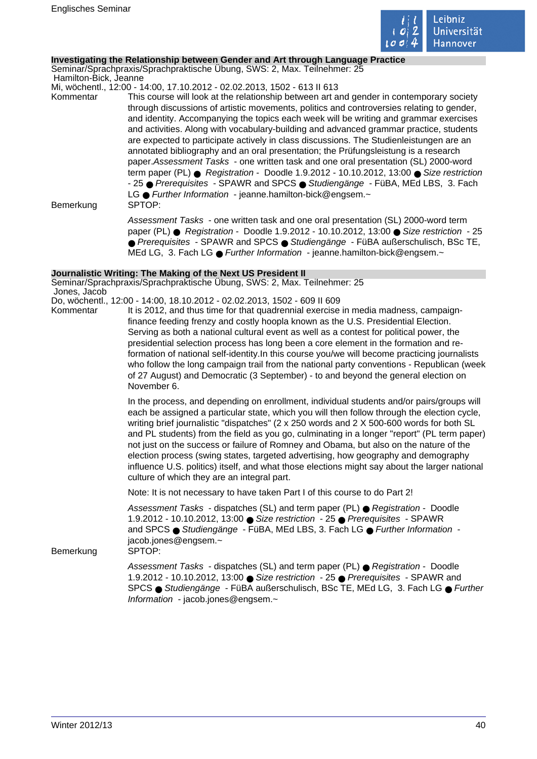

#### **Investigating the Relationship between Gender and Art through Language Practice**

Seminar/Sprachpraxis/Sprachpraktische Übung, SWS: 2, Max. Teilnehmer: 25 Hamilton-Bick, Jeanne

Mi, wöchentl., 12:00 - 14:00, 17.10.2012 - 02.02.2013, 1502 - 613 II 613

Kommentar This course will look at the relationship between art and gender in contemporary society through discussions of artistic movements, politics and controversies relating to gender, and identity. Accompanying the topics each week will be writing and grammar exercises and activities. Along with vocabulary-building and advanced grammar practice, students are expected to participate actively in class discussions. The Studienleistungen are an annotated bibliography and an oral presentation; the Prüfungsleistung is a research paper.Assessment Tasks - one written task and one oral presentation (SL) 2000-word term paper (PL) ● Registration - Doodle 1.9.2012 - 10.10.2012, 13:00 ● Size restriction - 25 ● Prerequisites - SPAWR and SPCS ● Studiengänge - FüBA, MEd LBS, 3. Fach LG ● Further Information - jeanne.hamilton-bick@engsem.~ Bemerkung SPTOP:

Assessment Tasks - one written task and one oral presentation (SL) 2000-word term paper (PL) ● Registration - Doodle 1.9.2012 - 10.10.2012, 13:00 ● Size restriction - 25 ● Prerequisites - SPAWR and SPCS ● Studiengänge - FüBA außerschulisch, BSc TE, MEd LG, 3. Fach LG ● Further Information - jeanne.hamilton-bick@engsem.~

#### **Journalistic Writing: The Making of the Next US President II**

Seminar/Sprachpraxis/Sprachpraktische Übung, SWS: 2, Max. Teilnehmer: 25 Jones, Jacob

- Do, wöchentl., 12:00 14:00, 18.10.2012 02.02.2013, 1502 609 II 609
- Kommentar It is 2012, and thus time for that quadrennial exercise in media madness, campaignfinance feeding frenzy and costly hoopla known as the U.S. Presidential Election. Serving as both a national cultural event as well as a contest for political power, the presidential selection process has long been a core element in the formation and reformation of national self-identity.In this course you/we will become practicing journalists who follow the long campaign trail from the national party conventions - Republican (week of 27 August) and Democratic (3 September) - to and beyond the general election on November 6.

In the process, and depending on enrollment, individual students and/or pairs/groups will each be assigned a particular state, which you will then follow through the election cycle, writing brief journalistic "dispatches" (2 x 250 words and 2 X 500-600 words for both SL and PL students) from the field as you go, culminating in a longer "report" (PL term paper) not just on the success or failure of Romney and Obama, but also on the nature of the election process (swing states, targeted advertising, how geography and demography influence U.S. politics) itself, and what those elections might say about the larger national culture of which they are an integral part.

Note: It is not necessary to have taken Part I of this course to do Part 2!

Assessment Tasks - dispatches (SL) and term paper (PL) ● Registration - Doodle 1.9.2012 - 10.10.2012, 13:00 ● Size restriction - 25 ● Prerequisites - SPAWR and SPCS ● Studiengänge - FüBA, MEd LBS, 3. Fach LG ● Further Information jacob.jones@engsem.~

Bemerkung SPTOP:

Assessment Tasks - dispatches (SL) and term paper (PL) ● Registration - Doodle 1.9.2012 - 10.10.2012, 13:00 ● Size restriction - 25 ● Prerequisites - SPAWR and SPCS ● Studiengänge - FüBA außerschulisch, BSc TE, MEd LG, 3. Fach LG ● Further Information - jacob.jones@engsem.~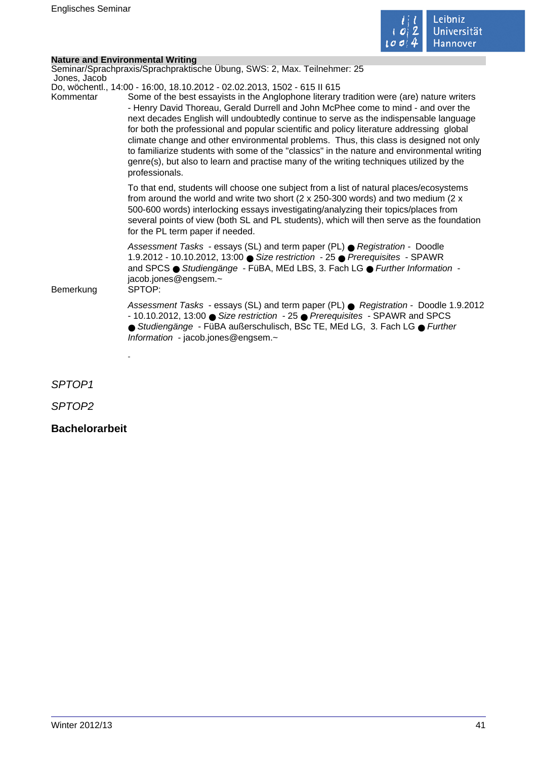

 $\mathcal{L}_{\mathcal{A}}$ 

## **Nature and Environmental Writing**

|                        | Seminar/Sprachpraxis/Sprachpraktische Übung, SWS: 2, Max. Teilnehmer: 25                                                                                                                                                                                                                                                                                                                                                                                                                                                                                                                                                                                                  |
|------------------------|---------------------------------------------------------------------------------------------------------------------------------------------------------------------------------------------------------------------------------------------------------------------------------------------------------------------------------------------------------------------------------------------------------------------------------------------------------------------------------------------------------------------------------------------------------------------------------------------------------------------------------------------------------------------------|
| Jones, Jacob           | Do, wöchentl., 14:00 - 16:00, 18.10.2012 - 02.02.2013, 1502 - 615 II 615                                                                                                                                                                                                                                                                                                                                                                                                                                                                                                                                                                                                  |
| Kommentar<br>Bemerkung | Some of the best essayists in the Anglophone literary tradition were (are) nature writers<br>- Henry David Thoreau, Gerald Durrell and John McPhee come to mind - and over the<br>next decades English will undoubtedly continue to serve as the indispensable language<br>for both the professional and popular scientific and policy literature addressing global<br>climate change and other environmental problems. Thus, this class is designed not only<br>to familiarize students with some of the "classics" in the nature and environmental writing<br>genre(s), but also to learn and practise many of the writing techniques utilized by the<br>professionals. |
|                        | To that end, students will choose one subject from a list of natural places/ecosystems<br>from around the world and write two short ( $2 \times 250-300$ words) and two medium ( $2 \times$<br>500-600 words) interlocking essays investigating/analyzing their topics/places from<br>several points of view (both SL and PL students), which will then serve as the foundation<br>for the PL term paper if needed.                                                                                                                                                                                                                                                       |
|                        | Assessment Tasks - essays (SL) and term paper (PL) ● Registration - Doodle<br>1.9.2012 - 10.10.2012, 13:00 ● Size restriction - 25 ● Prerequisites - SPAWR<br>and SPCS ● Studiengänge - FüBA, MEd LBS, 3. Fach LG ● Further Information -<br>jacob.jones@engsem.~<br>SPTOP:                                                                                                                                                                                                                                                                                                                                                                                               |
|                        | Assessment Tasks - essays (SL) and term paper (PL) ● Registration - Doodle 1.9.2012<br>- 10.10.2012, 13:00 ● Size restriction - 25 ● Prerequisites - SPAWR and SPCS<br>● Studiengänge - FüBA außerschulisch, BSc TE, MEd LG, 3. Fach LG ● Further<br>Information - jacob.jones@engsem.~                                                                                                                                                                                                                                                                                                                                                                                   |
|                        |                                                                                                                                                                                                                                                                                                                                                                                                                                                                                                                                                                                                                                                                           |
| SPTOP <sub>1</sub>     |                                                                                                                                                                                                                                                                                                                                                                                                                                                                                                                                                                                                                                                                           |

SPTOP2

# **Bachelorarbeit**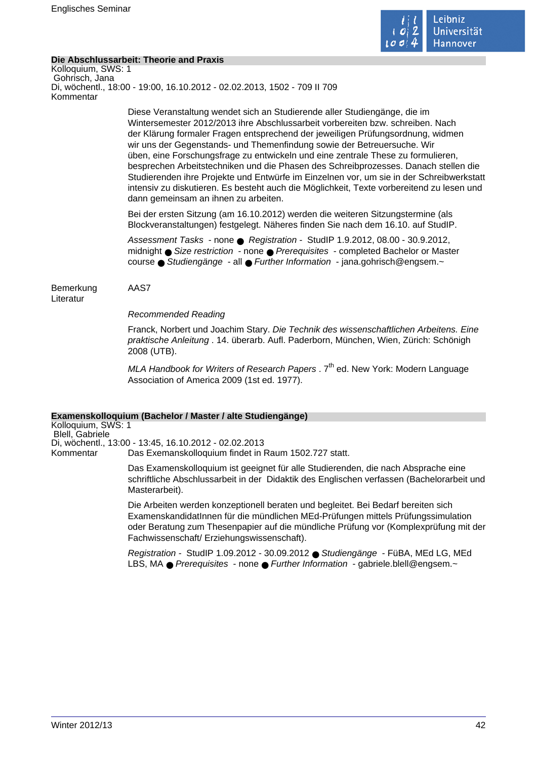

#### **Die Abschlussarbeit: Theorie and Praxis**

Kolloquium, SWS: 1 Gohrisch, Jana Di, wöchentl., 18:00 - 19:00, 16.10.2012 - 02.02.2013, 1502 - 709 II 709 Kommentar

> Diese Veranstaltung wendet sich an Studierende aller Studiengänge, die im Wintersemester 2012/2013 ihre Abschlussarbeit vorbereiten bzw. schreiben. Nach der Klärung formaler Fragen entsprechend der jeweiligen Prüfungsordnung, widmen wir uns der Gegenstands- und Themenfindung sowie der Betreuersuche. Wir üben, eine Forschungsfrage zu entwickeln und eine zentrale These zu formulieren, besprechen Arbeitstechniken und die Phasen des Schreibprozesses. Danach stellen die Studierenden ihre Projekte und Entwürfe im Einzelnen vor, um sie in der Schreibwerkstatt intensiv zu diskutieren. Es besteht auch die Möglichkeit, Texte vorbereitend zu lesen und dann gemeinsam an ihnen zu arbeiten.

Bei der ersten Sitzung (am 16.10.2012) werden die weiteren Sitzungstermine (als Blockveranstaltungen) festgelegt. Näheres finden Sie nach dem 16.10. auf StudIP.

Assessment Tasks - none ● Registration - StudIP 1.9.2012, 08.00 - 30.9.2012, midnight ● Size restriction - none ● Prerequisites - completed Bachelor or Master course ● Studiengänge - all ● Further Information - jana.gohrisch@engsem.~

Bemerkung AAS7 Literatur

Recommended Reading

Franck, Norbert und Joachim Stary. Die Technik des wissenschaftlichen Arbeitens. Eine praktische Anleitung . 14. überarb. Aufl. Paderborn, München, Wien, Zürich: Schönigh 2008 (UTB).

MLA Handbook for Writers of Research Papers .  $7<sup>th</sup>$  ed. New York: Modern Language Association of America 2009 (1st ed. 1977).

#### **Examenskolloquium (Bachelor / Master / alte Studiengänge)**

Kolloquium, SWS: 1 Blell, Gabriele Di, wöchentl., 13:00 - 13:45, 16.10.2012 - 02.02.2013 Kommentar Das Exemanskolloquium findet in Raum 1502.727 statt.

> Das Examenskolloquium ist geeignet für alle Studierenden, die nach Absprache eine schriftliche Abschlussarbeit in der Didaktik des Englischen verfassen (Bachelorarbeit und Masterarbeit).

> Die Arbeiten werden konzeptionell beraten und begleitet. Bei Bedarf bereiten sich ExamenskandidatInnen für die mündlichen MEd-Prüfungen mittels Prüfungssimulation oder Beratung zum Thesenpapier auf die mündliche Prüfung vor (Komplexprüfung mit der Fachwissenschaft/ Erziehungswissenschaft).

Registration - StudIP 1.09.2012 - 30.09.2012 ● Studiengänge - FüBA, MEd LG, MEd LBS, MA ● Prerequisites - none ● Further Information - gabriele.blell@engsem.~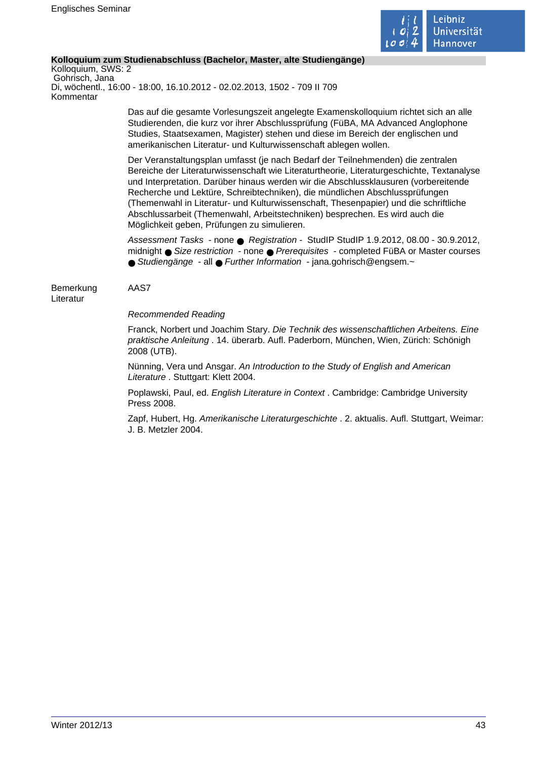

#### **Kolloquium zum Studienabschluss (Bachelor, Master, alte Studiengänge)**

Kolloquium, SWS: 2 Gohrisch, Jana Di, wöchentl., 16:00 - 18:00, 16.10.2012 - 02.02.2013, 1502 - 709 II 709 Kommentar

> Das auf die gesamte Vorlesungszeit angelegte Examenskolloquium richtet sich an alle Studierenden, die kurz vor ihrer Abschlussprüfung (FüBA, MA Advanced Anglophone Studies, Staatsexamen, Magister) stehen und diese im Bereich der englischen und amerikanischen Literatur- und Kulturwissenschaft ablegen wollen.

Der Veranstaltungsplan umfasst (je nach Bedarf der Teilnehmenden) die zentralen Bereiche der Literaturwissenschaft wie Literaturtheorie, Literaturgeschichte, Textanalyse und Interpretation. Darüber hinaus werden wir die Abschlussklausuren (vorbereitende Recherche und Lektüre, Schreibtechniken), die mündlichen Abschlussprüfungen (Themenwahl in Literatur- und Kulturwissenschaft, Thesenpapier) und die schriftliche Abschlussarbeit (Themenwahl, Arbeitstechniken) besprechen. Es wird auch die Möglichkeit geben, Prüfungen zu simulieren.

Assessment Tasks - none ● Registration - StudIP StudIP 1.9.2012, 08.00 - 30.9.2012, midnight ● Size restriction - none ● Prerequisites - completed FüBA or Master courses ● Studiengänge - all ● Further Information - jana.gohrisch@engsem.~

Bemerkung AAS7 Literatur

Recommended Reading

Franck, Norbert und Joachim Stary. Die Technik des wissenschaftlichen Arbeitens. Eine praktische Anleitung . 14. überarb. Aufl. Paderborn, München, Wien, Zürich: Schönigh 2008 (UTB).

Nünning, Vera und Ansgar. An Introduction to the Study of English and American Literature . Stuttgart: Klett 2004.

Poplawski, Paul, ed. English Literature in Context . Cambridge: Cambridge University Press 2008.

Zapf, Hubert, Hg. Amerikanische Literaturgeschichte . 2. aktualis. Aufl. Stuttgart, Weimar: J. B. Metzler 2004.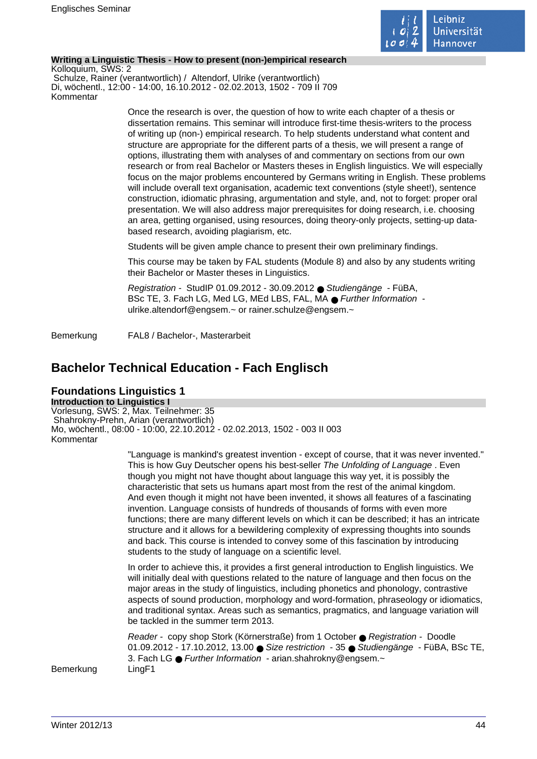

#### **Writing a Linguistic Thesis - How to present (non-)empirical research**

Kolloquium, SWS: 2 Schulze, Rainer (verantwortlich) / Altendorf, Ulrike (verantwortlich) Di, wöchentl., 12:00 - 14:00, 16.10.2012 - 02.02.2013, 1502 - 709 II 709 Kommentar

> Once the research is over, the question of how to write each chapter of a thesis or dissertation remains. This seminar will introduce first-time thesis-writers to the process of writing up (non-) empirical research. To help students understand what content and structure are appropriate for the different parts of a thesis, we will present a range of options, illustrating them with analyses of and commentary on sections from our own research or from real Bachelor or Masters theses in English linguistics. We will especially focus on the major problems encountered by Germans writing in English. These problems will include overall text organisation, academic text conventions (style sheet!), sentence construction, idiomatic phrasing, argumentation and style, and, not to forget: proper oral presentation. We will also address major prerequisites for doing research, i.e. choosing an area, getting organised, using resources, doing theory-only projects, setting-up databased research, avoiding plagiarism, etc.

Students will be given ample chance to present their own preliminary findings.

This course may be taken by FAL students (Module 8) and also by any students writing their Bachelor or Master theses in Linguistics.

Registration - StudIP 01.09.2012 - 30.09.2012 ● Studiengänge - FüBA, BSc TE, 3. Fach LG, Med LG, MEd LBS, FAL, MA ● Further Information ulrike.altendorf@engsem.~ or rainer.schulze@engsem.~

Bemerkung FAL8 / Bachelor-, Masterarbeit

# **Bachelor Technical Education - Fach Englisch**

## **Foundations Linguistics 1**

**Introduction to Linguistics I** Vorlesung, SWS: 2, Max. Teilnehmer: 35 Shahrokny-Prehn, Arian (verantwortlich) Mo, wöchentl., 08:00 - 10:00, 22.10.2012 - 02.02.2013, 1502 - 003 II 003 Kommentar

> "Language is mankind's greatest invention - except of course, that it was never invented." This is how Guy Deutscher opens his best-seller The Unfolding of Language . Even though you might not have thought about language this way yet, it is possibly the characteristic that sets us humans apart most from the rest of the animal kingdom. And even though it might not have been invented, it shows all features of a fascinating invention. Language consists of hundreds of thousands of forms with even more functions; there are many different levels on which it can be described; it has an intricate structure and it allows for a bewildering complexity of expressing thoughts into sounds and back. This course is intended to convey some of this fascination by introducing students to the study of language on a scientific level.

> In order to achieve this, it provides a first general introduction to English linguistics. We will initially deal with questions related to the nature of language and then focus on the major areas in the study of linguistics, including phonetics and phonology, contrastive aspects of sound production, morphology and word-formation, phraseology or idiomatics, and traditional syntax. Areas such as semantics, pragmatics, and language variation will be tackled in the summer term 2013.

> Reader - copy shop Stork (Körnerstraße) from 1 October ● Registration - Doodle 01.09.2012 - 17.10.2012, 13.00 ● Size restriction - 35 ● Studiengänge - FüBA, BSc TE, 3. Fach LG ● Further Information - arian.shahrokny@engsem.~

Bemerkung LingF1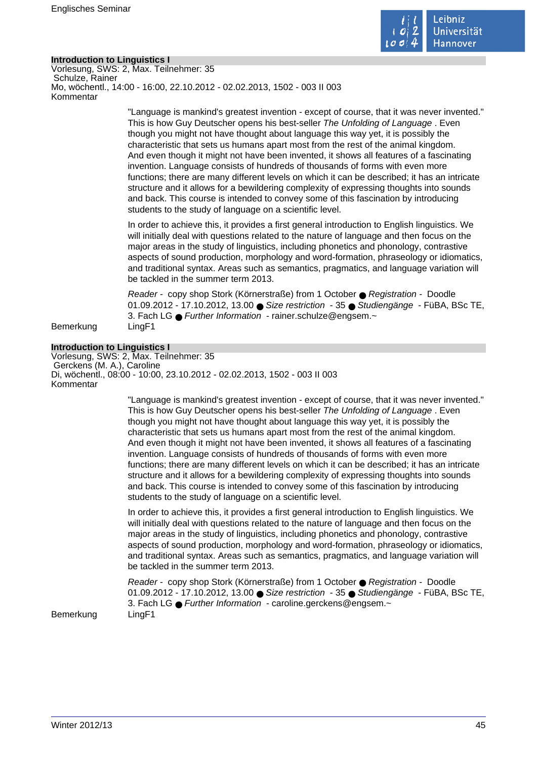

#### **Introduction to Linguistics I**

Vorlesung, SWS: 2, Max. Teilnehmer: 35 Schulze, Rainer Mo, wöchentl., 14:00 - 16:00, 22.10.2012 - 02.02.2013, 1502 - 003 II 003 Kommentar

> "Language is mankind's greatest invention - except of course, that it was never invented." This is how Guy Deutscher opens his best-seller The Unfolding of Language . Even though you might not have thought about language this way yet, it is possibly the characteristic that sets us humans apart most from the rest of the animal kingdom. And even though it might not have been invented, it shows all features of a fascinating invention. Language consists of hundreds of thousands of forms with even more functions; there are many different levels on which it can be described; it has an intricate structure and it allows for a bewildering complexity of expressing thoughts into sounds and back. This course is intended to convey some of this fascination by introducing students to the study of language on a scientific level.

> In order to achieve this, it provides a first general introduction to English linguistics. We will initially deal with questions related to the nature of language and then focus on the major areas in the study of linguistics, including phonetics and phonology, contrastive aspects of sound production, morphology and word-formation, phraseology or idiomatics, and traditional syntax. Areas such as semantics, pragmatics, and language variation will be tackled in the summer term 2013.

> Reader - copy shop Stork (Körnerstraße) from 1 October ● Registration - Doodle 01.09.2012 - 17.10.2012, 13.00 ● Size restriction - 35 ● Studiengänge - FüBA, BSc TE, 3. Fach LG ● Further Information - rainer.schulze@engsem.~

Bemerkung LingF1

#### **Introduction to Linguistics I**

Vorlesung, SWS: 2, Max. Teilnehmer: 35 Gerckens (M. A.), Caroline Di, wöchentl., 08:00 - 10:00, 23.10.2012 - 02.02.2013, 1502 - 003 II 003 Kommentar

> "Language is mankind's greatest invention - except of course, that it was never invented." This is how Guy Deutscher opens his best-seller The Unfolding of Language . Even though you might not have thought about language this way yet, it is possibly the characteristic that sets us humans apart most from the rest of the animal kingdom. And even though it might not have been invented, it shows all features of a fascinating invention. Language consists of hundreds of thousands of forms with even more functions; there are many different levels on which it can be described; it has an intricate structure and it allows for a bewildering complexity of expressing thoughts into sounds and back. This course is intended to convey some of this fascination by introducing students to the study of language on a scientific level.

> In order to achieve this, it provides a first general introduction to English linguistics. We will initially deal with questions related to the nature of language and then focus on the major areas in the study of linguistics, including phonetics and phonology, contrastive aspects of sound production, morphology and word-formation, phraseology or idiomatics, and traditional syntax. Areas such as semantics, pragmatics, and language variation will be tackled in the summer term 2013.

> Reader - copy shop Stork (Körnerstraße) from 1 October ● Registration - Doodle 01.09.2012 - 17.10.2012, 13.00 ● Size restriction - 35 ● Studiengänge - FüBA, BSc TE, 3. Fach LG ● Further Information - caroline.gerckens@engsem.~

Bemerkung LingF1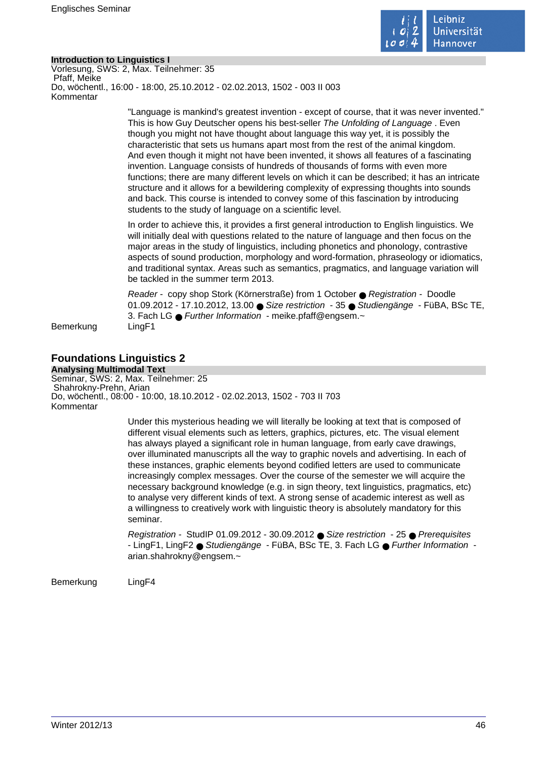

#### **Introduction to Linguistics I**

Vorlesung, SWS: 2, Max. Teilnehmer: 35 Pfaff, Meike Do, wöchentl., 16:00 - 18:00, 25.10.2012 - 02.02.2013, 1502 - 003 II 003 Kommentar

> "Language is mankind's greatest invention - except of course, that it was never invented." This is how Guy Deutscher opens his best-seller The Unfolding of Language . Even though you might not have thought about language this way yet, it is possibly the characteristic that sets us humans apart most from the rest of the animal kingdom. And even though it might not have been invented, it shows all features of a fascinating invention. Language consists of hundreds of thousands of forms with even more functions; there are many different levels on which it can be described; it has an intricate structure and it allows for a bewildering complexity of expressing thoughts into sounds and back. This course is intended to convey some of this fascination by introducing students to the study of language on a scientific level.

> In order to achieve this, it provides a first general introduction to English linguistics. We will initially deal with questions related to the nature of language and then focus on the major areas in the study of linguistics, including phonetics and phonology, contrastive aspects of sound production, morphology and word-formation, phraseology or idiomatics, and traditional syntax. Areas such as semantics, pragmatics, and language variation will be tackled in the summer term 2013.

> Reader - copy shop Stork (Körnerstraße) from 1 October ● Registration - Doodle 01.09.2012 - 17.10.2012, 13.00 ● Size restriction - 35 ● Studiengänge - FüBA, BSc TE, 3. Fach LG ● Further Information - meike.pfaff@engsem.~

Bemerkung LingF1

# **Foundations Linguistics 2**

**Analysing Multimodal Text** Seminar, SWS: 2, Max. Teilnehmer: 25 Shahrokny-Prehn, Arian Do, wöchentl., 08:00 - 10:00, 18.10.2012 - 02.02.2013, 1502 - 703 II 703 Kommentar

> Under this mysterious heading we will literally be looking at text that is composed of different visual elements such as letters, graphics, pictures, etc. The visual element has always played a significant role in human language, from early cave drawings, over illuminated manuscripts all the way to graphic novels and advertising. In each of these instances, graphic elements beyond codified letters are used to communicate increasingly complex messages. Over the course of the semester we will acquire the necessary background knowledge (e.g. in sign theory, text linguistics, pragmatics, etc) to analyse very different kinds of text. A strong sense of academic interest as well as a willingness to creatively work with linguistic theory is absolutely mandatory for this seminar.

Registration - StudIP 01.09.2012 - 30.09.2012 ● Size restriction - 25 ● Prerequisites - LingF1, LingF2 ● Studiengänge - FüBA, BSc TE, 3. Fach LG ● Further Information arian.shahrokny@engsem.~

Bemerkung LingF4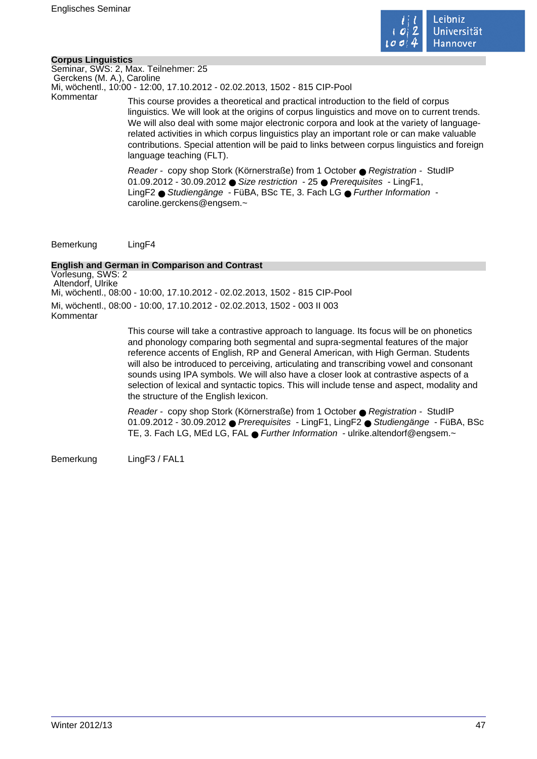

#### **Corpus Linguistics**

Seminar, SWS: 2, Max. Teilnehmer: 25 Gerckens (M. A.), Caroline Mi, wöchentl., 10:00 - 12:00, 17.10.2012 - 02.02.2013, 1502 - 815 CIP-Pool

Kommentar This course provides a theoretical and practical introduction to the field of corpus linguistics. We will look at the origins of corpus linguistics and move on to current trends. We will also deal with some major electronic corpora and look at the variety of languagerelated activities in which corpus linguistics play an important role or can make valuable contributions. Special attention will be paid to links between corpus linguistics and foreign language teaching (FLT).

> Reader - copy shop Stork (Körnerstraße) from 1 October ● Registration - StudIP 01.09.2012 - 30.09.2012 ● Size restriction - 25 ● Prerequisites - LingF1, LingF2 ● Studiengänge - FüBA, BSc TE, 3. Fach LG ● Further Information caroline.gerckens@engsem.~

Bemerkung LingF4

#### **English and German in Comparison and Contrast**

Vorlesung, SWS: 2 Altendorf, Ulrike Mi, wöchentl., 08:00 - 10:00, 17.10.2012 - 02.02.2013, 1502 - 815 CIP-Pool Mi, wöchentl., 08:00 - 10:00, 17.10.2012 - 02.02.2013, 1502 - 003 II 003 Kommentar

> This course will take a contrastive approach to language. Its focus will be on phonetics and phonology comparing both segmental and supra-segmental features of the major reference accents of English, RP and General American, with High German. Students will also be introduced to perceiving, articulating and transcribing vowel and consonant sounds using IPA symbols. We will also have a closer look at contrastive aspects of a selection of lexical and syntactic topics. This will include tense and aspect, modality and the structure of the English lexicon.

Reader - copy shop Stork (Körnerstraße) from 1 October ● Registration - StudIP 01.09.2012 - 30.09.2012 ● Prerequisites - LingF1, LingF2 ● Studiengänge - FüBA, BSc TE, 3. Fach LG, MEd LG, FAL ● Further Information - ulrike.altendorf@engsem.~

Bemerkung LingF3 / FAL1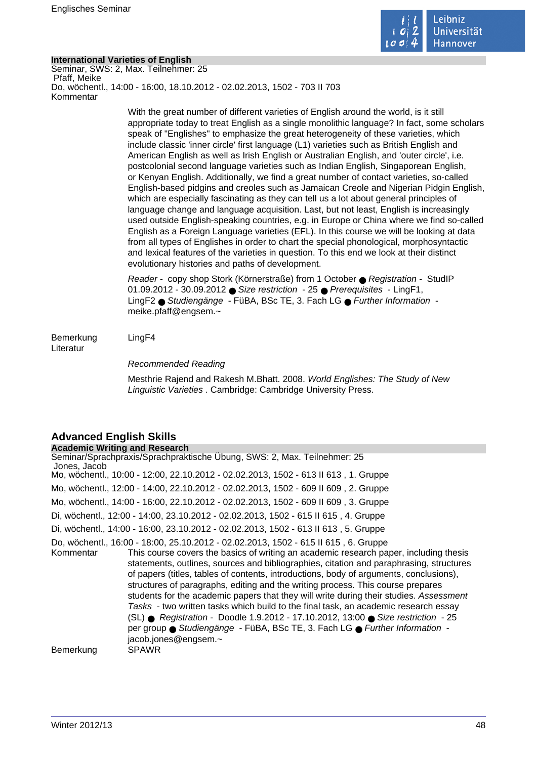

#### **International Varieties of English**

Seminar, SWS: 2, Max. Teilnehmer: 25 Pfaff, Meike Do, wöchentl., 14:00 - 16:00, 18.10.2012 - 02.02.2013, 1502 - 703 II 703 Kommentar

> With the great number of different varieties of English around the world, is it still appropriate today to treat English as a single monolithic language? In fact, some scholars speak of "Englishes" to emphasize the great heterogeneity of these varieties, which include classic 'inner circle' first language (L1) varieties such as British English and American English as well as Irish English or Australian English, and 'outer circle', i.e. postcolonial second language varieties such as Indian English, Singaporean English, or Kenyan English. Additionally, we find a great number of contact varieties, so-called English-based pidgins and creoles such as Jamaican Creole and Nigerian Pidgin English, which are especially fascinating as they can tell us a lot about general principles of language change and language acquisition. Last, but not least, English is increasingly used outside English-speaking countries, e.g. in Europe or China where we find so-called English as a Foreign Language varieties (EFL). In this course we will be looking at data from all types of Englishes in order to chart the special phonological, morphosyntactic and lexical features of the varieties in question. To this end we look at their distinct evolutionary histories and paths of development.

Reader - copy shop Stork (Körnerstraße) from 1 October ● Registration - StudIP 01.09.2012 - 30.09.2012 ● Size restriction - 25 ● Prerequisites - LingF1, LingF2 ● Studiengänge - FüBA, BSc TE, 3. Fach LG ● Further Information meike.pfaff@engsem.~

Bemerkung LingF4 Literatur

Recommended Reading

Mesthrie Rajend and Rakesh M.Bhatt. 2008. World Englishes: The Study of New Linguistic Varieties . Cambridge: Cambridge University Press.

# **Advanced English Skills**

**Academic Writing and Research** Seminar/Sprachpraxis/Sprachpraktische Übung, SWS: 2, Max. Teilnehmer: 25 Jones, Jacob Mo, wöchentl., 10:00 - 12:00, 22.10.2012 - 02.02.2013, 1502 - 613 II 613 , 1. Gruppe Mo, wöchentl., 12:00 - 14:00, 22.10.2012 - 02.02.2013, 1502 - 609 II 609 , 2. Gruppe Mo, wöchentl., 14:00 - 16:00, 22.10.2012 - 02.02.2013, 1502 - 609 II 609 , 3. Gruppe Di, wöchentl., 12:00 - 14:00, 23.10.2012 - 02.02.2013, 1502 - 615 II 615 , 4. Gruppe Di, wöchentl., 14:00 - 16:00, 23.10.2012 - 02.02.2013, 1502 - 613 II 613 , 5. Gruppe Do, wöchentl., 16:00 - 18:00, 25.10.2012 - 02.02.2013, 1502 - 615 II 615 , 6. Gruppe This course covers the basics of writing an academic research paper, including thesis statements, outlines, sources and bibliographies, citation and paraphrasing, structures of papers (titles, tables of contents, introductions, body of arguments, conclusions), structures of paragraphs, editing and the writing process. This course prepares students for the academic papers that they will write during their studies. Assessment Tasks - two written tasks which build to the final task, an academic research essay (SL) ● Registration - Doodle 1.9.2012 - 17.10.2012, 13:00 ● Size restriction - 25 per group ● Studiengänge - FüBA, BSc TE, 3. Fach LG ● Further Information jacob.jones@engsem.~ Bemerkung SPAWR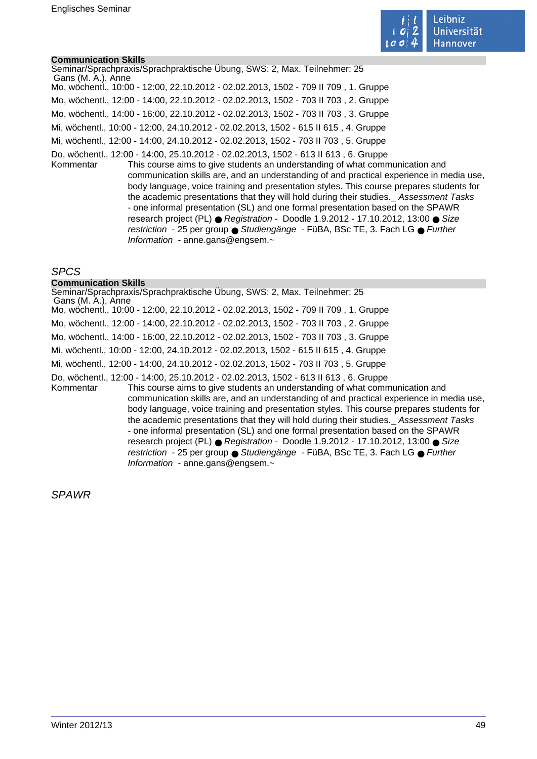

#### **Communication Skills**

Seminar/Sprachpraxis/Sprachpraktische Übung, SWS: 2, Max. Teilnehmer: 25 Gans (M. A.), Anne Mo, wöchentl., 10:00 - 12:00, 22.10.2012 - 02.02.2013, 1502 - 709 II 709 , 1. Gruppe Mo, wöchentl., 12:00 - 14:00, 22.10.2012 - 02.02.2013, 1502 - 703 II 703 , 2. Gruppe Mo, wöchentl., 14:00 - 16:00, 22.10.2012 - 02.02.2013, 1502 - 703 II 703 , 3. Gruppe Mi, wöchentl., 10:00 - 12:00, 24.10.2012 - 02.02.2013, 1502 - 615 II 615 , 4. Gruppe Mi, wöchentl., 12:00 - 14:00, 24.10.2012 - 02.02.2013, 1502 - 703 II 703 , 5. Gruppe Do, wöchentl., 12:00 - 14:00, 25.10.2012 - 02.02.2013, 1502 - 613 II 613 , 6. Gruppe Kommentar This course aims to give students an understanding of what communication and communication skills are, and an understanding of and practical experience in media use, body language, voice training and presentation styles. This course prepares students for the academic presentations that they will hold during their studies.Assessment Tasks - one informal presentation (SL) and one formal presentation based on the SPAWR research project (PL) ● Registration - Doodle 1.9.2012 - 17.10.2012, 13:00 ● Size restriction - 25 per group ● Studiengänge - FüBA, BSc TE, 3. Fach LG ● Further

Information - anne.gans@engsem.~

Information - anne.gans@engsem.~

## SPCS

#### **Communication Skills**

Seminar/Sprachpraxis/Sprachpraktische Übung, SWS: 2, Max. Teilnehmer: 25 Gans (M. A.), Anne Mo, wöchentl., 10:00 - 12:00, 22.10.2012 - 02.02.2013, 1502 - 709 II 709 , 1. Gruppe Mo, wöchentl., 12:00 - 14:00, 22.10.2012 - 02.02.2013, 1502 - 703 II 703 , 2. Gruppe Mo, wöchentl., 14:00 - 16:00, 22.10.2012 - 02.02.2013, 1502 - 703 II 703 , 3. Gruppe Mi, wöchentl., 10:00 - 12:00, 24.10.2012 - 02.02.2013, 1502 - 615 II 615 , 4. Gruppe Mi, wöchentl., 12:00 - 14:00, 24.10.2012 - 02.02.2013, 1502 - 703 II 703 , 5. Gruppe Do, wöchentl., 12:00 - 14:00, 25.10.2012 - 02.02.2013, 1502 - 613 II 613 , 6. Gruppe Kommentar This course aims to give students an understanding of what communication and communication skills are, and an understanding of and practical experience in media use, body language, voice training and presentation styles. This course prepares students for the academic presentations that they will hold during their studies.Assessment Tasks - one informal presentation (SL) and one formal presentation based on the SPAWR research project (PL) ● Registration - Doodle 1.9.2012 - 17.10.2012, 13:00 ● Size restriction - 25 per group ● Studiengänge - FüBA, BSc TE, 3. Fach LG ● Further

SPAWR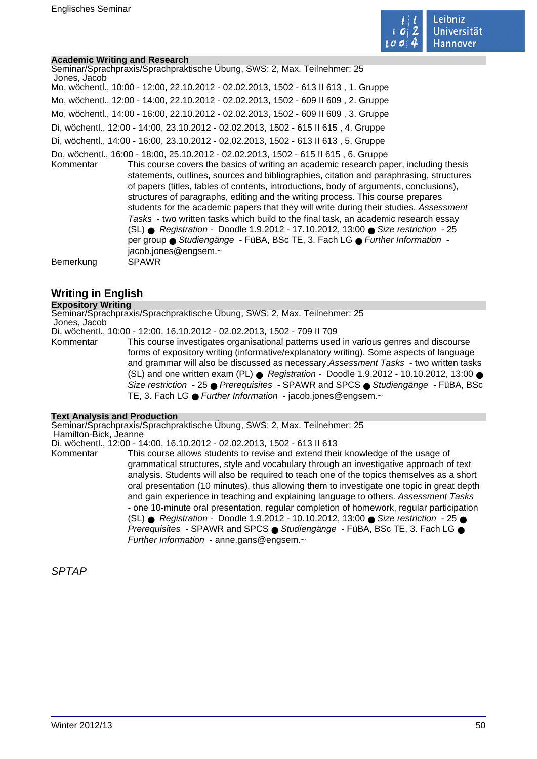

#### **Academic Writing and Research**

| Seminar/Sprachpraxis/Sprachpraktische Übung, SWS: 2, Max. Teilnehmer: 25<br>Jones, Jacob                                                                                                                                                                                                                                                                                                                                                                                                                                                                                                                                                                                                                                                                                                                                                       |
|------------------------------------------------------------------------------------------------------------------------------------------------------------------------------------------------------------------------------------------------------------------------------------------------------------------------------------------------------------------------------------------------------------------------------------------------------------------------------------------------------------------------------------------------------------------------------------------------------------------------------------------------------------------------------------------------------------------------------------------------------------------------------------------------------------------------------------------------|
| Mo, wöchentl., 10:00 - 12:00, 22.10.2012 - 02.02.2013, 1502 - 613 II 613, 1. Gruppe                                                                                                                                                                                                                                                                                                                                                                                                                                                                                                                                                                                                                                                                                                                                                            |
| Mo, wöchentl., 12:00 - 14:00, 22.10.2012 - 02.02.2013, 1502 - 609 II 609, 2. Gruppe                                                                                                                                                                                                                                                                                                                                                                                                                                                                                                                                                                                                                                                                                                                                                            |
| Mo, wöchentl., 14:00 - 16:00, 22.10.2012 - 02.02.2013, 1502 - 609 II 609, 3. Gruppe                                                                                                                                                                                                                                                                                                                                                                                                                                                                                                                                                                                                                                                                                                                                                            |
| Di, wöchentl., 12:00 - 14:00, 23.10.2012 - 02.02.2013, 1502 - 615 II 615, 4. Gruppe                                                                                                                                                                                                                                                                                                                                                                                                                                                                                                                                                                                                                                                                                                                                                            |
| Di, wöchentl., 14:00 - 16:00, 23.10.2012 - 02.02.2013, 1502 - 613 II 613, 5. Gruppe                                                                                                                                                                                                                                                                                                                                                                                                                                                                                                                                                                                                                                                                                                                                                            |
| Do, wöchentl., 16:00 - 18:00, 25.10.2012 - 02.02.2013, 1502 - 615 II 615, 6. Gruppe<br>This course covers the basics of writing an academic research paper, including thesis<br>Kommentar<br>statements, outlines, sources and bibliographies, citation and paraphrasing, structures<br>of papers (titles, tables of contents, introductions, body of arguments, conclusions),<br>structures of paragraphs, editing and the writing process. This course prepares<br>students for the academic papers that they will write during their studies. Assessment<br>Tasks - two written tasks which build to the final task, an academic research essay<br>(SL) ● Registration - Doodle 1.9.2012 - 17.10.2012, 13:00 ● Size restriction - 25<br>per group ● Studiengänge - FüBA, BSc TE, 3. Fach LG ● Further Information -<br>jacob.jones@engsem.~ |
| Bemerkung<br><b>SPAWR</b>                                                                                                                                                                                                                                                                                                                                                                                                                                                                                                                                                                                                                                                                                                                                                                                                                      |

# **Writing in English**

#### **Expository Writing**

Seminar/Sprachpraxis/Sprachpraktische Übung, SWS: 2, Max. Teilnehmer: 25 Jones, Jacob

Di, wöchentl., 10:00 - 12:00, 16.10.2012 - 02.02.2013, 1502 - 709 II 709

Kommentar This course investigates organisational patterns used in various genres and discourse forms of expository writing (informative/explanatory writing). Some aspects of language and grammar will also be discussed as necessary.Assessment Tasks - two written tasks (SL) and one written exam (PL) ● Registration - Doodle 1.9.2012 - 10.10.2012, 13:00 ● Size restriction - 25 ● Prerequisites - SPAWR and SPCS ● Studiengänge - FüBA, BSc TE, 3. Fach LG ● Further Information - jacob.jones@engsem.~

#### **Text Analysis and Production**

Seminar/Sprachpraxis/Sprachpraktische Übung, SWS: 2, Max. Teilnehmer: 25 Hamilton-Bick, Jeanne

Di, wöchentl., 12:00 - 14:00, 16.10.2012 - 02.02.2013, 1502 - 613 II 613

Kommentar This course allows students to revise and extend their knowledge of the usage of grammatical structures, style and vocabulary through an investigative approach of text analysis. Students will also be required to teach one of the topics themselves as a short oral presentation (10 minutes), thus allowing them to investigate one topic in great depth and gain experience in teaching and explaining language to others. Assessment Tasks - one 10-minute oral presentation, regular completion of homework, regular participation (SL) ● Registration - Doodle 1.9.2012 - 10.10.2012, 13:00 ● Size restriction - 25 ● Prerequisites - SPAWR and SPCS ● Studiengänge - FüBA, BSc TE, 3. Fach LG ● Further Information - anne.gans@engsem.~

SPTAP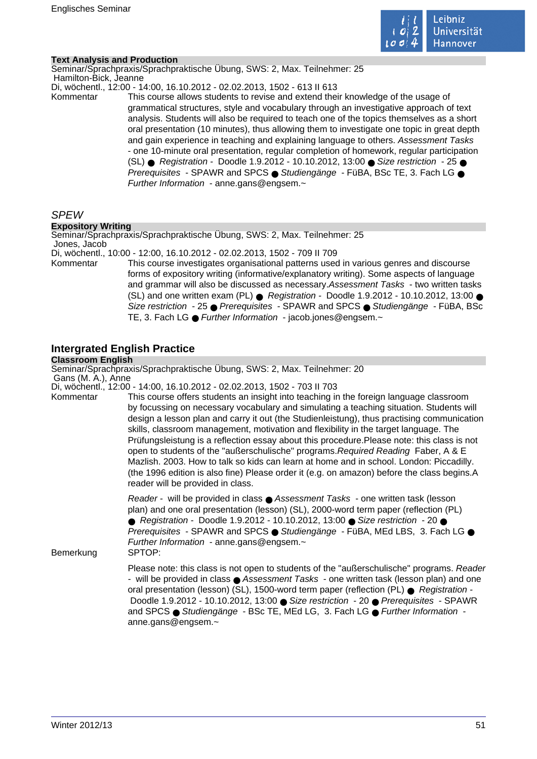

#### **Text Analysis and Production**

Seminar/Sprachpraxis/Sprachpraktische Übung, SWS: 2, Max. Teilnehmer: 25 Hamilton-Bick, Jeanne

Di, wöchentl., 12:00 - 14:00, 16.10.2012 - 02.02.2013, 1502 - 613 II 613

Kommentar This course allows students to revise and extend their knowledge of the usage of grammatical structures, style and vocabulary through an investigative approach of text analysis. Students will also be required to teach one of the topics themselves as a short oral presentation (10 minutes), thus allowing them to investigate one topic in great depth and gain experience in teaching and explaining language to others. Assessment Tasks - one 10-minute oral presentation, regular completion of homework, regular participation (SL) ● Registration - Doodle 1.9.2012 - 10.10.2012, 13:00 ● Size restriction - 25 ● Prerequisites - SPAWR and SPCS ● Studiengänge - FüBA, BSc TE, 3. Fach LG ● Further Information - anne.gans@engsem.~

# SPEW

#### **Expository Writing**

Seminar/Sprachpraxis/Sprachpraktische Übung, SWS: 2, Max. Teilnehmer: 25 Jones, Jacob

Di, wöchentl., 10:00 - 12:00, 16.10.2012 - 02.02.2013, 1502 - 709 II 709

Kommentar This course investigates organisational patterns used in various genres and discourse forms of expository writing (informative/explanatory writing). Some aspects of language and grammar will also be discussed as necessary.Assessment Tasks - two written tasks (SL) and one written exam (PL)  $\bullet$  Registration - Doodle 1.9.2012 - 10.10.2012, 13:00  $\bullet$ Size restriction - 25 ● Prerequisites - SPAWR and SPCS ● Studiengänge - FüBA, BSc TE, 3. Fach LG ● Further Information - jacob.jones@engsem.~

# **Intergrated English Practice**

### **Classroom English**

Seminar/Sprachpraxis/Sprachpraktische Übung, SWS: 2, Max. Teilnehmer: 20 Gans (M. A.), Anne

Di, wöchentl., 12:00 - 14:00, 16.10.2012 - 02.02.2013, 1502 - 703 II 703

Kommentar This course offers students an insight into teaching in the foreign language classroom by focussing on necessary vocabulary and simulating a teaching situation. Students will design a lesson plan and carry it out (the Studienleistung), thus practising communication skills, classroom management, motivation and flexibility in the target language. The Prüfungsleistung is a reflection essay about this procedure.Please note: this class is not open to students of the "außerschulische" programs.Required Reading Faber, A & E Mazlish. 2003. How to talk so kids can learn at home and in school. London: Piccadilly. (the 1996 edition is also fine) Please order it (e.g. on amazon) before the class begins.A reader will be provided in class.

> Reader - will be provided in class ● Assessment Tasks - one written task (lesson plan) and one oral presentation (lesson) (SL), 2000-word term paper (reflection (PL) ● Registration - Doodle 1.9.2012 - 10.10.2012, 13:00 ● Size restriction - 20 ● Prerequisites - SPAWR and SPCS ● Studiengänge - FüBA, MEd LBS, 3. Fach LG ● Further Information - anne.gans@engsem.~

Bemerkung SPTOP:

Please note: this class is not open to students of the "außerschulische" programs. Reader - will be provided in class ● Assessment Tasks - one written task (lesson plan) and one oral presentation (lesson) (SL), 1500-word term paper (reflection (PL) ● Registration - Doodle 1.9.2012 - 10.10.2012, 13:00 ● Size restriction - 20 ● Prerequisites - SPAWR and SPCS ● Studiengänge - BSc TE, MEd LG, 3. Fach LG ● Further Information anne.gans@engsem.~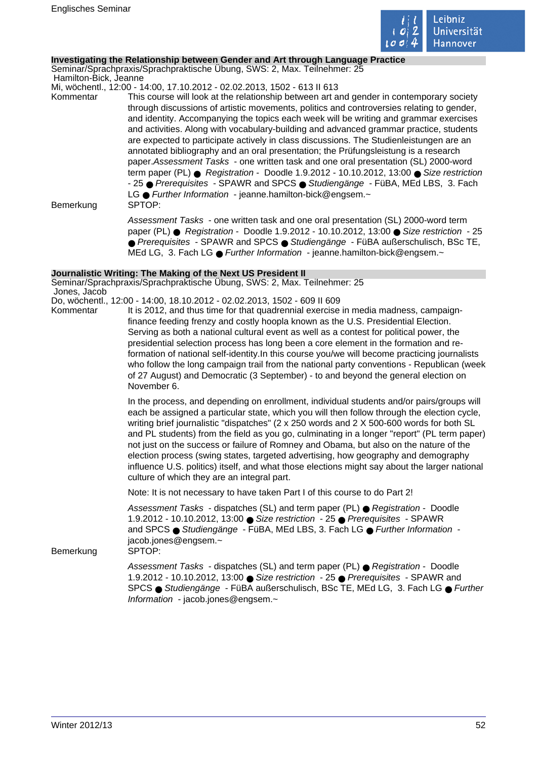

#### **Investigating the Relationship between Gender and Art through Language Practice**

Seminar/Sprachpraxis/Sprachpraktische Übung, SWS: 2, Max. Teilnehmer: 25 Hamilton-Bick, Jeanne

Mi, wöchentl., 12:00 - 14:00, 17.10.2012 - 02.02.2013, 1502 - 613 II 613

Kommentar This course will look at the relationship between art and gender in contemporary society through discussions of artistic movements, politics and controversies relating to gender, and identity. Accompanying the topics each week will be writing and grammar exercises and activities. Along with vocabulary-building and advanced grammar practice, students are expected to participate actively in class discussions. The Studienleistungen are an annotated bibliography and an oral presentation; the Prüfungsleistung is a research paper.Assessment Tasks - one written task and one oral presentation (SL) 2000-word term paper (PL) ● Registration - Doodle 1.9.2012 - 10.10.2012, 13:00 ● Size restriction - 25 ● Prerequisites - SPAWR and SPCS ● Studiengänge - FüBA, MEd LBS, 3. Fach LG ● Further Information - jeanne.hamilton-bick@engsem.~ Bemerkung SPTOP:

Assessment Tasks - one written task and one oral presentation (SL) 2000-word term paper (PL) ● Registration - Doodle 1.9.2012 - 10.10.2012, 13:00 ● Size restriction - 25 ● Prerequisites - SPAWR and SPCS ● Studiengänge - FüBA außerschulisch, BSc TE, MEd LG, 3. Fach LG ● Further Information - jeanne.hamilton-bick@engsem.~

#### **Journalistic Writing: The Making of the Next US President II**

Seminar/Sprachpraxis/Sprachpraktische Übung, SWS: 2, Max. Teilnehmer: 25 Jones, Jacob

- Do, wöchentl., 12:00 14:00, 18.10.2012 02.02.2013, 1502 609 II 609
- Kommentar It is 2012, and thus time for that quadrennial exercise in media madness, campaignfinance feeding frenzy and costly hoopla known as the U.S. Presidential Election. Serving as both a national cultural event as well as a contest for political power, the presidential selection process has long been a core element in the formation and reformation of national self-identity.In this course you/we will become practicing journalists who follow the long campaign trail from the national party conventions - Republican (week of 27 August) and Democratic (3 September) - to and beyond the general election on November 6.

In the process, and depending on enrollment, individual students and/or pairs/groups will each be assigned a particular state, which you will then follow through the election cycle, writing brief journalistic "dispatches" (2 x 250 words and 2 X 500-600 words for both SL and PL students) from the field as you go, culminating in a longer "report" (PL term paper) not just on the success or failure of Romney and Obama, but also on the nature of the election process (swing states, targeted advertising, how geography and demography influence U.S. politics) itself, and what those elections might say about the larger national culture of which they are an integral part.

Note: It is not necessary to have taken Part I of this course to do Part 2!

Assessment Tasks - dispatches (SL) and term paper (PL) ● Registration - Doodle 1.9.2012 - 10.10.2012, 13:00 ● Size restriction - 25 ● Prerequisites - SPAWR and SPCS ● Studiengänge - FüBA, MEd LBS, 3. Fach LG ● Further Information jacob.jones@engsem.~

Bemerkung SPTOP:

Assessment Tasks - dispatches (SL) and term paper (PL) ● Registration - Doodle 1.9.2012 - 10.10.2012, 13:00 ● Size restriction - 25 ● Prerequisites - SPAWR and SPCS ● Studiengänge - FüBA außerschulisch, BSc TE, MEd LG, 3. Fach LG ● Further Information - jacob.jones@engsem.~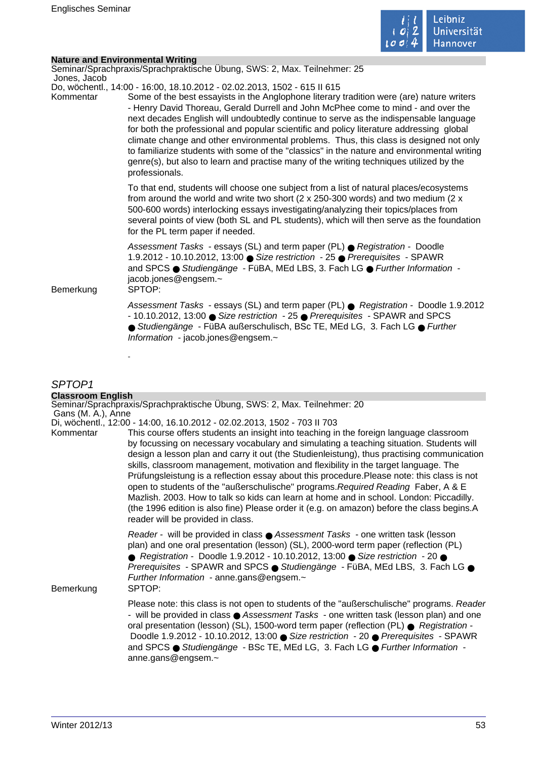

 $\mathcal{L}_{\mathcal{A}}$ 

## **Nature and Environmental Writing**

| Jones, Jacob | Seminar/Sprachpraxis/Sprachpraktische Übung, SWS: 2, Max. Teilnehmer: 25                                                                                                                                                                                                                                                                                                                                                                                                                                                                                                                                                                                                                                                                              |
|--------------|-------------------------------------------------------------------------------------------------------------------------------------------------------------------------------------------------------------------------------------------------------------------------------------------------------------------------------------------------------------------------------------------------------------------------------------------------------------------------------------------------------------------------------------------------------------------------------------------------------------------------------------------------------------------------------------------------------------------------------------------------------|
| Kommentar    | Do, wöchentl., 14:00 - 16:00, 18.10.2012 - 02.02.2013, 1502 - 615 II 615<br>Some of the best essayists in the Anglophone literary tradition were (are) nature writers<br>- Henry David Thoreau, Gerald Durrell and John McPhee come to mind - and over the<br>next decades English will undoubtedly continue to serve as the indispensable language<br>for both the professional and popular scientific and policy literature addressing global<br>climate change and other environmental problems. Thus, this class is designed not only<br>to familiarize students with some of the "classics" in the nature and environmental writing<br>genre(s), but also to learn and practise many of the writing techniques utilized by the<br>professionals. |
|              | To that end, students will choose one subject from a list of natural places/ecosystems<br>from around the world and write two short ( $2 \times 250-300$ words) and two medium ( $2 \times$<br>500-600 words) interlocking essays investigating/analyzing their topics/places from<br>several points of view (both SL and PL students), which will then serve as the foundation<br>for the PL term paper if needed.                                                                                                                                                                                                                                                                                                                                   |
| Bemerkung    | Assessment Tasks - essays (SL) and term paper (PL) ● Registration - Doodle<br>1.9.2012 - 10.10.2012, 13:00 ● Size restriction - 25 ● Prerequisites - SPAWR<br>and SPCS · Studiengänge - FüBA, MEd LBS, 3. Fach LG · Further Information -<br>jacob.jones@engsem.~<br>SPTOP:                                                                                                                                                                                                                                                                                                                                                                                                                                                                           |
|              | Assessment Tasks - essays (SL) and term paper (PL) ● Registration - Doodle 1.9.2012<br>- 10.10.2012, 13:00 ● Size restriction - 25 ● Prerequisites - SPAWR and SPCS<br>● Studiengänge - FüBA außerschulisch, BSc TE, MEd LG, 3. Fach LG ● Further<br>Information - jacob.jones@engsem.~                                                                                                                                                                                                                                                                                                                                                                                                                                                               |
|              |                                                                                                                                                                                                                                                                                                                                                                                                                                                                                                                                                                                                                                                                                                                                                       |

# SPTOP1

| <b>Classroom English</b> |                                                                                                                                                                                                                                                                                                                                                                                                                                                                                                                                                                                                                                                                                                                                                                                           |
|--------------------------|-------------------------------------------------------------------------------------------------------------------------------------------------------------------------------------------------------------------------------------------------------------------------------------------------------------------------------------------------------------------------------------------------------------------------------------------------------------------------------------------------------------------------------------------------------------------------------------------------------------------------------------------------------------------------------------------------------------------------------------------------------------------------------------------|
| Gans (M. A.), Anne       | Seminar/Sprachpraxis/Sprachpraktische Übung, SWS: 2, Max. Teilnehmer: 20                                                                                                                                                                                                                                                                                                                                                                                                                                                                                                                                                                                                                                                                                                                  |
|                          | Di, wöchentl., 12:00 - 14:00, 16.10.2012 - 02.02.2013, 1502 - 703 II 703                                                                                                                                                                                                                                                                                                                                                                                                                                                                                                                                                                                                                                                                                                                  |
| Kommentar                | This course offers students an insight into teaching in the foreign language classroom<br>by focussing on necessary vocabulary and simulating a teaching situation. Students will<br>design a lesson plan and carry it out (the Studienleistung), thus practising communication<br>skills, classroom management, motivation and flexibility in the target language. The<br>Prüfungsleistung is a reflection essay about this procedure. Please note: this class is not<br>open to students of the "außerschulische" programs. Required Reading Faber, A & E<br>Mazlish. 2003. How to talk so kids can learn at home and in school. London: Piccadilly.<br>(the 1996 edition is also fine) Please order it (e.g. on amazon) before the class begins.A<br>reader will be provided in class. |
| Bemerkung                | Reader - will be provided in class ● Assessment Tasks - one written task (lesson<br>plan) and one oral presentation (lesson) (SL), 2000-word term paper (reflection (PL)<br>● Registration - Doodle 1.9.2012 - 10.10.2012, 13:00 ● Size restriction - 20 ●<br>Prerequisites - SPAWR and SPCS · Studiengänge - FüBA, MEd LBS, 3. Fach LG ·<br>Further Information - anne.gans@engsem.~<br>SPTOP:                                                                                                                                                                                                                                                                                                                                                                                           |
|                          | Please note: this class is not open to students of the "außerschulische" programs. Reader<br>- will be provided in class $\bullet$ Assessment Tasks - one written task (lesson plan) and one<br>oral presentation (lesson) (SL), 1500-word term paper (reflection (PL) · Registration -<br>Doodle 1.9.2012 - 10.10.2012, 13:00 ● Size restriction - 20 ● Prerequisites - SPAWR<br>and SPCS ● Studiengänge - BSc TE, MEd LG, 3. Fach LG ● Further Information -<br>anne.gans@engsem.~                                                                                                                                                                                                                                                                                                      |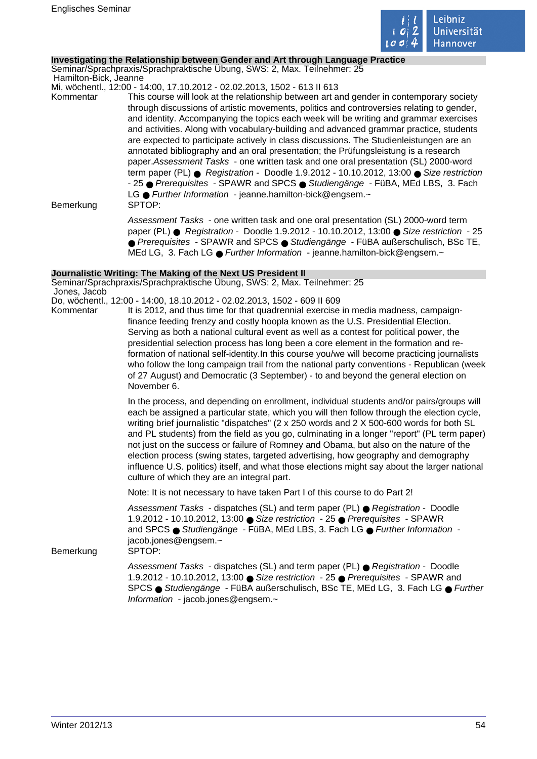

#### **Investigating the Relationship between Gender and Art through Language Practice**

Seminar/Sprachpraxis/Sprachpraktische Übung, SWS: 2, Max. Teilnehmer: 25 Hamilton-Bick, Jeanne

Mi, wöchentl., 12:00 - 14:00, 17.10.2012 - 02.02.2013, 1502 - 613 II 613

Kommentar This course will look at the relationship between art and gender in contemporary society through discussions of artistic movements, politics and controversies relating to gender, and identity. Accompanying the topics each week will be writing and grammar exercises and activities. Along with vocabulary-building and advanced grammar practice, students are expected to participate actively in class discussions. The Studienleistungen are an annotated bibliography and an oral presentation; the Prüfungsleistung is a research paper.Assessment Tasks - one written task and one oral presentation (SL) 2000-word term paper (PL) ● Registration - Doodle 1.9.2012 - 10.10.2012, 13:00 ● Size restriction - 25 ● Prerequisites - SPAWR and SPCS ● Studiengänge - FüBA, MEd LBS, 3. Fach LG ● Further Information - jeanne.hamilton-bick@engsem.~ Bemerkung SPTOP:

Assessment Tasks - one written task and one oral presentation (SL) 2000-word term paper (PL) ● Registration - Doodle 1.9.2012 - 10.10.2012, 13:00 ● Size restriction - 25 ● Prerequisites - SPAWR and SPCS ● Studiengänge - FüBA außerschulisch, BSc TE, MEd LG, 3. Fach LG ● Further Information - jeanne.hamilton-bick@engsem.~

#### **Journalistic Writing: The Making of the Next US President II**

Seminar/Sprachpraxis/Sprachpraktische Übung, SWS: 2, Max. Teilnehmer: 25 Jones, Jacob

- Do, wöchentl., 12:00 14:00, 18.10.2012 02.02.2013, 1502 609 II 609
- Kommentar It is 2012, and thus time for that quadrennial exercise in media madness, campaignfinance feeding frenzy and costly hoopla known as the U.S. Presidential Election. Serving as both a national cultural event as well as a contest for political power, the presidential selection process has long been a core element in the formation and reformation of national self-identity.In this course you/we will become practicing journalists who follow the long campaign trail from the national party conventions - Republican (week of 27 August) and Democratic (3 September) - to and beyond the general election on November 6.

In the process, and depending on enrollment, individual students and/or pairs/groups will each be assigned a particular state, which you will then follow through the election cycle, writing brief journalistic "dispatches" (2 x 250 words and 2 X 500-600 words for both SL and PL students) from the field as you go, culminating in a longer "report" (PL term paper) not just on the success or failure of Romney and Obama, but also on the nature of the election process (swing states, targeted advertising, how geography and demography influence U.S. politics) itself, and what those elections might say about the larger national culture of which they are an integral part.

Note: It is not necessary to have taken Part I of this course to do Part 2!

Assessment Tasks - dispatches (SL) and term paper (PL) ● Registration - Doodle 1.9.2012 - 10.10.2012, 13:00 ● Size restriction - 25 ● Prerequisites - SPAWR and SPCS ● Studiengänge - FüBA, MEd LBS, 3. Fach LG ● Further Information jacob.jones@engsem.~

Bemerkung SPTOP:

Assessment Tasks - dispatches (SL) and term paper (PL) ● Registration - Doodle 1.9.2012 - 10.10.2012, 13:00 ● Size restriction - 25 ● Prerequisites - SPAWR and SPCS ● Studiengänge - FüBA außerschulisch, BSc TE, MEd LG, 3. Fach LG ● Further Information - jacob.jones@engsem.~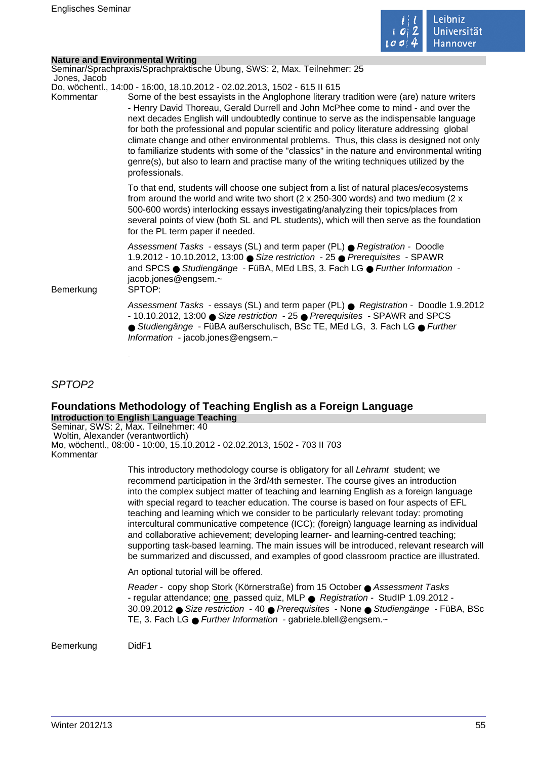**Nature and Environmental Writing**



| Nature and Environmental Willing |                                                                                                                                                                                                                                                                                                                                                                                                                                                                                                                                                                                                                                                                                                                                                       |
|----------------------------------|-------------------------------------------------------------------------------------------------------------------------------------------------------------------------------------------------------------------------------------------------------------------------------------------------------------------------------------------------------------------------------------------------------------------------------------------------------------------------------------------------------------------------------------------------------------------------------------------------------------------------------------------------------------------------------------------------------------------------------------------------------|
|                                  | Seminar/Sprachpraxis/Sprachpraktische Übung, SWS: 2, Max. Teilnehmer: 25                                                                                                                                                                                                                                                                                                                                                                                                                                                                                                                                                                                                                                                                              |
| Jones, Jacob                     |                                                                                                                                                                                                                                                                                                                                                                                                                                                                                                                                                                                                                                                                                                                                                       |
| Kommentar                        | Do, wöchentl., 14:00 - 16:00, 18.10.2012 - 02.02.2013, 1502 - 615 II 615<br>Some of the best essayists in the Anglophone literary tradition were (are) nature writers<br>- Henry David Thoreau, Gerald Durrell and John McPhee come to mind - and over the<br>next decades English will undoubtedly continue to serve as the indispensable language<br>for both the professional and popular scientific and policy literature addressing global<br>climate change and other environmental problems. Thus, this class is designed not only<br>to familiarize students with some of the "classics" in the nature and environmental writing<br>genre(s), but also to learn and practise many of the writing techniques utilized by the<br>professionals. |
|                                  | To that end, students will choose one subject from a list of natural places/ecosystems<br>from around the world and write two short ( $2 \times 250-300$ words) and two medium ( $2 \times$<br>500-600 words) interlocking essays investigating/analyzing their topics/places from<br>several points of view (both SL and PL students), which will then serve as the foundation<br>for the PL term paper if needed.                                                                                                                                                                                                                                                                                                                                   |
| Bemerkung                        | Assessment Tasks - essays (SL) and term paper (PL) ● Registration - Doodle<br>1.9.2012 - 10.10.2012, 13:00 ● Size restriction - 25 ● Prerequisites - SPAWR<br>and SPCS ● Studiengänge - FüBA, MEd LBS, 3. Fach LG ● Further Information -<br>jacob.jones@engsem.~<br>SPTOP:                                                                                                                                                                                                                                                                                                                                                                                                                                                                           |
|                                  | Assessment Tasks - essays (SL) and term paper (PL) ● Registration - Doodle 1.9.2012<br>- 10.10.2012, 13:00 ● Size restriction - 25 ● Prerequisites - SPAWR and SPCS<br>● Studiengänge - FüBA außerschulisch, BSc TE, MEd LG, 3. Fach LG ● Further<br>Information - jacob.jones@engsem.~                                                                                                                                                                                                                                                                                                                                                                                                                                                               |

SPTOP2

#### **Foundations Methodology of Teaching English as a Foreign Language Introduction to English Language Teaching**

Seminar, SWS: 2, Max. Teilnehmer: 40 Woltin, Alexander (verantwortlich) Mo, wöchentl., 08:00 - 10:00, 15.10.2012 - 02.02.2013, 1502 - 703 II 703 Kommentar

> This introductory methodology course is obligatory for all Lehramt student; we recommend participation in the 3rd/4th semester. The course gives an introduction into the complex subject matter of teaching and learning English as a foreign language with special regard to teacher education. The course is based on four aspects of EFL teaching and learning which we consider to be particularly relevant today: promoting intercultural communicative competence (ICC); (foreign) language learning as individual and collaborative achievement; developing learner- and learning-centred teaching; supporting task-based learning. The main issues will be introduced, relevant research will be summarized and discussed, and examples of good classroom practice are illustrated.

An optional tutorial will be offered.

Reader - copy shop Stork (Körnerstraße) from 15 October ● Assessment Tasks - regular attendance; one passed quiz, MLP ● Registration - StudIP 1.09.2012 - 30.09.2012 ● Size restriction - 40 ● Prerequisites - None ● Studiengänge - FüBA, BSc TE, 3. Fach LG ● Further Information - gabriele.blell@engsem.~

Bemerkung DidF1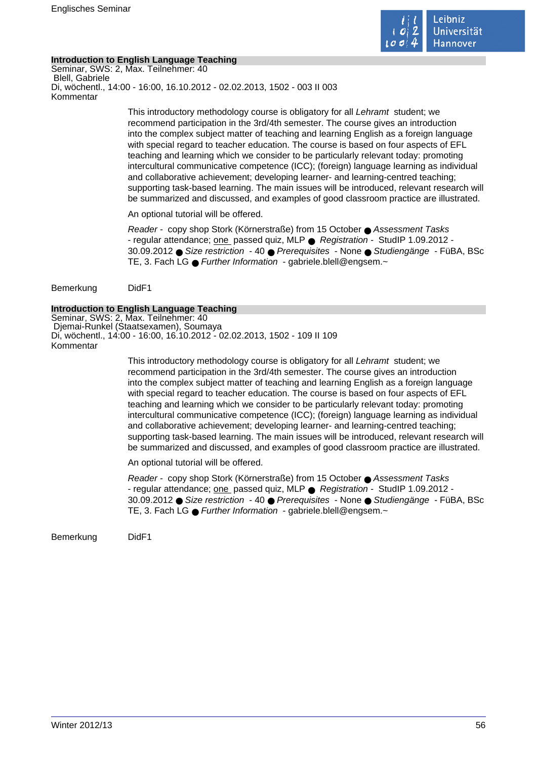

#### **Introduction to English Language Teaching**

Seminar, SWS: 2, Max. Teilnehmer: 40 Blell, Gabriele Di, wöchentl., 14:00 - 16:00, 16.10.2012 - 02.02.2013, 1502 - 003 II 003 Kommentar

> This introductory methodology course is obligatory for all Lehramt student; we recommend participation in the 3rd/4th semester. The course gives an introduction into the complex subject matter of teaching and learning English as a foreign language with special regard to teacher education. The course is based on four aspects of EFL teaching and learning which we consider to be particularly relevant today: promoting intercultural communicative competence (ICC); (foreign) language learning as individual and collaborative achievement; developing learner- and learning-centred teaching; supporting task-based learning. The main issues will be introduced, relevant research will be summarized and discussed, and examples of good classroom practice are illustrated.

An optional tutorial will be offered.

Reader - copy shop Stork (Körnerstraße) from 15 October ● Assessment Tasks - regular attendance; one passed quiz, MLP ● Registration - StudIP 1.09.2012 - 30.09.2012 ● Size restriction - 40 ● Prerequisites - None ● Studiengänge - FüBA, BSc TE, 3. Fach LG ● Further Information - gabriele.blell@engsem.~

Bemerkung DidF1

#### **Introduction to English Language Teaching**

Seminar, SWS: 2, Max. Teilnehmer: 40 Djemai-Runkel (Staatsexamen), Soumaya Di, wöchentl., 14:00 - 16:00, 16.10.2012 - 02.02.2013, 1502 - 109 II 109 Kommentar

> This introductory methodology course is obligatory for all Lehramt student; we recommend participation in the 3rd/4th semester. The course gives an introduction into the complex subject matter of teaching and learning English as a foreign language with special regard to teacher education. The course is based on four aspects of EFL teaching and learning which we consider to be particularly relevant today: promoting intercultural communicative competence (ICC); (foreign) language learning as individual and collaborative achievement; developing learner- and learning-centred teaching; supporting task-based learning. The main issues will be introduced, relevant research will be summarized and discussed, and examples of good classroom practice are illustrated.

An optional tutorial will be offered.

Reader - copy shop Stork (Körnerstraße) from 15 October ● Assessment Tasks - regular attendance; one passed quiz, MLP ● Registration - StudIP 1.09.2012 - 30.09.2012 ● Size restriction - 40 ● Prerequisites - None ● Studiengänge - FüBA, BSc TE, 3. Fach LG ● Further Information - gabriele.blell@engsem.~

Bemerkung DidF1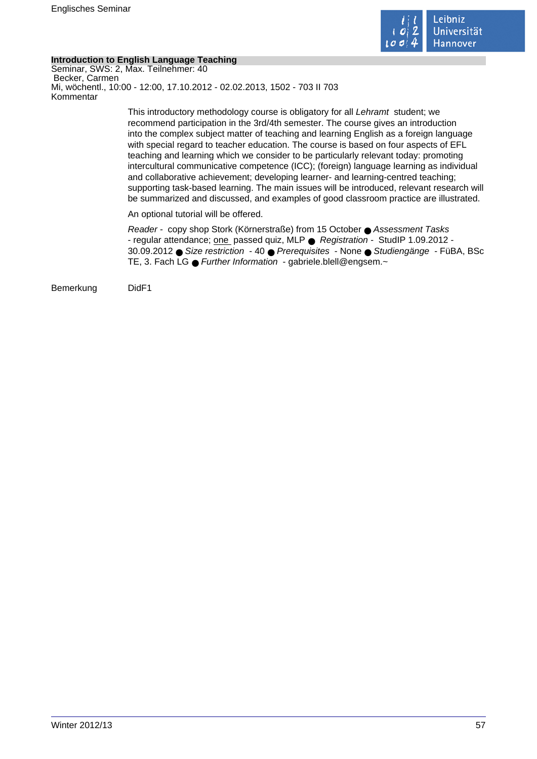

### **Introduction to English Language Teaching**

Seminar, SWS: 2, Max. Teilnehmer: 40 Becker, Carmen Mi, wöchentl., 10:00 - 12:00, 17.10.2012 - 02.02.2013, 1502 - 703 II 703 Kommentar

> This introductory methodology course is obligatory for all Lehramt student; we recommend participation in the 3rd/4th semester. The course gives an introduction into the complex subject matter of teaching and learning English as a foreign language with special regard to teacher education. The course is based on four aspects of EFL teaching and learning which we consider to be particularly relevant today: promoting intercultural communicative competence (ICC); (foreign) language learning as individual and collaborative achievement; developing learner- and learning-centred teaching; supporting task-based learning. The main issues will be introduced, relevant research will be summarized and discussed, and examples of good classroom practice are illustrated.

An optional tutorial will be offered.

Reader - copy shop Stork (Körnerstraße) from 15 October ● Assessment Tasks - regular attendance; one passed quiz, MLP ● Registration - StudIP 1.09.2012 - 30.09.2012 ● Size restriction - 40 ● Prerequisites - None ● Studiengänge - FüBA, BSc TE, 3. Fach LG ● Further Information - gabriele.blell@engsem.~

Bemerkung DidF1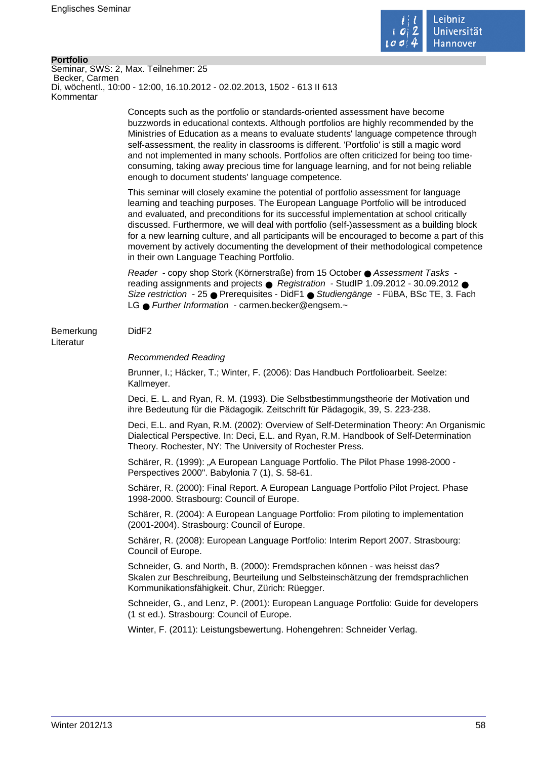

#### **Portfolio**

Seminar, SWS: 2, Max. Teilnehmer: 25 Becker, Carmen Di, wöchentl., 10:00 - 12:00, 16.10.2012 - 02.02.2013, 1502 - 613 II 613 Kommentar

> Concepts such as the portfolio or standards-oriented assessment have become buzzwords in educational contexts. Although portfolios are highly recommended by the Ministries of Education as a means to evaluate students' language competence through self-assessment, the reality in classrooms is different. 'Portfolio' is still a magic word and not implemented in many schools. Portfolios are often criticized for being too timeconsuming, taking away precious time for language learning, and for not being reliable enough to document students' language competence.

This seminar will closely examine the potential of portfolio assessment for language learning and teaching purposes. The European Language Portfolio will be introduced and evaluated, and preconditions for its successful implementation at school critically discussed. Furthermore, we will deal with portfolio (self-)assessment as a building block for a new learning culture, and all participants will be encouraged to become a part of this movement by actively documenting the development of their methodological competence in their own Language Teaching Portfolio.

Reader - copy shop Stork (Körnerstraße) from 15 October ● Assessment Tasks reading assignments and projects ● Registration - StudIP 1.09.2012 - 30.09.2012 ● Size restriction - 25 ● Prerequisites - DidF1 ● Studiengänge - FüBA, BSc TE, 3. Fach LG ● Further Information - carmen.becker@engsem.~

#### Bemerkung DidF2

Literatur

#### Recommended Reading

Brunner, I.; Häcker, T.; Winter, F. (2006): Das Handbuch Portfolioarbeit. Seelze: Kallmeyer.

Deci, E. L. and Ryan, R. M. (1993). Die Selbstbestimmungstheorie der Motivation und ihre Bedeutung für die Pädagogik. Zeitschrift für Pädagogik, 39, S. 223-238.

Deci, E.L. and Ryan, R.M. (2002): Overview of Self-Determination Theory: An Organismic Dialectical Perspective. In: Deci, E.L. and Ryan, R.M. Handbook of Self-Determination Theory. Rochester, NY: The University of Rochester Press.

Schärer, R. (1999): "A European Language Portfolio. The Pilot Phase 1998-2000 -Perspectives 2000". Babylonia 7 (1), S. 58-61.

Schärer, R. (2000): Final Report. A European Language Portfolio Pilot Project. Phase 1998-2000. Strasbourg: Council of Europe.

Schärer, R. (2004): A European Language Portfolio: From piloting to implementation (2001-2004). Strasbourg: Council of Europe.

Schärer, R. (2008): European Language Portfolio: Interim Report 2007. Strasbourg: Council of Europe.

Schneider, G. and North, B. (2000): Fremdsprachen können - was heisst das? Skalen zur Beschreibung, Beurteilung und Selbsteinschätzung der fremdsprachlichen Kommunikationsfähigkeit. Chur, Zürich: Rüegger.

Schneider, G., and Lenz, P. (2001): European Language Portfolio: Guide for developers (1 st ed.). Strasbourg: Council of Europe.

Winter, F. (2011): Leistungsbewertung. Hohengehren: Schneider Verlag.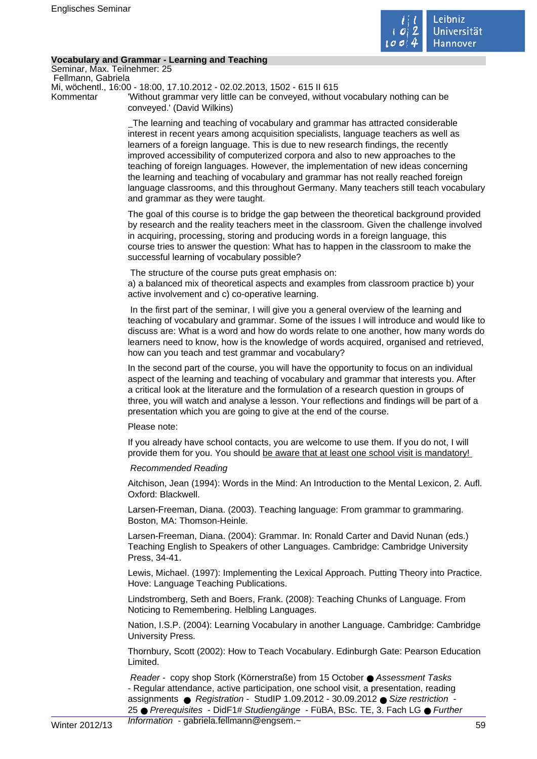

#### **Vocabulary and Grammar - Learning and Teaching**

Seminar, Max. Teilnehmer: 25 Fellmann, Gabriela

Mi, wöchentl., 16:00 - 18:00, 17.10.2012 - 02.02.2013, 1502 - 615 II 615

Kommentar 'Without grammar very little can be conveyed, without vocabulary nothing can be conveyed.' (David Wilkins)

> The learning and teaching of vocabulary and grammar has attracted considerable interest in recent years among acquisition specialists, language teachers as well as learners of a foreign language. This is due to new research findings, the recently improved accessibility of computerized corpora and also to new approaches to the teaching of foreign languages. However, the implementation of new ideas concerning the learning and teaching of vocabulary and grammar has not really reached foreign language classrooms, and this throughout Germany. Many teachers still teach vocabulary and grammar as they were taught.

> The goal of this course is to bridge the gap between the theoretical background provided by research and the reality teachers meet in the classroom. Given the challenge involved in acquiring, processing, storing and producing words in a foreign language, this course tries to answer the question: What has to happen in the classroom to make the successful learning of vocabulary possible?

The structure of the course puts great emphasis on:

a) a balanced mix of theoretical aspects and examples from classroom practice b) your active involvement and c) co-operative learning.

 In the first part of the seminar, I will give you a general overview of the learning and teaching of vocabulary and grammar. Some of the issues I will introduce and would like to discuss are: What is a word and how do words relate to one another, how many words do learners need to know, how is the knowledge of words acquired, organised and retrieved, how can you teach and test grammar and vocabulary?

In the second part of the course, you will have the opportunity to focus on an individual aspect of the learning and teaching of vocabulary and grammar that interests you. After a critical look at the literature and the formulation of a research question in groups of three, you will watch and analyse a lesson. Your reflections and findings will be part of a presentation which you are going to give at the end of the course.

#### Please note:

If you already have school contacts, you are welcome to use them. If you do not, I will provide them for you. You should be aware that at least one school visit is mandatory!

#### Recommended Reading

Aitchison, Jean (1994): Words in the Mind: An Introduction to the Mental Lexicon, 2. Aufl. Oxford: Blackwell.

Larsen-Freeman, Diana. (2003). Teaching language: From grammar to grammaring. Boston, MA: Thomson-Heinle.

Larsen-Freeman, Diana. (2004): Grammar. In: Ronald Carter and David Nunan (eds.) Teaching English to Speakers of other Languages. Cambridge: Cambridge University Press, 34-41.

Lewis, Michael. (1997): Implementing the Lexical Approach. Putting Theory into Practice. Hove: Language Teaching Publications.

Lindstromberg, Seth and Boers, Frank. (2008): Teaching Chunks of Language. From Noticing to Remembering. Helbling Languages.

Nation, I.S.P. (2004): Learning Vocabulary in another Language. Cambridge: Cambridge University Press.

Thornbury, Scott (2002): How to Teach Vocabulary. Edinburgh Gate: Pearson Education Limited.

Reader - copy shop Stork (Körnerstraße) from 15 October ● Assessment Tasks - Regular attendance, active participation, one school visit, a presentation, reading assignments ● Registration - StudIP 1.09.2012 - 30.09.2012 ● Size restriction 25 ● Prerequisites - DidF1# Studiengänge - FüBA, BSc. TE, 3. Fach LG ● Further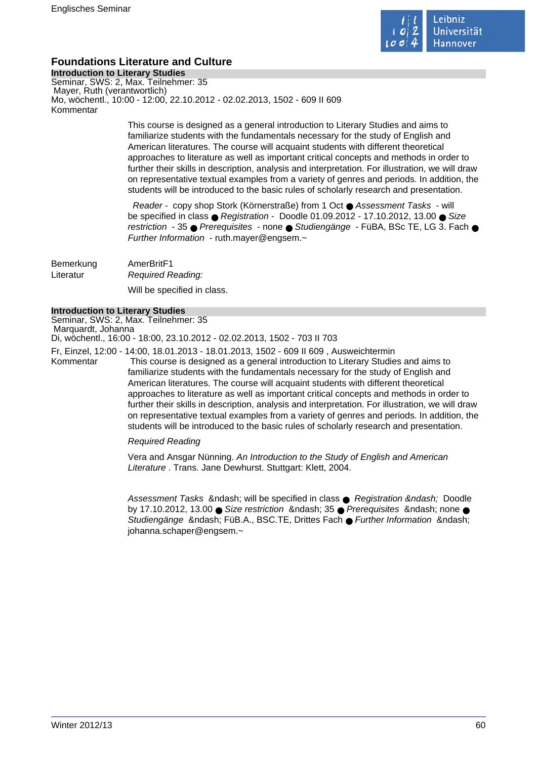

# **Foundations Literature and Culture**

**Introduction to Literary Studies** Seminar, SWS: 2, Max. Teilnehmer: 35 Mayer, Ruth (verantwortlich) Mo, wöchentl., 10:00 - 12:00, 22.10.2012 - 02.02.2013, 1502 - 609 II 609 Kommentar

> This course is designed as a general introduction to Literary Studies and aims to familiarize students with the fundamentals necessary for the study of English and American literatures. The course will acquaint students with different theoretical approaches to literature as well as important critical concepts and methods in order to further their skills in description, analysis and interpretation. For illustration, we will draw on representative textual examples from a variety of genres and periods. In addition, the students will be introduced to the basic rules of scholarly research and presentation.

> Reader - copy shop Stork (Körnerstraße) from 1 Oct ● Assessment Tasks - will be specified in class  $\bullet$  Registration - Doodle 01.09.2012 - 17.10.2012, 13.00  $\bullet$  Size restriction - 35 ● Prerequisites - none ● Studiengänge - FüBA, BSc TE, LG 3. Fach ● Further Information - ruth.mayer@engsem.~

Bemerkung AmerBritF1 Literatur Required Reading:

Will be specified in class.

#### **Introduction to Literary Studies**

Seminar, SWS: 2, Max. Teilnehmer: 35 Marquardt, Johanna Di, wöchentl., 16:00 - 18:00, 23.10.2012 - 02.02.2013, 1502 - 703 II 703

Fr, Einzel, 12:00 - 14:00, 18.01.2013 - 18.01.2013, 1502 - 609 II 609 , Ausweichtermin

Kommentar This course is designed as a general introduction to Literary Studies and aims to familiarize students with the fundamentals necessary for the study of English and American literatures. The course will acquaint students with different theoretical approaches to literature as well as important critical concepts and methods in order to further their skills in description, analysis and interpretation. For illustration, we will draw on representative textual examples from a variety of genres and periods. In addition, the students will be introduced to the basic rules of scholarly research and presentation.

#### Required Reading

Vera and Ansgar Nünning. An Introduction to the Study of English and American Literature . Trans. Jane Dewhurst. Stuttgart: Klett, 2004.

Assessment Tasks – will be specified in class ● Registration – Doodle by 17.10.2012, 13.00  $\bullet$  Size restriction & ndash; 35  $\bullet$  Prerequisites & ndash; none  $\bullet$ Studiengänge – FüB.A., BSC.TE, Drittes Fach ● Further Information – johanna.schaper@engsem.~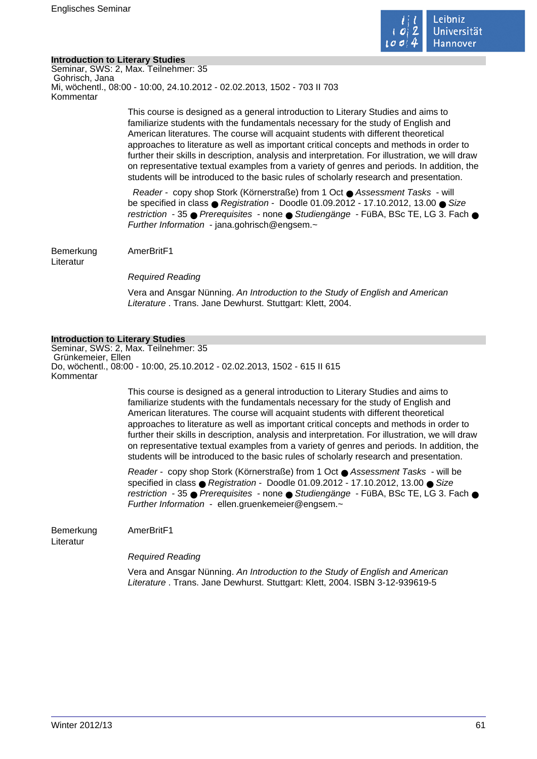

#### **Introduction to Literary Studies**

Seminar, SWS: 2, Max. Teilnehmer: 35 Gohrisch, Jana Mi, wöchentl., 08:00 - 10:00, 24.10.2012 - 02.02.2013, 1502 - 703 II 703 Kommentar

> This course is designed as a general introduction to Literary Studies and aims to familiarize students with the fundamentals necessary for the study of English and American literatures. The course will acquaint students with different theoretical approaches to literature as well as important critical concepts and methods in order to further their skills in description, analysis and interpretation. For illustration, we will draw on representative textual examples from a variety of genres and periods. In addition, the students will be introduced to the basic rules of scholarly research and presentation.

> Reader - copy shop Stork (Körnerstraße) from 1 Oct ● Assessment Tasks - will be specified in class  $\bullet$  Registration - Doodle 01.09.2012 - 17.10.2012, 13.00  $\bullet$  Size restriction - 35 ● Prerequisites - none ● Studiengänge - FüBA, BSc TE, LG 3, Fach ● Further Information - jana.gohrisch@engsem. $\sim$

Bemerkung AmerBritF1

Literatur

Required Reading

Vera and Ansgar Nünning. An Introduction to the Study of English and American Literature . Trans. Jane Dewhurst. Stuttgart: Klett. 2004.

#### **Introduction to Literary Studies**

Seminar, SWS: 2, Max. Teilnehmer: 35 Grünkemeier, Ellen Do, wöchentl., 08:00 - 10:00, 25.10.2012 - 02.02.2013, 1502 - 615 II 615 Kommentar

> This course is designed as a general introduction to Literary Studies and aims to familiarize students with the fundamentals necessary for the study of English and American literatures. The course will acquaint students with different theoretical approaches to literature as well as important critical concepts and methods in order to further their skills in description, analysis and interpretation. For illustration, we will draw on representative textual examples from a variety of genres and periods. In addition, the students will be introduced to the basic rules of scholarly research and presentation.

> Reader - copy shop Stork (Körnerstraße) from 1 Oct ● Assessment Tasks - will be specified in class ● Registration - Doodle 01.09.2012 - 17.10.2012, 13.00 ● Size restriction - 35 ● Prerequisites - none ● Studiengänge - FüBA, BSc TE, LG 3. Fach ● Further Information - ellen.gruenkemeier@engsem.~

Bemerkung AmerBritF1

Literatur

Required Reading

Vera and Ansgar Nünning. An Introduction to the Study of English and American Literature . Trans. Jane Dewhurst. Stuttgart: Klett, 2004. ISBN 3-12-939619-5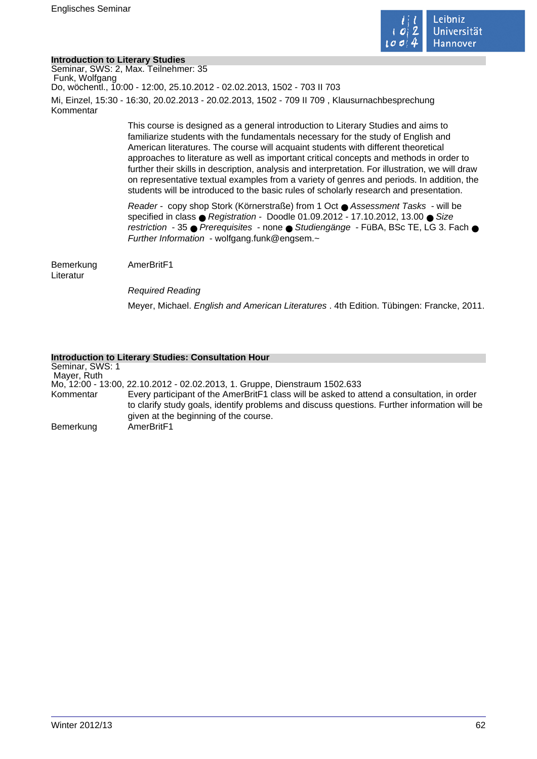

#### **Introduction to Literary Studies**

Seminar, SWS: 2, Max. Teilnehmer: 35 Funk, Wolfgang Do, wöchentl., 10:00 - 12:00, 25.10.2012 - 02.02.2013, 1502 - 703 II 703 Mi, Einzel, 15:30 - 16:30, 20.02.2013 - 20.02.2013, 1502 - 709 II 709 , Klausurnachbesprechung Kommentar

> This course is designed as a general introduction to Literary Studies and aims to familiarize students with the fundamentals necessary for the study of English and American literatures. The course will acquaint students with different theoretical approaches to literature as well as important critical concepts and methods in order to further their skills in description, analysis and interpretation. For illustration, we will draw on representative textual examples from a variety of genres and periods. In addition, the students will be introduced to the basic rules of scholarly research and presentation.

> Reader - copy shop Stork (Körnerstraße) from 1 Oct ● Assessment Tasks - will be specified in class ● Registration - Doodle 01.09.2012 - 17.10.2012, 13.00 ● Size restriction - 35 ● Prerequisites - none ● Studiengänge - FüBA, BSc TE, LG 3. Fach ● Further Information - wolfgang.funk@engsem. $\sim$

Bemerkung AmerBritF1

Literatur

Required Reading

Meyer, Michael. English and American Literatures . 4th Edition. Tübingen: Francke, 2011.

#### **Introduction to Literary Studies: Consultation Hour**

Seminar, SWS: 1 Mayer, Ruth Mo, 12:00 - 13:00, 22.10.2012 - 02.02.2013, 1. Gruppe, Dienstraum 1502.633 Kommentar Every participant of the AmerBritF1 class will be asked to attend a consultation, in order to clarify study goals, identify problems and discuss questions. Further information will be given at the beginning of the course. Bemerkung AmerBritF1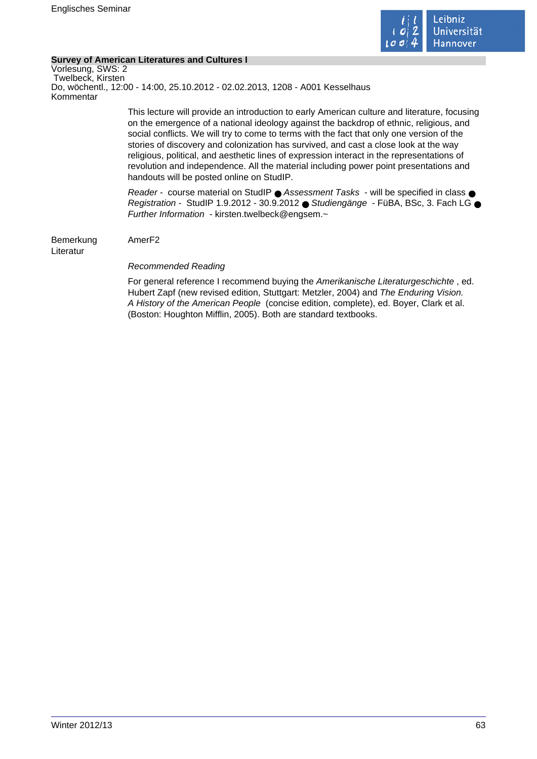

#### **Survey of American Literatures and Cultures I**

Vorlesung, SWS: 2 Twelbeck, Kirsten Do, wöchentl., 12:00 - 14:00, 25.10.2012 - 02.02.2013, 1208 - A001 Kesselhaus Kommentar This lecture will provide an introduction to early American culture and literature, focusing on the emergence of a national ideology against the backdrop of ethnic, religious, and social conflicts. We will try to come to terms with the fact that only one version of the stories of discovery and colonization has survived, and cast a close look at the way religious, political, and aesthetic lines of expression interact in the representations of revolution and independence. All the material including power point presentations and handouts will be posted online on StudIP. Reader - course material on StudIP ● Assessment Tasks - will be specified in class ● Registration - StudIP 1.9.2012 - 30.9.2012 ● Studiengänge - FüBA, BSc, 3. Fach LG ● Further Information - kirsten.twelbeck@engsem.~ Bemerkung AmerF2 Literatur Recommended Reading For general reference I recommend buying the Amerikanische Literaturgeschichte , ed. Hubert Zapf (new revised edition, Stuttgart: Metzler, 2004) and The Enduring Vision. A History of the American People (concise edition, complete), ed. Boyer, Clark et al. (Boston: Houghton Mifflin, 2005). Both are standard textbooks.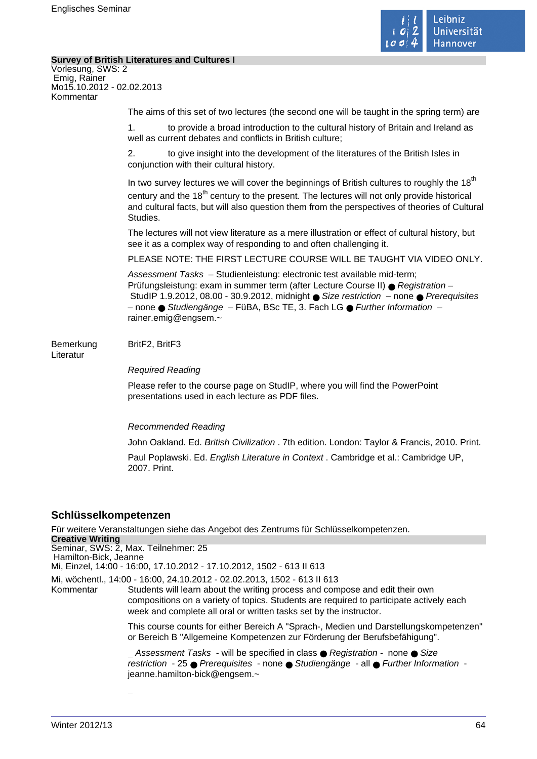

#### **Survey of British Literatures and Cultures I**

| Survey of British Literatures and Cultures I                                                                    |                                                                                                                                                                                                                                                                                                                                                           |
|-----------------------------------------------------------------------------------------------------------------|-----------------------------------------------------------------------------------------------------------------------------------------------------------------------------------------------------------------------------------------------------------------------------------------------------------------------------------------------------------|
| Vorlesung, SWS: 2<br>Emig, Rainer<br>Mo15.10.2012 - 02.02.2013<br>Kommentar                                     |                                                                                                                                                                                                                                                                                                                                                           |
|                                                                                                                 | The aims of this set of two lectures (the second one will be taught in the spring term) are                                                                                                                                                                                                                                                               |
|                                                                                                                 | 1 <sub>1</sub><br>to provide a broad introduction to the cultural history of Britain and Ireland as<br>well as current debates and conflicts in British culture;                                                                                                                                                                                          |
|                                                                                                                 | to give insight into the development of the literatures of the British Isles in<br>2.<br>conjunction with their cultural history.                                                                                                                                                                                                                         |
|                                                                                                                 | In two survey lectures we will cover the beginnings of British cultures to roughly the 18 <sup>th</sup><br>century and the 18 <sup>th</sup> century to the present. The lectures will not only provide historical<br>and cultural facts, but will also question them from the perspectives of theories of Cultural<br>Studies.                            |
|                                                                                                                 | The lectures will not view literature as a mere illustration or effect of cultural history, but<br>see it as a complex way of responding to and often challenging it.                                                                                                                                                                                     |
|                                                                                                                 | PLEASE NOTE: THE FIRST LECTURE COURSE WILL BE TAUGHT VIA VIDEO ONLY.                                                                                                                                                                                                                                                                                      |
|                                                                                                                 | Assessment Tasks - Studienleistung: electronic test available mid-term;<br>Prüfungsleistung: exam in summer term (after Lecture Course II) ● Registration -<br>StudIP 1.9.2012, 08.00 - 30.9.2012, midnight ● Size restriction - none ● Prerequisites<br>- none ● Studiengänge - FüBA, BSc TE, 3. Fach LG ● Further Information -<br>rainer.emig@engsem.~ |
| Bemerkung<br>Literatur                                                                                          | BritF2, BritF3                                                                                                                                                                                                                                                                                                                                            |
|                                                                                                                 | <b>Required Reading</b>                                                                                                                                                                                                                                                                                                                                   |
|                                                                                                                 | Please refer to the course page on StudIP, where you will find the PowerPoint<br>presentations used in each lecture as PDF files.                                                                                                                                                                                                                         |
|                                                                                                                 | <b>Recommended Reading</b>                                                                                                                                                                                                                                                                                                                                |
|                                                                                                                 | John Oakland. Ed. British Civilization . 7th edition. London: Taylor & Francis, 2010. Print.                                                                                                                                                                                                                                                              |
|                                                                                                                 | Paul Poplawski. Ed. English Literature in Context . Cambridge et al.: Cambridge UP,<br>2007. Print.                                                                                                                                                                                                                                                       |
| Schlüsselkompetenzen                                                                                            |                                                                                                                                                                                                                                                                                                                                                           |
| Für weitere Veranstaltungen siehe das Angebot des Zentrums für Schlüsselkompetenzen.<br><b>Creative Writing</b> |                                                                                                                                                                                                                                                                                                                                                           |
| Hamilton-Bick, Jeanne                                                                                           | Seminar, SWS: 2, Max. Teilnehmer: 25<br>Mi, Einzel, 14:00 - 16:00, 17.10.2012 - 17.10.2012, 1502 - 613 II 613                                                                                                                                                                                                                                             |
|                                                                                                                 | Mi, wöchentl., 14:00 - 16:00, 24.10.2012 - 02.02.2013, 1502 - 613 II 613                                                                                                                                                                                                                                                                                  |
| Kommentar                                                                                                       | Students will learn about the writing process and compose and edit their own<br>compositions on a variety of topics. Students are required to participate actively each<br>week and complete all oral or written tasks set by the instructor.                                                                                                             |

This course counts for either Bereich A "Sprach-, Medien und Darstellungskompetenzen" or Bereich B "Allgemeine Kompetenzen zur Förderung der Berufsbefähigung".

Assessment Tasks - will be specified in class ● Registration - none ● Size restriction - 25 ● Prerequisites - none ● Studiengänge - all ● Further Information jeanne.hamilton-bick@engsem.~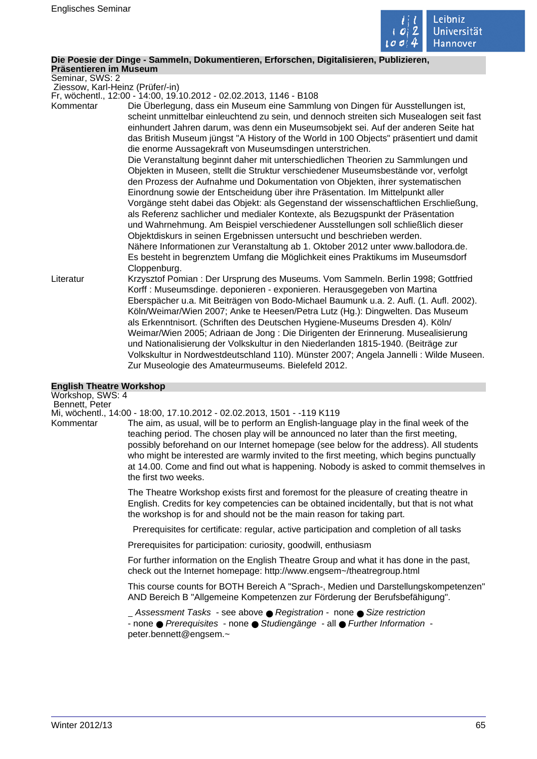

## **Die Poesie der Dinge - Sammeln, Dokumentieren, Erforschen, Digitalisieren, Publizieren,**

**Präsentieren im Museum** Seminar, SWS: 2

Ziessow, Karl-Heinz (Prüfer/-in)

Fr, wöchentl., 12:00 - 14:00, 19.10.2012 - 02.02.2013, 1146 - B108

Kommentar Die Überlegung, dass ein Museum eine Sammlung von Dingen für Ausstellungen ist, scheint unmittelbar einleuchtend zu sein, und dennoch streiten sich Musealogen seit fast einhundert Jahren darum, was denn ein Museumsobjekt sei. Auf der anderen Seite hat das British Museum jüngst "A History of the World in 100 Objects" präsentiert und damit die enorme Aussagekraft von Museumsdingen unterstrichen.

> Die Veranstaltung beginnt daher mit unterschiedlichen Theorien zu Sammlungen und Objekten in Museen, stellt die Struktur verschiedener Museumsbestände vor, verfolgt den Prozess der Aufnahme und Dokumentation von Objekten, ihrer systematischen Einordnung sowie der Entscheidung über ihre Präsentation. Im Mittelpunkt aller Vorgänge steht dabei das Objekt: als Gegenstand der wissenschaftlichen Erschließung, als Referenz sachlicher und medialer Kontexte, als Bezugspunkt der Präsentation und Wahrnehmung. Am Beispiel verschiedener Ausstellungen soll schließlich dieser Objektdiskurs in seinen Ergebnissen untersucht und beschrieben werden. Nähere Informationen zur Veranstaltung ab 1. Oktober 2012 unter www.ballodora.de. Es besteht in begrenztem Umfang die Möglichkeit eines Praktikums im Museumsdorf Cloppenburg.

Literatur Krzysztof Pomian : Der Ursprung des Museums. Vom Sammeln. Berlin 1998; Gottfried Korff : Museumsdinge. deponieren - exponieren. Herausgegeben von Martina Eberspächer u.a. Mit Beiträgen von Bodo-Michael Baumunk u.a. 2. Aufl. (1. Aufl. 2002). Köln/Weimar/Wien 2007; Anke te Heesen/Petra Lutz (Hg.): Dingwelten. Das Museum als Erkenntnisort. (Schriften des Deutschen Hygiene-Museums Dresden 4). Köln/ Weimar/Wien 2005; Adriaan de Jong : Die Dirigenten der Erinnerung. Musealisierung und Nationalisierung der Volkskultur in den Niederlanden 1815-1940. (Beiträge zur Volkskultur in Nordwestdeutschland 110). Münster 2007; Angela Jannelli : Wilde Museen. Zur Museologie des Amateurmuseums. Bielefeld 2012.

#### **English Theatre Workshop**

Workshop, SWS: 4 Bennett, Peter Mi, wöchentl., 14:00 - 18:00, 17.10.2012 - 02.02.2013, 1501 - -119 K119 Kommentar The aim, as usual, will be to perform an English-language play in the final week of the teaching period. The chosen play will be announced no later than the first meeting, possibly beforehand on our Internet homepage (see below for the address). All students who might be interested are warmly invited to the first meeting, which begins punctually at 14.00. Come and find out what is happening. Nobody is asked to commit themselves in the first two weeks.

> The Theatre Workshop exists first and foremost for the pleasure of creating theatre in English. Credits for key competencies can be obtained incidentally, but that is not what the workshop is for and should not be the main reason for taking part.

Prerequisites for certificate: regular, active participation and completion of all tasks

Prerequisites for participation: curiosity, goodwill, enthusiasm

For further information on the English Theatre Group and what it has done in the past, check out the Internet homepage: http://www.engsem~/theatregroup.html

This course counts for BOTH Bereich A "Sprach-, Medien und Darstellungskompetenzen" AND Bereich B "Allgemeine Kompetenzen zur Förderung der Berufsbefähigung".

Assessment Tasks - see above ● Registration - none ● Size restriction - none ● Prerequisites - none ● Studiengänge - all ● Further Information peter.bennett@engsem.~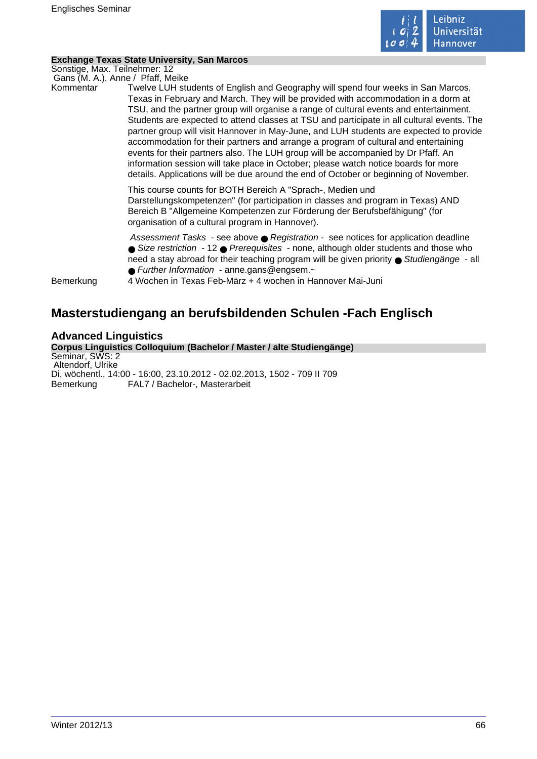

#### **Exchange Texas State University, San Marcos**

Sonstige, Max. Teilnehmer: 12 Gans (M. A.), Anne / Pfaff, Meike

Kommentar Twelve LUH students of English and Geography will spend four weeks in San Marcos, Texas in February and March. They will be provided with accommodation in a dorm at TSU, and the partner group will organise a range of cultural events and entertainment. Students are expected to attend classes at TSU and participate in all cultural events. The partner group will visit Hannover in May-June, and LUH students are expected to provide accommodation for their partners and arrange a program of cultural and entertaining events for their partners also. The LUH group will be accompanied by Dr Pfaff. An information session will take place in October; please watch notice boards for more details. Applications will be due around the end of October or beginning of November.

> This course counts for BOTH Bereich A "Sprach-, Medien und Darstellungskompetenzen" (for participation in classes and program in Texas) AND Bereich B "Allgemeine Kompetenzen zur Förderung der Berufsbefähigung" (for organisation of a cultural program in Hannover).

Assessment Tasks - see above ● Registration - see notices for application deadline ● Size restriction - 12 ● Prerequisites - none, although older students and those who need a stay abroad for their teaching program will be given priority ● Studiengänge - all ● Further Information - anne.gans@engsem.~

Bemerkung 4 Wochen in Texas Feb-März + 4 wochen in Hannover Mai-Juni

# **Masterstudiengang an berufsbildenden Schulen -Fach Englisch**

## **Advanced Linguistics**

**Corpus Linguistics Colloquium (Bachelor / Master / alte Studiengänge)** Seminar, SWS: 2 Altendorf, Ulrike Di, wöchentl., 14:00 - 16:00, 23.10.2012 - 02.02.2013, 1502 - 709 II 709 Bemerkung FAL7 / Bachelor-, Masterarbeit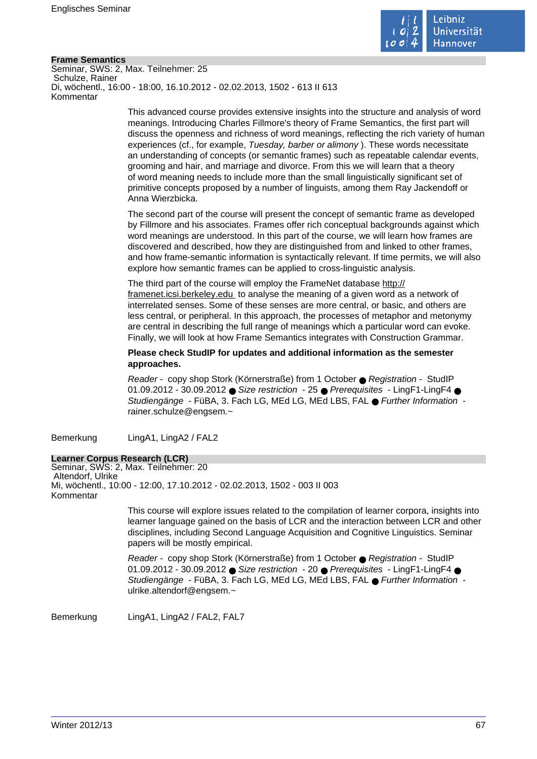

#### **Frame Semantics**

Seminar, SWS: 2, Max. Teilnehmer: 25 Schulze, Rainer Di, wöchentl., 16:00 - 18:00, 16.10.2012 - 02.02.2013, 1502 - 613 II 613 Kommentar

> This advanced course provides extensive insights into the structure and analysis of word meanings. Introducing Charles Fillmore's theory of Frame Semantics, the first part will discuss the openness and richness of word meanings, reflecting the rich variety of human experiences (cf., for example, Tuesday, barber or alimony ). These words necessitate an understanding of concepts (or semantic frames) such as repeatable calendar events, grooming and hair, and marriage and divorce. From this we will learn that a theory of word meaning needs to include more than the small linguistically significant set of primitive concepts proposed by a number of linguists, among them Ray Jackendoff or Anna Wierzbicka.

The second part of the course will present the concept of semantic frame as developed by Fillmore and his associates. Frames offer rich conceptual backgrounds against which word meanings are understood. In this part of the course, we will learn how frames are discovered and described, how they are distinguished from and linked to other frames, and how frame-semantic information is syntactically relevant. If time permits, we will also explore how semantic frames can be applied to cross-linguistic analysis.

The third part of the course will employ the FrameNet database http:// framenet.icsi.berkeley.edu to analyse the meaning of a given word as a network of interrelated senses. Some of these senses are more central, or basic, and others are less central, or peripheral. In this approach, the processes of metaphor and metonymy are central in describing the full range of meanings which a particular word can evoke. Finally, we will look at how Frame Semantics integrates with Construction Grammar.

**Please check StudIP for updates and additional information as the semester approaches.** 

Reader - copy shop Stork (Körnerstraße) from 1 October ● Registration - StudIP 01.09.2012 - 30.09.2012 ● Size restriction - 25 ● Prerequisites - LingF1-LingF4 ● Studiengänge - FüBA, 3. Fach LG, MEd LG, MEd LBS, FAL ● Further Information rainer.schulze@engsem.~

Bemerkung LingA1, LingA2 / FAL2

#### **Learner Corpus Research (LCR)**

Seminar, SWS: 2, Max. Teilnehmer: 20 Altendorf, Ulrike Mi, wöchentl., 10:00 - 12:00, 17.10.2012 - 02.02.2013, 1502 - 003 II 003 Kommentar

> This course will explore issues related to the compilation of learner corpora, insights into learner language gained on the basis of LCR and the interaction between LCR and other disciplines, including Second Language Acquisition and Cognitive Linguistics. Seminar papers will be mostly empirical.

Reader - copy shop Stork (Körnerstraße) from 1 October ● Registration - StudIP 01.09.2012 - 30.09.2012 ● Size restriction - 20 ● Prerequisites - LingF1-LingF4 ● Studiengänge - FüBA, 3. Fach LG, MEd LG, MEd LBS, FAL ● Further Information ulrike.altendorf@engsem.~

Bemerkung LingA1, LingA2 / FAL2, FAL7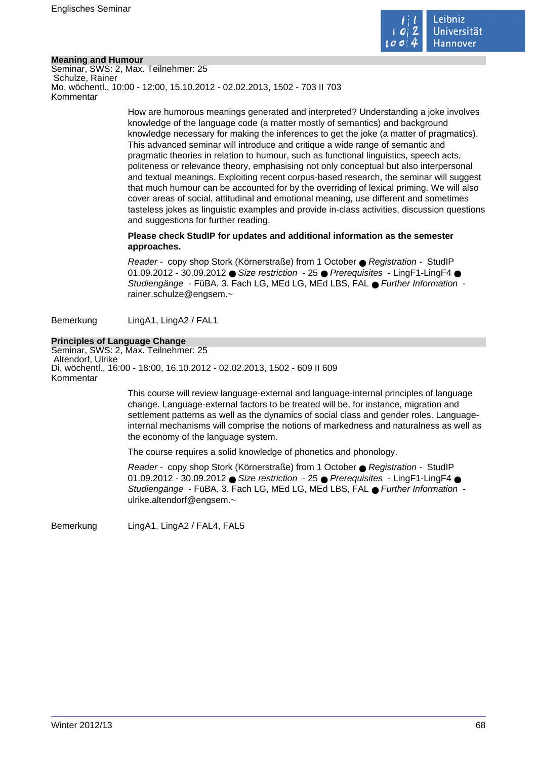

#### **Meaning and Humour**

Seminar, SWS: 2, Max. Teilnehmer: 25 Schulze, Rainer Mo, wöchentl., 10:00 - 12:00, 15.10.2012 - 02.02.2013, 1502 - 703 II 703 Kommentar

> How are humorous meanings generated and interpreted? Understanding a joke involves knowledge of the language code (a matter mostly of semantics) and background knowledge necessary for making the inferences to get the joke (a matter of pragmatics). This advanced seminar will introduce and critique a wide range of semantic and pragmatic theories in relation to humour, such as functional linguistics, speech acts, politeness or relevance theory, emphasising not only conceptual but also interpersonal and textual meanings. Exploiting recent corpus-based research, the seminar will suggest that much humour can be accounted for by the overriding of lexical priming. We will also cover areas of social, attitudinal and emotional meaning, use different and sometimes tasteless jokes as linguistic examples and provide in-class activities, discussion questions and suggestions for further reading.

#### **Please check StudIP for updates and additional information as the semester approaches.**

Reader - copy shop Stork (Körnerstraße) from 1 October ● Registration - StudIP 01.09.2012 - 30.09.2012 ● Size restriction - 25 ● Prerequisites - LingF1-LingF4 ● Studiengänge - FüBA, 3. Fach LG, MEd LG, MEd LBS, FAL ● Further Information rainer.schulze@engsem.~

Bemerkung LingA1, LingA2 / FAL1

#### **Principles of Language Change**

Seminar, SWS: 2, Max. Teilnehmer: 25 Altendorf, Ulrike Di, wöchentl., 16:00 - 18:00, 16.10.2012 - 02.02.2013, 1502 - 609 II 609 Kommentar

> This course will review language-external and language-internal principles of language change. Language-external factors to be treated will be, for instance, migration and settlement patterns as well as the dynamics of social class and gender roles. Languageinternal mechanisms will comprise the notions of markedness and naturalness as well as the economy of the language system.

The course requires a solid knowledge of phonetics and phonology.

Reader - copy shop Stork (Körnerstraße) from 1 October ● Registration - StudIP 01.09.2012 - 30.09.2012 ● Size restriction - 25 ● Prerequisites - LingF1-LingF4 ● Studiengänge - FüBA, 3. Fach LG, MEd LG, MEd LBS, FAL ● Further Information ulrike.altendorf@engsem.~

Bemerkung LingA1, LingA2 / FAL4, FAL5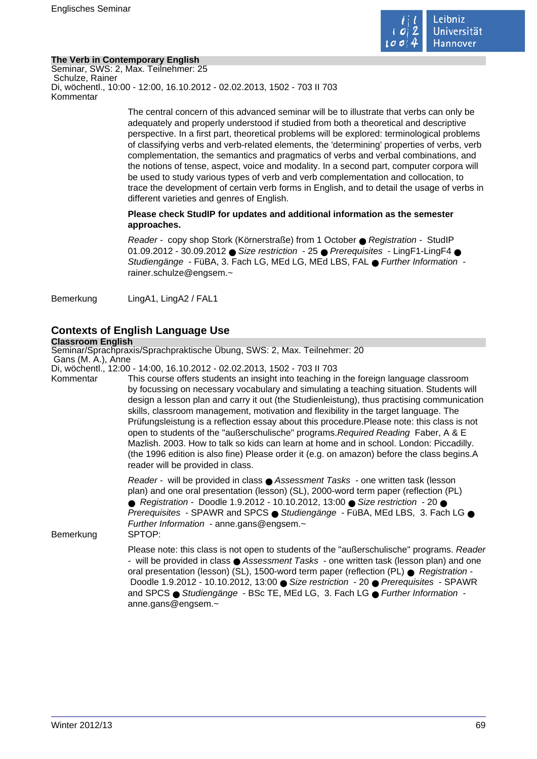

#### **The Verb in Contemporary English**

Seminar, SWS: 2, Max. Teilnehmer: 25 Schulze, Rainer Di, wöchentl., 10:00 - 12:00, 16.10.2012 - 02.02.2013, 1502 - 703 II 703 Kommentar

> The central concern of this advanced seminar will be to illustrate that verbs can only be adequately and properly understood if studied from both a theoretical and descriptive perspective. In a first part, theoretical problems will be explored: terminological problems of classifying verbs and verb-related elements, the 'determining' properties of verbs, verb complementation, the semantics and pragmatics of verbs and verbal combinations, and the notions of tense, aspect, voice and modality. In a second part, computer corpora will be used to study various types of verb and verb complementation and collocation, to trace the development of certain verb forms in English, and to detail the usage of verbs in different varieties and genres of English.

#### **Please check StudIP for updates and additional information as the semester approaches.**

Reader - copy shop Stork (Körnerstraße) from 1 October ● Registration - StudIP 01.09.2012 - 30.09.2012 ● Size restriction - 25 ● Prerequisites - LingF1-LingF4 ● Studiengänge - FüBA, 3. Fach LG, MEd LG, MEd LBS, FAL ● Further Information rainer.schulze@engsem.~

Bemerkung LingA1, LingA2 / FAL1

# **Contexts of English Language Use**

#### **Classroom English**

Seminar/Sprachpraxis/Sprachpraktische Übung, SWS: 2, Max. Teilnehmer: 20 Gans (M. A.), Anne

Di, wöchentl., 12:00 - 14:00, 16.10.2012 - 02.02.2013, 1502 - 703 II 703

Kommentar This course offers students an insight into teaching in the foreign language classroom by focussing on necessary vocabulary and simulating a teaching situation. Students will design a lesson plan and carry it out (the Studienleistung), thus practising communication skills, classroom management, motivation and flexibility in the target language. The Prüfungsleistung is a reflection essay about this procedure.Please note: this class is not open to students of the "außerschulische" programs.Required Reading Faber, A & E Mazlish. 2003. How to talk so kids can learn at home and in school. London: Piccadilly. (the 1996 edition is also fine) Please order it (e.g. on amazon) before the class begins.A reader will be provided in class.

> Reader - will be provided in class ● Assessment Tasks - one written task (lesson plan) and one oral presentation (lesson) (SL), 2000-word term paper (reflection (PL) ● Registration - Doodle 1.9.2012 - 10.10.2012, 13:00 ● Size restriction - 20 ● Prerequisites - SPAWR and SPCS ● Studiengänge - FüBA, MEd LBS, 3. Fach LG ● Further Information - anne.gans@engsem.~

Bemerkung SPTOP:

Please note: this class is not open to students of the "außerschulische" programs. Reader - will be provided in class ● Assessment Tasks - one written task (lesson plan) and one oral presentation (lesson) (SL), 1500-word term paper (reflection (PL) ● Registration -Doodle 1.9.2012 - 10.10.2012, 13:00 ● Size restriction - 20 ● Prerequisites - SPAWR and SPCS ● Studiengänge - BSc TE, MEd LG, 3. Fach LG ● Further Information anne.gans@engsem.~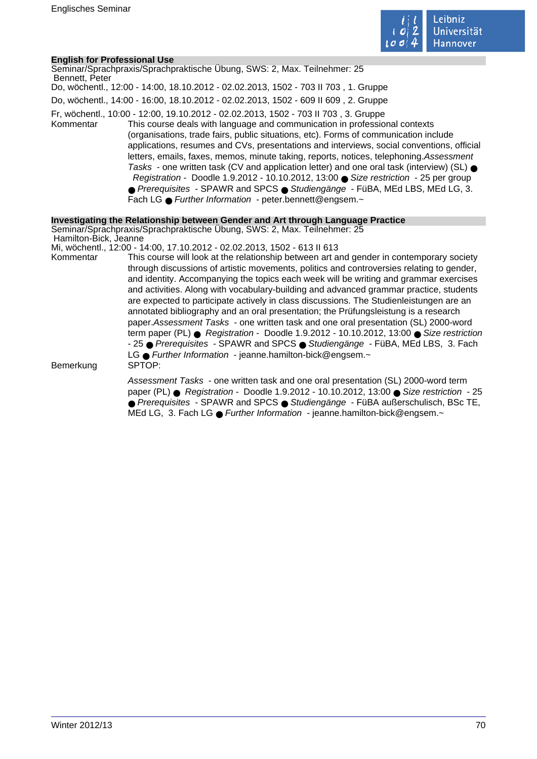

#### **English for Professional Use**

| Bennett, Peter        | Seminar/Sprachpraxis/Sprachpraktische Übung, SWS: 2, Max. Teilnehmer: 25                                                                                                                                                                                                                                                                                                                                                                                                                                                                                                                                                                                                                                                                                                              |
|-----------------------|---------------------------------------------------------------------------------------------------------------------------------------------------------------------------------------------------------------------------------------------------------------------------------------------------------------------------------------------------------------------------------------------------------------------------------------------------------------------------------------------------------------------------------------------------------------------------------------------------------------------------------------------------------------------------------------------------------------------------------------------------------------------------------------|
|                       | Do, wöchentl., 12:00 - 14:00, 18.10.2012 - 02.02.2013, 1502 - 703 II 703, 1. Gruppe                                                                                                                                                                                                                                                                                                                                                                                                                                                                                                                                                                                                                                                                                                   |
|                       | Do, wöchentl., 14:00 - 16:00, 18.10.2012 - 02.02.2013, 1502 - 609 II 609, 2. Gruppe                                                                                                                                                                                                                                                                                                                                                                                                                                                                                                                                                                                                                                                                                                   |
| Kommentar             | Fr, wöchentl., 10:00 - 12:00, 19.10.2012 - 02.02.2013, 1502 - 703 II 703, 3. Gruppe<br>This course deals with language and communication in professional contexts<br>(organisations, trade fairs, public situations, etc). Forms of communication include<br>applications, resumes and CVs, presentations and interviews, social conventions, official<br>letters, emails, faxes, memos, minute taking, reports, notices, telephoning. Assessment<br>Tasks - one written task (CV and application letter) and one oral task (interview) (SL) $\bullet$<br>Registration - Doodle 1.9.2012 - 10.10.2012, 13:00 Size restriction - 25 per group<br>● Prerequisites - SPAWR and SPCS ● Studiengänge - FüBA, MEd LBS, MEd LG, 3.<br>Fach LG • Further Information - peter bennett@engsem.~ |
|                       | Investigating the Relationship between Gender and Art through Language Practice                                                                                                                                                                                                                                                                                                                                                                                                                                                                                                                                                                                                                                                                                                       |
| Hamilton-Bick, Jeanne | Seminar/Sprachpraxis/Sprachpraktische Ubung, SWS: 2, Max. Teilnehmer: 25                                                                                                                                                                                                                                                                                                                                                                                                                                                                                                                                                                                                                                                                                                              |
|                       | Mi, wöchentl., 12:00 - 14:00, 17.10.2012 - 02.02.2013, 1502 - 613 II 613                                                                                                                                                                                                                                                                                                                                                                                                                                                                                                                                                                                                                                                                                                              |
| Kommentar             | This course will look at the relationship between art and gender in contemporary society<br>through discussions of artistic movements, politics and controversies relating to gender,<br>and identity. Accompanying the topics each week will be writing and grammar exercises<br>and activities. Along with vocabulary-building and advanced grammar practice, students<br>are expected to participate actively in class discussions. The Studienleistungen are an<br>annotated bibliography and an oral presentation; the Prüfungsleistung is a research<br>paper. Assessment Tasks - one written task and one oral presentation (SL) 2000-word                                                                                                                                     |

term paper (PL)  $\bullet$  Registration - Doodle 1.9.2012 - 10.10.2012, 13:00  $\bullet$  Size restriction - 25 ● Prerequisites - SPAWR and SPCS ● Studiengänge - FüBA, MEd LBS, 3. Fach LG ● Further Information - jeanne.hamilton-bick@engsem.~<br>SPTOP:

Bemerkung

Assessment Tasks - one written task and one oral presentation (SL) 2000-word term paper (PL) ● Registration - Doodle 1.9.2012 - 10.10.2012, 13:00 ● Size restriction - 25 ● Prerequisites - SPAWR and SPCS ● Studiengänge - FüBA außerschulisch, BSc TE, MEd LG, 3. Fach LG ● Further Information - jeanne.hamilton-bick@engsem.~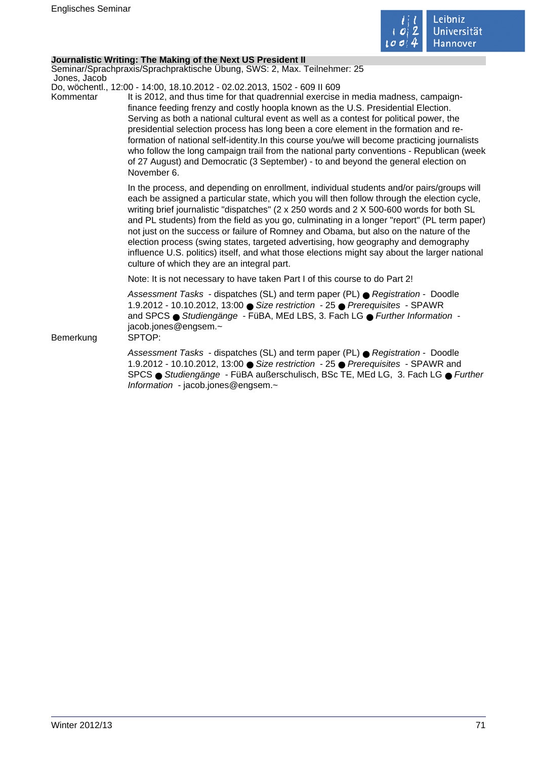

#### **Journalistic Writing: The Making of the Next US President II**

Seminar/Sprachpraxis/Sprachpraktische Übung, SWS: 2, Max. Teilnehmer: 25 Jones, Jacob

Do, wöchentl., 12:00 - 14:00, 18.10.2012 - 02.02.2013, 1502 - 609 II 609

Kommentar It is 2012, and thus time for that quadrennial exercise in media madness, campaignfinance feeding frenzy and costly hoopla known as the U.S. Presidential Election. Serving as both a national cultural event as well as a contest for political power, the presidential selection process has long been a core element in the formation and reformation of national self-identity.In this course you/we will become practicing journalists who follow the long campaign trail from the national party conventions - Republican (week of 27 August) and Democratic (3 September) - to and beyond the general election on November 6.

> In the process, and depending on enrollment, individual students and/or pairs/groups will each be assigned a particular state, which you will then follow through the election cycle, writing brief journalistic "dispatches" (2 x 250 words and 2 X 500-600 words for both SL and PL students) from the field as you go, culminating in a longer "report" (PL term paper) not just on the success or failure of Romney and Obama, but also on the nature of the election process (swing states, targeted advertising, how geography and demography influence U.S. politics) itself, and what those elections might say about the larger national culture of which they are an integral part.

Note: It is not necessary to have taken Part I of this course to do Part 2!

Assessment Tasks - dispatches (SL) and term paper (PL) ● Registration - Doodle 1.9.2012 - 10.10.2012, 13:00 ● Size restriction - 25 ● Prerequisites - SPAWR and SPCS ● Studiengänge - FüBA, MEd LBS, 3. Fach LG ● Further Information jacob.jones@engsem.~

Bemerkung SPTOP:

Assessment Tasks - dispatches (SL) and term paper (PL) ● Registration - Doodle 1.9.2012 - 10.10.2012, 13:00 ● Size restriction - 25 ● Prerequisites - SPAWR and SPCS ● Studiengänge - FüBA außerschulisch, BSc TE, MEd LG, 3. Fach LG ● Further Information - jacob.jones@engsem.~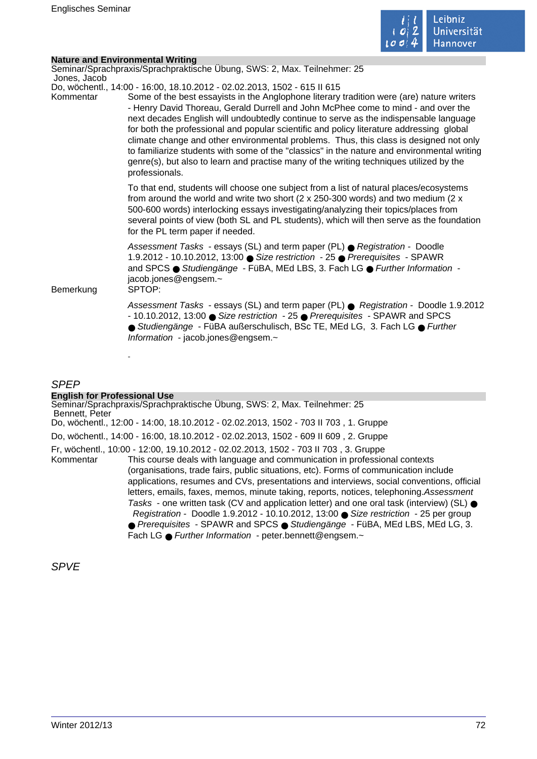

|                           | <b>Nature and Environmental Writing</b>                                                                                                                                                                                                                                                                                                                                                                                                                                                                                                                                                                                                                                                                                                               |
|---------------------------|-------------------------------------------------------------------------------------------------------------------------------------------------------------------------------------------------------------------------------------------------------------------------------------------------------------------------------------------------------------------------------------------------------------------------------------------------------------------------------------------------------------------------------------------------------------------------------------------------------------------------------------------------------------------------------------------------------------------------------------------------------|
|                           | Seminar/Sprachpraxis/Sprachpraktische Übung, SWS: 2, Max. Teilnehmer: 25                                                                                                                                                                                                                                                                                                                                                                                                                                                                                                                                                                                                                                                                              |
| Jones, Jacob<br>Kommentar | Do, wöchentl., 14:00 - 16:00, 18.10.2012 - 02.02.2013, 1502 - 615 II 615<br>Some of the best essayists in the Anglophone literary tradition were (are) nature writers<br>- Henry David Thoreau, Gerald Durrell and John McPhee come to mind - and over the<br>next decades English will undoubtedly continue to serve as the indispensable language<br>for both the professional and popular scientific and policy literature addressing global<br>climate change and other environmental problems. Thus, this class is designed not only<br>to familiarize students with some of the "classics" in the nature and environmental writing<br>genre(s), but also to learn and practise many of the writing techniques utilized by the<br>professionals. |
|                           | To that end, students will choose one subject from a list of natural places/ecosystems<br>from around the world and write two short (2 x 250-300 words) and two medium (2 x<br>500-600 words) interlocking essays investigating/analyzing their topics/places from<br>several points of view (both SL and PL students), which will then serve as the foundation<br>for the PL term paper if needed.                                                                                                                                                                                                                                                                                                                                                   |
| Bemerkung                 | Assessment Tasks - essays (SL) and term paper (PL) ● Registration - Doodle<br>1.9.2012 - 10.10.2012, 13:00 ● Size restriction - 25 ● Prerequisites - SPAWR<br>and SPCS ● Studiengänge - FüBA, MEd LBS, 3. Fach LG ● Further Information -<br>jacob.jones@engsem.~<br>SPTOP:                                                                                                                                                                                                                                                                                                                                                                                                                                                                           |
|                           | Assessment Tasks - essays (SL) and term paper (PL) ● Registration - Doodle 1.9.2012<br>- 10.10.2012, 13:00 ● Size restriction - 25 ● Prerequisites - SPAWR and SPCS<br>● Studiengänge - FüBA außerschulisch, BSc TE, MEd LG, 3. Fach LG ● Further<br>Information - jacob.jones@engsem.~                                                                                                                                                                                                                                                                                                                                                                                                                                                               |
|                           |                                                                                                                                                                                                                                                                                                                                                                                                                                                                                                                                                                                                                                                                                                                                                       |

### SPEP

# **English for Professional Use**

Seminar/Sprachpraxis/Sprachpraktische Übung, SWS: 2, Max. Teilnehmer: 25 Bennett, Peter Do, wöchentl., 12:00 - 14:00, 18.10.2012 - 02.02.2013, 1502 - 703 II 703 , 1. Gruppe Do, wöchentl., 14:00 - 16:00, 18.10.2012 - 02.02.2013, 1502 - 609 II 609 , 2. Gruppe Fr, wöchentl., 10:00 - 12:00, 19.10.2012 - 02.02.2013, 1502 - 703 II 703 , 3. Gruppe This course deals with language and communication in professional contexts (organisations, trade fairs, public situations, etc). Forms of communication include applications, resumes and CVs, presentations and interviews, social conventions, official letters, emails, faxes, memos, minute taking, reports, notices, telephoning.Assessment Tasks - one written task (CV and application letter) and one oral task (interview) (SL)  $\bullet$  Registration - Doodle 1.9.2012 - 10.10.2012, 13:00 ● Size restriction - 25 per group ● Prerequisites - SPAWR and SPCS ● Studiengänge - FüBA, MEd LBS, MEd LG, 3. Fach LG ● Further Information - peter.bennett@engsem.~

SPVE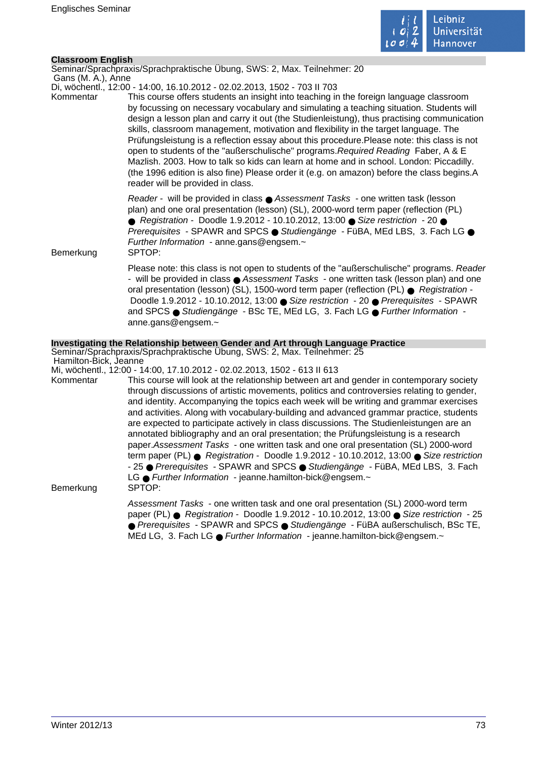

## **Classroom English**

Seminar/Sprachpraxis/Sprachpraktische Übung, SWS: 2, Max. Teilnehmer: 20

 Gans (M. A.), Anne Di, wöchentl., 12:00 - 14:00, 16.10.2012 - 02.02.2013, 1502 - 703 II 703

Kommentar This course offers students an insight into teaching in the foreign language classroom by focussing on necessary vocabulary and simulating a teaching situation. Students will design a lesson plan and carry it out (the Studienleistung), thus practising communication skills, classroom management, motivation and flexibility in the target language. The Prüfungsleistung is a reflection essay about this procedure.Please note: this class is not open to students of the "außerschulische" programs.Required Reading Faber, A & E Mazlish. 2003. How to talk so kids can learn at home and in school. London: Piccadilly. (the 1996 edition is also fine) Please order it (e.g. on amazon) before the class begins.A reader will be provided in class.

> Reader - will be provided in class ● Assessment Tasks - one written task (lesson plan) and one oral presentation (lesson) (SL), 2000-word term paper (reflection (PL) ● Registration - Doodle 1.9.2012 - 10.10.2012, 13:00 ● Size restriction - 20 ● Prerequisites - SPAWR and SPCS ● Studiengänge - FüBA, MEd LBS, 3. Fach LG ● Further Information - anne.gans@engsem.~

Bemerkung SPTOP:

Please note: this class is not open to students of the "außerschulische" programs. Reader - will be provided in class ● Assessment Tasks - one written task (lesson plan) and one oral presentation (lesson) (SL), 1500-word term paper (reflection (PL) ● Registration - Doodle 1.9.2012 - 10.10.2012, 13:00 ● Size restriction - 20 ● Prerequisites - SPAWR and SPCS ● Studiengänge - BSc TE, MEd LG, 3, Fach LG ● Further Information anne.gans@engsem.~

## **Investigating the Relationship between Gender and Art through Language Practice**

Seminar/Sprachpraxis/Sprachpraktische Übung, SWS: 2, Max. Teilnehmer: 25 Hamilton-Bick, Jeanne

Mi, wöchentl., 12:00 - 14:00, 17.10.2012 - 02.02.2013, 1502 - 613 II 613

Kommentar This course will look at the relationship between art and gender in contemporary society through discussions of artistic movements, politics and controversies relating to gender, and identity. Accompanying the topics each week will be writing and grammar exercises and activities. Along with vocabulary-building and advanced grammar practice, students are expected to participate actively in class discussions. The Studienleistungen are an annotated bibliography and an oral presentation; the Prüfungsleistung is a research paper.Assessment Tasks - one written task and one oral presentation (SL) 2000-word term paper (PL) ● Registration - Doodle 1.9.2012 - 10.10.2012, 13:00 ● Size restriction - 25 ● Prerequisites - SPAWR and SPCS ● Studiengänge - FüBA, MEd LBS, 3. Fach LG ● Further Information - jeanne.hamilton-bick@engsem.~ Bemerkung SPTOP:

> Assessment Tasks - one written task and one oral presentation (SL) 2000-word term paper (PL) ● Registration - Doodle 1.9.2012 - 10.10.2012, 13:00 ● Size restriction - 25 ● Prerequisites - SPAWR and SPCS ● Studiengänge - FüBA außerschulisch, BSc TE, MEd LG, 3. Fach LG ● Further Information - jeanne.hamilton-bick@engsem.~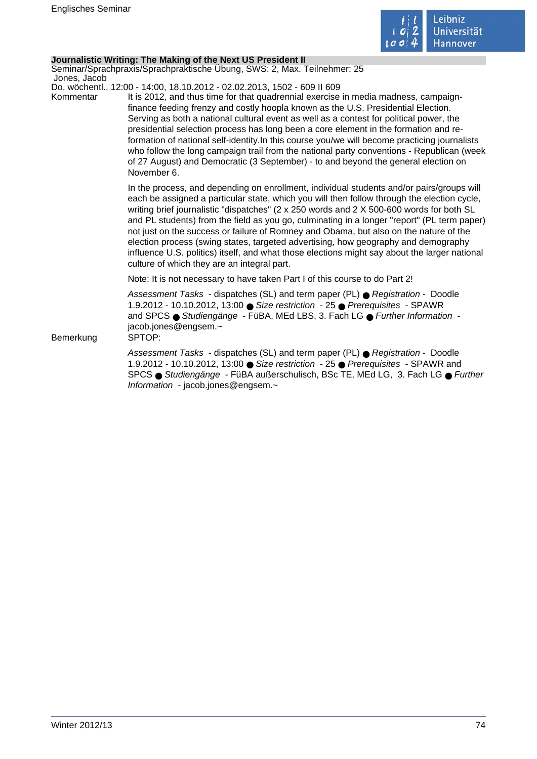

## **Journalistic Writing: The Making of the Next US President II**

Seminar/Sprachpraxis/Sprachpraktische Übung, SWS: 2, Max. Teilnehmer: 25 Jones, Jacob

Do, wöchentl., 12:00 - 14:00, 18.10.2012 - 02.02.2013, 1502 - 609 II 609

Kommentar It is 2012, and thus time for that quadrennial exercise in media madness, campaignfinance feeding frenzy and costly hoopla known as the U.S. Presidential Election. Serving as both a national cultural event as well as a contest for political power, the presidential selection process has long been a core element in the formation and reformation of national self-identity.In this course you/we will become practicing journalists who follow the long campaign trail from the national party conventions - Republican (week of 27 August) and Democratic (3 September) - to and beyond the general election on November 6.

> In the process, and depending on enrollment, individual students and/or pairs/groups will each be assigned a particular state, which you will then follow through the election cycle, writing brief journalistic "dispatches" (2 x 250 words and 2 X 500-600 words for both SL and PL students) from the field as you go, culminating in a longer "report" (PL term paper) not just on the success or failure of Romney and Obama, but also on the nature of the election process (swing states, targeted advertising, how geography and demography influence U.S. politics) itself, and what those elections might say about the larger national culture of which they are an integral part.

Note: It is not necessary to have taken Part I of this course to do Part 2!

Assessment Tasks - dispatches (SL) and term paper (PL) ● Registration - Doodle 1.9.2012 - 10.10.2012, 13:00 ● Size restriction - 25 ● Prerequisites - SPAWR and SPCS ● Studiengänge - FüBA, MEd LBS, 3. Fach LG ● Further Information jacob.jones@engsem.~

Bemerkung SPTOP:

Assessment Tasks - dispatches (SL) and term paper (PL) ● Registration - Doodle 1.9.2012 - 10.10.2012, 13:00 ● Size restriction - 25 ● Prerequisites - SPAWR and SPCS ● Studiengänge - FüBA außerschulisch, BSc TE, MEd LG, 3. Fach LG ● Further Information - jacob.jones@engsem.~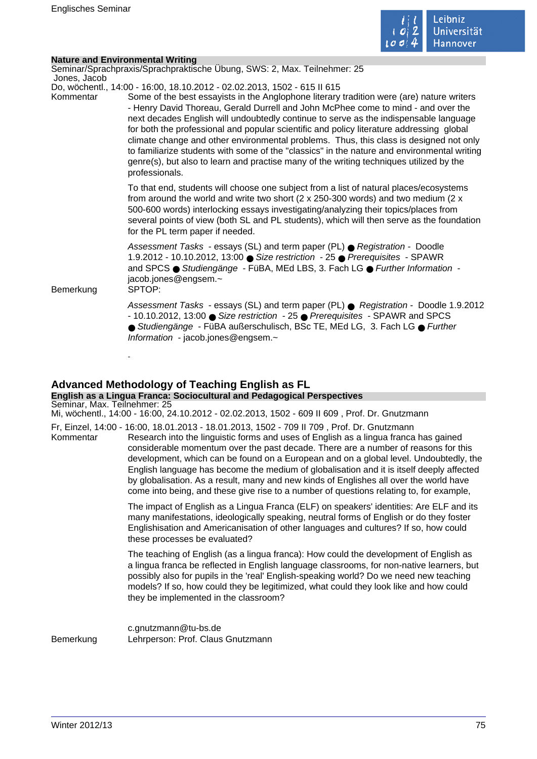

| <b>Nature and Environmental Writing</b> |  |
|-----------------------------------------|--|
|                                         |  |
|                                         |  |

| Jones, Jacob | Seminar/Sprachpraxis/Sprachpraktische Übung, SWS: 2, Max. Teilnehmer: 25                                                                                                                                                                                                                                                                                                                                                                                                                                                                                                                                                                                                                                                                              |
|--------------|-------------------------------------------------------------------------------------------------------------------------------------------------------------------------------------------------------------------------------------------------------------------------------------------------------------------------------------------------------------------------------------------------------------------------------------------------------------------------------------------------------------------------------------------------------------------------------------------------------------------------------------------------------------------------------------------------------------------------------------------------------|
| Kommentar    | Do, wöchentl., 14:00 - 16:00, 18.10.2012 - 02.02.2013, 1502 - 615 II 615<br>Some of the best essayists in the Anglophone literary tradition were (are) nature writers<br>- Henry David Thoreau, Gerald Durrell and John McPhee come to mind - and over the<br>next decades English will undoubtedly continue to serve as the indispensable language<br>for both the professional and popular scientific and policy literature addressing global<br>climate change and other environmental problems. Thus, this class is designed not only<br>to familiarize students with some of the "classics" in the nature and environmental writing<br>genre(s), but also to learn and practise many of the writing techniques utilized by the<br>professionals. |
|              | To that end, students will choose one subject from a list of natural places/ecosystems<br>from around the world and write two short ( $2 \times 250-300$ words) and two medium ( $2 \times$<br>500-600 words) interlocking essays investigating/analyzing their topics/places from<br>several points of view (both SL and PL students), which will then serve as the foundation<br>for the PL term paper if needed.                                                                                                                                                                                                                                                                                                                                   |
| Bemerkung    | Assessment Tasks - essays (SL) and term paper (PL) ● Registration - Doodle<br>1.9.2012 - 10.10.2012, 13:00 ● Size restriction - 25 ● Prerequisites - SPAWR<br>and SPCS · Studiengänge - FüBA, MEd LBS, 3. Fach LG · Further Information -<br>jacob.jones@engsem.~<br>SPTOP:                                                                                                                                                                                                                                                                                                                                                                                                                                                                           |
|              | Assessment Tasks - essays (SL) and term paper (PL) ● Registration - Doodle 1.9.2012<br>- 10.10.2012, 13:00 ● Size restriction - 25 ● Prerequisites - SPAWR and SPCS<br>● Studiengänge - FüBA außerschulisch, BSc TE, MEd LG, 3. Fach LG ● Further<br>Information - jacob.jones@engsem.~                                                                                                                                                                                                                                                                                                                                                                                                                                                               |

## **Advanced Methodology of Teaching English as FL**

#### **English as a Lingua Franca: Sociocultural and Pedagogical Perspectives** Seminar, Max. Teilnehmer: 25

Mi, wöchentl., 14:00 - 16:00, 24.10.2012 - 02.02.2013, 1502 - 609 II 609 , Prof. Dr. Gnutzmann

Fr, Einzel, 14:00 - 16:00, 18.01.2013 - 18.01.2013, 1502 - 709 II 709 , Prof. Dr. Gnutzmann Kommentar Research into the linguistic forms and uses of English as a lingua franca has gained considerable momentum over the past decade. There are a number of reasons for this development, which can be found on a European and on a global level. Undoubtedly, the English language has become the medium of globalisation and it is itself deeply affected by globalisation. As a result, many and new kinds of Englishes all over the world have come into being, and these give rise to a number of questions relating to, for example,

> The impact of English as a Lingua Franca (ELF) on speakers' identities: Are ELF and its many manifestations, ideologically speaking, neutral forms of English or do they foster Englishisation and Americanisation of other languages and cultures? If so, how could these processes be evaluated?

> The teaching of English (as a lingua franca): How could the development of English as a lingua franca be reflected in English language classrooms, for non-native learners, but possibly also for pupils in the 'real' English-speaking world? Do we need new teaching models? If so, how could they be legitimized, what could they look like and how could they be implemented in the classroom?

c.gnutzmann@tu-bs.de Bemerkung Lehrperson: Prof. Claus Gnutzmann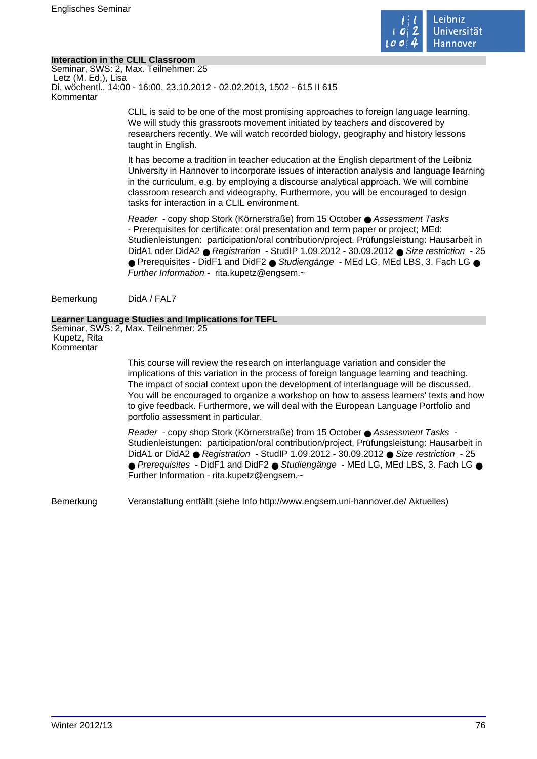

## **Interaction in the CLIL Classroom**

Seminar, SWS: 2, Max. Teilnehmer: 25 Letz (M. Ed,), Lisa Di, wöchentl., 14:00 - 16:00, 23.10.2012 - 02.02.2013, 1502 - 615 II 615 Kommentar

> CLIL is said to be one of the most promising approaches to foreign language learning. We will study this grassroots movement initiated by teachers and discovered by researchers recently. We will watch recorded biology, geography and history lessons taught in English.

It has become a tradition in teacher education at the English department of the Leibniz University in Hannover to incorporate issues of interaction analysis and language learning in the curriculum, e.g. by employing a discourse analytical approach. We will combine classroom research and videography. Furthermore, you will be encouraged to design tasks for interaction in a CLIL environment.

Reader - copy shop Stork (Körnerstraße) from 15 October ● Assessment Tasks - Prerequisites for certificate: oral presentation and term paper or project; MEd: Studienleistungen: participation/oral contribution/project. Prüfungsleistung: Hausarbeit in DidA1 oder DidA2 ● Registration - StudIP 1.09.2012 - 30.09.2012 ● Size restriction - 25 ● Prerequisites - DidF1 and DidF2 ● Studiengänge - MEd LG, MEd LBS, 3. Fach LG ● Further Information - rita.kupetz@engsem.~

Bemerkung DidA / FAL7

## **Learner Language Studies and Implications for TEFL**

Seminar, SWS: 2, Max. Teilnehmer: 25 Kupetz, Rita Kommentar

> This course will review the research on interlanguage variation and consider the implications of this variation in the process of foreign language learning and teaching. The impact of social context upon the development of interlanguage will be discussed. You will be encouraged to organize a workshop on how to assess learners' texts and how to give feedback. Furthermore, we will deal with the European Language Portfolio and portfolio assessment in particular.

> Reader - copy shop Stork (Körnerstraße) from 15 October ● Assessment Tasks - Studienleistungen: participation/oral contribution/project, Prüfungsleistung: Hausarbeit in DidA1 or DidA2 ● Registration - StudIP 1.09.2012 - 30.09.2012 ● Size restriction - 25 ● Prerequisites - DidF1 and DidF2 ● Studiengänge - MEd LG, MEd LBS, 3. Fach LG ● Further Information - rita.kupetz@engsem.~

Bemerkung Veranstaltung entfällt (siehe Info http://www.engsem.uni-hannover.de/ Aktuelles)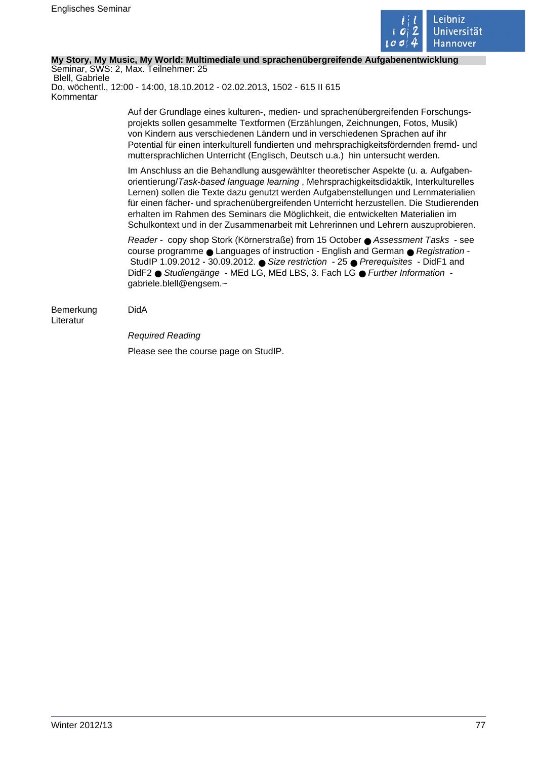

## **My Story, My Music, My World: Multimediale und sprachenübergreifende Aufgabenentwicklung**

Seminar, SWS: 2, Max. Teilnehmer: 25 Blell, Gabriele Do, wöchentl., 12:00 - 14:00, 18.10.2012 - 02.02.2013, 1502 - 615 II 615 Kommentar

> Auf der Grundlage eines kulturen-, medien- und sprachenübergreifenden Forschungsprojekts sollen gesammelte Textformen (Erzählungen, Zeichnungen, Fotos, Musik) von Kindern aus verschiedenen Ländern und in verschiedenen Sprachen auf ihr Potential für einen interkulturell fundierten und mehrsprachigkeitsfördernden fremd- und muttersprachlichen Unterricht (Englisch, Deutsch u.a.) hin untersucht werden.

> Im Anschluss an die Behandlung ausgewählter theoretischer Aspekte (u. a. Aufgabenorientierung/Task-based language learning , Mehrsprachigkeitsdidaktik, Interkulturelles Lernen) sollen die Texte dazu genutzt werden Aufgabenstellungen und Lernmaterialien für einen fächer- und sprachenübergreifenden Unterricht herzustellen. Die Studierenden erhalten im Rahmen des Seminars die Möglichkeit, die entwickelten Materialien im Schulkontext und in der Zusammenarbeit mit Lehrerinnen und Lehrern auszuprobieren.

Reader - copy shop Stork (Körnerstraße) from 15 October ● Assessment Tasks - see course programme ● Languages of instruction - English and German ● Registration -StudIP 1.09.2012 - 30.09.2012. ● Size restriction - 25 ● Prerequisites - DidF1 and DidF2 ● Studiengänge - MEd LG, MEd LBS, 3. Fach LG ● Further Information gabriele.blell@engsem.~

# Bemerkung DidA

Literatur

Required Reading

Please see the course page on StudIP.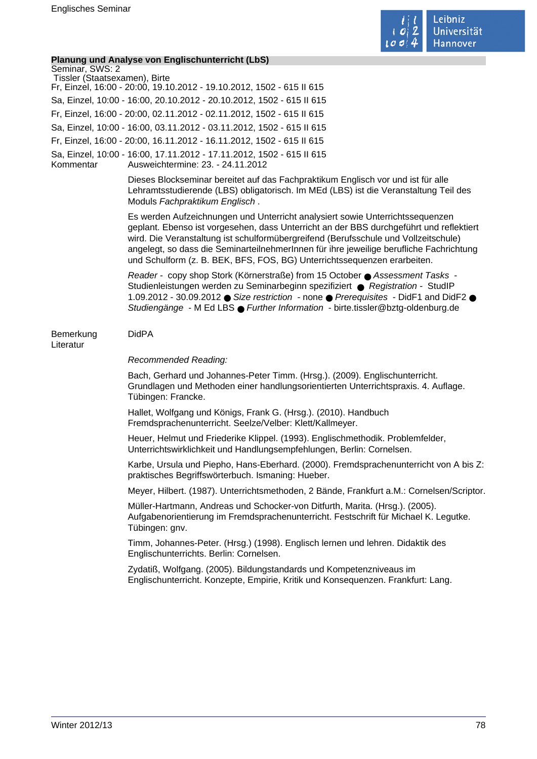

## **Planung und Analyse von Englischunterricht (LbS)**

| Seminar, SWS: 2               |                                                                                                            |
|-------------------------------|------------------------------------------------------------------------------------------------------------|
| Tissler (Staatsexamen), Birte |                                                                                                            |
|                               | Fr, Einzel, 16:00 - 20:00, 19.10.2012 - 19.10.2012, 1502 - 615 II 615                                      |
|                               | Sa, Einzel, 10:00 - 16:00, 20.10.2012 - 20.10.2012, 1502 - 615 II 615                                      |
|                               | Fr, Einzel, 16:00 - 20:00, 02.11.2012 - 02.11.2012, 1502 - 615 II 615                                      |
|                               | Sa, Einzel, 10:00 - 16:00, 03.11.2012 - 03.11.2012, 1502 - 615 II 615                                      |
|                               | Fr, Einzel, 16:00 - 20:00, 16.11.2012 - 16.11.2012, 1502 - 615 II 615                                      |
| Kommentar                     | Sa, Einzel, 10:00 - 16:00, 17.11.2012 - 17.11.2012, 1502 - 615 II 615<br>Ausweichtermine: 23. - 24.11.2012 |
|                               | Dieses Blockseminar bereitet auf das Fachpraktiku                                                          |

seminar bereitet auf das Fachpraktikum Englisch vor und ist für alle Lehramtsstudierende (LBS) obligatorisch. Im MEd (LBS) ist die Veranstaltung Teil des Moduls Fachpraktikum Englisch .

Es werden Aufzeichnungen und Unterricht analysiert sowie Unterrichtssequenzen geplant. Ebenso ist vorgesehen, dass Unterricht an der BBS durchgeführt und reflektiert wird. Die Veranstaltung ist schulformübergreifend (Berufsschule und Vollzeitschule) angelegt, so dass die SeminarteilnehmerInnen für ihre jeweilige berufliche Fachrichtung und Schulform (z. B. BEK, BFS, FOS, BG) Unterrichtssequenzen erarbeiten.

Reader - copy shop Stork (Körnerstraße) from 15 October ● Assessment Tasks - Studienleistungen werden zu Seminarbeginn spezifiziert ● Registration - StudIP 1.09.2012 - 30.09.2012 ● Size restriction - none ● Prerequisites - DidF1 and DidF2 ● Studiengänge - M Ed LBS ● Further Information - birte.tissler@bztg-oldenburg.de

Bemerkung DidPA

Literatur

## Recommended Reading:

Bach, Gerhard und Johannes-Peter Timm. (Hrsg.). (2009). Englischunterricht. Grundlagen und Methoden einer handlungsorientierten Unterrichtspraxis. 4. Auflage. Tübingen: Francke.

Hallet, Wolfgang und Königs, Frank G. (Hrsg.). (2010). Handbuch Fremdsprachenunterricht. Seelze/Velber: Klett/Kallmeyer.

Heuer, Helmut und Friederike Klippel. (1993). Englischmethodik. Problemfelder, Unterrichtswirklichkeit und Handlungsempfehlungen, Berlin: Cornelsen.

Karbe, Ursula und Piepho, Hans-Eberhard. (2000). Fremdsprachenunterricht von A bis Z: praktisches Begriffswörterbuch. Ismaning: Hueber.

Meyer, Hilbert. (1987). Unterrichtsmethoden, 2 Bände, Frankfurt a.M.: Cornelsen/Scriptor.

Müller-Hartmann, Andreas und Schocker-von Ditfurth, Marita. (Hrsg.). (2005). Aufgabenorientierung im Fremdsprachenunterricht. Festschrift für Michael K. Legutke. Tübingen: gnv.

Timm, Johannes-Peter. (Hrsg.) (1998). Englisch lernen und lehren. Didaktik des Englischunterrichts. Berlin: Cornelsen.

Zydatiß, Wolfgang. (2005). Bildungstandards und Kompetenzniveaus im Englischunterricht. Konzepte, Empirie, Kritik und Konsequenzen. Frankfurt: Lang.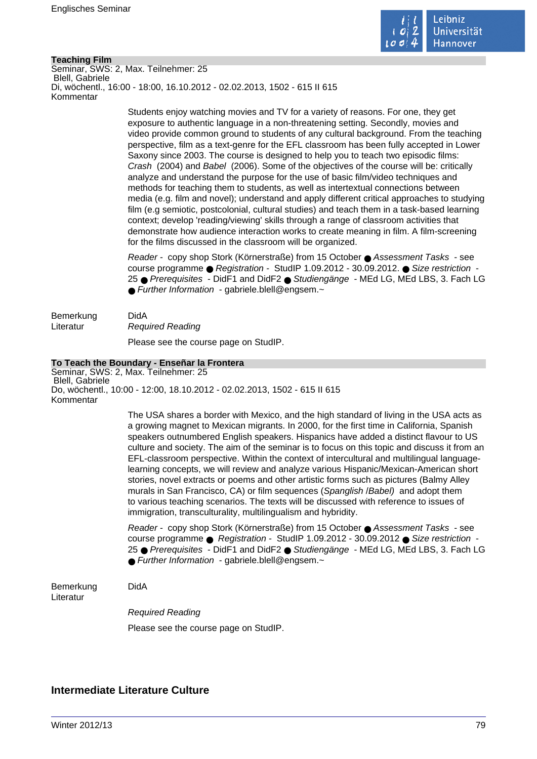

## **Teaching Film**

Seminar, SWS: 2, Max. Teilnehmer: 25 Blell, Gabriele Di, wöchentl., 16:00 - 18:00, 16.10.2012 - 02.02.2013, 1502 - 615 II 615 Kommentar

> Students enjoy watching movies and TV for a variety of reasons. For one, they get exposure to authentic language in a non-threatening setting. Secondly, movies and video provide common ground to students of any cultural background. From the teaching perspective, film as a text-genre for the EFL classroom has been fully accepted in Lower Saxony since 2003. The course is designed to help you to teach two episodic films: Crash (2004) and Babel (2006). Some of the objectives of the course will be: critically analyze and understand the purpose for the use of basic film/video techniques and methods for teaching them to students, as well as intertextual connections between media (e.g. film and novel); understand and apply different critical approaches to studying film (e.g semiotic, postcolonial, cultural studies) and teach them in a task-based learning context; develop 'reading/viewing' skills through a range of classroom activities that demonstrate how audience interaction works to create meaning in film. A film-screening for the films discussed in the classroom will be organized.

> Reader - copy shop Stork (Körnerstraße) from 15 October ● Assessment Tasks - see course programme ● Registration - StudIP 1.09.2012 - 30.09.2012. ● Size restriction - 25 ● Prerequisites - DidF1 and DidF2 ● Studiengänge - MEd LG, MEd LBS, 3. Fach LG ● Further Information - gabriele.blell@engsem.~

Bemerkung DidA Literatur Required Reading Please see the course page on StudIP.

## **To Teach the Boundary - Enseñar la Frontera**

Seminar, SWS: 2, Max. Teilnehmer: 25 Blell, Gabriele Do, wöchentl., 10:00 - 12:00, 18.10.2012 - 02.02.2013, 1502 - 615 II 615 Kommentar

> The USA shares a border with Mexico, and the high standard of living in the USA acts as a growing magnet to Mexican migrants. In 2000, for the first time in California, Spanish speakers outnumbered English speakers. Hispanics have added a distinct flavour to US culture and society. The aim of the seminar is to focus on this topic and discuss it from an EFL-classroom perspective. Within the context of intercultural and multilingual languagelearning concepts, we will review and analyze various Hispanic/Mexican-American short stories, novel extracts or poems and other artistic forms such as pictures (Balmy Alley murals in San Francisco, CA) or film sequences (Spanglish / Babel) and adopt them to various teaching scenarios. The texts will be discussed with reference to issues of immigration, transculturality, multilingualism and hybridity.

> Reader - copy shop Stork (Körnerstraße) from 15 October ● Assessment Tasks - see course programme ● Registration - StudIP 1.09.2012 - 30.09.2012 ● Size restriction - 25 ● Prerequisites - DidF1 and DidF2 ● Studiengänge - MEd LG, MEd LBS, 3. Fach LG ● Further Information - gabriele.blell@engsem.~

Bemerkung DidA Literatur

Required Reading

Please see the course page on StudIP.

## **Intermediate Literature Culture**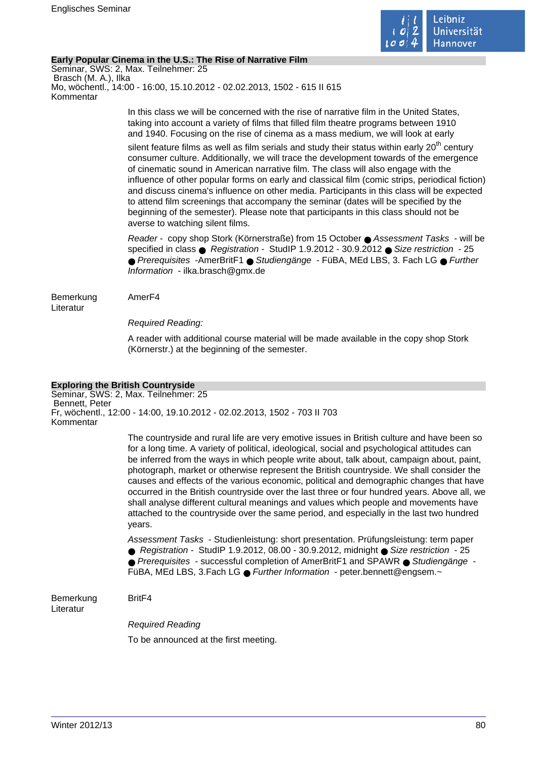

## **Early Popular Cinema in the U.S.: The Rise of Narrative Film**

Seminar, SWS: 2, Max. Teilnehmer: 25 Brasch (M. A.), Ilka Mo, wöchentl., 14:00 - 16:00, 15.10.2012 - 02.02.2013, 1502 - 615 II 615 Kommentar

> In this class we will be concerned with the rise of narrative film in the United States, taking into account a variety of films that filled film theatre programs between 1910 and 1940. Focusing on the rise of cinema as a mass medium, we will look at early

silent feature films as well as film serials and study their status within early  $20<sup>th</sup>$  century consumer culture. Additionally, we will trace the development towards of the emergence of cinematic sound in American narrative film. The class will also engage with the influence of other popular forms on early and classical film (comic strips, periodical fiction) and discuss cinema's influence on other media. Participants in this class will be expected to attend film screenings that accompany the seminar (dates will be specified by the beginning of the semester). Please note that participants in this class should not be averse to watching silent films.

Reader - copy shop Stork (Körnerstraße) from 15 October ● Assessment Tasks - will be specified in class ● Registration - StudIP 1.9.2012 - 30.9.2012 ● Size restriction - 25 ● Prerequisites -AmerBritF1 ● Studiengänge - FüBA, MEd LBS, 3. Fach LG ● Further Information - ilka.brasch@gmx.de

Bemerkung AmerF4 Literatur

Required Reading:

A reader with additional course material will be made available in the copy shop Stork (Körnerstr.) at the beginning of the semester.

## **Exploring the British Countryside**

Seminar, SWS: 2, Max. Teilnehmer: 25 Bennett, Peter Fr, wöchentl., 12:00 - 14:00, 19.10.2012 - 02.02.2013, 1502 - 703 II 703 Kommentar

> The countryside and rural life are very emotive issues in British culture and have been so for a long time. A variety of political, ideological, social and psychological attitudes can be inferred from the ways in which people write about, talk about, campaign about, paint, photograph, market or otherwise represent the British countryside. We shall consider the causes and effects of the various economic, political and demographic changes that have occurred in the British countryside over the last three or four hundred years. Above all, we shall analyse different cultural meanings and values which people and movements have attached to the countryside over the same period, and especially in the last two hundred years.

Assessment Tasks - Studienleistung: short presentation. Prüfungsleistung: term paper ● Registration - StudIP 1.9.2012, 08.00 - 30.9.2012, midnight ● Size restriction - 25 ● Prerequisites - successful completion of AmerBritF1 and SPAWR ● Studiengänge -

FüBA, MEd LBS, 3.Fach LG ● Further Information - peter.bennett@engsem.~

Bemerkung BritF4 Literatur

Required Reading

To be announced at the first meeting.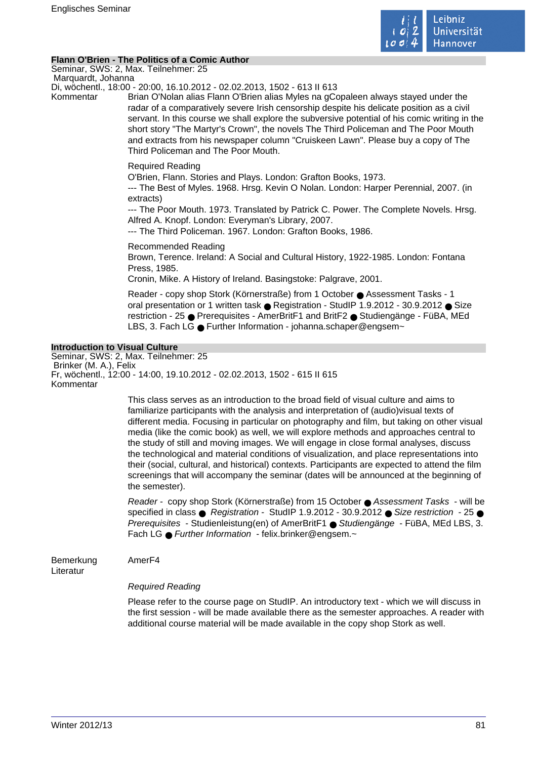

## **Flann O'Brien - The Politics of a Comic Author**

Seminar, SWS: 2, Max. Teilnehmer: 25 Marquardt, Johanna

Di, wöchentl., 18:00 - 20:00, 16.10.2012 - 02.02.2013, 1502 - 613 II 613

Kommentar Brian O'Nolan alias Flann O'Brien alias Myles na gCopaleen always stayed under the radar of a comparatively severe Irish censorship despite his delicate position as a civil servant. In this course we shall explore the subversive potential of his comic writing in the short story "The Martyr's Crown", the novels The Third Policeman and The Poor Mouth and extracts from his newspaper column "Cruiskeen Lawn". Please buy a copy of The Third Policeman and The Poor Mouth.

## Required Reading

O'Brien, Flann. Stories and Plays. London: Grafton Books, 1973.

--- The Best of Myles. 1968. Hrsg. Kevin O Nolan. London: Harper Perennial, 2007. (in extracts)

--- The Poor Mouth. 1973. Translated by Patrick C. Power. The Complete Novels. Hrsg. Alfred A. Knopf. London: Everyman's Library, 2007.

--- The Third Policeman. 1967. London: Grafton Books, 1986.

Recommended Reading Brown, Terence. Ireland: A Social and Cultural History, 1922-1985. London: Fontana Press, 1985.

Cronin, Mike. A History of Ireland. Basingstoke: Palgrave, 2001.

Reader - copy shop Stork (Körnerstraße) from 1 October ● Assessment Tasks - 1 oral presentation or 1 written task ● Registration - StudIP 1.9.2012 - 30.9.2012 ● Size restriction - 25 ● Prerequisites - AmerBritF1 and BritF2 ● Studiengänge - FüBA, MEd LBS, 3. Fach LG ● Further Information - johanna.schaper@engsem~

## **Introduction to Visual Culture**

Seminar, SWS: 2, Max. Teilnehmer: 25 Brinker (M. A.), Felix Fr, wöchentl., 12:00 - 14:00, 19.10.2012 - 02.02.2013, 1502 - 615 II 615 Kommentar

> This class serves as an introduction to the broad field of visual culture and aims to familiarize participants with the analysis and interpretation of (audio)visual texts of different media. Focusing in particular on photography and film, but taking on other visual media (like the comic book) as well, we will explore methods and approaches central to the study of still and moving images. We will engage in close formal analyses, discuss the technological and material conditions of visualization, and place representations into their (social, cultural, and historical) contexts. Participants are expected to attend the film screenings that will accompany the seminar (dates will be announced at the beginning of the semester).

> Reader - copy shop Stork (Körnerstraße) from 15 October ● Assessment Tasks - will be specified in class ● Registration - StudIP 1.9.2012 - 30.9.2012 ● Size restriction - 25 ● Prerequisites - Studienleistung(en) of AmerBritF1 ● Studiengänge - FüBA, MEd LBS, 3. Fach LG ● Further Information - felix.brinker@engsem.~

Bemerkung AmerF4

Literatur

## Required Reading

Please refer to the course page on StudIP. An introductory text - which we will discuss in the first session - will be made available there as the semester approaches. A reader with additional course material will be made available in the copy shop Stork as well.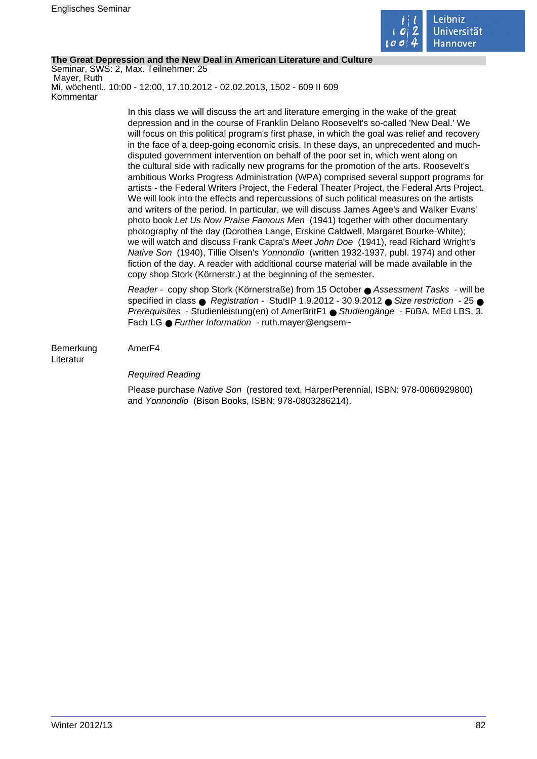

## **The Great Depression and the New Deal in American Literature and Culture**

Seminar, SWS: 2, Max. Teilnehmer: 25 Mayer, Ruth Mi, wöchentl., 10:00 - 12:00, 17.10.2012 - 02.02.2013, 1502 - 609 II 609 Kommentar

> In this class we will discuss the art and literature emerging in the wake of the great depression and in the course of Franklin Delano Roosevelt's so-called 'New Deal.' We will focus on this political program's first phase, in which the goal was relief and recovery in the face of a deep-going economic crisis. In these days, an unprecedented and muchdisputed government intervention on behalf of the poor set in, which went along on the cultural side with radically new programs for the promotion of the arts. Roosevelt's ambitious Works Progress Administration (WPA) comprised several support programs for artists - the Federal Writers Project, the Federal Theater Project, the Federal Arts Project. We will look into the effects and repercussions of such political measures on the artists and writers of the period. In particular, we will discuss James Agee's and Walker Evans' photo book Let Us Now Praise Famous Men (1941) together with other documentary photography of the day (Dorothea Lange, Erskine Caldwell, Margaret Bourke-White); we will watch and discuss Frank Capra's Meet John Doe (1941), read Richard Wright's Native Son (1940), Tillie Olsen's Yonnondio (written 1932-1937, publ. 1974) and other fiction of the day. A reader with additional course material will be made available in the copy shop Stork (Körnerstr.) at the beginning of the semester.

> Reader - copy shop Stork (Körnerstraße) from 15 October ● Assessment Tasks - will be specified in class  $\bullet$  Registration - StudIP 1.9.2012 - 30.9.2012  $\bullet$  Size restriction - 25  $\bullet$ Prerequisites - Studienleistung(en) of AmerBritF1 ● Studiengänge - FüBA, MEd LBS, 3. Fach LG ● Further Information - ruth.maver@engsem~

Bemerkung AmerF4 Literatur

## Required Reading

Please purchase Native Son (restored text, HarperPerennial, ISBN: 978-0060929800) and Yonnondio (Bison Books, ISBN: 978-0803286214).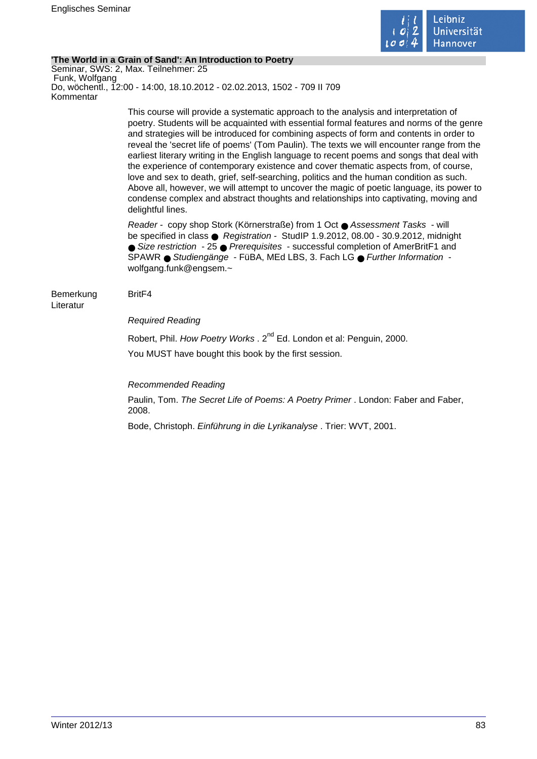

## **'The World in a Grain of Sand': An Introduction to Poetry**

Seminar, SWS: 2, Max. Teilnehmer: 25 Funk, Wolfgang Do, wöchentl., 12:00 - 14:00, 18.10.2012 - 02.02.2013, 1502 - 709 II 709 Kommentar

> This course will provide a systematic approach to the analysis and interpretation of poetry. Students will be acquainted with essential formal features and norms of the genre and strategies will be introduced for combining aspects of form and contents in order to reveal the 'secret life of poems' (Tom Paulin). The texts we will encounter range from the earliest literary writing in the English language to recent poems and songs that deal with the experience of contemporary existence and cover thematic aspects from, of course, love and sex to death, grief, self-searching, politics and the human condition as such. Above all, however, we will attempt to uncover the magic of poetic language, its power to condense complex and abstract thoughts and relationships into captivating, moving and delightful lines.

Reader - copy shop Stork (Körnerstraße) from 1 Oct ● Assessment Tasks - will be specified in class ● Registration - StudIP 1.9.2012, 08.00 - 30.9.2012, midnight ● Size restriction - 25 ● Prerequisites - successful completion of AmerBritF1 and SPAWR ● Studiengänge - FüBA, MEd LBS, 3. Fach LG ● Further Information wolfgang.funk@engsem.~

#### Bemerkung BritF4 Literatur

## Required Reading

Robert, Phil. How Poetry Works . 2<sup>nd</sup> Ed. London et al: Penguin, 2000. You MUST have bought this book by the first session.

Recommended Reading

Paulin, Tom. The Secret Life of Poems: A Poetry Primer . London: Faber and Faber, 2008.

Bode, Christoph. Einführung in die Lyrikanalyse . Trier: WVT, 2001.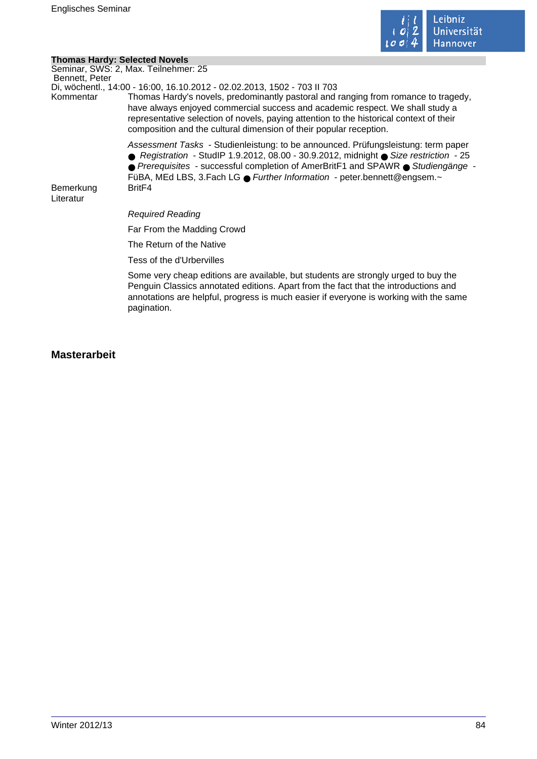

## **Thomas Hardy: Selected Novels**

| <b>Thomas Hardy: Selected Novels</b> |                                                                                                                                                                                                                                                                                                                                                                                                                  |
|--------------------------------------|------------------------------------------------------------------------------------------------------------------------------------------------------------------------------------------------------------------------------------------------------------------------------------------------------------------------------------------------------------------------------------------------------------------|
| Bennett, Peter                       | Seminar, SWS: 2, Max. Teilnehmer: 25                                                                                                                                                                                                                                                                                                                                                                             |
| Kommentar                            | Di, wöchentl., 14:00 - 16:00, 16.10.2012 - 02.02.2013, 1502 - 703 II 703<br>Thomas Hardy's novels, predominantly pastoral and ranging from romance to tragedy,<br>have always enjoyed commercial success and academic respect. We shall study a<br>representative selection of novels, paying attention to the historical context of their<br>composition and the cultural dimension of their popular reception. |
|                                      | Assessment Tasks - Studienleistung: to be announced. Prüfungsleistung: term paper<br>● Registration - StudIP 1.9.2012, 08.00 - 30.9.2012, midnight ● Size restriction - 25<br>$\bullet$ Prerequisites - successful completion of AmerBritF1 and SPAWR $\bullet$ Studiengänge -<br>FüBA, MEd LBS, 3. Fach LG ● Further Information - peter bennett@engsem.~                                                       |
| Bemerkung<br>Literatur               | Brit <sub>F4</sub>                                                                                                                                                                                                                                                                                                                                                                                               |
|                                      | <b>Required Reading</b>                                                                                                                                                                                                                                                                                                                                                                                          |
|                                      | Far From the Madding Crowd                                                                                                                                                                                                                                                                                                                                                                                       |
|                                      | The Return of the Native                                                                                                                                                                                                                                                                                                                                                                                         |
|                                      | Tess of the d'Urbervilles                                                                                                                                                                                                                                                                                                                                                                                        |
|                                      | Some very cheap editions are available, but students are strongly urged to buy the<br>Penguin Classics annotated editions. Apart from the fact that the introductions and<br>annotations are helpful, progress is much easier if everyone is working with the same<br>pagination.                                                                                                                                |

# **Masterarbeit**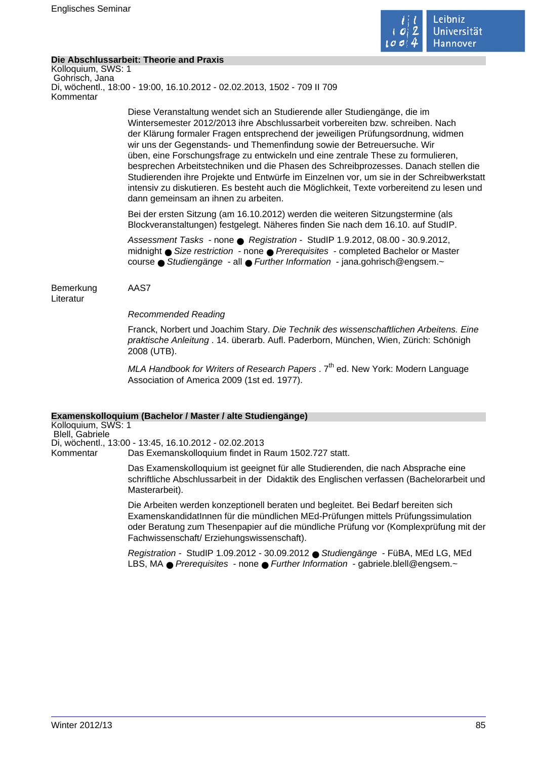

## **Die Abschlussarbeit: Theorie and Praxis**

Kolloquium, SWS: 1 Gohrisch, Jana Di, wöchentl., 18:00 - 19:00, 16.10.2012 - 02.02.2013, 1502 - 709 II 709 Kommentar

> Diese Veranstaltung wendet sich an Studierende aller Studiengänge, die im Wintersemester 2012/2013 ihre Abschlussarbeit vorbereiten bzw. schreiben. Nach der Klärung formaler Fragen entsprechend der jeweiligen Prüfungsordnung, widmen wir uns der Gegenstands- und Themenfindung sowie der Betreuersuche. Wir üben, eine Forschungsfrage zu entwickeln und eine zentrale These zu formulieren, besprechen Arbeitstechniken und die Phasen des Schreibprozesses. Danach stellen die Studierenden ihre Projekte und Entwürfe im Einzelnen vor, um sie in der Schreibwerkstatt intensiv zu diskutieren. Es besteht auch die Möglichkeit, Texte vorbereitend zu lesen und dann gemeinsam an ihnen zu arbeiten.

Bei der ersten Sitzung (am 16.10.2012) werden die weiteren Sitzungstermine (als Blockveranstaltungen) festgelegt. Näheres finden Sie nach dem 16.10. auf StudIP.

Assessment Tasks - none ● Registration - StudIP 1.9.2012, 08.00 - 30.9.2012, midnight ● Size restriction - none ● Prerequisites - completed Bachelor or Master course ● Studiengänge - all ● Further Information - jana.gohrisch@engsem.~

Bemerkung AAS7 Literatur

Recommended Reading

Franck, Norbert und Joachim Stary. Die Technik des wissenschaftlichen Arbeitens. Eine praktische Anleitung . 14. überarb. Aufl. Paderborn, München, Wien, Zürich: Schönigh 2008 (UTB).

MLA Handbook for Writers of Research Papers .  $7<sup>th</sup>$  ed. New York: Modern Language Association of America 2009 (1st ed. 1977).

## **Examenskolloquium (Bachelor / Master / alte Studiengänge)**

Kolloquium, SWS: 1 Blell, Gabriele Di, wöchentl., 13:00 - 13:45, 16.10.2012 - 02.02.2013 Kommentar Das Exemanskolloquium findet in Raum 1502.727 statt.

> Das Examenskolloquium ist geeignet für alle Studierenden, die nach Absprache eine schriftliche Abschlussarbeit in der Didaktik des Englischen verfassen (Bachelorarbeit und Masterarbeit).

> Die Arbeiten werden konzeptionell beraten und begleitet. Bei Bedarf bereiten sich ExamenskandidatInnen für die mündlichen MEd-Prüfungen mittels Prüfungssimulation oder Beratung zum Thesenpapier auf die mündliche Prüfung vor (Komplexprüfung mit der Fachwissenschaft/ Erziehungswissenschaft).

Registration - StudIP 1.09.2012 - 30.09.2012 ● Studiengänge - FüBA, MEd LG, MEd LBS, MA ● Prerequisites - none ● Further Information - gabriele.blell@engsem.~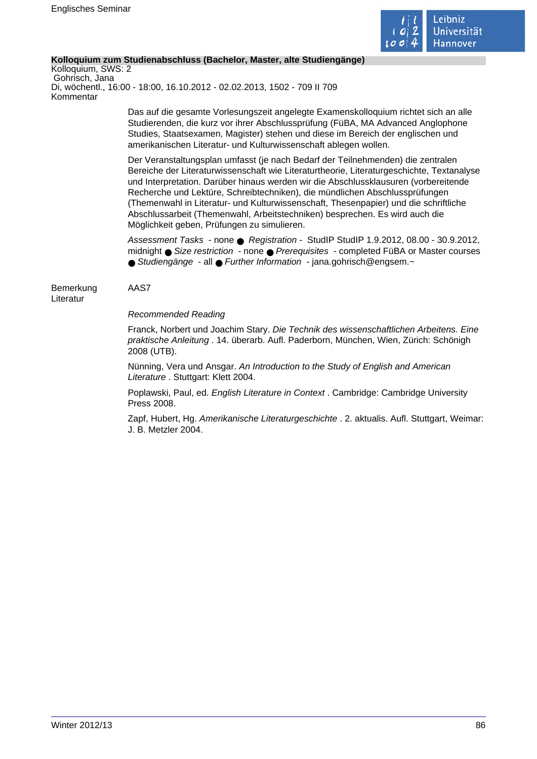

## **Kolloquium zum Studienabschluss (Bachelor, Master, alte Studiengänge)**

Kolloquium, SWS: 2 Gohrisch, Jana Di, wöchentl., 16:00 - 18:00, 16.10.2012 - 02.02.2013, 1502 - 709 II 709 Kommentar

> Das auf die gesamte Vorlesungszeit angelegte Examenskolloquium richtet sich an alle Studierenden, die kurz vor ihrer Abschlussprüfung (FüBA, MA Advanced Anglophone Studies, Staatsexamen, Magister) stehen und diese im Bereich der englischen und amerikanischen Literatur- und Kulturwissenschaft ablegen wollen.

Der Veranstaltungsplan umfasst (je nach Bedarf der Teilnehmenden) die zentralen Bereiche der Literaturwissenschaft wie Literaturtheorie, Literaturgeschichte, Textanalyse und Interpretation. Darüber hinaus werden wir die Abschlussklausuren (vorbereitende Recherche und Lektüre, Schreibtechniken), die mündlichen Abschlussprüfungen (Themenwahl in Literatur- und Kulturwissenschaft, Thesenpapier) und die schriftliche Abschlussarbeit (Themenwahl, Arbeitstechniken) besprechen. Es wird auch die Möglichkeit geben, Prüfungen zu simulieren.

Assessment Tasks - none ● Registration - StudIP StudIP 1.9.2012, 08.00 - 30.9.2012, midnight ● Size restriction - none ● Prerequisites - completed FüBA or Master courses ● Studiengänge - all ● Further Information - jana.gohrisch@engsem.~

Bemerkung AAS7 Literatur

Recommended Reading

Franck, Norbert und Joachim Stary. Die Technik des wissenschaftlichen Arbeitens. Eine praktische Anleitung . 14. überarb. Aufl. Paderborn, München, Wien, Zürich: Schönigh 2008 (UTB).

Nünning, Vera und Ansgar. An Introduction to the Study of English and American Literature . Stuttgart: Klett 2004.

Poplawski, Paul, ed. English Literature in Context . Cambridge: Cambridge University Press 2008.

Zapf, Hubert, Hg. Amerikanische Literaturgeschichte . 2. aktualis. Aufl. Stuttgart, Weimar: J. B. Metzler 2004.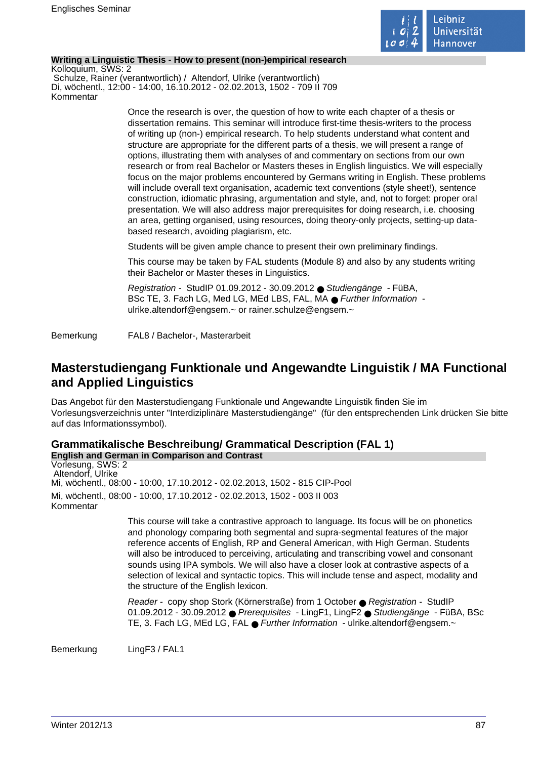

## **Writing a Linguistic Thesis - How to present (non-)empirical research**

Kolloquium, SWS: 2 Schulze, Rainer (verantwortlich) / Altendorf, Ulrike (verantwortlich) Di, wöchentl., 12:00 - 14:00, 16.10.2012 - 02.02.2013, 1502 - 709 II 709 Kommentar

> Once the research is over, the question of how to write each chapter of a thesis or dissertation remains. This seminar will introduce first-time thesis-writers to the process of writing up (non-) empirical research. To help students understand what content and structure are appropriate for the different parts of a thesis, we will present a range of options, illustrating them with analyses of and commentary on sections from our own research or from real Bachelor or Masters theses in English linguistics. We will especially focus on the major problems encountered by Germans writing in English. These problems will include overall text organisation, academic text conventions (style sheet!), sentence construction, idiomatic phrasing, argumentation and style, and, not to forget: proper oral presentation. We will also address major prerequisites for doing research, i.e. choosing an area, getting organised, using resources, doing theory-only projects, setting-up databased research, avoiding plagiarism, etc.

Students will be given ample chance to present their own preliminary findings.

This course may be taken by FAL students (Module 8) and also by any students writing their Bachelor or Master theses in Linguistics.

Registration - StudIP 01.09.2012 - 30.09.2012 ● Studiengänge - FüBA, BSc TE, 3. Fach LG, Med LG, MEd LBS, FAL, MA ● Further Information ulrike.altendorf@engsem.~ or rainer.schulze@engsem.~

Bemerkung FAL8 / Bachelor-, Masterarbeit

# **Masterstudiengang Funktionale und Angewandte Linguistik / MA Functional and Applied Linguistics**

Das Angebot für den Masterstudiengang Funktionale und Angewandte Linguistik finden Sie im Vorlesungsverzeichnis unter "Interdiziplinäre Masterstudiengänge" (für den entsprechenden Link drücken Sie bitte auf das Informationssymbol).

# **Grammatikalische Beschreibung/ Grammatical Description (FAL 1)**

**English and German in Comparison and Contrast** Vorlesung, SWS: 2 Altendorf, Ulrike Mi, wöchentl., 08:00 - 10:00, 17.10.2012 - 02.02.2013, 1502 - 815 CIP-Pool Mi, wöchentl., 08:00 - 10:00, 17.10.2012 - 02.02.2013, 1502 - 003 II 003 Kommentar

> This course will take a contrastive approach to language. Its focus will be on phonetics and phonology comparing both segmental and supra-segmental features of the major reference accents of English, RP and General American, with High German. Students will also be introduced to perceiving, articulating and transcribing vowel and consonant sounds using IPA symbols. We will also have a closer look at contrastive aspects of a selection of lexical and syntactic topics. This will include tense and aspect, modality and the structure of the English lexicon.

Reader - copy shop Stork (Körnerstraße) from 1 October ● Registration - StudIP 01.09.2012 - 30.09.2012 ● Prerequisites - LingF1, LingF2 ● Studiengänge - FüBA, BSc TE, 3. Fach LG, MEd LG, FAL ● Further Information - ulrike.altendorf@engsem.~

Bemerkung LingF3 / FAL1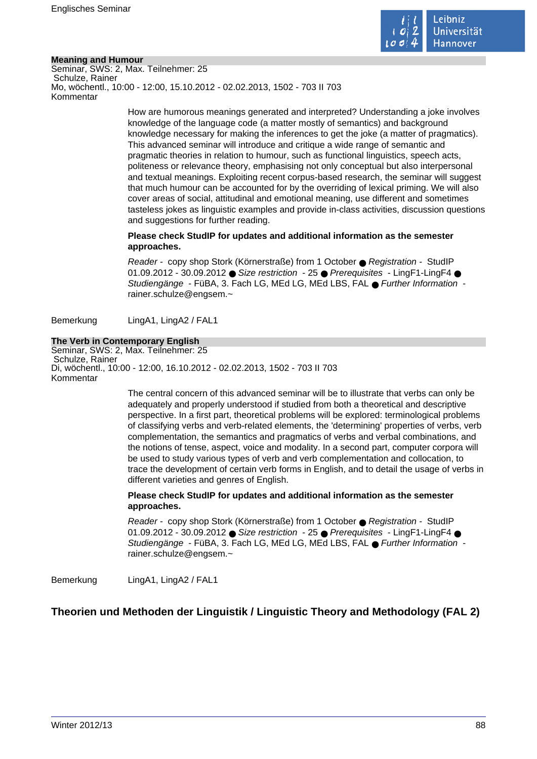

## **Meaning and Humour**

Seminar, SWS: 2, Max. Teilnehmer: 25 Schulze, Rainer Mo, wöchentl., 10:00 - 12:00, 15.10.2012 - 02.02.2013, 1502 - 703 II 703 Kommentar

> How are humorous meanings generated and interpreted? Understanding a joke involves knowledge of the language code (a matter mostly of semantics) and background knowledge necessary for making the inferences to get the joke (a matter of pragmatics). This advanced seminar will introduce and critique a wide range of semantic and pragmatic theories in relation to humour, such as functional linguistics, speech acts, politeness or relevance theory, emphasising not only conceptual but also interpersonal and textual meanings. Exploiting recent corpus-based research, the seminar will suggest that much humour can be accounted for by the overriding of lexical priming. We will also cover areas of social, attitudinal and emotional meaning, use different and sometimes tasteless jokes as linguistic examples and provide in-class activities, discussion questions and suggestions for further reading.

## **Please check StudIP for updates and additional information as the semester approaches.**

Reader - copy shop Stork (Körnerstraße) from 1 October ● Registration - StudIP 01.09.2012 - 30.09.2012 ● Size restriction - 25 ● Prerequisites - LingF1-LingF4 ● Studiengänge - FüBA, 3. Fach LG, MEd LG, MEd LBS, FAL ● Further Information rainer.schulze@engsem.~

Bemerkung LingA1, LingA2 / FAL1

## **The Verb in Contemporary English**

Seminar, SWS: 2, Max. Teilnehmer: 25 Schulze, Rainer Di, wöchentl., 10:00 - 12:00, 16.10.2012 - 02.02.2013, 1502 - 703 II 703 Kommentar

> The central concern of this advanced seminar will be to illustrate that verbs can only be adequately and properly understood if studied from both a theoretical and descriptive perspective. In a first part, theoretical problems will be explored: terminological problems of classifying verbs and verb-related elements, the 'determining' properties of verbs, verb complementation, the semantics and pragmatics of verbs and verbal combinations, and the notions of tense, aspect, voice and modality. In a second part, computer corpora will be used to study various types of verb and verb complementation and collocation, to trace the development of certain verb forms in English, and to detail the usage of verbs in different varieties and genres of English.

## **Please check StudIP for updates and additional information as the semester approaches.**

Reader - copy shop Stork (Körnerstraße) from 1 October ● Registration - StudIP 01.09.2012 - 30.09.2012 ● Size restriction - 25 ● Prerequisites - LingF1-LingF4 ● Studiengänge - FüBA, 3. Fach LG, MEd LG, MEd LBS, FAL ● Further Information rainer.schulze@engsem.~

Bemerkung LingA1, LingA2 / FAL1

# **Theorien und Methoden der Linguistik / Linguistic Theory and Methodology (FAL 2)**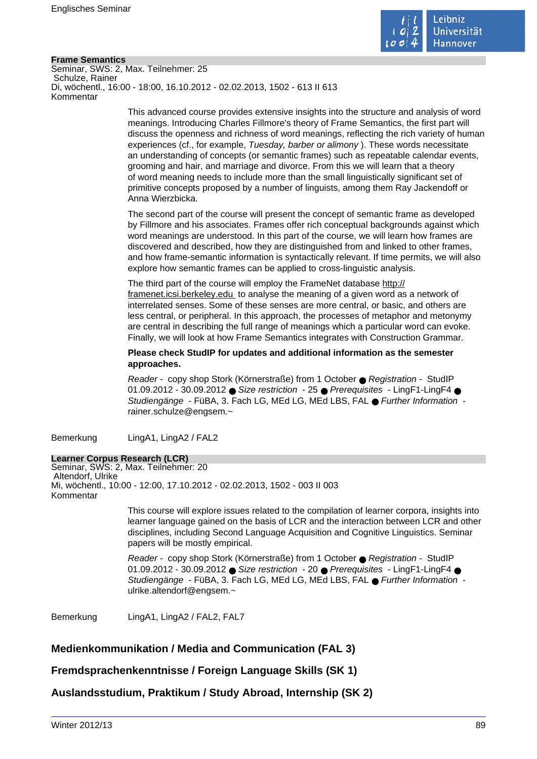

## **Frame Semantics**

Seminar, SWS: 2, Max. Teilnehmer: 25 Schulze, Rainer Di, wöchentl., 16:00 - 18:00, 16.10.2012 - 02.02.2013, 1502 - 613 II 613 Kommentar

> This advanced course provides extensive insights into the structure and analysis of word meanings. Introducing Charles Fillmore's theory of Frame Semantics, the first part will discuss the openness and richness of word meanings, reflecting the rich variety of human experiences (cf., for example, Tuesday, barber or alimony ). These words necessitate an understanding of concepts (or semantic frames) such as repeatable calendar events, grooming and hair, and marriage and divorce. From this we will learn that a theory of word meaning needs to include more than the small linguistically significant set of primitive concepts proposed by a number of linguists, among them Ray Jackendoff or Anna Wierzbicka.

The second part of the course will present the concept of semantic frame as developed by Fillmore and his associates. Frames offer rich conceptual backgrounds against which word meanings are understood. In this part of the course, we will learn how frames are discovered and described, how they are distinguished from and linked to other frames, and how frame-semantic information is syntactically relevant. If time permits, we will also explore how semantic frames can be applied to cross-linguistic analysis.

The third part of the course will employ the FrameNet database http:// framenet.icsi.berkeley.edu to analyse the meaning of a given word as a network of interrelated senses. Some of these senses are more central, or basic, and others are less central, or peripheral. In this approach, the processes of metaphor and metonymy are central in describing the full range of meanings which a particular word can evoke. Finally, we will look at how Frame Semantics integrates with Construction Grammar.

**Please check StudIP for updates and additional information as the semester approaches.** 

Reader - copy shop Stork (Körnerstraße) from 1 October ● Registration - StudIP 01.09.2012 - 30.09.2012 ● Size restriction - 25 ● Prerequisites - LingF1-LingF4 ● Studiengänge - FüBA, 3. Fach LG, MEd LG, MEd LBS, FAL ● Further Information rainer.schulze@engsem.~

Bemerkung LingA1, LingA2 / FAL2

## **Learner Corpus Research (LCR)**

Seminar, SWS: 2, Max. Teilnehmer: 20 Altendorf, Ulrike Mi, wöchentl., 10:00 - 12:00, 17.10.2012 - 02.02.2013, 1502 - 003 II 003 Kommentar

> This course will explore issues related to the compilation of learner corpora, insights into learner language gained on the basis of LCR and the interaction between LCR and other disciplines, including Second Language Acquisition and Cognitive Linguistics. Seminar papers will be mostly empirical.

Reader - copy shop Stork (Körnerstraße) from 1 October ● Registration - StudIP 01.09.2012 - 30.09.2012 ● Size restriction - 20 ● Prerequisites - LingF1-LingF4 ● Studiengänge - FüBA, 3. Fach LG, MEd LG, MEd LBS, FAL ● Further Information ulrike.altendorf@engsem.~

Bemerkung LingA1, LingA2 / FAL2, FAL7

## **Medienkommunikation / Media and Communication (FAL 3)**

**Fremdsprachenkenntnisse / Foreign Language Skills (SK 1)**

**Auslandsstudium, Praktikum / Study Abroad, Internship (SK 2)**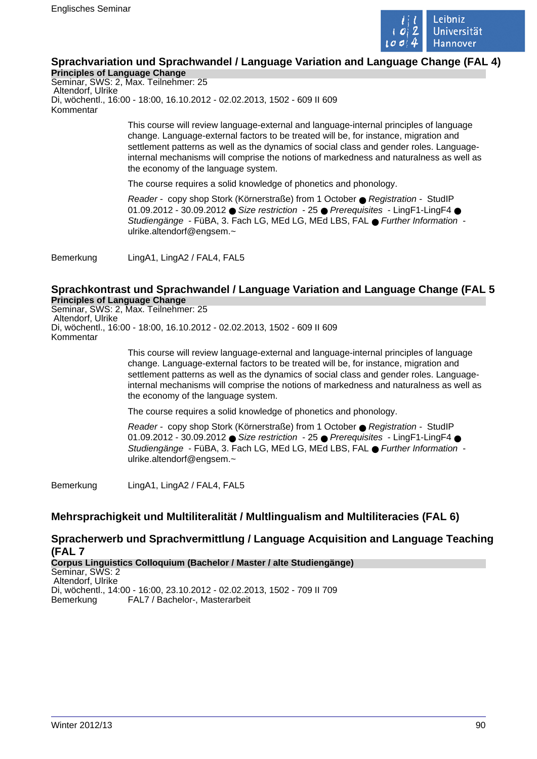

# **Sprachvariation und Sprachwandel / Language Variation and Language Change (FAL 4)**

**Principles of Language Change** Seminar, SWS: 2, Max. Teilnehmer: 25 Altendorf, Ulrike Di, wöchentl., 16:00 - 18:00, 16.10.2012 - 02.02.2013, 1502 - 609 II 609 Kommentar

> This course will review language-external and language-internal principles of language change. Language-external factors to be treated will be, for instance, migration and settlement patterns as well as the dynamics of social class and gender roles. Languageinternal mechanisms will comprise the notions of markedness and naturalness as well as the economy of the language system.

The course requires a solid knowledge of phonetics and phonology.

Reader - copy shop Stork (Körnerstraße) from 1 October ● Registration - StudIP 01.09.2012 - 30.09.2012 ● Size restriction - 25 ● Prerequisites - LingF1-LingF4 ● Studiengänge - FüBA, 3. Fach LG, MEd LG, MEd LBS, FAL ● Further Information ulrike.altendorf@engsem.~

Bemerkung LingA1, LingA2 / FAL4, FAL5

## **Sprachkontrast und Sprachwandel / Language Variation and Language Change (FAL 5 Principles of Language Change**

Seminar, SWS: 2, Max. Teilnehmer: 25 Altendorf, Ulrike Di, wöchentl., 16:00 - 18:00, 16.10.2012 - 02.02.2013, 1502 - 609 II 609 Kommentar

> This course will review language-external and language-internal principles of language change. Language-external factors to be treated will be, for instance, migration and settlement patterns as well as the dynamics of social class and gender roles. Languageinternal mechanisms will comprise the notions of markedness and naturalness as well as the economy of the language system.

The course requires a solid knowledge of phonetics and phonology.

Reader - copy shop Stork (Körnerstraße) from 1 October ● Registration - StudIP 01.09.2012 - 30.09.2012 ● Size restriction - 25 ● Prerequisites - LingF1-LingF4 ● Studiengänge - FüBA, 3. Fach LG, MEd LG, MEd LBS, FAL ● Further Information ulrike.altendorf@engsem.~

Bemerkung LingA1, LingA2 / FAL4, FAL5

## **Mehrsprachigkeit und Multiliteralität / Multlingualism and Multiliteracies (FAL 6)**

## **Spracherwerb und Sprachvermittlung / Language Acquisition and Language Teaching (FAL 7**

**Corpus Linguistics Colloquium (Bachelor / Master / alte Studiengänge)** Seminar, SWS: 2 Altendorf, Ulrike Di, wöchentl., 14:00 - 16:00, 23.10.2012 - 02.02.2013, 1502 - 709 II 709 Bemerkung FAL7 / Bachelor-, Masterarbeit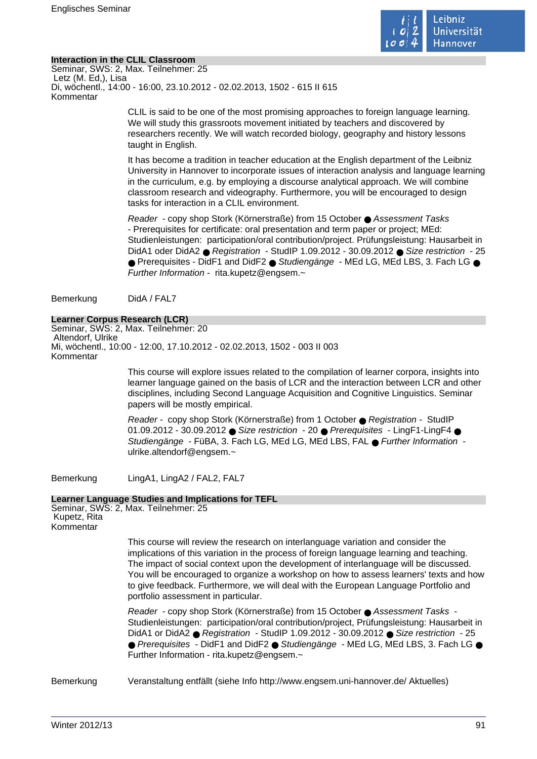

## **Interaction in the CLIL Classroom**

Seminar, SWS: 2, Max. Teilnehmer: 25 Letz (M. Ed,), Lisa Di, wöchentl., 14:00 - 16:00, 23.10.2012 - 02.02.2013, 1502 - 615 II 615 Kommentar

> CLIL is said to be one of the most promising approaches to foreign language learning. We will study this grassroots movement initiated by teachers and discovered by researchers recently. We will watch recorded biology, geography and history lessons taught in English.

It has become a tradition in teacher education at the English department of the Leibniz University in Hannover to incorporate issues of interaction analysis and language learning in the curriculum, e.g. by employing a discourse analytical approach. We will combine classroom research and videography. Furthermore, you will be encouraged to design tasks for interaction in a CLIL environment.

Reader - copy shop Stork (Körnerstraße) from 15 October ● Assessment Tasks - Prerequisites for certificate: oral presentation and term paper or project; MEd: Studienleistungen: participation/oral contribution/project. Prüfungsleistung: Hausarbeit in DidA1 oder DidA2 ● Registration - StudIP 1.09.2012 - 30.09.2012 ● Size restriction - 25 ● Prerequisites - DidF1 and DidF2 ● Studiengänge - MEd LG, MEd LBS, 3. Fach LG ● Further Information - rita.kupetz@engsem.~

Bemerkung DidA / FAL7

## **Learner Corpus Research (LCR)**

Seminar, SWS: 2, Max. Teilnehmer: 20 Altendorf, Ulrike Mi, wöchentl., 10:00 - 12:00, 17.10.2012 - 02.02.2013, 1502 - 003 II 003 Kommentar

> This course will explore issues related to the compilation of learner corpora, insights into learner language gained on the basis of LCR and the interaction between LCR and other disciplines, including Second Language Acquisition and Cognitive Linguistics. Seminar papers will be mostly empirical.

Reader - copy shop Stork (Körnerstraße) from 1 October ● Registration - StudIP 01.09.2012 - 30.09.2012  $\bullet$  Size restriction - 20  $\bullet$  Prerequisites - LingF1-LingF4  $\bullet$ Studiengänge - FüBA, 3. Fach LG, MEd LG, MEd LBS, FAL ● Further Information ulrike.altendorf@engsem.~

Bemerkung LingA1, LingA2 / FAL2, FAL7

## **Learner Language Studies and Implications for TEFL**

Seminar, SWS: 2, Max. Teilnehmer: 25 Kupetz, Rita Kommentar

> This course will review the research on interlanguage variation and consider the implications of this variation in the process of foreign language learning and teaching. The impact of social context upon the development of interlanguage will be discussed. You will be encouraged to organize a workshop on how to assess learners' texts and how to give feedback. Furthermore, we will deal with the European Language Portfolio and portfolio assessment in particular.

> Reader - copy shop Stork (Körnerstraße) from 15 October ● Assessment Tasks - Studienleistungen: participation/oral contribution/project, Prüfungsleistung: Hausarbeit in DidA1 or DidA2 ● Registration - StudIP 1.09.2012 - 30.09.2012 ● Size restriction - 25 ● Prerequisites - DidF1 and DidF2 ● Studiengänge - MEd LG, MEd LBS, 3. Fach LG ● Further Information - rita.kupetz@engsem.~

Bemerkung Veranstaltung entfällt (siehe Info http://www.engsem.uni-hannover.de/ Aktuelles)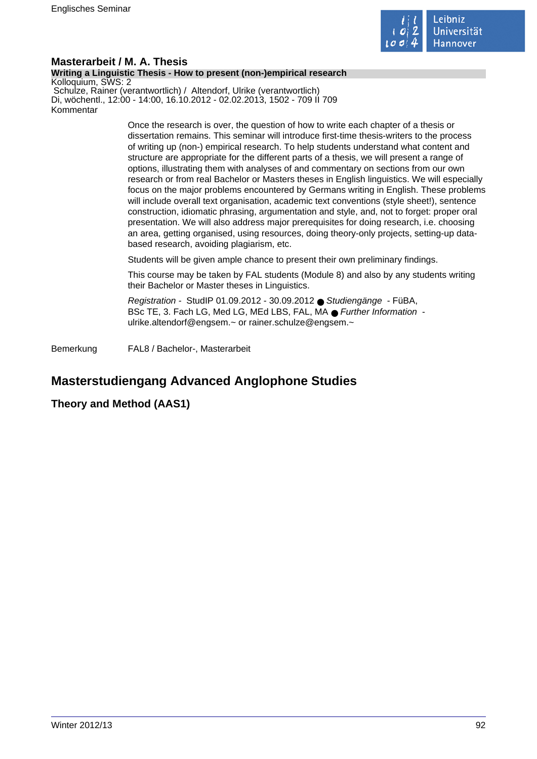

#### **Masterarbeit / M. A. Thesis Writing a Linguistic Thesis - How to present (non-)empirical research** Kolloquium, SWS: 2 Schulze, Rainer (verantwortlich) / Altendorf, Ulrike (verantwortlich) Di, wöchentl., 12:00 - 14:00, 16.10.2012 - 02.02.2013, 1502 - 709 II 709 Kommentar

Once the research is over, the question of how to write each chapter of a thesis or dissertation remains. This seminar will introduce first-time thesis-writers to the process of writing up (non-) empirical research. To help students understand what content and structure are appropriate for the different parts of a thesis, we will present a range of options, illustrating them with analyses of and commentary on sections from our own research or from real Bachelor or Masters theses in English linguistics. We will especially focus on the major problems encountered by Germans writing in English. These problems will include overall text organisation, academic text conventions (style sheet!), sentence construction, idiomatic phrasing, argumentation and style, and, not to forget: proper oral presentation. We will also address major prerequisites for doing research, i.e. choosing an area, getting organised, using resources, doing theory-only projects, setting-up databased research, avoiding plagiarism, etc.

Students will be given ample chance to present their own preliminary findings.

This course may be taken by FAL students (Module 8) and also by any students writing their Bachelor or Master theses in Linguistics.

Registration - StudIP 01.09.2012 - 30.09.2012 ● Studiengänge - FüBA, BSc TE, 3. Fach LG, Med LG, MEd LBS, FAL, MA ● Further Information ulrike.altendorf@engsem.~ or rainer.schulze@engsem.~

Bemerkung FAL8 / Bachelor-, Masterarbeit

# **Masterstudiengang Advanced Anglophone Studies**

## **Theory and Method (AAS1)**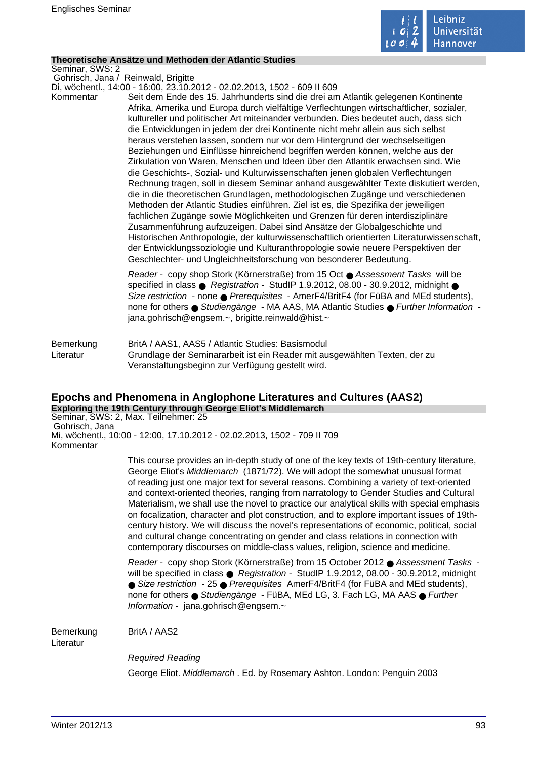

## **Theoretische Ansätze und Methoden der Atlantic Studies**

Seminar, SWS: 2

Gohrisch, Jana / Reinwald, Brigitte

Di, wöchentl., 14:00 - 16:00, 23.10.2012 - 02.02.2013, 1502 - 609 II 609 Kommentar Seit dem Ende des 15. Jahrhunderts sind die drei am Atlantik gelegenen Kontinente Afrika, Amerika und Europa durch vielfältige Verflechtungen wirtschaftlicher, sozialer, kultureller und politischer Art miteinander verbunden. Dies bedeutet auch, dass sich die Entwicklungen in jedem der drei Kontinente nicht mehr allein aus sich selbst heraus verstehen lassen, sondern nur vor dem Hintergrund der wechselseitigen Beziehungen und Einflüsse hinreichend begriffen werden können, welche aus der Zirkulation von Waren, Menschen und Ideen über den Atlantik erwachsen sind. Wie die Geschichts-, Sozial- und Kulturwissenschaften jenen globalen Verflechtungen Rechnung tragen, soll in diesem Seminar anhand ausgewählter Texte diskutiert werden, die in die theoretischen Grundlagen, methodologischen Zugänge und verschiedenen Methoden der Atlantic Studies einführen. Ziel ist es, die Spezifika der jeweiligen fachlichen Zugänge sowie Möglichkeiten und Grenzen für deren interdisziplinäre Zusammenführung aufzuzeigen. Dabei sind Ansätze der Globalgeschichte und Historischen Anthropologie, der kulturwissenschaftlich orientierten Literaturwissenschaft, der Entwicklungssoziologie und Kulturanthropologie sowie neuere Perspektiven der Geschlechter- und Ungleichheitsforschung von besonderer Bedeutung.

> Reader - copy shop Stork (Körnerstraße) from 15 Oct ● Assessment Tasks will be specified in class  $\bullet$  Registration - StudIP 1.9.2012, 08.00 - 30.9.2012, midnight  $\bullet$ Size restriction - none ● Prerequisites - AmerF4/BritF4 (for FüBA and MEd students), none for others ● Studiengänge - MA AAS, MA Atlantic Studies ● Further Information jana.gohrisch@engsem.~, brigitte.reinwald@hist.~

Bemerkung BritA / AAS1, AAS5 / Atlantic Studies: Basismodul Literatur Grundlage der Seminararbeit ist ein Reader mit ausgewählten Texten, der zu Veranstaltungsbeginn zur Verfügung gestellt wird.

# **Epochs and Phenomena in Anglophone Literatures and Cultures (AAS2)**

**Exploring the 19th Century through George Eliot's Middlemarch** Seminar, SWS: 2, Max. Teilnehmer: 25 Gohrisch, Jana Mi, wöchentl., 10:00 - 12:00, 17.10.2012 - 02.02.2013, 1502 - 709 II 709 Kommentar

> This course provides an in-depth study of one of the key texts of 19th-century literature, George Eliot's Middlemarch (1871/72). We will adopt the somewhat unusual format of reading just one major text for several reasons. Combining a variety of text-oriented and context-oriented theories, ranging from narratology to Gender Studies and Cultural Materialism, we shall use the novel to practice our analytical skills with special emphasis on focalization, character and plot construction, and to explore important issues of 19thcentury history. We will discuss the novel's representations of economic, political, social and cultural change concentrating on gender and class relations in connection with contemporary discourses on middle-class values, religion, science and medicine.

> Reader - copy shop Stork (Körnerstraße) from 15 October 2012 ● Assessment Tasks will be specified in class ● Registration - StudIP 1.9.2012, 08.00 - 30.9.2012, midnight ● Size restriction - 25 ● Prerequisites AmerF4/BritF4 (for FüBA and MEd students), none for others ● Studiengänge - FüBA, MEd LG, 3. Fach LG, MA AAS ● Further Information - jana.gohrisch@engsem.~

Bemerkung BritA / AAS2

Literatur

Required Reading

George Eliot. Middlemarch . Ed. by Rosemary Ashton. London: Penguin 2003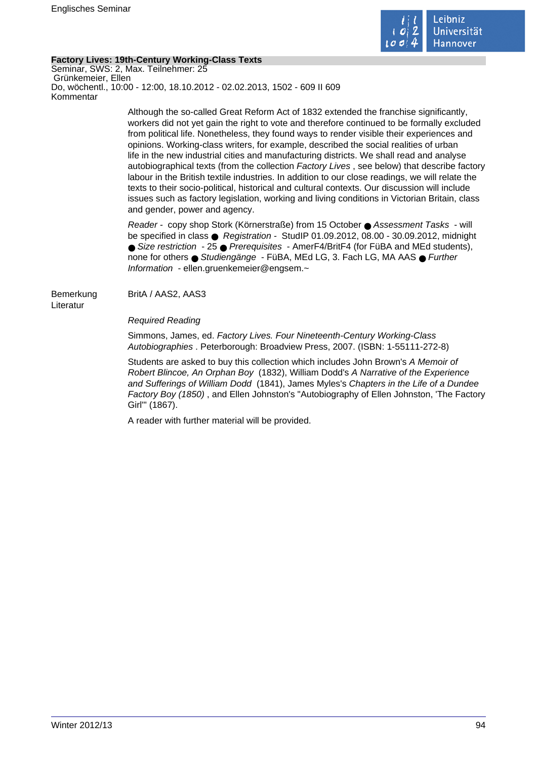

## **Factory Lives: 19th-Century Working-Class Texts**

Seminar, SWS: 2, Max. Teilnehmer: 25 Grünkemeier, Ellen Do, wöchentl., 10:00 - 12:00, 18.10.2012 - 02.02.2013, 1502 - 609 II 609 Kommentar

> Although the so-called Great Reform Act of 1832 extended the franchise significantly, workers did not yet gain the right to vote and therefore continued to be formally excluded from political life. Nonetheless, they found ways to render visible their experiences and opinions. Working-class writers, for example, described the social realities of urban life in the new industrial cities and manufacturing districts. We shall read and analyse autobiographical texts (from the collection Factory Lives , see below) that describe factory labour in the British textile industries. In addition to our close readings, we will relate the texts to their socio-political, historical and cultural contexts. Our discussion will include issues such as factory legislation, working and living conditions in Victorian Britain, class and gender, power and agency.

Reader - copy shop Stork (Körnerstraße) from 15 October ● Assessment Tasks - will be specified in class ● Registration - StudIP 01.09.2012, 08.00 - 30.09.2012, midnight ● Size restriction - 25 ● Prerequisites - AmerF4/BritF4 (for FüBA and MEd students), none for others ● Studiengänge - FüBA, MEd LG, 3. Fach LG, MA AAS ● Further Information - ellen.gruenkemeier@engsem.~

Bemerkung BritA / AAS2, AAS3 Literatur

Required Reading

Simmons, James, ed. Factory Lives. Four Nineteenth-Century Working-Class Autobiographies . Peterborough: Broadview Press, 2007. (ISBN: 1-55111-272-8)

Students are asked to buy this collection which includes John Brown's A Memoir of Robert Blincoe, An Orphan Boy (1832), William Dodd's A Narrative of the Experience and Sufferings of William Dodd (1841), James Myles's Chapters in the Life of a Dundee Factory Boy (1850) , and Ellen Johnston's "Autobiography of Ellen Johnston, 'The Factory Girl'" (1867).

A reader with further material will be provided.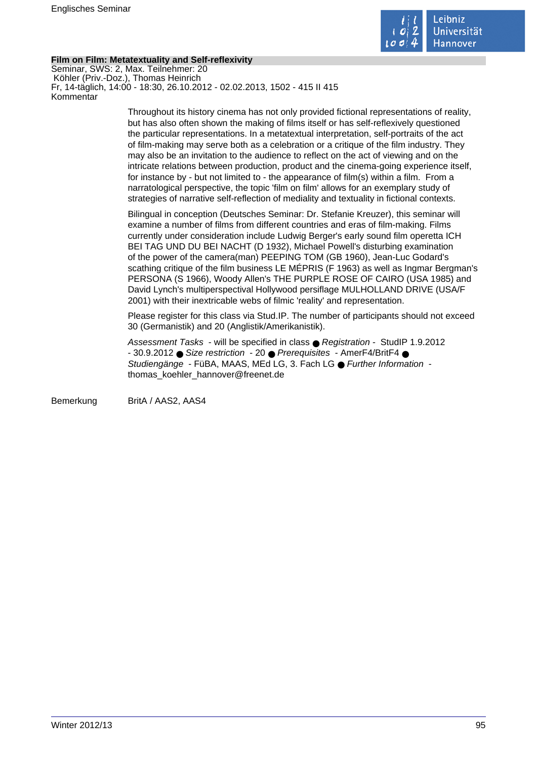

## **Film on Film: Metatextuality and Self-reflexivity**

Seminar, SWS: 2, Max. Teilnehmer: 20 Köhler (Priv.-Doz.), Thomas Heinrich Fr, 14-täglich, 14:00 - 18:30, 26.10.2012 - 02.02.2013, 1502 - 415 II 415 Kommentar

> Throughout its history cinema has not only provided fictional representations of reality, but has also often shown the making of films itself or has self-reflexively questioned the particular representations. In a metatextual interpretation, self-portraits of the act of film-making may serve both as a celebration or a critique of the film industry. They may also be an invitation to the audience to reflect on the act of viewing and on the intricate relations between production, product and the cinema-going experience itself, for instance by - but not limited to - the appearance of film(s) within a film. From a narratological perspective, the topic 'film on film' allows for an exemplary study of strategies of narrative self-reflection of mediality and textuality in fictional contexts.

Bilingual in conception (Deutsches Seminar: Dr. Stefanie Kreuzer), this seminar will examine a number of films from different countries and eras of film-making. Films currently under consideration include Ludwig Berger's early sound film operetta ICH BEI TAG UND DU BEI NACHT (D 1932), Michael Powell's disturbing examination of the power of the camera(man) PEEPING TOM (GB 1960), Jean-Luc Godard's scathing critique of the film business LE MÉPRIS (F 1963) as well as Ingmar Bergman's PERSONA (S 1966), Woody Allen's THE PURPLE ROSE OF CAIRO (USA 1985) and David Lynch's multiperspectival Hollywood persiflage MULHOLLAND DRIVE (USA/F 2001) with their inextricable webs of filmic 'reality' and representation.

Please register for this class via Stud.IP. The number of participants should not exceed 30 (Germanistik) and 20 (Anglistik/Amerikanistik).

Assessment Tasks - will be specified in class ● Registration - StudIP 1.9.2012 - 30.9.2012 ● Size restriction - 20 ● Prerequisites - AmerF4/BritF4 ● Studiengänge - FüBA, MAAS, MEd LG, 3. Fach LG ● Further Information thomas\_koehler\_hannover@freenet.de

Bemerkung BritA / AAS2, AAS4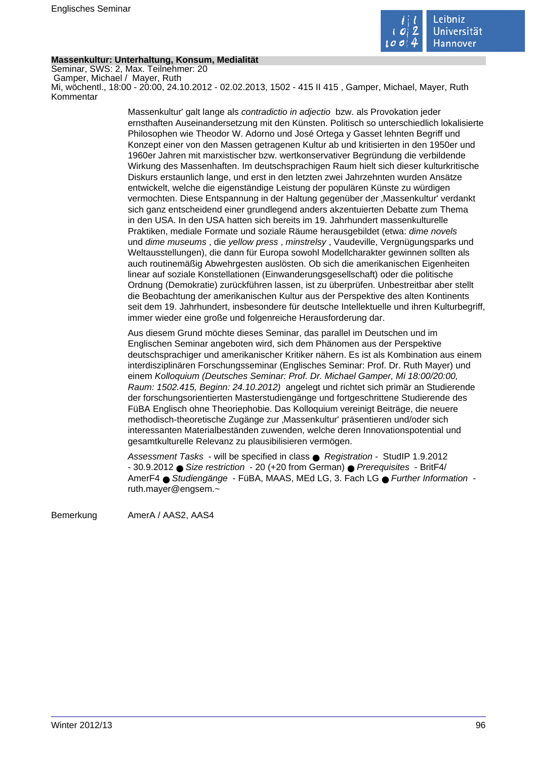

## **Massenkultur: Unterhaltung, Konsum, Medialität**

Seminar, SWS: 2, Max. Teilnehmer: 20 Gamper, Michael / Mayer, Ruth Mi, wöchentl., 18:00 - 20:00, 24.10.2012 - 02.02.2013, 1502 - 415 II 415 , Gamper, Michael, Mayer, Ruth Kommentar

> Massenkultur' galt lange als contradictio in adjectio bzw. als Provokation jeder ernsthaften Auseinandersetzung mit den Künsten. Politisch so unterschiedlich lokalisierte Philosophen wie Theodor W. Adorno und José Ortega y Gasset lehnten Begriff und Konzept einer von den Massen getragenen Kultur ab und kritisierten in den 1950er und 1960er Jahren mit marxistischer bzw. wertkonservativer Begründung die verbildende Wirkung des Massenhaften. Im deutschsprachigen Raum hielt sich dieser kulturkritische Diskurs erstaunlich lange, und erst in den letzten zwei Jahrzehnten wurden Ansätze entwickelt, welche die eigenständige Leistung der populären Künste zu würdigen vermochten. Diese Entspannung in der Haltung gegenüber der 'Massenkultur' verdankt sich ganz entscheidend einer grundlegend anders akzentuierten Debatte zum Thema in den USA. In den USA hatten sich bereits im 19. Jahrhundert massenkulturelle Praktiken, mediale Formate und soziale Räume herausgebildet (etwa: dime novels und dime museums , die yellow press , minstrelsy , Vaudeville, Vergnügungsparks und Weltausstellungen), die dann für Europa sowohl Modellcharakter gewinnen sollten als auch routinemäßig Abwehrgesten auslösten. Ob sich die amerikanischen Eigenheiten linear auf soziale Konstellationen (Einwanderungsgesellschaft) oder die politische Ordnung (Demokratie) zurückführen lassen, ist zu überprüfen. Unbestreitbar aber stellt die Beobachtung der amerikanischen Kultur aus der Perspektive des alten Kontinents seit dem 19. Jahrhundert, insbesondere für deutsche Intellektuelle und ihren Kulturbegriff, immer wieder eine große und folgenreiche Herausforderung dar.

> Aus diesem Grund möchte dieses Seminar, das parallel im Deutschen und im Englischen Seminar angeboten wird, sich dem Phänomen aus der Perspektive deutschsprachiger und amerikanischer Kritiker nähern. Es ist als Kombination aus einem interdisziplinären Forschungsseminar (Englisches Seminar: Prof. Dr. Ruth Mayer) und einem Kolloquium (Deutsches Seminar: Prof. Dr. Michael Gamper, Mi 18:00/20:00, Raum: 1502.415, Beginn: 24.10.2012) angelegt und richtet sich primär an Studierende der forschungsorientierten Masterstudiengänge und fortgeschrittene Studierende des FüBA Englisch ohne Theoriephobie. Das Kolloquium vereinigt Beiträge, die neuere methodisch-theoretische Zugänge zur 'Massenkultur' präsentieren und/oder sich interessanten Materialbeständen zuwenden, welche deren Innovationspotential und gesamtkulturelle Relevanz zu plausibilisieren vermögen.

Assessment Tasks - will be specified in class ● Registration - StudIP 1.9.2012 - 30.9.2012 ● Size restriction - 20 (+20 from German) ● Prerequisites - BritF4/ AmerF4 ● Studiengänge - FüBA, MAAS, MEd LG, 3. Fach LG ● Further Information ruth.mayer@engsem.~

Bemerkung AmerA / AAS2, AAS4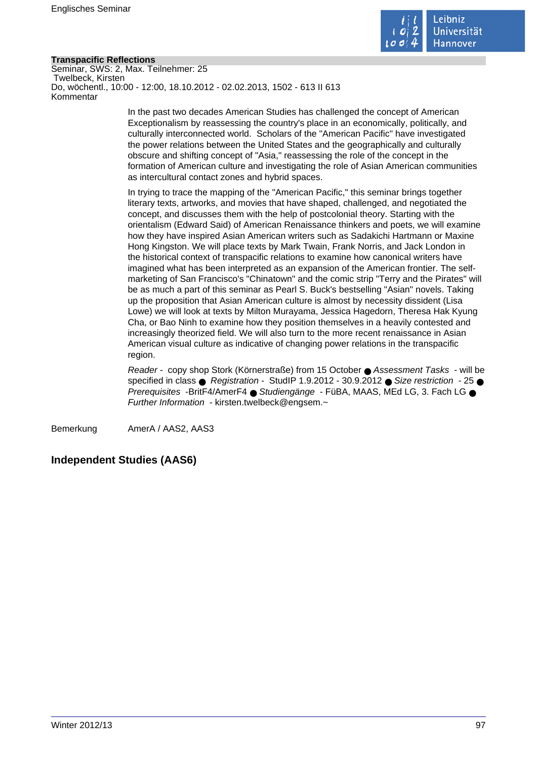

## **Transpacific Reflections**

Seminar, SWS: 2, Max. Teilnehmer: 25 Twelbeck, Kirsten Do, wöchentl., 10:00 - 12:00, 18.10.2012 - 02.02.2013, 1502 - 613 II 613 Kommentar

> In the past two decades American Studies has challenged the concept of American Exceptionalism by reassessing the country's place in an economically, politically, and culturally interconnected world. Scholars of the "American Pacific" have investigated the power relations between the United States and the geographically and culturally obscure and shifting concept of "Asia," reassessing the role of the concept in the formation of American culture and investigating the role of Asian American communities as intercultural contact zones and hybrid spaces.

In trying to trace the mapping of the "American Pacific," this seminar brings together literary texts, artworks, and movies that have shaped, challenged, and negotiated the concept, and discusses them with the help of postcolonial theory. Starting with the orientalism (Edward Said) of American Renaissance thinkers and poets, we will examine how they have inspired Asian American writers such as Sadakichi Hartmann or Maxine Hong Kingston. We will place texts by Mark Twain, Frank Norris, and Jack London in the historical context of transpacific relations to examine how canonical writers have imagined what has been interpreted as an expansion of the American frontier. The selfmarketing of San Francisco's "Chinatown" and the comic strip "Terry and the Pirates" will be as much a part of this seminar as Pearl S. Buck's bestselling "Asian" novels. Taking up the proposition that Asian American culture is almost by necessity dissident (Lisa Lowe) we will look at texts by Milton Murayama, Jessica Hagedorn, Theresa Hak Kyung Cha, or Bao Ninh to examine how they position themselves in a heavily contested and increasingly theorized field. We will also turn to the more recent renaissance in Asian American visual culture as indicative of changing power relations in the transpacific region.

Reader - copy shop Stork (Körnerstraße) from 15 October ● Assessment Tasks - will be specified in class  $\bullet$  Registration - StudIP 1.9.2012 - 30.9.2012  $\bullet$  Size restriction - 25  $\bullet$ Prerequisites -BritF4/AmerF4 ● Studiengänge - FüBA, MAAS, MEd LG, 3. Fach LG ● Further Information - kirsten.twelbeck@engsem.~

Bemerkung AmerA / AAS2, AAS3

## **Independent Studies (AAS6)**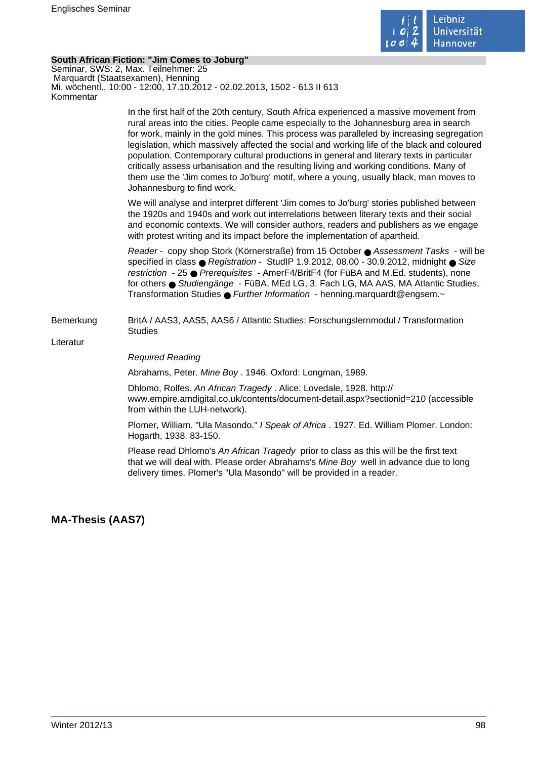

## **South African Fiction: "Jim Comes to Joburg"**

Seminar, SWS: 2, Max. Teilnehmer: 25 Marquardt (Staatsexamen), Henning Mi, wöchentl., 10:00 - 12:00, 17.10.2012 - 02.02.2013, 1502 - 613 II 613 Kommentar

> In the first half of the 20th century, South Africa experienced a massive movement from rural areas into the cities. People came especially to the Johannesburg area in search for work, mainly in the gold mines. This process was paralleled by increasing segregation legislation, which massively affected the social and working life of the black and coloured population. Contemporary cultural productions in general and literary texts in particular critically assess urbanisation and the resulting living and working conditions. Many of them use the 'Jim comes to Jo'burg' motif, where a young, usually black, man moves to Johannesburg to find work.

We will analyse and interpret different 'Jim comes to Jo'burg' stories published between the 1920s and 1940s and work out interrelations between literary texts and their social and economic contexts. We will consider authors, readers and publishers as we engage with protest writing and its impact before the implementation of apartheid.

Reader - copy shop Stork (Körnerstraße) from 15 October ● Assessment Tasks - will be specified in class ● Registration - StudIP 1.9.2012, 08.00 - 30.9.2012, midnight ● Size restriction - 25 ● Prerequisites - AmerF4/BritF4 (for FüBA and M.Ed. students), none for others ● Studiengänge - FüBA, MEd LG, 3. Fach LG, MA AAS, MA Atlantic Studies, Transformation Studies ● Further Information - henning.marquardt@engsem.~

## Bemerkung BritA / AAS3, AAS5, AAS6 / Atlantic Studies: Forschungslernmodul / Transformation **Studies**

Literatur

## Required Reading

Abrahams, Peter. Mine Boy . 1946. Oxford: Longman, 1989.

Dhlomo, Rolfes. An African Tragedy . Alice: Lovedale, 1928. http:// www.empire.amdigital.co.uk/contents/document-detail.aspx?sectionid=210 (accessible from within the LUH-network).

Plomer, William. "Ula Masondo." I Speak of Africa . 1927. Ed. William Plomer. London: Hogarth, 1938. 83-150.

Please read Dhlomo's An African Tragedy prior to class as this will be the first text that we will deal with. Please order Abrahams's Mine Boy well in advance due to long delivery times. Plomer's "Ula Masondo" will be provided in a reader.

**MA-Thesis (AAS7)**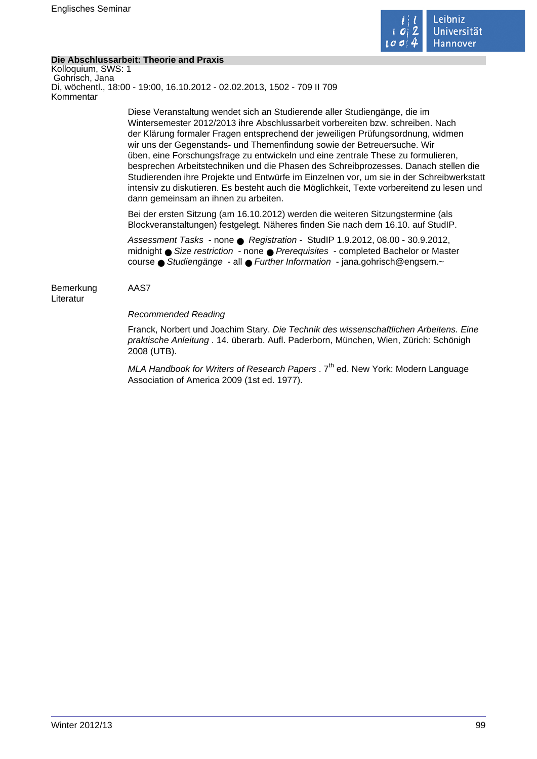

## **Die Abschlussarbeit: Theorie and Praxis**

Kolloquium, SWS: 1 Gohrisch, Jana Di, wöchentl., 18:00 - 19:00, 16.10.2012 - 02.02.2013, 1502 - 709 II 709 Kommentar

> Diese Veranstaltung wendet sich an Studierende aller Studiengänge, die im Wintersemester 2012/2013 ihre Abschlussarbeit vorbereiten bzw. schreiben. Nach der Klärung formaler Fragen entsprechend der jeweiligen Prüfungsordnung, widmen wir uns der Gegenstands- und Themenfindung sowie der Betreuersuche. Wir üben, eine Forschungsfrage zu entwickeln und eine zentrale These zu formulieren, besprechen Arbeitstechniken und die Phasen des Schreibprozesses. Danach stellen die Studierenden ihre Projekte und Entwürfe im Einzelnen vor, um sie in der Schreibwerkstatt intensiv zu diskutieren. Es besteht auch die Möglichkeit, Texte vorbereitend zu lesen und dann gemeinsam an ihnen zu arbeiten.

Bei der ersten Sitzung (am 16.10.2012) werden die weiteren Sitzungstermine (als Blockveranstaltungen) festgelegt. Näheres finden Sie nach dem 16.10. auf StudIP.

Assessment Tasks - none ● Registration - StudIP 1.9.2012, 08.00 - 30.9.2012, midnight ● Size restriction - none ● Prerequisites - completed Bachelor or Master course ● Studiengänge - all ● Further Information - jana.gohrisch@engsem.~

Bemerkung AAS7 Literatur

## Recommended Reading

Franck, Norbert und Joachim Stary. Die Technik des wissenschaftlichen Arbeitens. Eine praktische Anleitung . 14. überarb. Aufl. Paderborn, München, Wien, Zürich: Schönigh 2008 (UTB).

MLA Handbook for Writers of Research Papers .  $7<sup>th</sup>$  ed. New York: Modern Language Association of America 2009 (1st ed. 1977).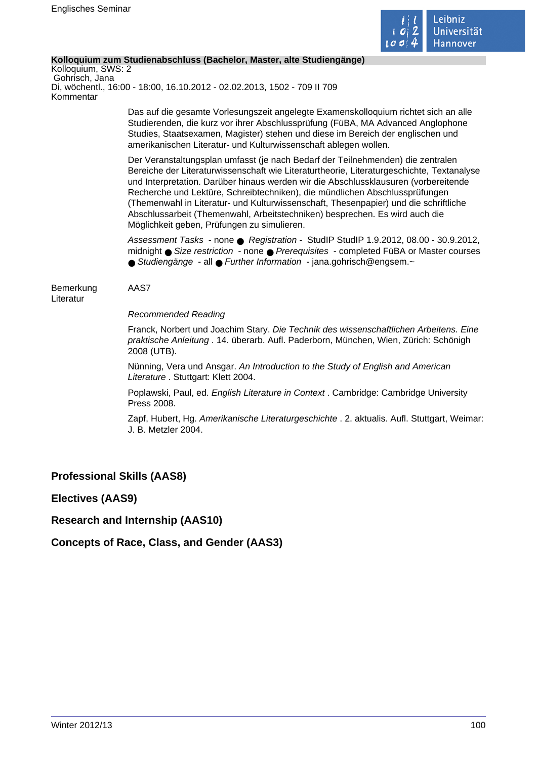

## **Kolloquium zum Studienabschluss (Bachelor, Master, alte Studiengänge)**

Kolloquium, SWS: 2 Gohrisch, Jana Di, wöchentl., 16:00 - 18:00, 16.10.2012 - 02.02.2013, 1502 - 709 II 709 Kommentar

> Das auf die gesamte Vorlesungszeit angelegte Examenskolloquium richtet sich an alle Studierenden, die kurz vor ihrer Abschlussprüfung (FüBA, MA Advanced Anglophone Studies, Staatsexamen, Magister) stehen und diese im Bereich der englischen und amerikanischen Literatur- und Kulturwissenschaft ablegen wollen.

Der Veranstaltungsplan umfasst (je nach Bedarf der Teilnehmenden) die zentralen Bereiche der Literaturwissenschaft wie Literaturtheorie, Literaturgeschichte, Textanalyse und Interpretation. Darüber hinaus werden wir die Abschlussklausuren (vorbereitende Recherche und Lektüre, Schreibtechniken), die mündlichen Abschlussprüfungen (Themenwahl in Literatur- und Kulturwissenschaft, Thesenpapier) und die schriftliche Abschlussarbeit (Themenwahl, Arbeitstechniken) besprechen. Es wird auch die Möglichkeit geben, Prüfungen zu simulieren.

Assessment Tasks - none ● Registration - StudIP StudIP 1.9.2012, 08.00 - 30.9.2012, midnight ● Size restriction - none ● Prerequisites - completed FüBA or Master courses ● Studiengänge - all ● Further Information - jana.gohrisch@engsem.~

Bemerkung AAS7 **Literatur** 

Recommended Reading

Franck, Norbert und Joachim Stary. Die Technik des wissenschaftlichen Arbeitens. Eine praktische Anleitung . 14. überarb. Aufl. Paderborn, München, Wien, Zürich: Schönigh 2008 (UTB).

Nünning, Vera und Ansgar. An Introduction to the Study of English and American Literature . Stuttgart: Klett 2004.

Poplawski, Paul, ed. English Literature in Context . Cambridge: Cambridge University Press 2008.

Zapf, Hubert, Hg. Amerikanische Literaturgeschichte . 2. aktualis. Aufl. Stuttgart, Weimar: J. B. Metzler 2004.

**Professional Skills (AAS8)**

**Electives (AAS9)**

**Research and Internship (AAS10)**

**Concepts of Race, Class, and Gender (AAS3)**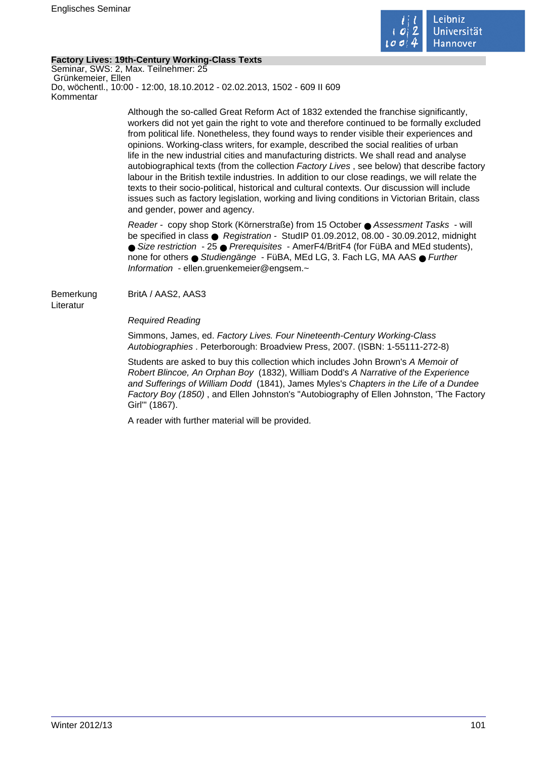

## **Factory Lives: 19th-Century Working-Class Texts**

Seminar, SWS: 2, Max. Teilnehmer: 25 Grünkemeier, Ellen Do, wöchentl., 10:00 - 12:00, 18.10.2012 - 02.02.2013, 1502 - 609 II 609 Kommentar

> Although the so-called Great Reform Act of 1832 extended the franchise significantly, workers did not yet gain the right to vote and therefore continued to be formally excluded from political life. Nonetheless, they found ways to render visible their experiences and opinions. Working-class writers, for example, described the social realities of urban life in the new industrial cities and manufacturing districts. We shall read and analyse autobiographical texts (from the collection Factory Lives , see below) that describe factory labour in the British textile industries. In addition to our close readings, we will relate the texts to their socio-political, historical and cultural contexts. Our discussion will include issues such as factory legislation, working and living conditions in Victorian Britain, class and gender, power and agency.

Reader - copy shop Stork (Körnerstraße) from 15 October ● Assessment Tasks - will be specified in class ● Registration - StudIP 01.09.2012, 08.00 - 30.09.2012, midnight ● Size restriction - 25 ● Prerequisites - AmerF4/BritF4 (for FüBA and MEd students), none for others ● Studiengänge - FüBA, MEd LG, 3. Fach LG, MA AAS ● Further Information - ellen.gruenkemeier@engsem.~

Bemerkung BritA / AAS2, AAS3 Literatur

Required Reading

Simmons, James, ed. Factory Lives. Four Nineteenth-Century Working-Class Autobiographies . Peterborough: Broadview Press, 2007. (ISBN: 1-55111-272-8)

Students are asked to buy this collection which includes John Brown's A Memoir of Robert Blincoe, An Orphan Boy (1832), William Dodd's A Narrative of the Experience and Sufferings of William Dodd (1841), James Myles's Chapters in the Life of a Dundee Factory Boy (1850) , and Ellen Johnston's "Autobiography of Ellen Johnston, 'The Factory Girl'" (1867).

A reader with further material will be provided.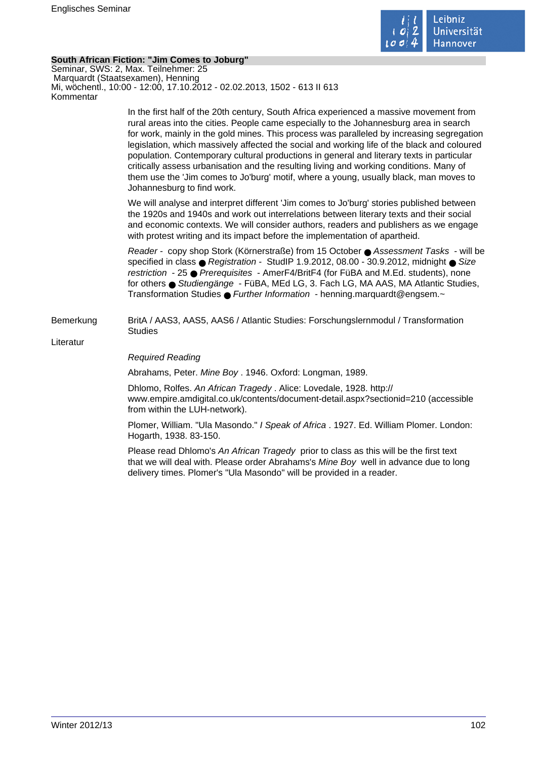

## **South African Fiction: "Jim Comes to Joburg"**

Seminar, SWS: 2, Max. Teilnehmer: 25 Marquardt (Staatsexamen), Henning Mi, wöchentl., 10:00 - 12:00, 17.10.2012 - 02.02.2013, 1502 - 613 II 613 Kommentar

> In the first half of the 20th century, South Africa experienced a massive movement from rural areas into the cities. People came especially to the Johannesburg area in search for work, mainly in the gold mines. This process was paralleled by increasing segregation legislation, which massively affected the social and working life of the black and coloured population. Contemporary cultural productions in general and literary texts in particular critically assess urbanisation and the resulting living and working conditions. Many of them use the 'Jim comes to Jo'burg' motif, where a young, usually black, man moves to Johannesburg to find work.

We will analyse and interpret different 'Jim comes to Jo'burg' stories published between the 1920s and 1940s and work out interrelations between literary texts and their social and economic contexts. We will consider authors, readers and publishers as we engage with protest writing and its impact before the implementation of apartheid.

Reader - copy shop Stork (Körnerstraße) from 15 October ● Assessment Tasks - will be specified in class ● Registration - StudIP 1.9.2012, 08.00 - 30.9.2012, midnight ● Size restriction - 25 ● Prerequisites - AmerF4/BritF4 (for FüBA and M.Ed. students), none for others ● Studiengänge - FüBA, MEd LG, 3. Fach LG, MA AAS, MA Atlantic Studies, Transformation Studies ● Further Information - henning.marquardt@engsem.~

Bemerkung BritA / AAS3, AAS5, AAS6 / Atlantic Studies: Forschungslernmodul / Transformation **Studies** 

Literatur

## Required Reading

Abrahams, Peter. Mine Boy . 1946. Oxford: Longman, 1989.

Dhlomo, Rolfes. An African Tragedy . Alice: Lovedale, 1928. http:// www.empire.amdigital.co.uk/contents/document-detail.aspx?sectionid=210 (accessible from within the LUH-network).

Plomer, William. "Ula Masondo." I Speak of Africa . 1927. Ed. William Plomer. London: Hogarth, 1938. 83-150.

Please read Dhlomo's An African Tragedy prior to class as this will be the first text that we will deal with. Please order Abrahams's Mine Boy well in advance due to long delivery times. Plomer's "Ula Masondo" will be provided in a reader.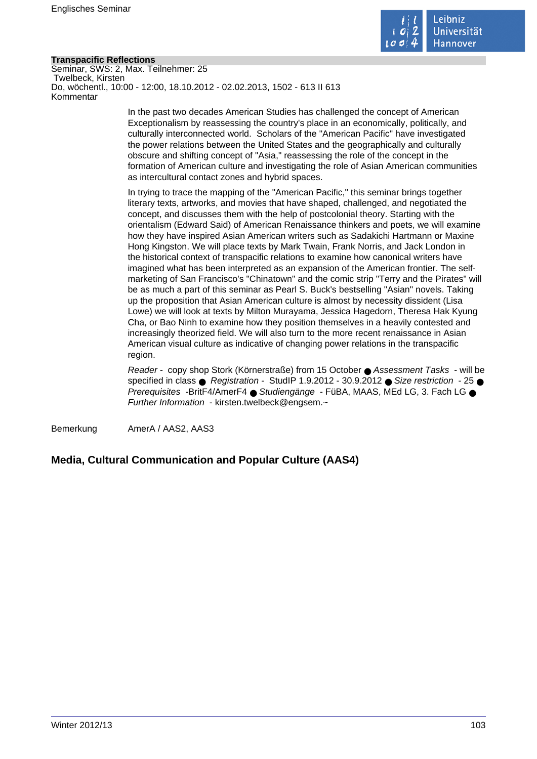

## **Transpacific Reflections**

Seminar, SWS: 2, Max. Teilnehmer: 25 Twelbeck, Kirsten Do, wöchentl., 10:00 - 12:00, 18.10.2012 - 02.02.2013, 1502 - 613 II 613 Kommentar

> In the past two decades American Studies has challenged the concept of American Exceptionalism by reassessing the country's place in an economically, politically, and culturally interconnected world. Scholars of the "American Pacific" have investigated the power relations between the United States and the geographically and culturally obscure and shifting concept of "Asia," reassessing the role of the concept in the formation of American culture and investigating the role of Asian American communities as intercultural contact zones and hybrid spaces.

In trying to trace the mapping of the "American Pacific," this seminar brings together literary texts, artworks, and movies that have shaped, challenged, and negotiated the concept, and discusses them with the help of postcolonial theory. Starting with the orientalism (Edward Said) of American Renaissance thinkers and poets, we will examine how they have inspired Asian American writers such as Sadakichi Hartmann or Maxine Hong Kingston. We will place texts by Mark Twain, Frank Norris, and Jack London in the historical context of transpacific relations to examine how canonical writers have imagined what has been interpreted as an expansion of the American frontier. The selfmarketing of San Francisco's "Chinatown" and the comic strip "Terry and the Pirates" will be as much a part of this seminar as Pearl S. Buck's bestselling "Asian" novels. Taking up the proposition that Asian American culture is almost by necessity dissident (Lisa Lowe) we will look at texts by Milton Murayama, Jessica Hagedorn, Theresa Hak Kyung Cha, or Bao Ninh to examine how they position themselves in a heavily contested and increasingly theorized field. We will also turn to the more recent renaissance in Asian American visual culture as indicative of changing power relations in the transpacific region.

Reader - copy shop Stork (Körnerstraße) from 15 October ● Assessment Tasks - will be specified in class ● Registration - StudIP 1.9.2012 - 30.9.2012 ● Size restriction - 25 ● Prerequisites -BritF4/AmerF4 ● Studiengänge - FüBA, MAAS, MEd LG, 3. Fach LG ● Further Information - kirsten.twelbeck@engsem.~

Bemerkung AmerA / AAS2, AAS3

## **Media, Cultural Communication and Popular Culture (AAS4)**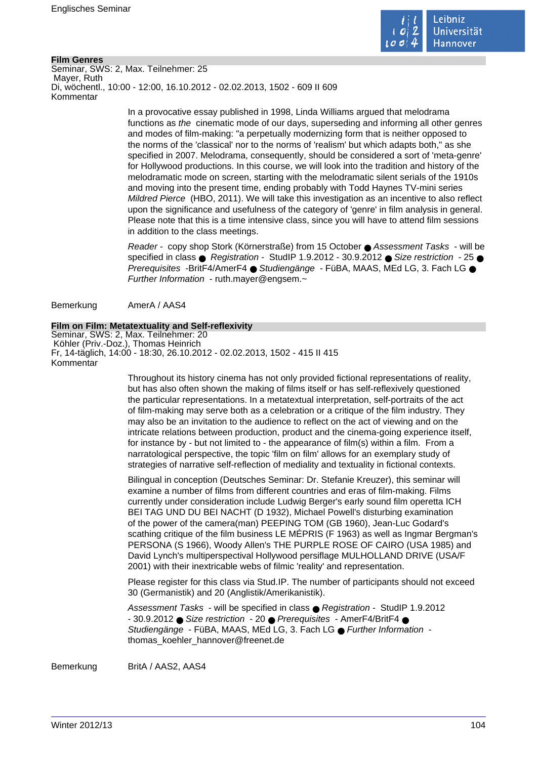

## **Film Genres**

Seminar, SWS: 2, Max. Teilnehmer: 25 Mayer, Ruth Di, wöchentl., 10:00 - 12:00, 16.10.2012 - 02.02.2013, 1502 - 609 II 609 Kommentar

> In a provocative essay published in 1998, Linda Williams argued that melodrama functions as the cinematic mode of our days, superseding and informing all other genres and modes of film-making: "a perpetually modernizing form that is neither opposed to the norms of the 'classical' nor to the norms of 'realism' but which adapts both," as she specified in 2007. Melodrama, consequently, should be considered a sort of 'meta-genre' for Hollywood productions. In this course, we will look into the tradition and history of the melodramatic mode on screen, starting with the melodramatic silent serials of the 1910s and moving into the present time, ending probably with Todd Haynes TV-mini series Mildred Pierce (HBO, 2011). We will take this investigation as an incentive to also reflect upon the significance and usefulness of the category of 'genre' in film analysis in general. Please note that this is a time intensive class, since you will have to attend film sessions in addition to the class meetings.

> Reader - copy shop Stork (Körnerstraße) from 15 October ● Assessment Tasks - will be specified in class  $\bullet$  Registration - StudIP 1.9.2012 - 30.9.2012  $\bullet$  Size restriction - 25  $\bullet$ Prerequisites -BritF4/AmerF4 ● Studiengänge - FüBA, MAAS, MEd LG, 3, Fach LG ● Further Information - ruth.mayer@engsem.~

Bemerkung AmerA / AAS4

#### **Film on Film: Metatextuality and Self-reflexivity**

Seminar, SWS: 2, Max. Teilnehmer: 20 Köhler (Priv.-Doz.), Thomas Heinrich Fr, 14-täglich, 14:00 - 18:30, 26.10.2012 - 02.02.2013, 1502 - 415 II 415 Kommentar

> Throughout its history cinema has not only provided fictional representations of reality, but has also often shown the making of films itself or has self-reflexively questioned the particular representations. In a metatextual interpretation, self-portraits of the act of film-making may serve both as a celebration or a critique of the film industry. They may also be an invitation to the audience to reflect on the act of viewing and on the intricate relations between production, product and the cinema-going experience itself, for instance by - but not limited to - the appearance of film(s) within a film. From a narratological perspective, the topic 'film on film' allows for an exemplary study of strategies of narrative self-reflection of mediality and textuality in fictional contexts.

Bilingual in conception (Deutsches Seminar: Dr. Stefanie Kreuzer), this seminar will examine a number of films from different countries and eras of film-making. Films currently under consideration include Ludwig Berger's early sound film operetta ICH BEI TAG UND DU BEI NACHT (D 1932), Michael Powell's disturbing examination of the power of the camera(man) PEEPING TOM (GB 1960), Jean-Luc Godard's scathing critique of the film business LE MÉPRIS (F 1963) as well as Ingmar Bergman's PERSONA (S 1966), Woody Allen's THE PURPLE ROSE OF CAIRO (USA 1985) and David Lynch's multiperspectival Hollywood persiflage MULHOLLAND DRIVE (USA/F 2001) with their inextricable webs of filmic 'reality' and representation.

Please register for this class via Stud.IP. The number of participants should not exceed 30 (Germanistik) and 20 (Anglistik/Amerikanistik).

Assessment Tasks - will be specified in class ● Registration - StudIP 1.9.2012 - 30.9.2012 ● Size restriction - 20 ● Prerequisites - AmerF4/BritF4 ● Studiengänge - FüBA, MAAS, MEd LG, 3, Fach LG ● Further Information thomas\_koehler\_hannover@freenet.de

Bemerkung BritA / AAS2, AAS4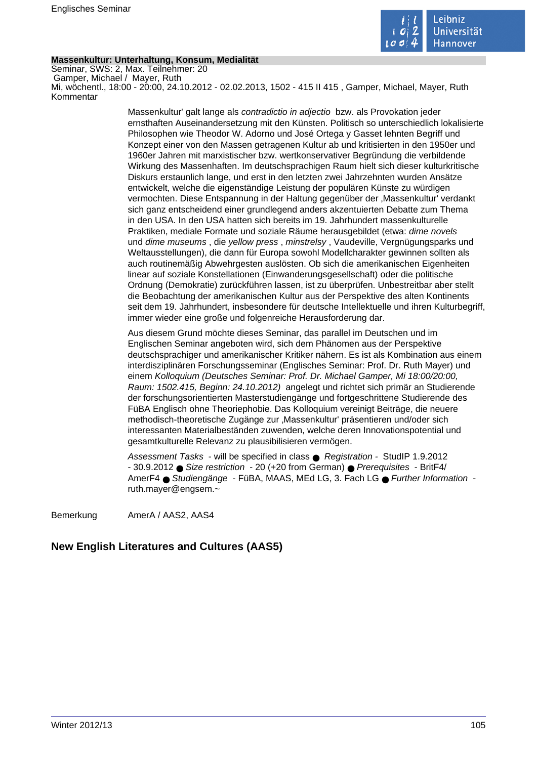

## **Massenkultur: Unterhaltung, Konsum, Medialität**

Seminar, SWS: 2, Max. Teilnehmer: 20 Gamper, Michael / Mayer, Ruth Mi, wöchentl., 18:00 - 20:00, 24.10.2012 - 02.02.2013, 1502 - 415 II 415 , Gamper, Michael, Mayer, Ruth Kommentar

> Massenkultur' galt lange als contradictio in adjectio bzw. als Provokation jeder ernsthaften Auseinandersetzung mit den Künsten. Politisch so unterschiedlich lokalisierte Philosophen wie Theodor W. Adorno und José Ortega y Gasset lehnten Begriff und Konzept einer von den Massen getragenen Kultur ab und kritisierten in den 1950er und 1960er Jahren mit marxistischer bzw. wertkonservativer Begründung die verbildende Wirkung des Massenhaften. Im deutschsprachigen Raum hielt sich dieser kulturkritische Diskurs erstaunlich lange, und erst in den letzten zwei Jahrzehnten wurden Ansätze entwickelt, welche die eigenständige Leistung der populären Künste zu würdigen vermochten. Diese Entspannung in der Haltung gegenüber der 'Massenkultur' verdankt sich ganz entscheidend einer grundlegend anders akzentuierten Debatte zum Thema in den USA. In den USA hatten sich bereits im 19. Jahrhundert massenkulturelle Praktiken, mediale Formate und soziale Räume herausgebildet (etwa: dime novels und dime museums , die yellow press , minstrelsy , Vaudeville, Vergnügungsparks und Weltausstellungen), die dann für Europa sowohl Modellcharakter gewinnen sollten als auch routinemäßig Abwehrgesten auslösten. Ob sich die amerikanischen Eigenheiten linear auf soziale Konstellationen (Einwanderungsgesellschaft) oder die politische Ordnung (Demokratie) zurückführen lassen, ist zu überprüfen. Unbestreitbar aber stellt die Beobachtung der amerikanischen Kultur aus der Perspektive des alten Kontinents seit dem 19. Jahrhundert, insbesondere für deutsche Intellektuelle und ihren Kulturbegriff, immer wieder eine große und folgenreiche Herausforderung dar.

> Aus diesem Grund möchte dieses Seminar, das parallel im Deutschen und im Englischen Seminar angeboten wird, sich dem Phänomen aus der Perspektive deutschsprachiger und amerikanischer Kritiker nähern. Es ist als Kombination aus einem interdisziplinären Forschungsseminar (Englisches Seminar: Prof. Dr. Ruth Mayer) und einem Kolloquium (Deutsches Seminar: Prof. Dr. Michael Gamper, Mi 18:00/20:00, Raum: 1502.415, Beginn: 24.10.2012) angelegt und richtet sich primär an Studierende der forschungsorientierten Masterstudiengänge und fortgeschrittene Studierende des FüBA Englisch ohne Theoriephobie. Das Kolloquium vereinigt Beiträge, die neuere methodisch-theoretische Zugänge zur 'Massenkultur' präsentieren und/oder sich interessanten Materialbeständen zuwenden, welche deren Innovationspotential und gesamtkulturelle Relevanz zu plausibilisieren vermögen.

Assessment Tasks - will be specified in class ● Registration - StudIP 1.9.2012 - 30.9.2012 ● Size restriction - 20 (+20 from German) ● Prerequisites - BritF4/ AmerF4 ● Studiengänge - FüBA, MAAS, MEd LG, 3. Fach LG ● Further Information ruth.mayer@engsem.~

Bemerkung AmerA / AAS2, AAS4

## **New English Literatures and Cultures (AAS5)**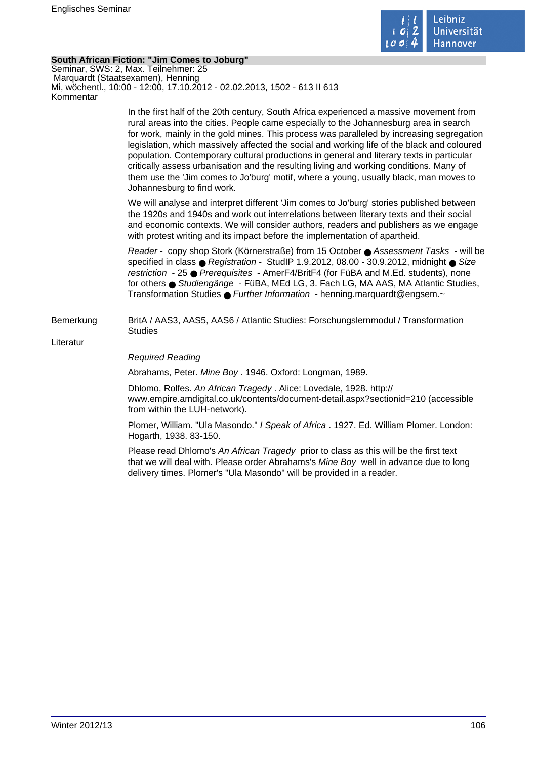

## **South African Fiction: "Jim Comes to Joburg"**

Seminar, SWS: 2, Max. Teilnehmer: 25 Marquardt (Staatsexamen), Henning Mi, wöchentl., 10:00 - 12:00, 17.10.2012 - 02.02.2013, 1502 - 613 II 613 Kommentar

> In the first half of the 20th century, South Africa experienced a massive movement from rural areas into the cities. People came especially to the Johannesburg area in search for work, mainly in the gold mines. This process was paralleled by increasing segregation legislation, which massively affected the social and working life of the black and coloured population. Contemporary cultural productions in general and literary texts in particular critically assess urbanisation and the resulting living and working conditions. Many of them use the 'Jim comes to Jo'burg' motif, where a young, usually black, man moves to Johannesburg to find work.

We will analyse and interpret different 'Jim comes to Jo'burg' stories published between the 1920s and 1940s and work out interrelations between literary texts and their social and economic contexts. We will consider authors, readers and publishers as we engage with protest writing and its impact before the implementation of apartheid.

Reader - copy shop Stork (Körnerstraße) from 15 October ● Assessment Tasks - will be specified in class ● Registration - StudIP 1.9.2012, 08.00 - 30.9.2012, midnight ● Size restriction - 25 ● Prerequisites - AmerF4/BritF4 (for FüBA and M.Ed. students), none for others ● Studiengänge - FüBA, MEd LG, 3. Fach LG, MA AAS, MA Atlantic Studies, Transformation Studies ● Further Information - henning.marquardt@engsem.~

Bemerkung BritA / AAS3, AAS5, AAS6 / Atlantic Studies: Forschungslernmodul / Transformation **Studies** 

Literatur

## Required Reading

Abrahams, Peter. Mine Boy . 1946. Oxford: Longman, 1989.

Dhlomo, Rolfes. An African Tragedy . Alice: Lovedale, 1928. http:// www.empire.amdigital.co.uk/contents/document-detail.aspx?sectionid=210 (accessible from within the LUH-network).

Plomer, William. "Ula Masondo." I Speak of Africa . 1927. Ed. William Plomer. London: Hogarth, 1938. 83-150.

Please read Dhlomo's An African Tragedy prior to class as this will be the first text that we will deal with. Please order Abrahams's Mine Boy well in advance due to long delivery times. Plomer's "Ula Masondo" will be provided in a reader.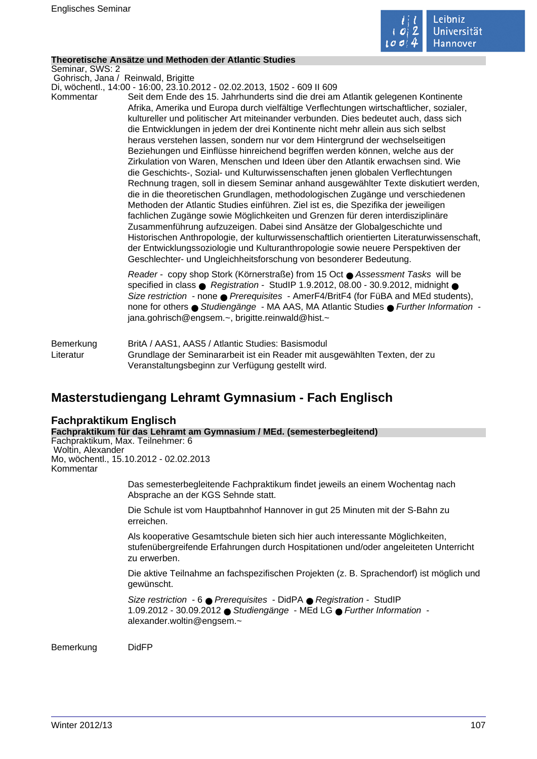

## **Theoretische Ansätze und Methoden der Atlantic Studies**

Seminar, SWS: 2

Gohrisch, Jana / Reinwald, Brigitte

Di, wöchentl., 14:00 - 16:00, 23.10.2012 - 02.02.2013, 1502 - 609 II 609 Kommentar Seit dem Ende des 15. Jahrhunderts sind die drei am Atlantik gelegenen Kontinente Afrika, Amerika und Europa durch vielfältige Verflechtungen wirtschaftlicher, sozialer, kultureller und politischer Art miteinander verbunden. Dies bedeutet auch, dass sich die Entwicklungen in jedem der drei Kontinente nicht mehr allein aus sich selbst heraus verstehen lassen, sondern nur vor dem Hintergrund der wechselseitigen Beziehungen und Einflüsse hinreichend begriffen werden können, welche aus der Zirkulation von Waren, Menschen und Ideen über den Atlantik erwachsen sind. Wie die Geschichts-, Sozial- und Kulturwissenschaften jenen globalen Verflechtungen Rechnung tragen, soll in diesem Seminar anhand ausgewählter Texte diskutiert werden, die in die theoretischen Grundlagen, methodologischen Zugänge und verschiedenen Methoden der Atlantic Studies einführen. Ziel ist es, die Spezifika der jeweiligen fachlichen Zugänge sowie Möglichkeiten und Grenzen für deren interdisziplinäre Zusammenführung aufzuzeigen. Dabei sind Ansätze der Globalgeschichte und Historischen Anthropologie, der kulturwissenschaftlich orientierten Literaturwissenschaft, der Entwicklungssoziologie und Kulturanthropologie sowie neuere Perspektiven der Geschlechter- und Ungleichheitsforschung von besonderer Bedeutung.

> Reader - copy shop Stork (Körnerstraße) from 15 Oct ● Assessment Tasks will be specified in class  $\bullet$  Registration - StudIP 1.9.2012, 08.00 - 30.9.2012, midnight  $\bullet$ Size restriction - none ● Prerequisites - AmerF4/BritF4 (for FüBA and MEd students), none for others ● Studiengänge - MA AAS, MA Atlantic Studies ● Further Information jana.gohrisch@engsem.~, brigitte.reinwald@hist.~

Bemerkung BritA / AAS1, AAS5 / Atlantic Studies: Basismodul Literatur Grundlage der Seminararbeit ist ein Reader mit ausgewählten Texten, der zu Veranstaltungsbeginn zur Verfügung gestellt wird.

# **Masterstudiengang Lehramt Gymnasium - Fach Englisch**

## **Fachpraktikum Englisch**

**Fachpraktikum für das Lehramt am Gymnasium / MEd. (semesterbegleitend)** Fachpraktikum, Max. Teilnehmer: 6 Woltin, Alexander Mo, wöchentl., 15.10.2012 - 02.02.2013 Kommentar Das semesterbegleitende Fachpraktikum findet jeweils an einem Wochentag nach Absprache an der KGS Sehnde statt. Die Schule ist vom Hauptbahnhof Hannover in gut 25 Minuten mit der S-Bahn zu erreichen.

> Als kooperative Gesamtschule bieten sich hier auch interessante Möglichkeiten, stufenübergreifende Erfahrungen durch Hospitationen und/oder angeleiteten Unterricht zu erwerben.

Die aktive Teilnahme an fachspezifischen Projekten (z. B. Sprachendorf) ist möglich und gewünscht.

Size restriction - 6 ● Prerequisites - DidPA ● Registration - StudIP 1.09.2012 - 30.09.2012 ● Studiengänge - MEd LG ● Further Information alexander.woltin@engsem.~

Bemerkung DidFP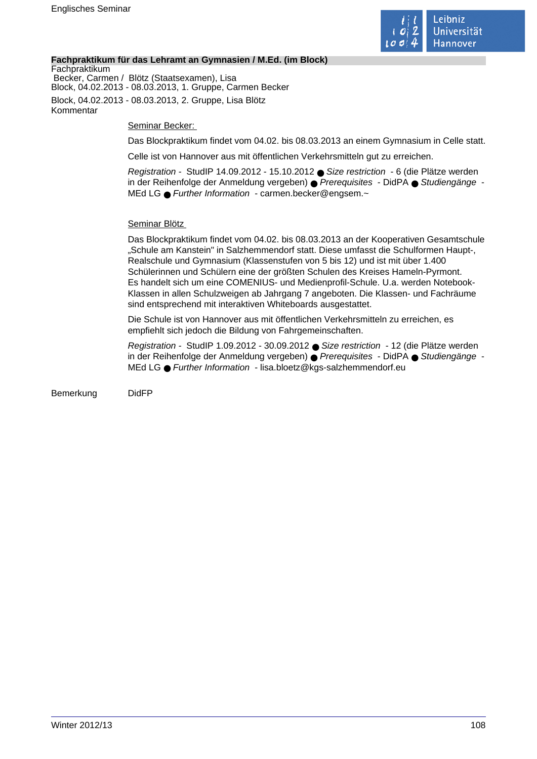

## **Fachpraktikum für das Lehramt an Gymnasien / M.Ed. (im Block)**

**Fachpraktikum**  Becker, Carmen / Blötz (Staatsexamen), Lisa Block, 04.02.2013 - 08.03.2013, 1. Gruppe, Carmen Becker Block, 04.02.2013 - 08.03.2013, 2. Gruppe, Lisa Blötz Kommentar

Seminar Becker:

Das Blockpraktikum findet vom 04.02. bis 08.03.2013 an einem Gymnasium in Celle statt.

Celle ist von Hannover aus mit öffentlichen Verkehrsmitteln gut zu erreichen.

Registration - StudIP 14.09.2012 - 15.10.2012 ● Size restriction - 6 (die Plätze werden in der Reihenfolge der Anmeldung vergeben) ● Prerequisites - DidPA ● Studiengänge -MEd LG ● Further Information - carmen.becker@engsem.~

## Seminar Blötz

Das Blockpraktikum findet vom 04.02. bis 08.03.2013 an der Kooperativen Gesamtschule "Schule am Kanstein" in Salzhemmendorf statt. Diese umfasst die Schulformen Haupt-, Realschule und Gymnasium (Klassenstufen von 5 bis 12) und ist mit über 1.400 Schülerinnen und Schülern eine der größten Schulen des Kreises Hameln-Pyrmont. Es handelt sich um eine COMENIUS- und Medienprofil-Schule. U.a. werden Notebook-Klassen in allen Schulzweigen ab Jahrgang 7 angeboten. Die Klassen- und Fachräume sind entsprechend mit interaktiven Whiteboards ausgestattet.

Die Schule ist von Hannover aus mit öffentlichen Verkehrsmitteln zu erreichen, es empfiehlt sich jedoch die Bildung von Fahrgemeinschaften.

Registration - StudIP 1.09.2012 - 30.09.2012 ● Size restriction - 12 (die Plätze werden in der Reihenfolge der Anmeldung vergeben) ● Prerequisites - DidPA ● Studiengänge - MEd LG ● Further Information - lisa.bloetz@kgs-salzhemmendorf.eu

Bemerkung DidFP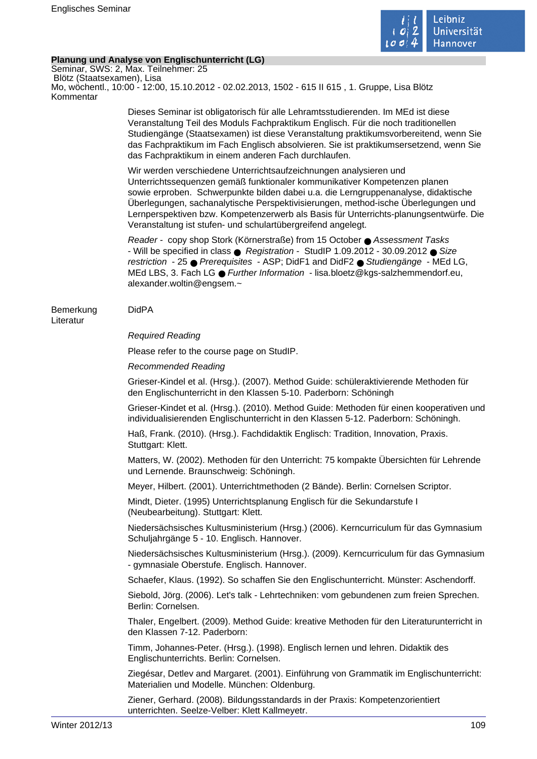

# **Planung und Analyse von Englischunterricht (LG)**

Seminar, SWS: 2, Max. Teilnehmer: 25 Blötz (Staatsexamen), Lisa Mo, wöchentl., 10:00 - 12:00, 15.10.2012 - 02.02.2013, 1502 - 615 II 615 , 1. Gruppe, Lisa Blötz Kommentar

> Dieses Seminar ist obligatorisch für alle Lehramtsstudierenden. Im MEd ist diese Veranstaltung Teil des Moduls Fachpraktikum Englisch. Für die noch traditionellen Studiengänge (Staatsexamen) ist diese Veranstaltung praktikumsvorbereitend, wenn Sie das Fachpraktikum im Fach Englisch absolvieren. Sie ist praktikumsersetzend, wenn Sie das Fachpraktikum in einem anderen Fach durchlaufen.

> Wir werden verschiedene Unterrichtsaufzeichnungen analysieren und Unterrichtssequenzen gemäß funktionaler kommunikativer Kompetenzen planen sowie erproben. Schwerpunkte bilden dabei u.a. die Lerngruppenanalyse, didaktische Überlegungen, sachanalytische Perspektivisierungen, method-ische Überlegungen und Lernperspektiven bzw. Kompetenzerwerb als Basis für Unterrichts-planungsentwürfe. Die Veranstaltung ist stufen- und schulartübergreifend angelegt.

Reader - copy shop Stork (Körnerstraße) from 15 October ● Assessment Tasks - Will be specified in class ● Registration - StudIP 1.09.2012 - 30.09.2012 ● Size restriction - 25 ● Prerequisites - ASP; DidF1 and DidF2 ● Studiengänge - MEd LG, MEd LBS, 3. Fach LG ● Further Information - lisa.bloetz@kgs-salzhemmendorf.eu, alexander.woltin@engsem.~

# Bemerkung DidPA

# Literatur

# Required Reading

Please refer to the course page on StudIP.

### Recommended Reading

Grieser-Kindel et al. (Hrsg.). (2007). Method Guide: schüleraktivierende Methoden für den Englischunterricht in den Klassen 5-10. Paderborn: Schöningh

Grieser-Kindet et al. (Hrsg.). (2010). Method Guide: Methoden für einen kooperativen und individualisierenden Englischunterricht in den Klassen 5-12. Paderborn: Schöningh.

Haß, Frank. (2010). (Hrsg.). Fachdidaktik Englisch: Tradition, Innovation, Praxis. Stuttgart: Klett.

Matters, W. (2002). Methoden für den Unterricht: 75 kompakte Übersichten für Lehrende und Lernende. Braunschweig: Schöningh.

Meyer, Hilbert. (2001). Unterrichtmethoden (2 Bände). Berlin: Cornelsen Scriptor.

Mindt, Dieter. (1995) Unterrichtsplanung Englisch für die Sekundarstufe I (Neubearbeitung). Stuttgart: Klett.

Niedersächsisches Kultusministerium (Hrsg.) (2006). Kerncurriculum für das Gymnasium Schuljahrgänge 5 - 10. Englisch. Hannover.

Niedersächsisches Kultusministerium (Hrsg.). (2009). Kerncurriculum für das Gymnasium - gymnasiale Oberstufe. Englisch. Hannover.

Schaefer, Klaus. (1992). So schaffen Sie den Englischunterricht. Münster: Aschendorff.

Siebold, Jörg. (2006). Let's talk - Lehrtechniken: vom gebundenen zum freien Sprechen. Berlin: Cornelsen.

Thaler, Engelbert. (2009). Method Guide: kreative Methoden für den Literaturunterricht in den Klassen 7-12. Paderborn:

Timm, Johannes-Peter. (Hrsg.). (1998). Englisch lernen und lehren. Didaktik des Englischunterrichts. Berlin: Cornelsen.

Ziegésar, Detlev and Margaret. (2001). Einführung von Grammatik im Englischunterricht: Materialien und Modelle. München: Oldenburg.

Ziener, Gerhard. (2008). Bildungsstandards in der Praxis: Kompetenzorientiert unterrichten. Seelze-Velber: Klett Kallmeyetr.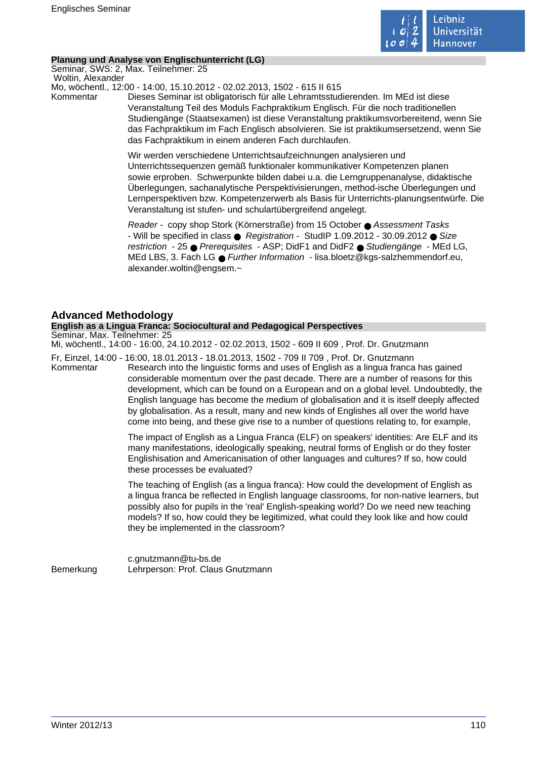

### **Planung und Analyse von Englischunterricht (LG)**

Seminar, SWS: 2, Max. Teilnehmer: 25 Woltin, Alexander

Mo, wöchentl., 12:00 - 14:00, 15.10.2012 - 02.02.2013, 1502 - 615 II 615

Kommentar Dieses Seminar ist obligatorisch für alle Lehramtsstudierenden. Im MEd ist diese Veranstaltung Teil des Moduls Fachpraktikum Englisch. Für die noch traditionellen Studiengänge (Staatsexamen) ist diese Veranstaltung praktikumsvorbereitend, wenn Sie das Fachpraktikum im Fach Englisch absolvieren. Sie ist praktikumsersetzend, wenn Sie das Fachpraktikum in einem anderen Fach durchlaufen.

> Wir werden verschiedene Unterrichtsaufzeichnungen analysieren und Unterrichtssequenzen gemäß funktionaler kommunikativer Kompetenzen planen sowie erproben. Schwerpunkte bilden dabei u.a. die Lerngruppenanalyse, didaktische Überlegungen, sachanalytische Perspektivisierungen, method-ische Überlegungen und Lernperspektiven bzw. Kompetenzerwerb als Basis für Unterrichts-planungsentwürfe. Die Veranstaltung ist stufen- und schulartübergreifend angelegt.

Reader - copy shop Stork (Körnerstraße) from 15 October ● Assessment Tasks - Will be specified in class ● Registration - StudIP 1.09.2012 - 30.09.2012 ● Size restriction - 25 ● Prerequisites - ASP; DidF1 and DidF2 ● Studiengänge - MEd LG, MEd LBS, 3. Fach LG ● Further Information - lisa.bloetz@kgs-salzhemmendorf.eu, alexander.woltin@engsem.~

# **Advanced Methodology**

### **English as a Lingua Franca: Sociocultural and Pedagogical Perspectives**

Seminar, Max. Teilnehmer: 25

Mi, wöchentl., 14:00 - 16:00, 24.10.2012 - 02.02.2013, 1502 - 609 II 609 , Prof. Dr. Gnutzmann

Fr, Einzel, 14:00 - 16:00, 18.01.2013 - 18.01.2013, 1502 - 709 II 709 , Prof. Dr. Gnutzmann Kommentar Research into the linguistic forms and uses of English as a lingua franca has gained considerable momentum over the past decade. There are a number of reasons for this development, which can be found on a European and on a global level. Undoubtedly, the English language has become the medium of globalisation and it is itself deeply affected by globalisation. As a result, many and new kinds of Englishes all over the world have come into being, and these give rise to a number of questions relating to, for example,

> The impact of English as a Lingua Franca (ELF) on speakers' identities: Are ELF and its many manifestations, ideologically speaking, neutral forms of English or do they foster Englishisation and Americanisation of other languages and cultures? If so, how could these processes be evaluated?

> The teaching of English (as a lingua franca): How could the development of English as a lingua franca be reflected in English language classrooms, for non-native learners, but possibly also for pupils in the 'real' English-speaking world? Do we need new teaching models? If so, how could they be legitimized, what could they look like and how could they be implemented in the classroom?

c.gnutzmann@tu-bs.de Bemerkung Lehrperson: Prof. Claus Gnutzmann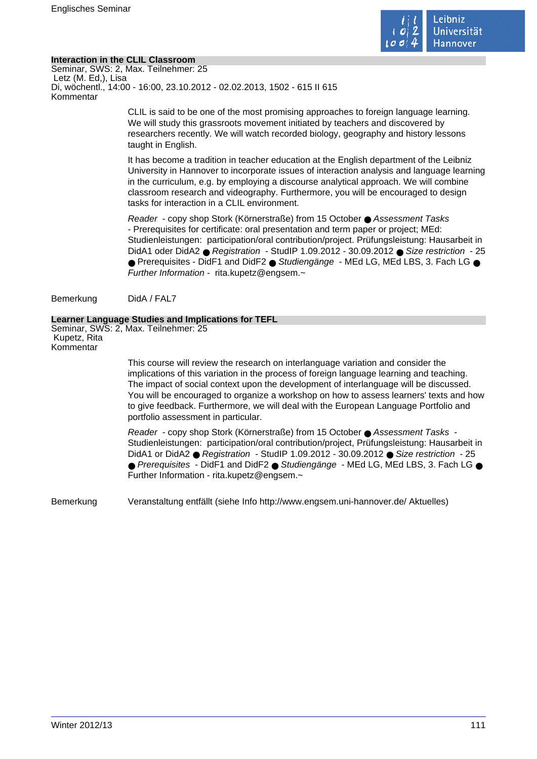

# **Interaction in the CLIL Classroom**

Seminar, SWS: 2, Max. Teilnehmer: 25 Letz (M. Ed,), Lisa Di, wöchentl., 14:00 - 16:00, 23.10.2012 - 02.02.2013, 1502 - 615 II 615 Kommentar

> CLIL is said to be one of the most promising approaches to foreign language learning. We will study this grassroots movement initiated by teachers and discovered by researchers recently. We will watch recorded biology, geography and history lessons taught in English.

It has become a tradition in teacher education at the English department of the Leibniz University in Hannover to incorporate issues of interaction analysis and language learning in the curriculum, e.g. by employing a discourse analytical approach. We will combine classroom research and videography. Furthermore, you will be encouraged to design tasks for interaction in a CLIL environment.

Reader - copy shop Stork (Körnerstraße) from 15 October ● Assessment Tasks - Prerequisites for certificate: oral presentation and term paper or project; MEd: Studienleistungen: participation/oral contribution/project. Prüfungsleistung: Hausarbeit in DidA1 oder DidA2 ● Registration - StudIP 1.09.2012 - 30.09.2012 ● Size restriction - 25 ● Prerequisites - DidF1 and DidF2 ● Studiengänge - MEd LG, MEd LBS, 3. Fach LG ● Further Information - rita.kupetz@engsem.~

Bemerkung DidA / FAL7

### **Learner Language Studies and Implications for TEFL**

Seminar, SWS: 2, Max. Teilnehmer: 25 Kupetz, Rita Kommentar

> This course will review the research on interlanguage variation and consider the implications of this variation in the process of foreign language learning and teaching. The impact of social context upon the development of interlanguage will be discussed. You will be encouraged to organize a workshop on how to assess learners' texts and how to give feedback. Furthermore, we will deal with the European Language Portfolio and portfolio assessment in particular.

> Reader - copy shop Stork (Körnerstraße) from 15 October ● Assessment Tasks - Studienleistungen: participation/oral contribution/project, Prüfungsleistung: Hausarbeit in DidA1 or DidA2 ● Registration - StudIP 1.09.2012 - 30.09.2012 ● Size restriction - 25 ● Prerequisites - DidF1 and DidF2 ● Studiengänge - MEd LG, MEd LBS, 3. Fach LG ● Further Information - rita.kupetz@engsem.~

Bemerkung Veranstaltung entfällt (siehe Info http://www.engsem.uni-hannover.de/ Aktuelles)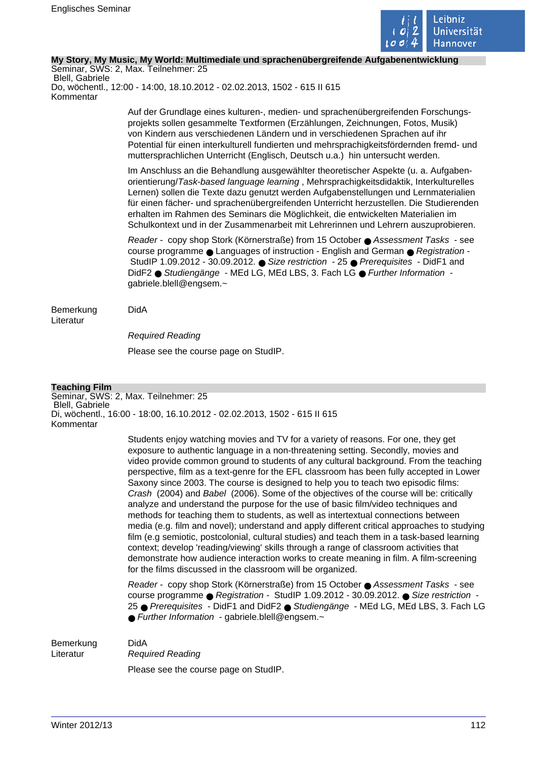

### **My Story, My Music, My World: Multimediale und sprachenübergreifende Aufgabenentwicklung**

Seminar, SWS: 2, Max. Teilnehmer: 25 Blell, Gabriele Do, wöchentl., 12:00 - 14:00, 18.10.2012 - 02.02.2013, 1502 - 615 II 615 Kommentar

> Auf der Grundlage eines kulturen-, medien- und sprachenübergreifenden Forschungsprojekts sollen gesammelte Textformen (Erzählungen, Zeichnungen, Fotos, Musik) von Kindern aus verschiedenen Ländern und in verschiedenen Sprachen auf ihr Potential für einen interkulturell fundierten und mehrsprachigkeitsfördernden fremd- und muttersprachlichen Unterricht (Englisch, Deutsch u.a.) hin untersucht werden.

> Im Anschluss an die Behandlung ausgewählter theoretischer Aspekte (u. a. Aufgabenorientierung/Task-based language learning , Mehrsprachigkeitsdidaktik, Interkulturelles Lernen) sollen die Texte dazu genutzt werden Aufgabenstellungen und Lernmaterialien für einen fächer- und sprachenübergreifenden Unterricht herzustellen. Die Studierenden erhalten im Rahmen des Seminars die Möglichkeit, die entwickelten Materialien im Schulkontext und in der Zusammenarbeit mit Lehrerinnen und Lehrern auszuprobieren.

Reader - copy shop Stork (Körnerstraße) from 15 October ● Assessment Tasks - see course programme ● Languages of instruction - English and German ● Registration -StudIP 1.09.2012 - 30.09.2012. ● Size restriction - 25 ● Prerequisites - DidF1 and DidF2 ● Studiengänge - MEd LG, MEd LBS, 3. Fach LG ● Further Information gabriele.blell@engsem.~

Bemerkung DidA Literatur

Required Reading

Please see the course page on StudIP.

# **Teaching Film**

Seminar, SWS: 2, Max. Teilnehmer: 25 Blell, Gabriele Di, wöchentl., 16:00 - 18:00, 16.10.2012 - 02.02.2013, 1502 - 615 II 615 Kommentar

> Students enjoy watching movies and TV for a variety of reasons. For one, they get exposure to authentic language in a non-threatening setting. Secondly, movies and video provide common ground to students of any cultural background. From the teaching perspective, film as a text-genre for the EFL classroom has been fully accepted in Lower Saxony since 2003. The course is designed to help you to teach two episodic films: Crash (2004) and Babel (2006). Some of the objectives of the course will be: critically analyze and understand the purpose for the use of basic film/video techniques and methods for teaching them to students, as well as intertextual connections between media (e.g. film and novel); understand and apply different critical approaches to studying film (e.g semiotic, postcolonial, cultural studies) and teach them in a task-based learning context; develop 'reading/viewing' skills through a range of classroom activities that demonstrate how audience interaction works to create meaning in film. A film-screening for the films discussed in the classroom will be organized.

> Reader - copy shop Stork (Körnerstraße) from 15 October ● Assessment Tasks - see course programme ● Registration - StudIP 1.09.2012 - 30.09.2012. ● Size restriction 25 ● Prerequisites - DidF1 and DidF2 ● Studiengänge - MEd LG, MEd LBS, 3. Fach LG  $\bullet$  Further Information - gabriele.blell@engsem. $\sim$

#### Bemerkung DidA

Literatur Required Reading

Please see the course page on StudIP.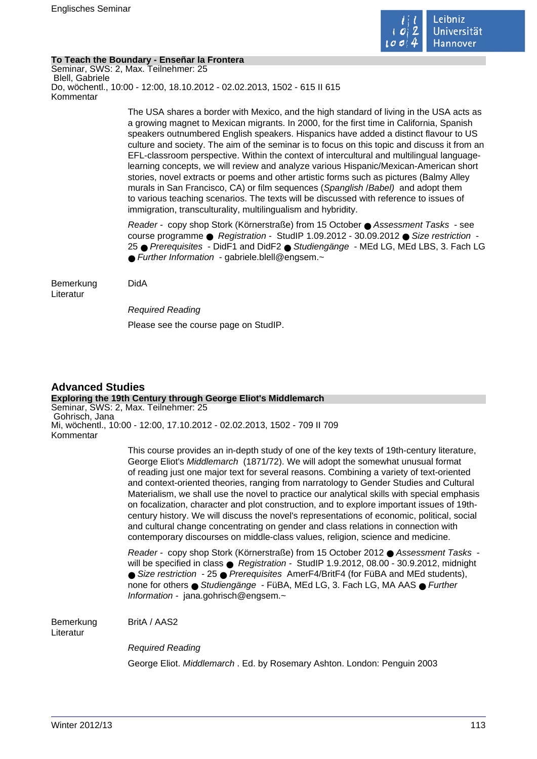

# **To Teach the Boundary - Enseñar la Frontera**

Seminar, SWS: 2, Max. Teilnehmer: 25 Blell, Gabriele Do, wöchentl., 10:00 - 12:00, 18.10.2012 - 02.02.2013, 1502 - 615 II 615 Kommentar

> The USA shares a border with Mexico, and the high standard of living in the USA acts as a growing magnet to Mexican migrants. In 2000, for the first time in California, Spanish speakers outnumbered English speakers. Hispanics have added a distinct flavour to US culture and society. The aim of the seminar is to focus on this topic and discuss it from an EFL-classroom perspective. Within the context of intercultural and multilingual languagelearning concepts, we will review and analyze various Hispanic/Mexican-American short stories, novel extracts or poems and other artistic forms such as pictures (Balmy Alley murals in San Francisco, CA) or film sequences (Spanglish /Babel) and adopt them to various teaching scenarios. The texts will be discussed with reference to issues of immigration, transculturality, multilingualism and hybridity.

> Reader - copy shop Stork (Körnerstraße) from 15 October ● Assessment Tasks - see course programme ● Registration - StudIP 1.09.2012 - 30.09.2012 ● Size restriction - 25 ● Prerequisites - DidF1 and DidF2 ● Studiengänge - MEd LG, MEd LBS, 3. Fach LG ● Further Information - gabriele.blell@engsem.~

#### Bemerkung DidA Literatur

Required Reading

Please see the course page on StudIP.

#### **Advanced Studies Exploring the 19th Century through George Eliot's Middlemarch** Seminar, SWS: 2, Max. Teilnehmer: 25 Gohrisch, Jana Mi, wöchentl., 10:00 - 12:00, 17.10.2012 - 02.02.2013, 1502 - 709 II 709 Kommentar

This course provides an in-depth study of one of the key texts of 19th-century literature, George Eliot's Middlemarch (1871/72). We will adopt the somewhat unusual format of reading just one major text for several reasons. Combining a variety of text-oriented and context-oriented theories, ranging from narratology to Gender Studies and Cultural Materialism, we shall use the novel to practice our analytical skills with special emphasis on focalization, character and plot construction, and to explore important issues of 19thcentury history. We will discuss the novel's representations of economic, political, social and cultural change concentrating on gender and class relations in connection with contemporary discourses on middle-class values, religion, science and medicine.

Reader - copy shop Stork (Körnerstraße) from 15 October 2012 ● Assessment Tasks will be specified in class ● Registration - StudIP 1.9.2012, 08.00 - 30.9.2012, midnight ● Size restriction - 25 ● Prerequisites AmerF4/BritF4 (for FüBA and MEd students), none for others ● Studiengänge - FüBA, MEd LG, 3. Fach LG, MA AAS ● Further Information - jana.gohrisch@engsem.~

Bemerkung BritA / AAS2 Literatur

Required Reading George Eliot. Middlemarch . Ed. by Rosemary Ashton. London: Penguin 2003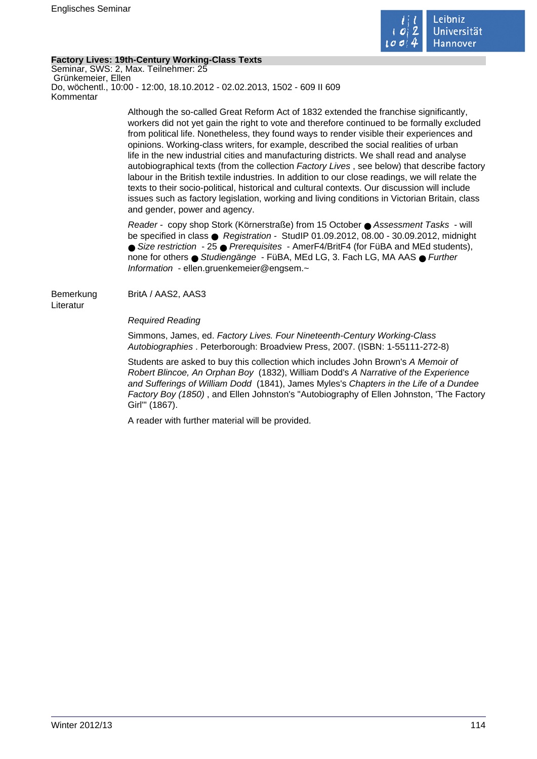

# **Factory Lives: 19th-Century Working-Class Texts**

Seminar, SWS: 2, Max. Teilnehmer: 25 Grünkemeier, Ellen Do, wöchentl., 10:00 - 12:00, 18.10.2012 - 02.02.2013, 1502 - 609 II 609 Kommentar

> Although the so-called Great Reform Act of 1832 extended the franchise significantly, workers did not yet gain the right to vote and therefore continued to be formally excluded from political life. Nonetheless, they found ways to render visible their experiences and opinions. Working-class writers, for example, described the social realities of urban life in the new industrial cities and manufacturing districts. We shall read and analyse autobiographical texts (from the collection Factory Lives , see below) that describe factory labour in the British textile industries. In addition to our close readings, we will relate the texts to their socio-political, historical and cultural contexts. Our discussion will include issues such as factory legislation, working and living conditions in Victorian Britain, class and gender, power and agency.

Reader - copy shop Stork (Körnerstraße) from 15 October ● Assessment Tasks - will be specified in class ● Registration - StudIP 01.09.2012, 08.00 - 30.09.2012, midnight ● Size restriction - 25 ● Prerequisites - AmerF4/BritF4 (for FüBA and MEd students), none for others ● Studiengänge - FüBA, MEd LG, 3. Fach LG, MA AAS ● Further Information - ellen.gruenkemeier@engsem.~

Bemerkung BritA / AAS2, AAS3 Literatur

Required Reading

Simmons, James, ed. Factory Lives. Four Nineteenth-Century Working-Class Autobiographies . Peterborough: Broadview Press, 2007. (ISBN: 1-55111-272-8)

Students are asked to buy this collection which includes John Brown's A Memoir of Robert Blincoe, An Orphan Boy (1832), William Dodd's A Narrative of the Experience and Sufferings of William Dodd (1841), James Myles's Chapters in the Life of a Dundee Factory Boy (1850) , and Ellen Johnston's "Autobiography of Ellen Johnston, 'The Factory Girl'" (1867).

A reader with further material will be provided.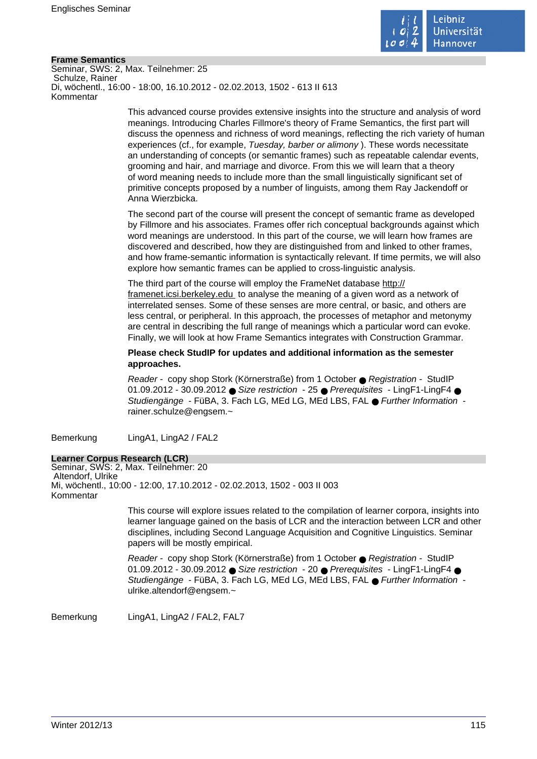

### **Frame Semantics**

Seminar, SWS: 2, Max. Teilnehmer: 25 Schulze, Rainer Di, wöchentl., 16:00 - 18:00, 16.10.2012 - 02.02.2013, 1502 - 613 II 613 Kommentar

> This advanced course provides extensive insights into the structure and analysis of word meanings. Introducing Charles Fillmore's theory of Frame Semantics, the first part will discuss the openness and richness of word meanings, reflecting the rich variety of human experiences (cf., for example, Tuesday, barber or alimony ). These words necessitate an understanding of concepts (or semantic frames) such as repeatable calendar events, grooming and hair, and marriage and divorce. From this we will learn that a theory of word meaning needs to include more than the small linguistically significant set of primitive concepts proposed by a number of linguists, among them Ray Jackendoff or Anna Wierzbicka.

The second part of the course will present the concept of semantic frame as developed by Fillmore and his associates. Frames offer rich conceptual backgrounds against which word meanings are understood. In this part of the course, we will learn how frames are discovered and described, how they are distinguished from and linked to other frames, and how frame-semantic information is syntactically relevant. If time permits, we will also explore how semantic frames can be applied to cross-linguistic analysis.

The third part of the course will employ the FrameNet database http:// framenet.icsi.berkeley.edu to analyse the meaning of a given word as a network of interrelated senses. Some of these senses are more central, or basic, and others are less central, or peripheral. In this approach, the processes of metaphor and metonymy are central in describing the full range of meanings which a particular word can evoke. Finally, we will look at how Frame Semantics integrates with Construction Grammar.

**Please check StudIP for updates and additional information as the semester approaches.** 

Reader - copy shop Stork (Körnerstraße) from 1 October ● Registration - StudIP 01.09.2012 - 30.09.2012 ● Size restriction - 25 ● Prerequisites - LingF1-LingF4 ● Studiengänge - FüBA, 3. Fach LG, MEd LG, MEd LBS, FAL ● Further Information rainer.schulze@engsem.~

Bemerkung LingA1, LingA2 / FAL2

### **Learner Corpus Research (LCR)**

Seminar, SWS: 2, Max. Teilnehmer: 20 Altendorf, Ulrike Mi, wöchentl., 10:00 - 12:00, 17.10.2012 - 02.02.2013, 1502 - 003 II 003 Kommentar

> This course will explore issues related to the compilation of learner corpora, insights into learner language gained on the basis of LCR and the interaction between LCR and other disciplines, including Second Language Acquisition and Cognitive Linguistics. Seminar papers will be mostly empirical.

Reader - copy shop Stork (Körnerstraße) from 1 October ● Registration - StudIP 01.09.2012 - 30.09.2012 ● Size restriction - 20 ● Prerequisites - LingF1-LingF4 ● Studiengänge - FüBA, 3. Fach LG, MEd LG, MEd LBS, FAL ● Further Information ulrike.altendorf@engsem.~

Bemerkung LingA1, LingA2 / FAL2, FAL7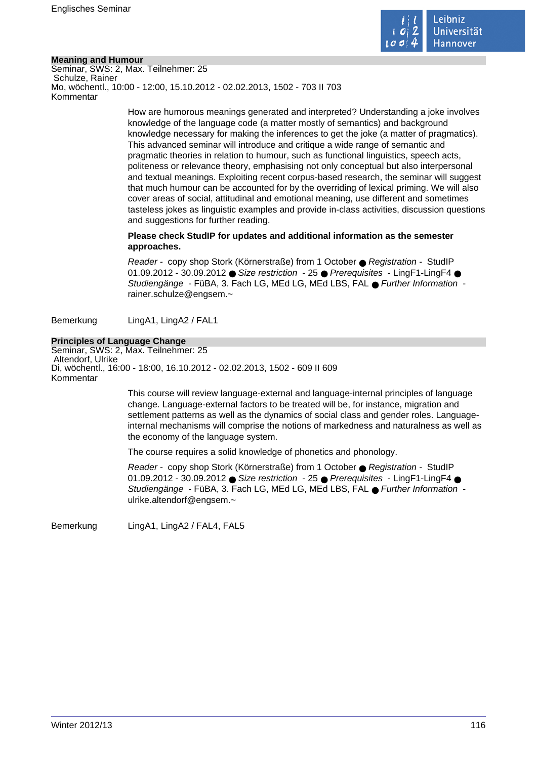

### **Meaning and Humour**

Seminar, SWS: 2, Max. Teilnehmer: 25 Schulze, Rainer Mo, wöchentl., 10:00 - 12:00, 15.10.2012 - 02.02.2013, 1502 - 703 II 703 Kommentar

> How are humorous meanings generated and interpreted? Understanding a joke involves knowledge of the language code (a matter mostly of semantics) and background knowledge necessary for making the inferences to get the joke (a matter of pragmatics). This advanced seminar will introduce and critique a wide range of semantic and pragmatic theories in relation to humour, such as functional linguistics, speech acts, politeness or relevance theory, emphasising not only conceptual but also interpersonal and textual meanings. Exploiting recent corpus-based research, the seminar will suggest that much humour can be accounted for by the overriding of lexical priming. We will also cover areas of social, attitudinal and emotional meaning, use different and sometimes tasteless jokes as linguistic examples and provide in-class activities, discussion questions and suggestions for further reading.

# **Please check StudIP for updates and additional information as the semester approaches.**

Reader - copy shop Stork (Körnerstraße) from 1 October ● Registration - StudIP 01.09.2012 - 30.09.2012 ● Size restriction - 25 ● Prerequisites - LingF1-LingF4 ● Studiengänge - FüBA, 3. Fach LG, MEd LG, MEd LBS, FAL ● Further Information rainer.schulze@engsem.~

Bemerkung LingA1, LingA2 / FAL1

# **Principles of Language Change**

Seminar, SWS: 2, Max. Teilnehmer: 25 Altendorf, Ulrike Di, wöchentl., 16:00 - 18:00, 16.10.2012 - 02.02.2013, 1502 - 609 II 609 Kommentar

> This course will review language-external and language-internal principles of language change. Language-external factors to be treated will be, for instance, migration and settlement patterns as well as the dynamics of social class and gender roles. Languageinternal mechanisms will comprise the notions of markedness and naturalness as well as the economy of the language system.

The course requires a solid knowledge of phonetics and phonology.

Reader - copy shop Stork (Körnerstraße) from 1 October ● Registration - StudIP 01.09.2012 - 30.09.2012 ● Size restriction - 25 ● Prerequisites - LingF1-LingF4 ● Studiengänge - FüBA, 3. Fach LG, MEd LG, MEd LBS, FAL ● Further Information ulrike.altendorf@engsem.~

Bemerkung LingA1, LingA2 / FAL4, FAL5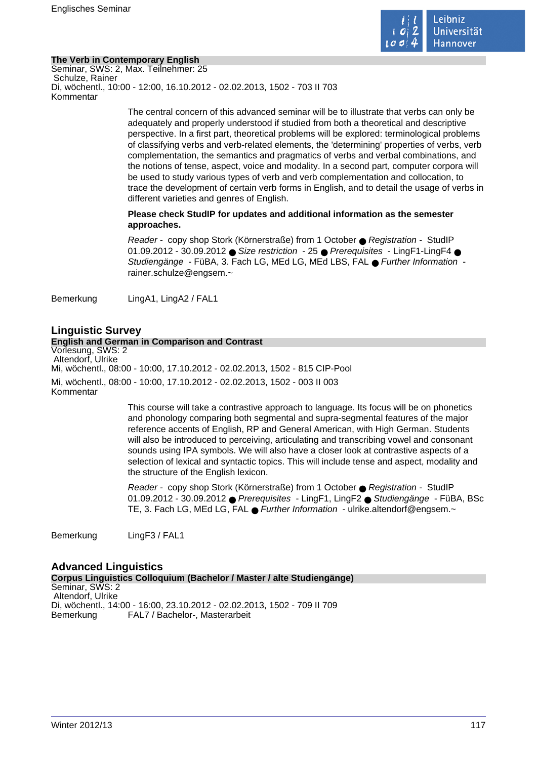

# **The Verb in Contemporary English**

Seminar, SWS: 2, Max. Teilnehmer: 25 Schulze, Rainer Di, wöchentl., 10:00 - 12:00, 16.10.2012 - 02.02.2013, 1502 - 703 II 703 Kommentar

> The central concern of this advanced seminar will be to illustrate that verbs can only be adequately and properly understood if studied from both a theoretical and descriptive perspective. In a first part, theoretical problems will be explored: terminological problems of classifying verbs and verb-related elements, the 'determining' properties of verbs, verb complementation, the semantics and pragmatics of verbs and verbal combinations, and the notions of tense, aspect, voice and modality. In a second part, computer corpora will be used to study various types of verb and verb complementation and collocation, to trace the development of certain verb forms in English, and to detail the usage of verbs in different varieties and genres of English.

# **Please check StudIP for updates and additional information as the semester approaches.**

Reader - copy shop Stork (Körnerstraße) from 1 October ● Registration - StudIP 01.09.2012 - 30.09.2012 ● Size restriction - 25 ● Prerequisites - LingF1-LingF4 ● Studiengänge - FüBA, 3. Fach LG, MEd LG, MEd LBS, FAL ● Further Information rainer.schulze@engsem.~

Bemerkung LingA1, LingA2 / FAL1

# **Linguistic Survey**

#### **English and German in Comparison and Contrast** Vorlesung, SWS: 2 Altendorf, Ulrike Mi, wöchentl., 08:00 - 10:00, 17.10.2012 - 02.02.2013, 1502 - 815 CIP-Pool Mi, wöchentl., 08:00 - 10:00, 17.10.2012 - 02.02.2013, 1502 - 003 II 003 Kommentar

This course will take a contrastive approach to language. Its focus will be on phonetics and phonology comparing both segmental and supra-segmental features of the major reference accents of English, RP and General American, with High German. Students will also be introduced to perceiving, articulating and transcribing vowel and consonant sounds using IPA symbols. We will also have a closer look at contrastive aspects of a selection of lexical and syntactic topics. This will include tense and aspect, modality and the structure of the English lexicon.

Reader - copy shop Stork (Körnerstraße) from 1 October ● Registration - StudIP 01.09.2012 - 30.09.2012 ● Prerequisites - LingF1, LingF2 ● Studiengänge - FüBA, BSc TE, 3. Fach LG, MEd LG, FAL ● Further Information - ulrike.altendorf@engsem.~

Bemerkung LingF3 / FAL1

### **Advanced Linguistics Corpus Linguistics Colloquium (Bachelor / Master / alte Studiengänge)** Seminar, SWS: 2 Altendorf, Ulrike Di, wöchentl., 14:00 - 16:00, 23.10.2012 - 02.02.2013, 1502 - 709 II 709 Bemerkung FAL7 / Bachelor-, Masterarbeit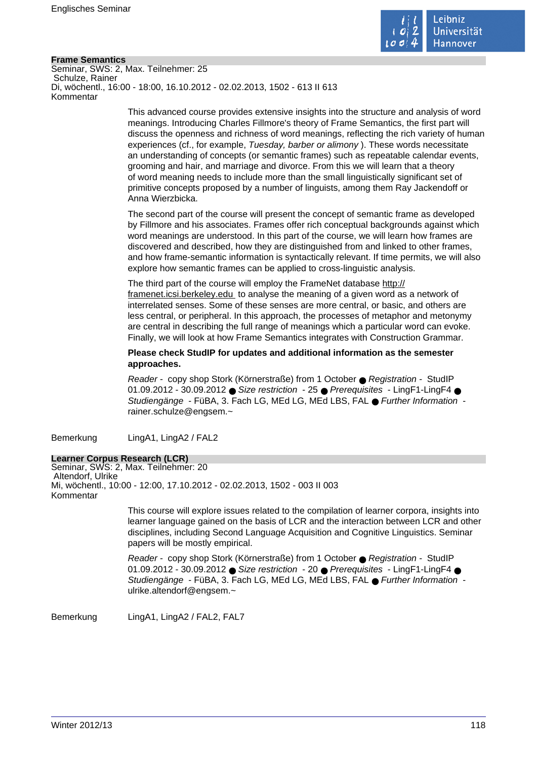

### **Frame Semantics**

Seminar, SWS: 2, Max. Teilnehmer: 25 Schulze, Rainer Di, wöchentl., 16:00 - 18:00, 16.10.2012 - 02.02.2013, 1502 - 613 II 613 Kommentar

> This advanced course provides extensive insights into the structure and analysis of word meanings. Introducing Charles Fillmore's theory of Frame Semantics, the first part will discuss the openness and richness of word meanings, reflecting the rich variety of human experiences (cf., for example, Tuesday, barber or alimony ). These words necessitate an understanding of concepts (or semantic frames) such as repeatable calendar events, grooming and hair, and marriage and divorce. From this we will learn that a theory of word meaning needs to include more than the small linguistically significant set of primitive concepts proposed by a number of linguists, among them Ray Jackendoff or Anna Wierzbicka.

The second part of the course will present the concept of semantic frame as developed by Fillmore and his associates. Frames offer rich conceptual backgrounds against which word meanings are understood. In this part of the course, we will learn how frames are discovered and described, how they are distinguished from and linked to other frames, and how frame-semantic information is syntactically relevant. If time permits, we will also explore how semantic frames can be applied to cross-linguistic analysis.

The third part of the course will employ the FrameNet database http:// framenet.icsi.berkeley.edu to analyse the meaning of a given word as a network of interrelated senses. Some of these senses are more central, or basic, and others are less central, or peripheral. In this approach, the processes of metaphor and metonymy are central in describing the full range of meanings which a particular word can evoke. Finally, we will look at how Frame Semantics integrates with Construction Grammar.

**Please check StudIP for updates and additional information as the semester approaches.** 

Reader - copy shop Stork (Körnerstraße) from 1 October ● Registration - StudIP 01.09.2012 - 30.09.2012 ● Size restriction - 25 ● Prerequisites - LingF1-LingF4 ● Studiengänge - FüBA, 3. Fach LG, MEd LG, MEd LBS, FAL ● Further Information rainer.schulze@engsem.~

Bemerkung LingA1, LingA2 / FAL2

### **Learner Corpus Research (LCR)**

Seminar, SWS: 2, Max. Teilnehmer: 20 Altendorf, Ulrike Mi, wöchentl., 10:00 - 12:00, 17.10.2012 - 02.02.2013, 1502 - 003 II 003 Kommentar

> This course will explore issues related to the compilation of learner corpora, insights into learner language gained on the basis of LCR and the interaction between LCR and other disciplines, including Second Language Acquisition and Cognitive Linguistics. Seminar papers will be mostly empirical.

Reader - copy shop Stork (Körnerstraße) from 1 October ● Registration - StudIP 01.09.2012 - 30.09.2012 ● Size restriction - 20 ● Prerequisites - LingF1-LingF4 ● Studiengänge - FüBA, 3. Fach LG, MEd LG, MEd LBS, FAL ● Further Information ulrike.altendorf@engsem.~

Bemerkung LingA1, LingA2 / FAL2, FAL7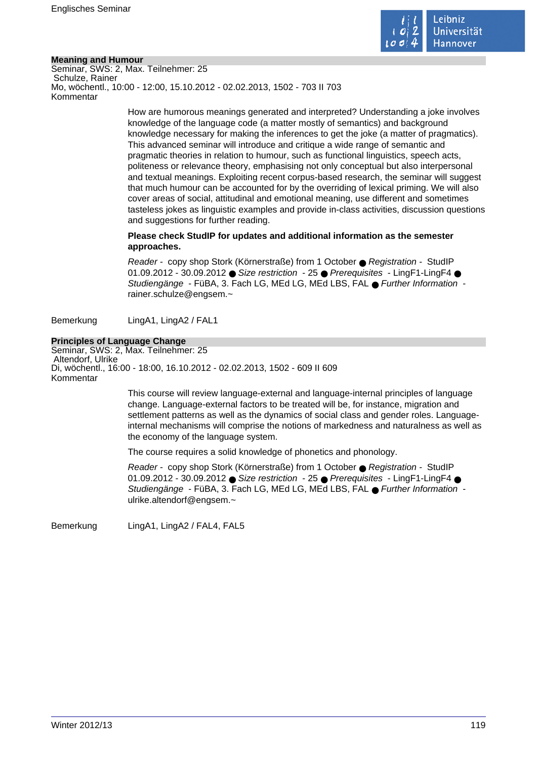

### **Meaning and Humour**

Seminar, SWS: 2, Max. Teilnehmer: 25 Schulze, Rainer Mo, wöchentl., 10:00 - 12:00, 15.10.2012 - 02.02.2013, 1502 - 703 II 703 Kommentar

> How are humorous meanings generated and interpreted? Understanding a joke involves knowledge of the language code (a matter mostly of semantics) and background knowledge necessary for making the inferences to get the joke (a matter of pragmatics). This advanced seminar will introduce and critique a wide range of semantic and pragmatic theories in relation to humour, such as functional linguistics, speech acts, politeness or relevance theory, emphasising not only conceptual but also interpersonal and textual meanings. Exploiting recent corpus-based research, the seminar will suggest that much humour can be accounted for by the overriding of lexical priming. We will also cover areas of social, attitudinal and emotional meaning, use different and sometimes tasteless jokes as linguistic examples and provide in-class activities, discussion questions and suggestions for further reading.

# **Please check StudIP for updates and additional information as the semester approaches.**

Reader - copy shop Stork (Körnerstraße) from 1 October ● Registration - StudIP 01.09.2012 - 30.09.2012 ● Size restriction - 25 ● Prerequisites - LingF1-LingF4 ● Studiengänge - FüBA, 3. Fach LG, MEd LG, MEd LBS, FAL ● Further Information rainer.schulze@engsem.~

Bemerkung LingA1, LingA2 / FAL1

# **Principles of Language Change**

Seminar, SWS: 2, Max. Teilnehmer: 25 Altendorf, Ulrike Di, wöchentl., 16:00 - 18:00, 16.10.2012 - 02.02.2013, 1502 - 609 II 609 Kommentar

> This course will review language-external and language-internal principles of language change. Language-external factors to be treated will be, for instance, migration and settlement patterns as well as the dynamics of social class and gender roles. Languageinternal mechanisms will comprise the notions of markedness and naturalness as well as the economy of the language system.

The course requires a solid knowledge of phonetics and phonology.

Reader - copy shop Stork (Körnerstraße) from 1 October ● Registration - StudIP 01.09.2012 - 30.09.2012 ● Size restriction - 25 ● Prerequisites - LingF1-LingF4 ● Studiengänge - FüBA, 3. Fach LG, MEd LG, MEd LBS, FAL ● Further Information ulrike.altendorf@engsem.~

Bemerkung LingA1, LingA2 / FAL4, FAL5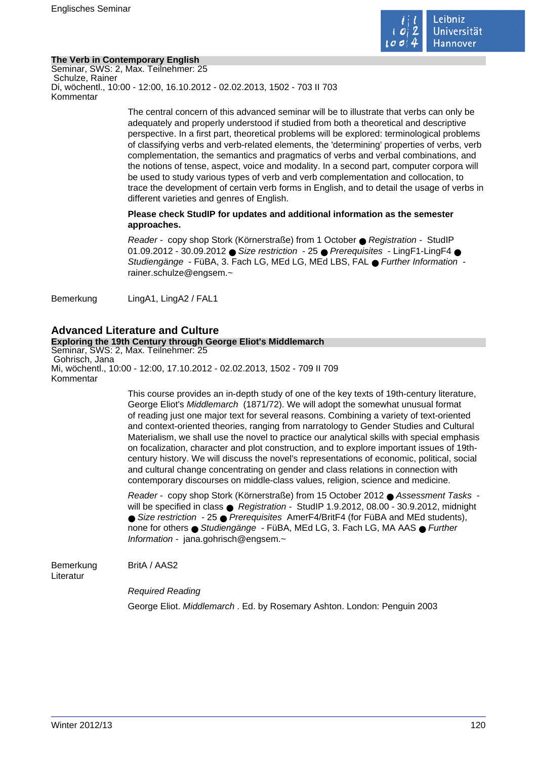

# **The Verb in Contemporary English**

Seminar, SWS: 2, Max. Teilnehmer: 25 Schulze, Rainer Di, wöchentl., 10:00 - 12:00, 16.10.2012 - 02.02.2013, 1502 - 703 II 703 Kommentar

> The central concern of this advanced seminar will be to illustrate that verbs can only be adequately and properly understood if studied from both a theoretical and descriptive perspective. In a first part, theoretical problems will be explored: terminological problems of classifying verbs and verb-related elements, the 'determining' properties of verbs, verb complementation, the semantics and pragmatics of verbs and verbal combinations, and the notions of tense, aspect, voice and modality. In a second part, computer corpora will be used to study various types of verb and verb complementation and collocation, to trace the development of certain verb forms in English, and to detail the usage of verbs in different varieties and genres of English.

# **Please check StudIP for updates and additional information as the semester approaches.**

Reader - copy shop Stork (Körnerstraße) from 1 October ● Registration - StudIP 01.09.2012 - 30.09.2012 ● Size restriction - 25 ● Prerequisites - LingF1-LingF4 ● Studiengänge - FüBA, 3. Fach LG, MEd LG, MEd LBS, FAL ● Further Information rainer.schulze@engsem.~

Bemerkung LingA1, LingA2 / FAL1

# **Advanced Literature and Culture**

### **Exploring the 19th Century through George Eliot's Middlemarch**

Seminar, SWS: 2, Max. Teilnehmer: 25 Gohrisch, Jana Mi, wöchentl., 10:00 - 12:00, 17.10.2012 - 02.02.2013, 1502 - 709 II 709 Kommentar

> This course provides an in-depth study of one of the key texts of 19th-century literature, George Eliot's Middlemarch (1871/72). We will adopt the somewhat unusual format of reading just one major text for several reasons. Combining a variety of text-oriented and context-oriented theories, ranging from narratology to Gender Studies and Cultural Materialism, we shall use the novel to practice our analytical skills with special emphasis on focalization, character and plot construction, and to explore important issues of 19thcentury history. We will discuss the novel's representations of economic, political, social and cultural change concentrating on gender and class relations in connection with contemporary discourses on middle-class values, religion, science and medicine.

> Reader - copy shop Stork (Körnerstraße) from 15 October 2012 ● Assessment Tasks will be specified in class ● Registration - StudIP 1.9.2012, 08.00 - 30.9.2012, midnight ● Size restriction - 25 ● Prerequisites AmerF4/BritF4 (for FüBA and MEd students), none for others ● Studiengänge - FüBA, MEd LG, 3. Fach LG, MA AAS ● Further Information - jana.gohrisch@engsem.~

Bemerkung BritA / AAS2

Literatur

Required Reading

George Eliot. Middlemarch . Ed. by Rosemary Ashton. London: Penguin 2003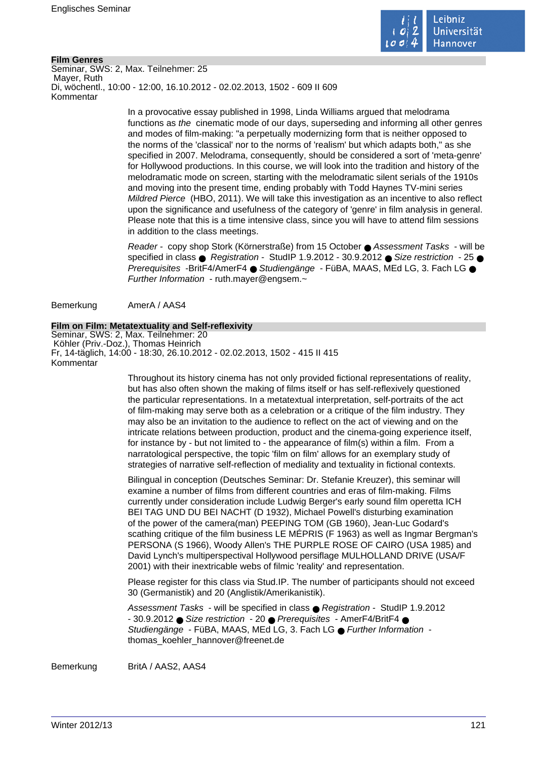

### **Film Genres**

Seminar, SWS: 2, Max. Teilnehmer: 25 Mayer, Ruth Di, wöchentl., 10:00 - 12:00, 16.10.2012 - 02.02.2013, 1502 - 609 II 609 Kommentar

> In a provocative essay published in 1998, Linda Williams argued that melodrama functions as the cinematic mode of our days, superseding and informing all other genres and modes of film-making: "a perpetually modernizing form that is neither opposed to the norms of the 'classical' nor to the norms of 'realism' but which adapts both," as she specified in 2007. Melodrama, consequently, should be considered a sort of 'meta-genre' for Hollywood productions. In this course, we will look into the tradition and history of the melodramatic mode on screen, starting with the melodramatic silent serials of the 1910s and moving into the present time, ending probably with Todd Haynes TV-mini series Mildred Pierce (HBO, 2011). We will take this investigation as an incentive to also reflect upon the significance and usefulness of the category of 'genre' in film analysis in general. Please note that this is a time intensive class, since you will have to attend film sessions in addition to the class meetings.

> Reader - copy shop Stork (Körnerstraße) from 15 October ● Assessment Tasks - will be specified in class  $\bullet$  Registration - StudIP 1.9.2012 - 30.9.2012  $\bullet$  Size restriction - 25  $\bullet$ Prerequisites -BritF4/AmerF4 ● Studiengänge - FüBA, MAAS, MEd LG, 3, Fach LG ● Further Information - ruth.mayer@engsem.~

Bemerkung AmerA / AAS4

#### **Film on Film: Metatextuality and Self-reflexivity**

Seminar, SWS: 2, Max. Teilnehmer: 20 Köhler (Priv.-Doz.), Thomas Heinrich Fr, 14-täglich, 14:00 - 18:30, 26.10.2012 - 02.02.2013, 1502 - 415 II 415 Kommentar

> Throughout its history cinema has not only provided fictional representations of reality, but has also often shown the making of films itself or has self-reflexively questioned the particular representations. In a metatextual interpretation, self-portraits of the act of film-making may serve both as a celebration or a critique of the film industry. They may also be an invitation to the audience to reflect on the act of viewing and on the intricate relations between production, product and the cinema-going experience itself, for instance by - but not limited to - the appearance of film(s) within a film. From a narratological perspective, the topic 'film on film' allows for an exemplary study of strategies of narrative self-reflection of mediality and textuality in fictional contexts.

Bilingual in conception (Deutsches Seminar: Dr. Stefanie Kreuzer), this seminar will examine a number of films from different countries and eras of film-making. Films currently under consideration include Ludwig Berger's early sound film operetta ICH BEI TAG UND DU BEI NACHT (D 1932), Michael Powell's disturbing examination of the power of the camera(man) PEEPING TOM (GB 1960), Jean-Luc Godard's scathing critique of the film business LE MÉPRIS (F 1963) as well as Ingmar Bergman's PERSONA (S 1966), Woody Allen's THE PURPLE ROSE OF CAIRO (USA 1985) and David Lynch's multiperspectival Hollywood persiflage MULHOLLAND DRIVE (USA/F 2001) with their inextricable webs of filmic 'reality' and representation.

Please register for this class via Stud.IP. The number of participants should not exceed 30 (Germanistik) and 20 (Anglistik/Amerikanistik).

Assessment Tasks - will be specified in class ● Registration - StudIP 1.9.2012 - 30.9.2012 ● Size restriction - 20 ● Prerequisites - AmerF4/BritF4 ● Studiengänge - FüBA, MAAS, MEd LG, 3, Fach LG ● Further Information thomas\_koehler\_hannover@freenet.de

Bemerkung BritA / AAS2, AAS4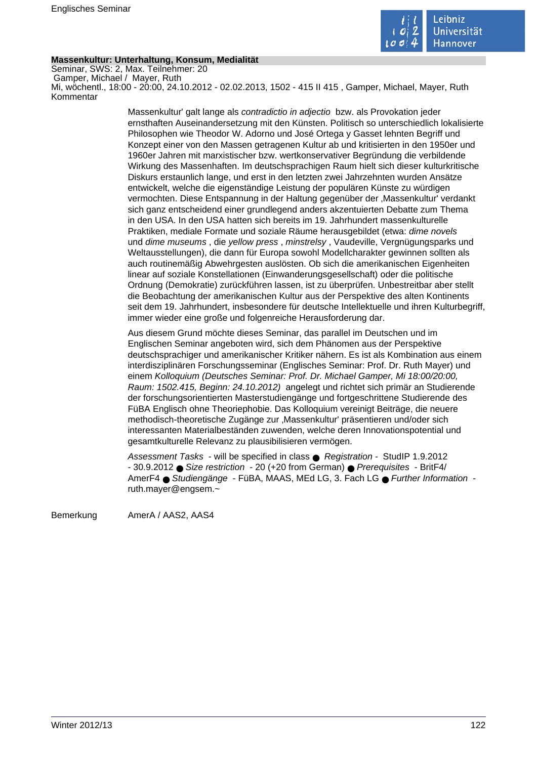

### **Massenkultur: Unterhaltung, Konsum, Medialität**

Seminar, SWS: 2, Max. Teilnehmer: 20 Gamper, Michael / Mayer, Ruth Mi, wöchentl., 18:00 - 20:00, 24.10.2012 - 02.02.2013, 1502 - 415 II 415 , Gamper, Michael, Mayer, Ruth Kommentar

> Massenkultur' galt lange als contradictio in adjectio bzw. als Provokation jeder ernsthaften Auseinandersetzung mit den Künsten. Politisch so unterschiedlich lokalisierte Philosophen wie Theodor W. Adorno und José Ortega y Gasset lehnten Begriff und Konzept einer von den Massen getragenen Kultur ab und kritisierten in den 1950er und 1960er Jahren mit marxistischer bzw. wertkonservativer Begründung die verbildende Wirkung des Massenhaften. Im deutschsprachigen Raum hielt sich dieser kulturkritische Diskurs erstaunlich lange, und erst in den letzten zwei Jahrzehnten wurden Ansätze entwickelt, welche die eigenständige Leistung der populären Künste zu würdigen vermochten. Diese Entspannung in der Haltung gegenüber der 'Massenkultur' verdankt sich ganz entscheidend einer grundlegend anders akzentuierten Debatte zum Thema in den USA. In den USA hatten sich bereits im 19. Jahrhundert massenkulturelle Praktiken, mediale Formate und soziale Räume herausgebildet (etwa: dime novels und dime museums , die yellow press , minstrelsy , Vaudeville, Vergnügungsparks und Weltausstellungen), die dann für Europa sowohl Modellcharakter gewinnen sollten als auch routinemäßig Abwehrgesten auslösten. Ob sich die amerikanischen Eigenheiten linear auf soziale Konstellationen (Einwanderungsgesellschaft) oder die politische Ordnung (Demokratie) zurückführen lassen, ist zu überprüfen. Unbestreitbar aber stellt die Beobachtung der amerikanischen Kultur aus der Perspektive des alten Kontinents seit dem 19. Jahrhundert, insbesondere für deutsche Intellektuelle und ihren Kulturbegriff, immer wieder eine große und folgenreiche Herausforderung dar.

> Aus diesem Grund möchte dieses Seminar, das parallel im Deutschen und im Englischen Seminar angeboten wird, sich dem Phänomen aus der Perspektive deutschsprachiger und amerikanischer Kritiker nähern. Es ist als Kombination aus einem interdisziplinären Forschungsseminar (Englisches Seminar: Prof. Dr. Ruth Mayer) und einem Kolloquium (Deutsches Seminar: Prof. Dr. Michael Gamper, Mi 18:00/20:00, Raum: 1502.415, Beginn: 24.10.2012) angelegt und richtet sich primär an Studierende der forschungsorientierten Masterstudiengänge und fortgeschrittene Studierende des FüBA Englisch ohne Theoriephobie. Das Kolloquium vereinigt Beiträge, die neuere methodisch-theoretische Zugänge zur 'Massenkultur' präsentieren und/oder sich interessanten Materialbeständen zuwenden, welche deren Innovationspotential und gesamtkulturelle Relevanz zu plausibilisieren vermögen.

Assessment Tasks - will be specified in class ● Registration - StudIP 1.9.2012 - 30.9.2012 ● Size restriction - 20 (+20 from German) ● Prerequisites - BritF4/ AmerF4 ● Studiengänge - FüBA, MAAS, MEd LG, 3. Fach LG ● Further Information ruth.mayer@engsem.~

Bemerkung AmerA / AAS2, AAS4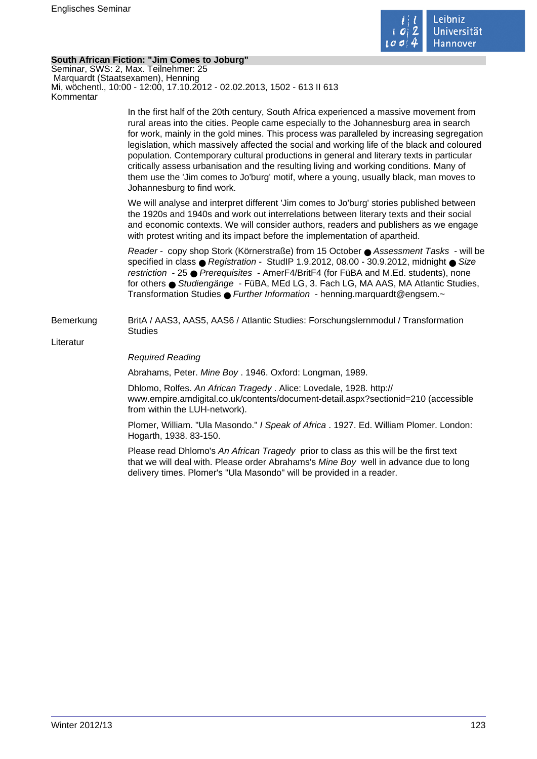

### **South African Fiction: "Jim Comes to Joburg"**

Seminar, SWS: 2, Max. Teilnehmer: 25 Marquardt (Staatsexamen), Henning Mi, wöchentl., 10:00 - 12:00, 17.10.2012 - 02.02.2013, 1502 - 613 II 613 Kommentar

> In the first half of the 20th century, South Africa experienced a massive movement from rural areas into the cities. People came especially to the Johannesburg area in search for work, mainly in the gold mines. This process was paralleled by increasing segregation legislation, which massively affected the social and working life of the black and coloured population. Contemporary cultural productions in general and literary texts in particular critically assess urbanisation and the resulting living and working conditions. Many of them use the 'Jim comes to Jo'burg' motif, where a young, usually black, man moves to Johannesburg to find work.

We will analyse and interpret different 'Jim comes to Jo'burg' stories published between the 1920s and 1940s and work out interrelations between literary texts and their social and economic contexts. We will consider authors, readers and publishers as we engage with protest writing and its impact before the implementation of apartheid.

Reader - copy shop Stork (Körnerstraße) from 15 October ● Assessment Tasks - will be specified in class ● Registration - StudIP 1.9.2012, 08.00 - 30.9.2012, midnight ● Size restriction - 25 ● Prerequisites - AmerF4/BritF4 (for FüBA and M.Ed. students), none for others ● Studiengänge - FüBA, MEd LG, 3. Fach LG, MA AAS, MA Atlantic Studies, Transformation Studies ● Further Information - henning.marquardt@engsem.~

Bemerkung BritA / AAS3, AAS5, AAS6 / Atlantic Studies: Forschungslernmodul / Transformation Studies

Literatur

### Required Reading

Abrahams, Peter. Mine Boy . 1946. Oxford: Longman, 1989.

Dhlomo, Rolfes. An African Tragedy . Alice: Lovedale, 1928. http:// www.empire.amdigital.co.uk/contents/document-detail.aspx?sectionid=210 (accessible from within the LUH-network).

Plomer, William. "Ula Masondo." I Speak of Africa . 1927. Ed. William Plomer. London: Hogarth, 1938. 83-150.

Please read Dhlomo's An African Tragedy prior to class as this will be the first text that we will deal with. Please order Abrahams's Mine Boy well in advance due to long delivery times. Plomer's "Ula Masondo" will be provided in a reader.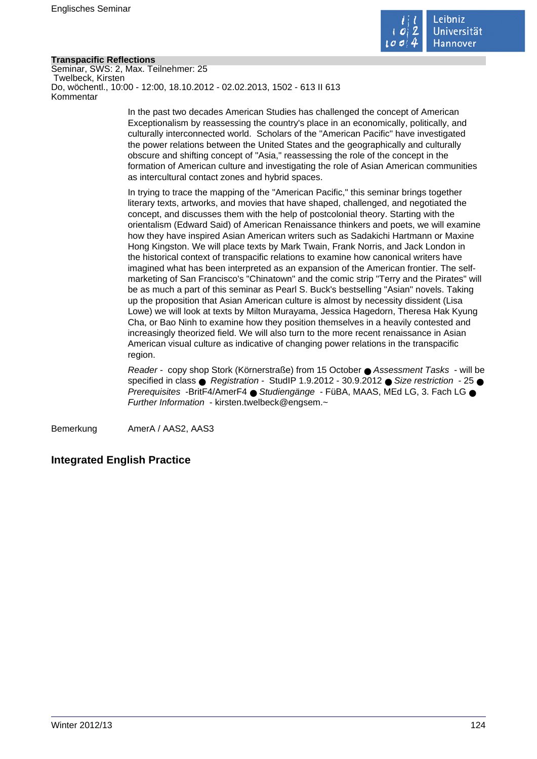

# **Transpacific Reflections**

Seminar, SWS: 2, Max. Teilnehmer: 25 Twelbeck, Kirsten Do, wöchentl., 10:00 - 12:00, 18.10.2012 - 02.02.2013, 1502 - 613 II 613 Kommentar

> In the past two decades American Studies has challenged the concept of American Exceptionalism by reassessing the country's place in an economically, politically, and culturally interconnected world. Scholars of the "American Pacific" have investigated the power relations between the United States and the geographically and culturally obscure and shifting concept of "Asia," reassessing the role of the concept in the formation of American culture and investigating the role of Asian American communities as intercultural contact zones and hybrid spaces.

In trying to trace the mapping of the "American Pacific," this seminar brings together literary texts, artworks, and movies that have shaped, challenged, and negotiated the concept, and discusses them with the help of postcolonial theory. Starting with the orientalism (Edward Said) of American Renaissance thinkers and poets, we will examine how they have inspired Asian American writers such as Sadakichi Hartmann or Maxine Hong Kingston. We will place texts by Mark Twain, Frank Norris, and Jack London in the historical context of transpacific relations to examine how canonical writers have imagined what has been interpreted as an expansion of the American frontier. The selfmarketing of San Francisco's "Chinatown" and the comic strip "Terry and the Pirates" will be as much a part of this seminar as Pearl S. Buck's bestselling "Asian" novels. Taking up the proposition that Asian American culture is almost by necessity dissident (Lisa Lowe) we will look at texts by Milton Murayama, Jessica Hagedorn, Theresa Hak Kyung Cha, or Bao Ninh to examine how they position themselves in a heavily contested and increasingly theorized field. We will also turn to the more recent renaissance in Asian American visual culture as indicative of changing power relations in the transpacific region.

Reader - copy shop Stork (Körnerstraße) from 15 October ● Assessment Tasks - will be specified in class  $\bullet$  Registration - StudIP 1.9.2012 - 30.9.2012  $\bullet$  Size restriction - 25  $\bullet$ Prerequisites -BritF4/AmerF4 ● Studiengänge - FüBA, MAAS, MEd LG, 3. Fach LG ● Further Information - kirsten.twelbeck@engsem.~

Bemerkung AmerA / AAS2, AAS3

# **Integrated English Practice**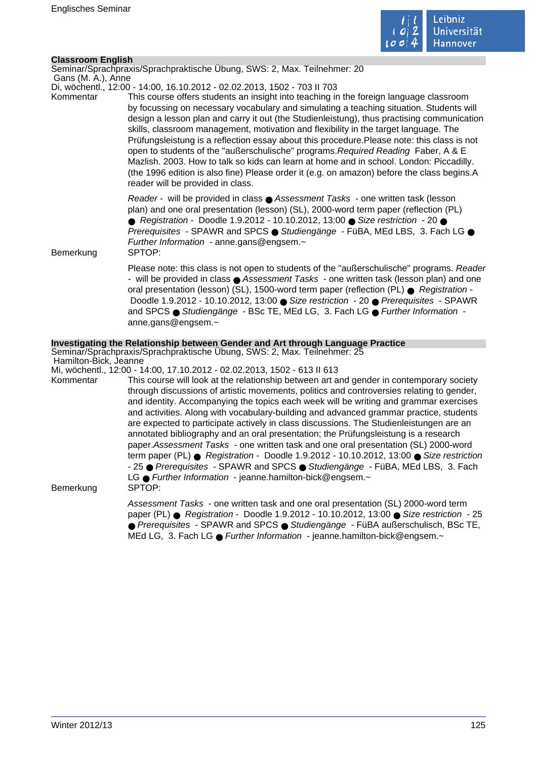

# **Classroom English**

Seminar/Sprachpraxis/Sprachpraktische Übung, SWS: 2, Max. Teilnehmer: 20

 Gans (M. A.), Anne Di, wöchentl., 12:00 - 14:00, 16.10.2012 - 02.02.2013, 1502 - 703 II 703

Kommentar This course offers students an insight into teaching in the foreign language classroom by focussing on necessary vocabulary and simulating a teaching situation. Students will design a lesson plan and carry it out (the Studienleistung), thus practising communication skills, classroom management, motivation and flexibility in the target language. The Prüfungsleistung is a reflection essay about this procedure.Please note: this class is not open to students of the "außerschulische" programs.Required Reading Faber, A & E Mazlish. 2003. How to talk so kids can learn at home and in school. London: Piccadilly. (the 1996 edition is also fine) Please order it (e.g. on amazon) before the class begins.A reader will be provided in class.

> Reader - will be provided in class ● Assessment Tasks - one written task (lesson plan) and one oral presentation (lesson) (SL), 2000-word term paper (reflection (PL) ● Registration - Doodle 1.9.2012 - 10.10.2012, 13:00 ● Size restriction - 20 ● Prerequisites - SPAWR and SPCS ● Studiengänge - FüBA, MEd LBS, 3. Fach LG ● Further Information - anne.gans@engsem.~

Bemerkung SPTOP:

Please note: this class is not open to students of the "außerschulische" programs. Reader - will be provided in class ● Assessment Tasks - one written task (lesson plan) and one oral presentation (lesson) (SL), 1500-word term paper (reflection (PL) ● Registration - Doodle 1.9.2012 - 10.10.2012, 13:00 ● Size restriction - 20 ● Prerequisites - SPAWR and SPCS ● Studiengänge - BSc TE, MEd LG, 3, Fach LG ● Further Information anne.gans@engsem.~

# **Investigating the Relationship between Gender and Art through Language Practice**

Seminar/Sprachpraxis/Sprachpraktische Übung, SWS: 2, Max. Teilnehmer: 25 Hamilton-Bick, Jeanne

Mi, wöchentl., 12:00 - 14:00, 17.10.2012 - 02.02.2013, 1502 - 613 II 613

Kommentar This course will look at the relationship between art and gender in contemporary society through discussions of artistic movements, politics and controversies relating to gender, and identity. Accompanying the topics each week will be writing and grammar exercises and activities. Along with vocabulary-building and advanced grammar practice, students are expected to participate actively in class discussions. The Studienleistungen are an annotated bibliography and an oral presentation; the Prüfungsleistung is a research paper.Assessment Tasks - one written task and one oral presentation (SL) 2000-word term paper (PL) ● Registration - Doodle 1.9.2012 - 10.10.2012, 13:00 ● Size restriction - 25 ● Prerequisites - SPAWR and SPCS ● Studiengänge - FüBA, MEd LBS, 3. Fach LG ● Further Information - jeanne.hamilton-bick@engsem.~ Bemerkung SPTOP:

> Assessment Tasks - one written task and one oral presentation (SL) 2000-word term paper (PL) ● Registration - Doodle 1.9.2012 - 10.10.2012, 13:00 ● Size restriction - 25 ● Prerequisites - SPAWR and SPCS ● Studiengänge - FüBA außerschulisch, BSc TE, MEd LG, 3. Fach LG ● Further Information - jeanne.hamilton-bick@engsem.~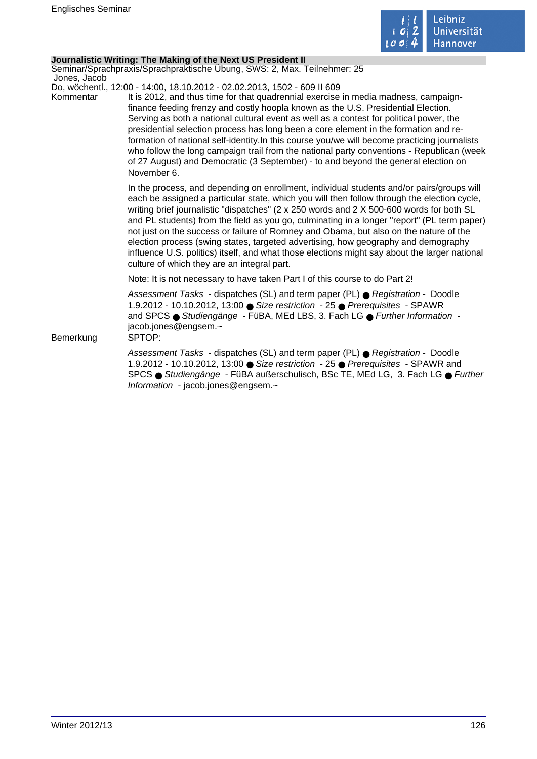

# **Journalistic Writing: The Making of the Next US President II**

Seminar/Sprachpraxis/Sprachpraktische Übung, SWS: 2, Max. Teilnehmer: 25 Jones, Jacob

Do, wöchentl., 12:00 - 14:00, 18.10.2012 - 02.02.2013, 1502 - 609 II 609

Kommentar It is 2012, and thus time for that quadrennial exercise in media madness, campaignfinance feeding frenzy and costly hoopla known as the U.S. Presidential Election. Serving as both a national cultural event as well as a contest for political power, the presidential selection process has long been a core element in the formation and reformation of national self-identity.In this course you/we will become practicing journalists who follow the long campaign trail from the national party conventions - Republican (week of 27 August) and Democratic (3 September) - to and beyond the general election on November 6.

> In the process, and depending on enrollment, individual students and/or pairs/groups will each be assigned a particular state, which you will then follow through the election cycle, writing brief journalistic "dispatches" (2 x 250 words and 2 X 500-600 words for both SL and PL students) from the field as you go, culminating in a longer "report" (PL term paper) not just on the success or failure of Romney and Obama, but also on the nature of the election process (swing states, targeted advertising, how geography and demography influence U.S. politics) itself, and what those elections might say about the larger national culture of which they are an integral part.

Note: It is not necessary to have taken Part I of this course to do Part 2!

Assessment Tasks - dispatches (SL) and term paper (PL) ● Registration - Doodle 1.9.2012 - 10.10.2012, 13:00 ● Size restriction - 25 ● Prerequisites - SPAWR and SPCS ● Studiengänge - FüBA, MEd LBS, 3. Fach LG ● Further Information jacob.jones@engsem.~

Bemerkung SPTOP:

Assessment Tasks - dispatches (SL) and term paper (PL) ● Registration - Doodle 1.9.2012 - 10.10.2012, 13:00 ● Size restriction - 25 ● Prerequisites - SPAWR and SPCS ● Studiengänge - FüBA außerschulisch, BSc TE, MEd LG, 3. Fach LG ● Further Information - jacob.jones@engsem.~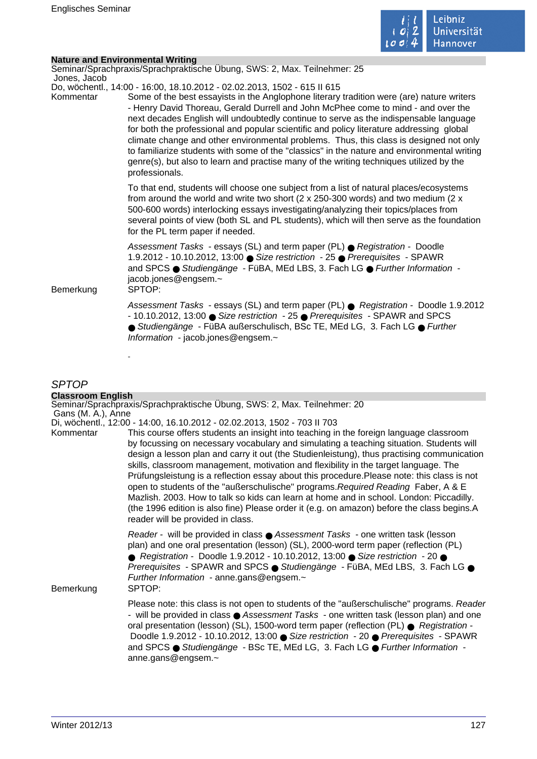

÷.

# **Nature and Environmental Writing**

| nature and Linnibilinental Wilting |                                                                                                                                                                                                                                                                                                                                                                                                                                                                                                                                                                                                                                                                                                                                                       |
|------------------------------------|-------------------------------------------------------------------------------------------------------------------------------------------------------------------------------------------------------------------------------------------------------------------------------------------------------------------------------------------------------------------------------------------------------------------------------------------------------------------------------------------------------------------------------------------------------------------------------------------------------------------------------------------------------------------------------------------------------------------------------------------------------|
| Jones, Jacob                       | Seminar/Sprachpraxis/Sprachpraktische Übung, SWS: 2, Max. Teilnehmer: 25                                                                                                                                                                                                                                                                                                                                                                                                                                                                                                                                                                                                                                                                              |
| Kommentar                          | Do, wöchentl., 14:00 - 16:00, 18.10.2012 - 02.02.2013, 1502 - 615 II 615<br>Some of the best essayists in the Anglophone literary tradition were (are) nature writers<br>- Henry David Thoreau, Gerald Durrell and John McPhee come to mind - and over the<br>next decades English will undoubtedly continue to serve as the indispensable language<br>for both the professional and popular scientific and policy literature addressing global<br>climate change and other environmental problems. Thus, this class is designed not only<br>to familiarize students with some of the "classics" in the nature and environmental writing<br>genre(s), but also to learn and practise many of the writing techniques utilized by the<br>professionals. |
|                                    | To that end, students will choose one subject from a list of natural places/ecosystems<br>from around the world and write two short ( $2 \times 250-300$ words) and two medium ( $2 \times$<br>500-600 words) interlocking essays investigating/analyzing their topics/places from<br>several points of view (both SL and PL students), which will then serve as the foundation<br>for the PL term paper if needed.                                                                                                                                                                                                                                                                                                                                   |
| Bemerkung                          | Assessment Tasks - essays (SL) and term paper (PL) ● Registration - Doodle<br>1.9.2012 - 10.10.2012, 13:00 ● Size restriction - 25 ● Prerequisites - SPAWR<br>and SPCS · Studiengänge - FüBA, MEd LBS, 3. Fach LG · Further Information -<br>jacob.jones@engsem.~<br>SPTOP:                                                                                                                                                                                                                                                                                                                                                                                                                                                                           |
|                                    | Assessment Tasks - essays (SL) and term paper (PL) ● Registration - Doodle 1.9.2012<br>- 10.10.2012, 13:00 ● Size restriction - 25 ● Prerequisites - SPAWR and SPCS<br>● Studiengänge - FüBA außerschulisch, BSc TE, MEd LG, 3. Fach LG ● Further<br>Information - jacob.jones@engsem.~                                                                                                                                                                                                                                                                                                                                                                                                                                                               |
|                                    |                                                                                                                                                                                                                                                                                                                                                                                                                                                                                                                                                                                                                                                                                                                                                       |

# SPTOP

| <b>Classroom English</b> |                                                                                                                                                                                                                                                                                                                                                                                                                                                                                                                                                                                                                                                                                                                                                                                           |
|--------------------------|-------------------------------------------------------------------------------------------------------------------------------------------------------------------------------------------------------------------------------------------------------------------------------------------------------------------------------------------------------------------------------------------------------------------------------------------------------------------------------------------------------------------------------------------------------------------------------------------------------------------------------------------------------------------------------------------------------------------------------------------------------------------------------------------|
| Gans (M. A.), Anne       | Seminar/Sprachpraxis/Sprachpraktische Übung, SWS: 2, Max. Teilnehmer: 20                                                                                                                                                                                                                                                                                                                                                                                                                                                                                                                                                                                                                                                                                                                  |
|                          | Di, wöchentl., 12:00 - 14:00, 16.10.2012 - 02.02.2013, 1502 - 703 II 703                                                                                                                                                                                                                                                                                                                                                                                                                                                                                                                                                                                                                                                                                                                  |
| Kommentar                | This course offers students an insight into teaching in the foreign language classroom<br>by focussing on necessary vocabulary and simulating a teaching situation. Students will<br>design a lesson plan and carry it out (the Studienleistung), thus practising communication<br>skills, classroom management, motivation and flexibility in the target language. The<br>Prüfungsleistung is a reflection essay about this procedure. Please note: this class is not<br>open to students of the "außerschulische" programs. Required Reading Faber, A & E<br>Mazlish. 2003. How to talk so kids can learn at home and in school. London: Piccadilly.<br>(the 1996 edition is also fine) Please order it (e.g. on amazon) before the class begins.A<br>reader will be provided in class. |
| Bemerkung                | Reader - will be provided in class ● Assessment Tasks - one written task (lesson<br>plan) and one oral presentation (lesson) (SL), 2000-word term paper (reflection (PL)<br>● Registration - Doodle 1.9.2012 - 10.10.2012, 13:00 ● Size restriction - 20 ●<br>Prerequisites - SPAWR and SPCS ● Studiengänge - FüBA, MEd LBS, 3. Fach LG ●<br>Further Information - anne.gans@engsem.~<br>SPTOP:                                                                                                                                                                                                                                                                                                                                                                                           |
|                          | Please note: this class is not open to students of the "außerschulische" programs. Reader<br>- will be provided in class ● Assessment Tasks - one written task (lesson plan) and one<br>oral presentation (lesson) (SL), 1500-word term paper (reflection (PL) ● Registration -<br>Doodle 1.9.2012 - 10.10.2012, 13:00 ● Size restriction - 20 ● Prerequisites - SPAWR<br>and SPCS ● Studiengänge - BSc TE, MEd LG, 3. Fach LG ● Further Information -<br>anne.gans@engsem.~                                                                                                                                                                                                                                                                                                              |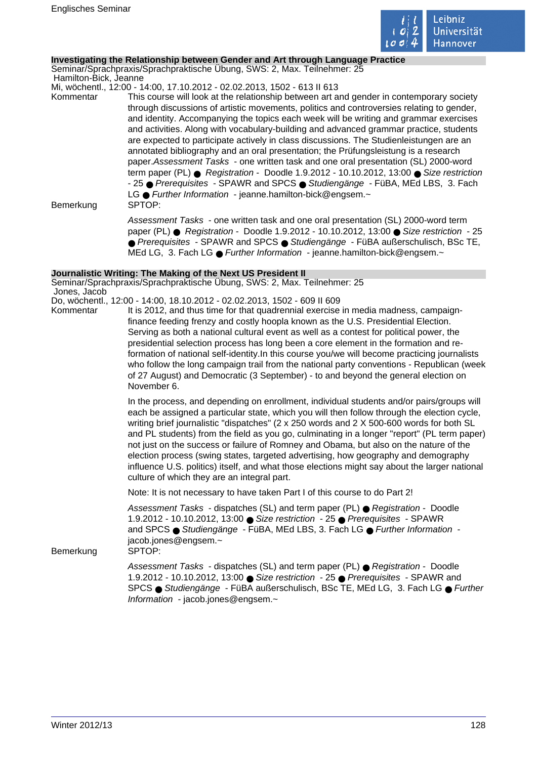

### **Investigating the Relationship between Gender and Art through Language Practice**

Seminar/Sprachpraxis/Sprachpraktische Übung, SWS: 2, Max. Teilnehmer: 25 Hamilton-Bick, Jeanne

Mi, wöchentl., 12:00 - 14:00, 17.10.2012 - 02.02.2013, 1502 - 613 II 613

Kommentar This course will look at the relationship between art and gender in contemporary society through discussions of artistic movements, politics and controversies relating to gender, and identity. Accompanying the topics each week will be writing and grammar exercises and activities. Along with vocabulary-building and advanced grammar practice, students are expected to participate actively in class discussions. The Studienleistungen are an annotated bibliography and an oral presentation; the Prüfungsleistung is a research paper.Assessment Tasks - one written task and one oral presentation (SL) 2000-word term paper (PL) ● Registration - Doodle 1.9.2012 - 10.10.2012, 13:00 ● Size restriction - 25 ● Prerequisites - SPAWR and SPCS ● Studiengänge - FüBA, MEd LBS, 3. Fach LG ● Further Information - jeanne.hamilton-bick@engsem.~ Bemerkung SPTOP:

Assessment Tasks - one written task and one oral presentation (SL) 2000-word term paper (PL) ● Registration - Doodle 1.9.2012 - 10.10.2012, 13:00 ● Size restriction - 25 ● Prerequisites - SPAWR and SPCS ● Studiengänge - FüBA außerschulisch, BSc TE, MEd LG, 3. Fach LG ● Further Information - jeanne.hamilton-bick@engsem.~

### **Journalistic Writing: The Making of the Next US President II**

Seminar/Sprachpraxis/Sprachpraktische Übung, SWS: 2, Max. Teilnehmer: 25 Jones, Jacob

- Do, wöchentl., 12:00 14:00, 18.10.2012 02.02.2013, 1502 609 II 609
- Kommentar It is 2012, and thus time for that quadrennial exercise in media madness, campaignfinance feeding frenzy and costly hoopla known as the U.S. Presidential Election. Serving as both a national cultural event as well as a contest for political power, the presidential selection process has long been a core element in the formation and reformation of national self-identity.In this course you/we will become practicing journalists who follow the long campaign trail from the national party conventions - Republican (week of 27 August) and Democratic (3 September) - to and beyond the general election on November 6.

In the process, and depending on enrollment, individual students and/or pairs/groups will each be assigned a particular state, which you will then follow through the election cycle, writing brief journalistic "dispatches" (2 x 250 words and 2 X 500-600 words for both SL and PL students) from the field as you go, culminating in a longer "report" (PL term paper) not just on the success or failure of Romney and Obama, but also on the nature of the election process (swing states, targeted advertising, how geography and demography influence U.S. politics) itself, and what those elections might say about the larger national culture of which they are an integral part.

Note: It is not necessary to have taken Part I of this course to do Part 2!

Assessment Tasks - dispatches (SL) and term paper (PL) ● Registration - Doodle 1.9.2012 - 10.10.2012, 13:00 ● Size restriction - 25 ● Prerequisites - SPAWR and SPCS ● Studiengänge - FüBA, MEd LBS, 3. Fach LG ● Further Information jacob.jones@engsem.~

Bemerkung SPTOP:

Assessment Tasks - dispatches (SL) and term paper (PL) ● Registration - Doodle 1.9.2012 - 10.10.2012, 13:00 ● Size restriction - 25 ● Prerequisites - SPAWR and SPCS ● Studiengänge - FüBA außerschulisch, BSc TE, MEd LG, 3. Fach LG ● Further Information - jacob.jones@engsem.~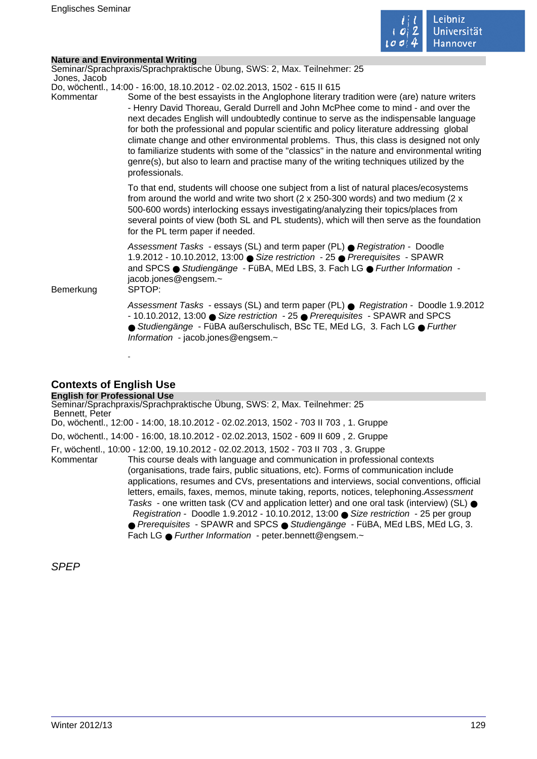

|                           | <b>Nature and Environmental Writing</b>                                                                                                                                                                                                                                                                                                                                                                                                                                                                                                                                                                                                                                                                                                               |  |
|---------------------------|-------------------------------------------------------------------------------------------------------------------------------------------------------------------------------------------------------------------------------------------------------------------------------------------------------------------------------------------------------------------------------------------------------------------------------------------------------------------------------------------------------------------------------------------------------------------------------------------------------------------------------------------------------------------------------------------------------------------------------------------------------|--|
|                           | Seminar/Sprachpraxis/Sprachpraktische Übung, SWS: 2, Max. Teilnehmer: 25                                                                                                                                                                                                                                                                                                                                                                                                                                                                                                                                                                                                                                                                              |  |
| Jones, Jacob<br>Kommentar | Do, wöchentl., 14:00 - 16:00, 18.10.2012 - 02.02.2013, 1502 - 615 II 615<br>Some of the best essayists in the Anglophone literary tradition were (are) nature writers<br>- Henry David Thoreau, Gerald Durrell and John McPhee come to mind - and over the<br>next decades English will undoubtedly continue to serve as the indispensable language<br>for both the professional and popular scientific and policy literature addressing global<br>climate change and other environmental problems. Thus, this class is designed not only<br>to familiarize students with some of the "classics" in the nature and environmental writing<br>genre(s), but also to learn and practise many of the writing techniques utilized by the<br>professionals. |  |
|                           | To that end, students will choose one subject from a list of natural places/ecosystems<br>from around the world and write two short ( $2 \times 250-300$ words) and two medium ( $2 \times$<br>500-600 words) interlocking essays investigating/analyzing their topics/places from<br>several points of view (both SL and PL students), which will then serve as the foundation<br>for the PL term paper if needed.                                                                                                                                                                                                                                                                                                                                   |  |
| Bemerkung                 | Assessment Tasks - essays (SL) and term paper (PL) ● Registration - Doodle<br>1.9.2012 - 10.10.2012, 13:00 ● Size restriction - 25 ● Prerequisites - SPAWR<br>and SPCS ● Studiengänge - FüBA, MEd LBS, 3. Fach LG ● Further Information -<br>jacob.jones@engsem.~<br>SPTOP:                                                                                                                                                                                                                                                                                                                                                                                                                                                                           |  |
|                           | Assessment Tasks - essays (SL) and term paper (PL) ● Registration - Doodle 1.9.2012<br>- 10.10.2012, 13:00 Size restriction - 25 ● Prerequisites - SPAWR and SPCS<br>● Studiengänge - FüBA außerschulisch, BSc TE, MEd LG, 3. Fach LG ● Further<br>Information - jacob.jones@engsem.~                                                                                                                                                                                                                                                                                                                                                                                                                                                                 |  |
|                           |                                                                                                                                                                                                                                                                                                                                                                                                                                                                                                                                                                                                                                                                                                                                                       |  |

# **Contexts of English Use**

**English for Professional Use** Seminar/Sprachpraxis/Sprachpraktische Übung, SWS: 2, Max. Teilnehmer: 25 Bennett, Peter Do, wöchentl., 12:00 - 14:00, 18.10.2012 - 02.02.2013, 1502 - 703 II 703 , 1. Gruppe Do, wöchentl., 14:00 - 16:00, 18.10.2012 - 02.02.2013, 1502 - 609 II 609 , 2. Gruppe Fr, wöchentl., 10:00 - 12:00, 19.10.2012 - 02.02.2013, 1502 - 703 II 703 , 3. Gruppe Kommentar This course deals with language and communication in professional contexts (organisations, trade fairs, public situations, etc). Forms of communication include applications, resumes and CVs, presentations and interviews, social conventions, official letters, emails, faxes, memos, minute taking, reports, notices, telephoning.Assessment Tasks - one written task (CV and application letter) and one oral task (interview) (SL)  $\bullet$  Registration - Doodle 1.9.2012 - 10.10.2012, 13:00 ● Size restriction - 25 per group ● Prerequisites - SPAWR and SPCS ● Studiengänge - FüBA, MEd LBS, MEd LG, 3. Fach LG ● Further Information - peter.bennett@engsem.~

SPEP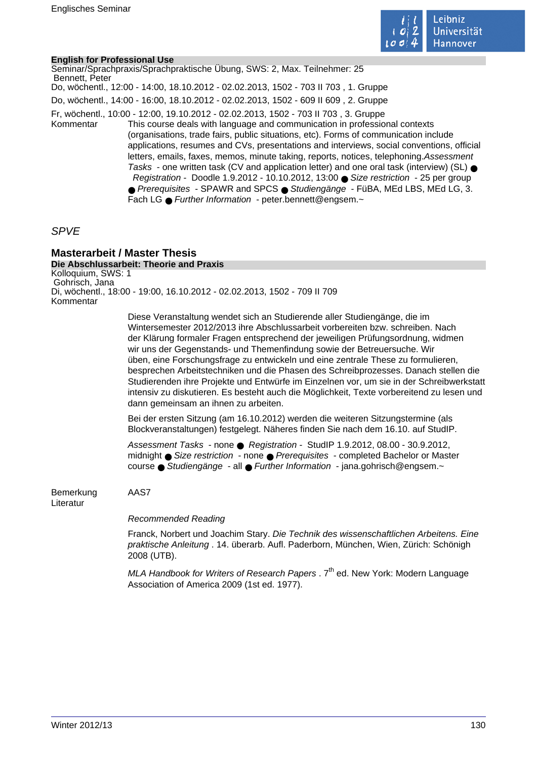

### **English for Professional Use**

Seminar/Sprachpraxis/Sprachpraktische Übung, SWS: 2, Max. Teilnehmer: 25 Bennett, Peter Do, wöchentl., 12:00 - 14:00, 18.10.2012 - 02.02.2013, 1502 - 703 II 703 , 1. Gruppe Do, wöchentl., 14:00 - 16:00, 18.10.2012 - 02.02.2013, 1502 - 609 II 609 , 2. Gruppe Fr, wöchentl., 10:00 - 12:00, 19.10.2012 - 02.02.2013, 1502 - 703 II 703 , 3. Gruppe Kommentar This course deals with language and communication in professional contexts (organisations, trade fairs, public situations, etc). Forms of communication include applications, resumes and CVs, presentations and interviews, social conventions, official letters, emails, faxes, memos, minute taking, reports, notices, telephoning.Assessment Tasks - one written task (CV and application letter) and one oral task (interview) (SL) ● Registration - Doodle 1.9.2012 - 10.10.2012, 13:00 ● Size restriction - 25 per group ● Prerequisites - SPAWR and SPCS ● Studiengänge - FüBA, MEd LBS, MEd LG, 3. Fach LG ● Further Information - peter.bennett@engsem.~

# SPVE

# **Masterarbeit / Master Thesis**

**Die Abschlussarbeit: Theorie and Praxis** Kolloquium, SWS: 1 Gohrisch, Jana Di, wöchentl., 18:00 - 19:00, 16.10.2012 - 02.02.2013, 1502 - 709 II 709 Kommentar

> Diese Veranstaltung wendet sich an Studierende aller Studiengänge, die im Wintersemester 2012/2013 ihre Abschlussarbeit vorbereiten bzw. schreiben. Nach der Klärung formaler Fragen entsprechend der jeweiligen Prüfungsordnung, widmen wir uns der Gegenstands- und Themenfindung sowie der Betreuersuche. Wir üben, eine Forschungsfrage zu entwickeln und eine zentrale These zu formulieren, besprechen Arbeitstechniken und die Phasen des Schreibprozesses. Danach stellen die Studierenden ihre Projekte und Entwürfe im Einzelnen vor, um sie in der Schreibwerkstatt intensiv zu diskutieren. Es besteht auch die Möglichkeit, Texte vorbereitend zu lesen und dann gemeinsam an ihnen zu arbeiten.

Bei der ersten Sitzung (am 16.10.2012) werden die weiteren Sitzungstermine (als Blockveranstaltungen) festgelegt. Näheres finden Sie nach dem 16.10. auf StudIP.

Assessment Tasks - none ● Registration - StudIP 1.9.2012, 08.00 - 30.9.2012, midnight ● Size restriction - none ● Prerequisites - completed Bachelor or Master course ● Studiengänge - all ● Further Information - jana.gohrisch@engsem.~

Bemerkung AAS7 Literatur

Recommended Reading

Franck, Norbert und Joachim Stary. Die Technik des wissenschaftlichen Arbeitens. Eine praktische Anleitung . 14. überarb. Aufl. Paderborn, München, Wien, Zürich: Schönigh 2008 (UTB).

MLA Handbook for Writers of Research Papers .  $7<sup>th</sup>$  ed. New York: Modern Language Association of America 2009 (1st ed. 1977).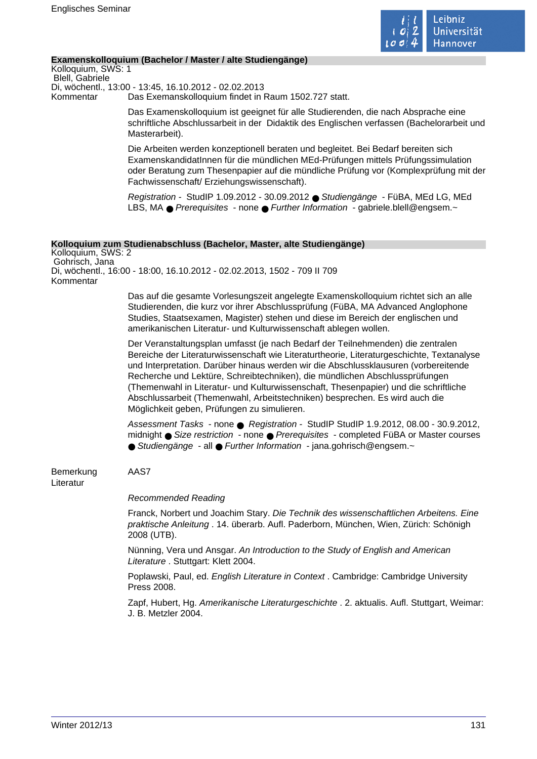

### **Examenskolloquium (Bachelor / Master / alte Studiengänge)**

Kolloquium, SWS: 1 Blell, Gabriele Di, wöchentl., 13:00 - 13:45, 16.10.2012 - 02.02.2013 Kommentar Das Exemanskolloquium findet in Raum 1502.727 statt.

> Das Examenskolloquium ist geeignet für alle Studierenden, die nach Absprache eine schriftliche Abschlussarbeit in der Didaktik des Englischen verfassen (Bachelorarbeit und Masterarbeit).

> Die Arbeiten werden konzeptionell beraten und begleitet. Bei Bedarf bereiten sich ExamenskandidatInnen für die mündlichen MEd-Prüfungen mittels Prüfungssimulation oder Beratung zum Thesenpapier auf die mündliche Prüfung vor (Komplexprüfung mit der Fachwissenschaft/ Erziehungswissenschaft).

Registration - StudIP 1.09.2012 - 30.09.2012 ● Studiengänge - FüBA, MEd LG, MEd LBS, MA ● Prerequisites - none ● Further Information - gabriele.blell@engsem.~

#### **Kolloquium zum Studienabschluss (Bachelor, Master, alte Studiengänge)**

Kolloquium, SWS: 2 Gohrisch, Jana Di, wöchentl., 16:00 - 18:00, 16.10.2012 - 02.02.2013, 1502 - 709 II 709 Kommentar

> Das auf die gesamte Vorlesungszeit angelegte Examenskolloquium richtet sich an alle Studierenden, die kurz vor ihrer Abschlussprüfung (FüBA, MA Advanced Anglophone Studies, Staatsexamen, Magister) stehen und diese im Bereich der englischen und amerikanischen Literatur- und Kulturwissenschaft ablegen wollen.

Der Veranstaltungsplan umfasst (je nach Bedarf der Teilnehmenden) die zentralen Bereiche der Literaturwissenschaft wie Literaturtheorie, Literaturgeschichte, Textanalyse und Interpretation. Darüber hinaus werden wir die Abschlussklausuren (vorbereitende Recherche und Lektüre, Schreibtechniken), die mündlichen Abschlussprüfungen (Themenwahl in Literatur- und Kulturwissenschaft, Thesenpapier) und die schriftliche Abschlussarbeit (Themenwahl, Arbeitstechniken) besprechen. Es wird auch die Möglichkeit geben, Prüfungen zu simulieren.

Assessment Tasks - none ● Registration - StudIP StudIP 1.9.2012, 08.00 - 30.9.2012, midnight ● Size restriction - none ● Prerequisites - completed FüBA or Master courses ● Studiengänge - all ● Further Information - jana.gohrisch@engsem.~

Bemerkung AAS7 Literatur

### Recommended Reading

Franck, Norbert und Joachim Stary. Die Technik des wissenschaftlichen Arbeitens. Eine praktische Anleitung . 14. überarb. Aufl. Paderborn, München, Wien, Zürich: Schönigh 2008 (UTB).

Nünning, Vera und Ansgar. An Introduction to the Study of English and American Literature . Stuttgart: Klett 2004.

Poplawski, Paul, ed. English Literature in Context . Cambridge: Cambridge University Press 2008.

Zapf, Hubert, Hg. Amerikanische Literaturgeschichte . 2. aktualis. Aufl. Stuttgart, Weimar: J. B. Metzler 2004.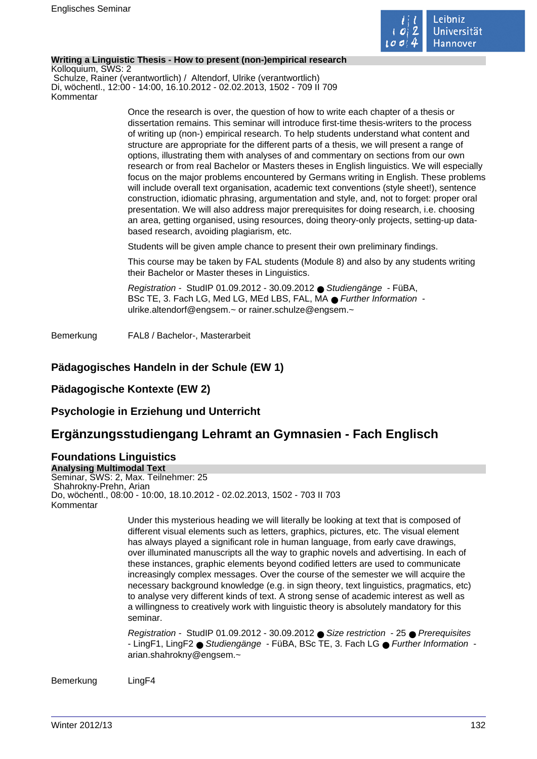

### **Writing a Linguistic Thesis - How to present (non-)empirical research**

Kolloquium, SWS: 2 Schulze, Rainer (verantwortlich) / Altendorf, Ulrike (verantwortlich) Di, wöchentl., 12:00 - 14:00, 16.10.2012 - 02.02.2013, 1502 - 709 II 709 Kommentar

> Once the research is over, the question of how to write each chapter of a thesis or dissertation remains. This seminar will introduce first-time thesis-writers to the process of writing up (non-) empirical research. To help students understand what content and structure are appropriate for the different parts of a thesis, we will present a range of options, illustrating them with analyses of and commentary on sections from our own research or from real Bachelor or Masters theses in English linguistics. We will especially focus on the major problems encountered by Germans writing in English. These problems will include overall text organisation, academic text conventions (style sheet!), sentence construction, idiomatic phrasing, argumentation and style, and, not to forget: proper oral presentation. We will also address major prerequisites for doing research, i.e. choosing an area, getting organised, using resources, doing theory-only projects, setting-up databased research, avoiding plagiarism, etc.

Students will be given ample chance to present their own preliminary findings.

This course may be taken by FAL students (Module 8) and also by any students writing their Bachelor or Master theses in Linguistics.

Registration - StudIP 01.09.2012 - 30.09.2012 ● Studiengänge - FüBA, BSc TE, 3. Fach LG, Med LG, MEd LBS, FAL, MA ● Further Information ulrike.altendorf@engsem.~ or rainer.schulze@engsem.~

Bemerkung FAL8 / Bachelor-, Masterarbeit

# **Pädagogisches Handeln in der Schule (EW 1)**

# **Pädagogische Kontexte (EW 2)**

# **Psychologie in Erziehung und Unterricht**

# **Ergänzungsstudiengang Lehramt an Gymnasien - Fach Englisch**

### **Foundations Linguistics Analysing Multimodal Text**

Seminar, SWS: 2, Max. Teilnehmer: 25 Shahrokny-Prehn, Arian Do, wöchentl., 08:00 - 10:00, 18.10.2012 - 02.02.2013, 1502 - 703 II 703 Kommentar

> Under this mysterious heading we will literally be looking at text that is composed of different visual elements such as letters, graphics, pictures, etc. The visual element has always played a significant role in human language, from early cave drawings, over illuminated manuscripts all the way to graphic novels and advertising. In each of these instances, graphic elements beyond codified letters are used to communicate increasingly complex messages. Over the course of the semester we will acquire the necessary background knowledge (e.g. in sign theory, text linguistics, pragmatics, etc) to analyse very different kinds of text. A strong sense of academic interest as well as a willingness to creatively work with linguistic theory is absolutely mandatory for this seminar.

Registration - StudIP 01.09.2012 - 30.09.2012 ● Size restriction - 25 ● Prerequisites - LingF1, LingF2 ● Studiengänge - FüBA, BSc TE, 3. Fach LG ● Further Information arian.shahrokny@engsem.~

Bemerkung LingF4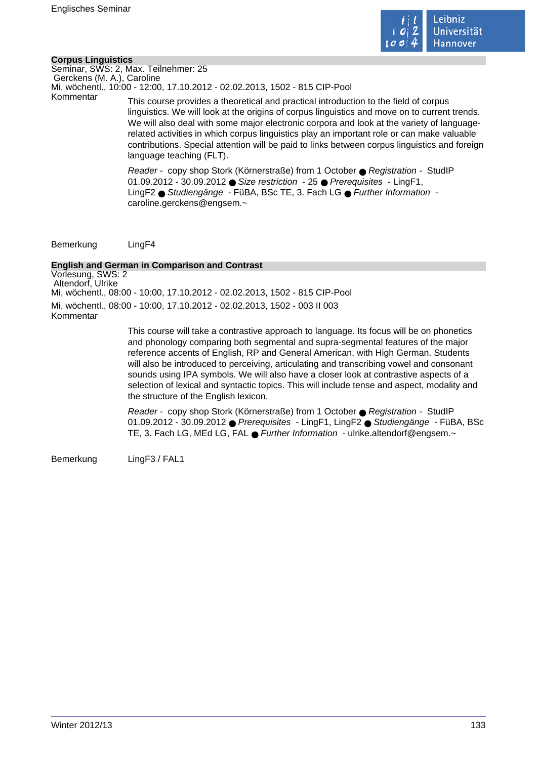

### **Corpus Linguistics**

Seminar, SWS: 2, Max. Teilnehmer: 25 Gerckens (M. A.), Caroline Mi, wöchentl., 10:00 - 12:00, 17.10.2012 - 02.02.2013, 1502 - 815 CIP-Pool

Kommentar This course provides a theoretical and practical introduction to the field of corpus linguistics. We will look at the origins of corpus linguistics and move on to current trends. We will also deal with some major electronic corpora and look at the variety of languagerelated activities in which corpus linguistics play an important role or can make valuable contributions. Special attention will be paid to links between corpus linguistics and foreign language teaching (FLT).

> Reader - copy shop Stork (Körnerstraße) from 1 October ● Registration - StudIP 01.09.2012 - 30.09.2012 ● Size restriction - 25 ● Prerequisites - LingF1, LingF2 ● Studiengänge - FüBA, BSc TE, 3. Fach LG ● Further Information caroline.gerckens@engsem.~

Bemerkung LingF4

# **English and German in Comparison and Contrast**

Vorlesung, SWS: 2 Altendorf, Ulrike Mi, wöchentl., 08:00 - 10:00, 17.10.2012 - 02.02.2013, 1502 - 815 CIP-Pool Mi, wöchentl., 08:00 - 10:00, 17.10.2012 - 02.02.2013, 1502 - 003 II 003 Kommentar

> This course will take a contrastive approach to language. Its focus will be on phonetics and phonology comparing both segmental and supra-segmental features of the major reference accents of English, RP and General American, with High German. Students will also be introduced to perceiving, articulating and transcribing vowel and consonant sounds using IPA symbols. We will also have a closer look at contrastive aspects of a selection of lexical and syntactic topics. This will include tense and aspect, modality and the structure of the English lexicon.

Reader - copy shop Stork (Körnerstraße) from 1 October ● Registration - StudIP 01.09.2012 - 30.09.2012 ● Prerequisites - LingF1, LingF2 ● Studiengänge - FüBA, BSc TE, 3. Fach LG, MEd LG, FAL ● Further Information - ulrike.altendorf@engsem.~

Bemerkung LingF3 / FAL1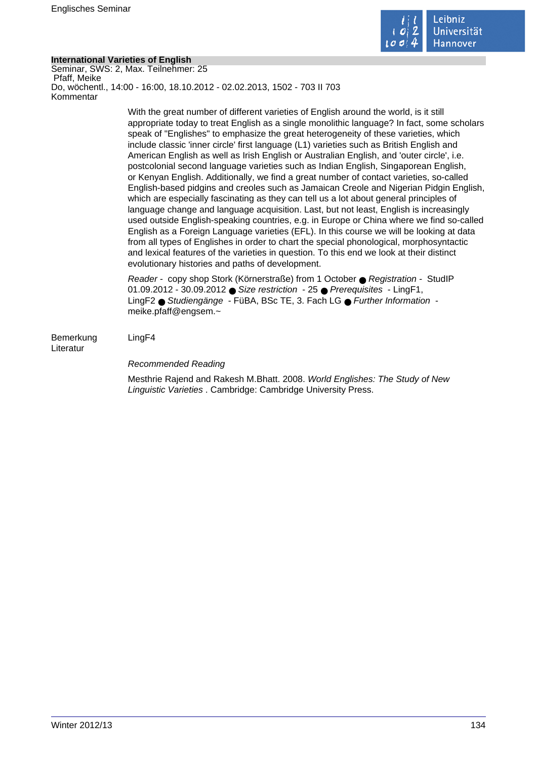

# **International Varieties of English**

Seminar, SWS: 2, Max. Teilnehmer: 25 Pfaff, Meike Do, wöchentl., 14:00 - 16:00, 18.10.2012 - 02.02.2013, 1502 - 703 II 703 Kommentar

> With the great number of different varieties of English around the world, is it still appropriate today to treat English as a single monolithic language? In fact, some scholars speak of "Englishes" to emphasize the great heterogeneity of these varieties, which include classic 'inner circle' first language (L1) varieties such as British English and American English as well as Irish English or Australian English, and 'outer circle', i.e. postcolonial second language varieties such as Indian English, Singaporean English, or Kenyan English. Additionally, we find a great number of contact varieties, so-called English-based pidgins and creoles such as Jamaican Creole and Nigerian Pidgin English, which are especially fascinating as they can tell us a lot about general principles of language change and language acquisition. Last, but not least, English is increasingly used outside English-speaking countries, e.g. in Europe or China where we find so-called English as a Foreign Language varieties (EFL). In this course we will be looking at data from all types of Englishes in order to chart the special phonological, morphosyntactic and lexical features of the varieties in question. To this end we look at their distinct evolutionary histories and paths of development.

Reader - copy shop Stork (Körnerstraße) from 1 October ● Registration - StudIP 01.09.2012 - 30.09.2012 ● Size restriction - 25 ● Prerequisites - LingF1, LingF2 ● Studiengänge - FüBA, BSc TE, 3. Fach LG ● Further Information meike.pfaff@engsem.~

Bemerkung LingF4 Literatur

Recommended Reading

Mesthrie Rajend and Rakesh M.Bhatt. 2008. World Englishes: The Study of New Linguistic Varieties . Cambridge: Cambridge University Press.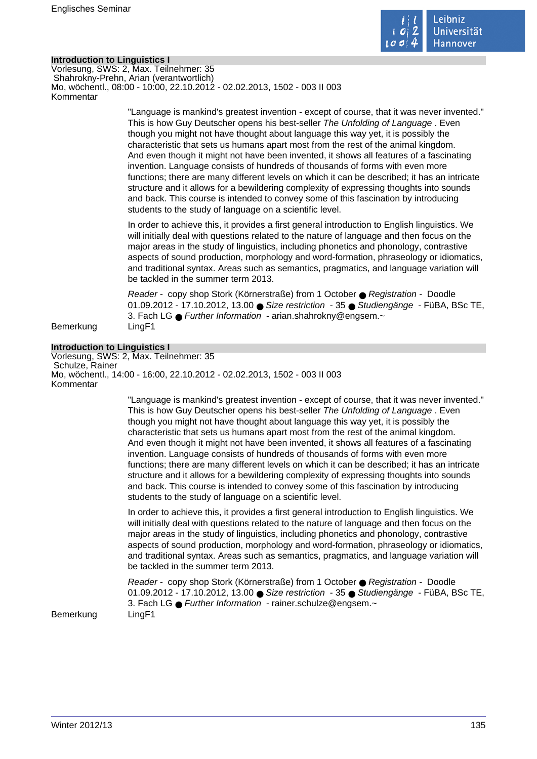

### **Introduction to Linguistics I**

Vorlesung, SWS: 2, Max. Teilnehmer: 35 Shahrokny-Prehn, Arian (verantwortlich) Mo, wöchentl., 08:00 - 10:00, 22.10.2012 - 02.02.2013, 1502 - 003 II 003 Kommentar

> "Language is mankind's greatest invention - except of course, that it was never invented." This is how Guy Deutscher opens his best-seller The Unfolding of Language . Even though you might not have thought about language this way yet, it is possibly the characteristic that sets us humans apart most from the rest of the animal kingdom. And even though it might not have been invented, it shows all features of a fascinating invention. Language consists of hundreds of thousands of forms with even more functions; there are many different levels on which it can be described; it has an intricate structure and it allows for a bewildering complexity of expressing thoughts into sounds and back. This course is intended to convey some of this fascination by introducing students to the study of language on a scientific level.

> In order to achieve this, it provides a first general introduction to English linguistics. We will initially deal with questions related to the nature of language and then focus on the major areas in the study of linguistics, including phonetics and phonology, contrastive aspects of sound production, morphology and word-formation, phraseology or idiomatics, and traditional syntax. Areas such as semantics, pragmatics, and language variation will be tackled in the summer term 2013.

> Reader - copy shop Stork (Körnerstraße) from 1 October ● Registration - Doodle 01.09.2012 - 17.10.2012, 13.00 ● Size restriction - 35 ● Studiengänge - FüBA, BSc TE, 3. Fach LG ● Further Information - arian.shahrokny@engsem.~

Bemerkung LingF1

#### **Introduction to Linguistics I**

Vorlesung, SWS: 2, Max. Teilnehmer: 35 Schulze, Rainer Mo, wöchentl., 14:00 - 16:00, 22.10.2012 - 02.02.2013, 1502 - 003 II 003 Kommentar

> "Language is mankind's greatest invention - except of course, that it was never invented." This is how Guy Deutscher opens his best-seller The Unfolding of Language . Even though you might not have thought about language this way yet, it is possibly the characteristic that sets us humans apart most from the rest of the animal kingdom. And even though it might not have been invented, it shows all features of a fascinating invention. Language consists of hundreds of thousands of forms with even more functions; there are many different levels on which it can be described; it has an intricate structure and it allows for a bewildering complexity of expressing thoughts into sounds and back. This course is intended to convey some of this fascination by introducing students to the study of language on a scientific level.

> In order to achieve this, it provides a first general introduction to English linguistics. We will initially deal with questions related to the nature of language and then focus on the major areas in the study of linguistics, including phonetics and phonology, contrastive aspects of sound production, morphology and word-formation, phraseology or idiomatics, and traditional syntax. Areas such as semantics, pragmatics, and language variation will be tackled in the summer term 2013.

> Reader - copy shop Stork (Körnerstraße) from 1 October ● Registration - Doodle 01.09.2012 - 17.10.2012, 13.00 ● Size restriction - 35 ● Studiengänge - FüBA, BSc TE, 3. Fach LG ● Further Information - rainer.schulze@engsem.~

Bemerkung LingF1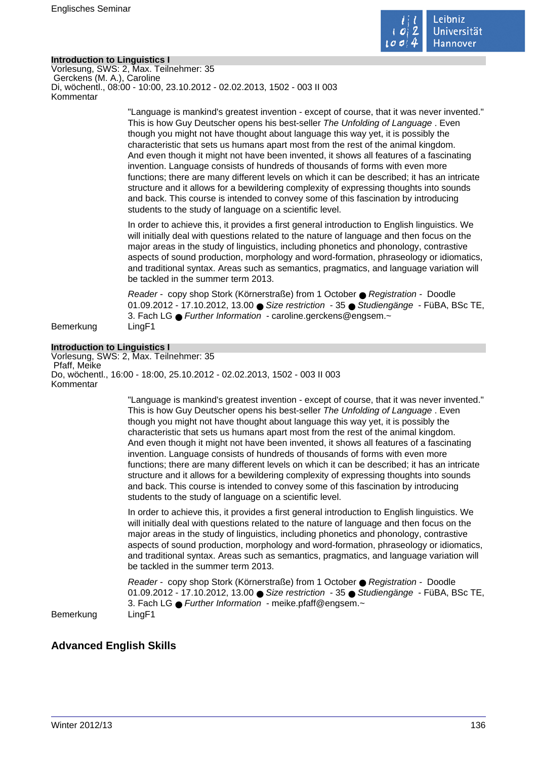

### **Introduction to Linguistics I**

Vorlesung, SWS: 2, Max. Teilnehmer: 35 Gerckens (M. A.), Caroline Di, wöchentl., 08:00 - 10:00, 23.10.2012 - 02.02.2013, 1502 - 003 II 003 Kommentar

> "Language is mankind's greatest invention - except of course, that it was never invented." This is how Guy Deutscher opens his best-seller The Unfolding of Language . Even though you might not have thought about language this way yet, it is possibly the characteristic that sets us humans apart most from the rest of the animal kingdom. And even though it might not have been invented, it shows all features of a fascinating invention. Language consists of hundreds of thousands of forms with even more functions; there are many different levels on which it can be described; it has an intricate structure and it allows for a bewildering complexity of expressing thoughts into sounds and back. This course is intended to convey some of this fascination by introducing students to the study of language on a scientific level.

> In order to achieve this, it provides a first general introduction to English linguistics. We will initially deal with questions related to the nature of language and then focus on the major areas in the study of linguistics, including phonetics and phonology, contrastive aspects of sound production, morphology and word-formation, phraseology or idiomatics, and traditional syntax. Areas such as semantics, pragmatics, and language variation will be tackled in the summer term 2013.

> Reader - copy shop Stork (Körnerstraße) from 1 October ● Registration - Doodle 01.09.2012 - 17.10.2012, 13.00 ● Size restriction - 35 ● Studiengänge - FüBA, BSc TE, 3. Fach LG ● Further Information - caroline.gerckens@engsem.~

Bemerkung LingF1

#### **Introduction to Linguistics I**

Vorlesung, SWS: 2, Max. Teilnehmer: 35 Pfaff, Meike Do, wöchentl., 16:00 - 18:00, 25.10.2012 - 02.02.2013, 1502 - 003 II 003 Kommentar

> "Language is mankind's greatest invention - except of course, that it was never invented." This is how Guy Deutscher opens his best-seller The Unfolding of Language . Even though you might not have thought about language this way yet, it is possibly the characteristic that sets us humans apart most from the rest of the animal kingdom. And even though it might not have been invented, it shows all features of a fascinating invention. Language consists of hundreds of thousands of forms with even more functions; there are many different levels on which it can be described; it has an intricate structure and it allows for a bewildering complexity of expressing thoughts into sounds and back. This course is intended to convey some of this fascination by introducing students to the study of language on a scientific level.

> In order to achieve this, it provides a first general introduction to English linguistics. We will initially deal with questions related to the nature of language and then focus on the major areas in the study of linguistics, including phonetics and phonology, contrastive aspects of sound production, morphology and word-formation, phraseology or idiomatics, and traditional syntax. Areas such as semantics, pragmatics, and language variation will be tackled in the summer term 2013.

> Reader - copy shop Stork (Körnerstraße) from 1 October ● Registration - Doodle 01.09.2012 - 17.10.2012, 13.00 ● Size restriction - 35 ● Studiengänge - FüBA, BSc TE, 3. Fach LG ● Further Information - meike.pfaff@engsem.~

Bemerkung LingF1

# **Advanced English Skills**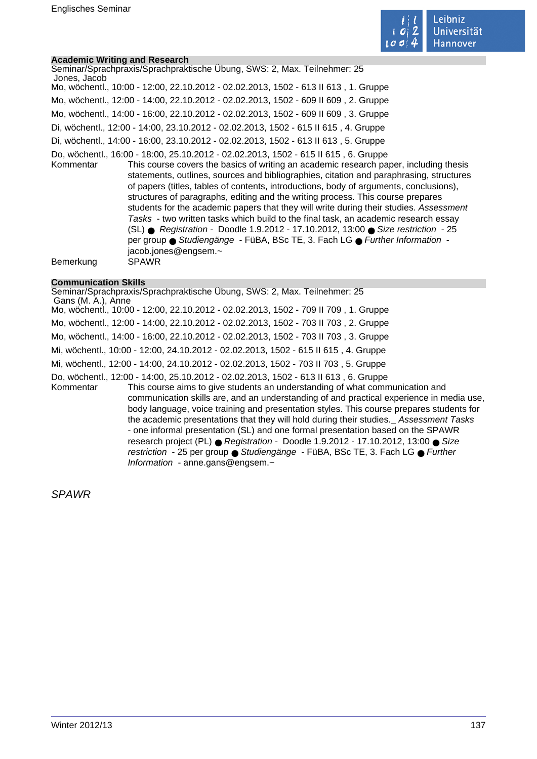

# **Academic Writing and Research**

| <b>Academic Writing and Research</b> |                                                                                                                                                                                                                                                                                                                                                                                                                                                                                                                                                                                                                                                                                                                                                                                                                                 |
|--------------------------------------|---------------------------------------------------------------------------------------------------------------------------------------------------------------------------------------------------------------------------------------------------------------------------------------------------------------------------------------------------------------------------------------------------------------------------------------------------------------------------------------------------------------------------------------------------------------------------------------------------------------------------------------------------------------------------------------------------------------------------------------------------------------------------------------------------------------------------------|
| Jones, Jacob                         | Seminar/Sprachpraxis/Sprachpraktische Übung, SWS: 2, Max. Teilnehmer: 25                                                                                                                                                                                                                                                                                                                                                                                                                                                                                                                                                                                                                                                                                                                                                        |
|                                      | Mo, wöchentl., 10:00 - 12:00, 22.10.2012 - 02.02.2013, 1502 - 613 II 613, 1. Gruppe                                                                                                                                                                                                                                                                                                                                                                                                                                                                                                                                                                                                                                                                                                                                             |
|                                      | Mo, wöchentl., 12:00 - 14:00, 22.10.2012 - 02.02.2013, 1502 - 609 II 609, 2. Gruppe                                                                                                                                                                                                                                                                                                                                                                                                                                                                                                                                                                                                                                                                                                                                             |
|                                      | Mo, wöchentl., 14:00 - 16:00, 22.10.2012 - 02.02.2013, 1502 - 609 II 609, 3. Gruppe                                                                                                                                                                                                                                                                                                                                                                                                                                                                                                                                                                                                                                                                                                                                             |
|                                      | Di, wöchentl., 12:00 - 14:00, 23.10.2012 - 02.02.2013, 1502 - 615 II 615, 4. Gruppe                                                                                                                                                                                                                                                                                                                                                                                                                                                                                                                                                                                                                                                                                                                                             |
|                                      | Di, wöchentl., 14:00 - 16:00, 23.10.2012 - 02.02.2013, 1502 - 613 II 613, 5. Gruppe                                                                                                                                                                                                                                                                                                                                                                                                                                                                                                                                                                                                                                                                                                                                             |
| Kommentar                            | Do, wöchentl., 16:00 - 18:00, 25.10.2012 - 02.02.2013, 1502 - 615 II 615, 6. Gruppe<br>This course covers the basics of writing an academic research paper, including thesis<br>statements, outlines, sources and bibliographies, citation and paraphrasing, structures<br>of papers (titles, tables of contents, introductions, body of arguments, conclusions),<br>structures of paragraphs, editing and the writing process. This course prepares<br>students for the academic papers that they will write during their studies. Assessment<br>Tasks - two written tasks which build to the final task, an academic research essay<br>$(SL)$ Registration - Doodle 1.9.2012 - 17.10.2012, 13:00 Size restriction - 25<br>per group · Studiengänge - FüBA, BSc TE, 3. Fach LG · Further Information -<br>jacob.jones@engsem.~ |
| Bemerkung                            | <b>SPAWR</b>                                                                                                                                                                                                                                                                                                                                                                                                                                                                                                                                                                                                                                                                                                                                                                                                                    |

# **Communication Skills**

| Seminar/Sprachpraxis/Sprachpraktische Ubung, SWS: 2, Max. Teilnehmer: 25<br>Gans (M. A.), Anne                                                                                                                                                                                                                                                                                                                                                                                                                                                                                                                                                                                                                                                                  |
|-----------------------------------------------------------------------------------------------------------------------------------------------------------------------------------------------------------------------------------------------------------------------------------------------------------------------------------------------------------------------------------------------------------------------------------------------------------------------------------------------------------------------------------------------------------------------------------------------------------------------------------------------------------------------------------------------------------------------------------------------------------------|
| Mo, wöchentl., 10:00 - 12:00, 22.10.2012 - 02.02.2013, 1502 - 709 II 709, 1. Gruppe                                                                                                                                                                                                                                                                                                                                                                                                                                                                                                                                                                                                                                                                             |
| Mo, wöchentl., 12:00 - 14:00, 22.10.2012 - 02.02.2013, 1502 - 703 II 703, 2. Gruppe                                                                                                                                                                                                                                                                                                                                                                                                                                                                                                                                                                                                                                                                             |
| Mo, wöchentl., 14:00 - 16:00, 22.10.2012 - 02.02.2013, 1502 - 703 II 703, 3. Gruppe                                                                                                                                                                                                                                                                                                                                                                                                                                                                                                                                                                                                                                                                             |
| Mi, wöchentl., 10:00 - 12:00, 24.10.2012 - 02.02.2013, 1502 - 615 II 615, 4. Gruppe                                                                                                                                                                                                                                                                                                                                                                                                                                                                                                                                                                                                                                                                             |
| Mi, wöchentl., 12:00 - 14:00, 24.10.2012 - 02.02.2013, 1502 - 703 II 703, 5. Gruppe                                                                                                                                                                                                                                                                                                                                                                                                                                                                                                                                                                                                                                                                             |
| Do, wöchentl., 12:00 - 14:00, 25.10.2012 - 02.02.2013, 1502 - 613 II 613, 6. Gruppe<br>This course aims to give students an understanding of what communication and<br>Kommentar<br>communication skills are, and an understanding of and practical experience in media use.<br>body language, voice training and presentation styles. This course prepares students for<br>the academic presentations that they will hold during their studies. Assessment Tasks<br>- one informal presentation (SL) and one formal presentation based on the SPAWR<br>research project (PL) · Registration - Doodle 1.9.2012 - 17.10.2012, 13:00 · Size<br>restriction - 25 per group ● Studiengänge - FüBA, BSc TE, 3. Fach LG ● Further<br>Information - anne.gans@engsem.~ |

SPAWR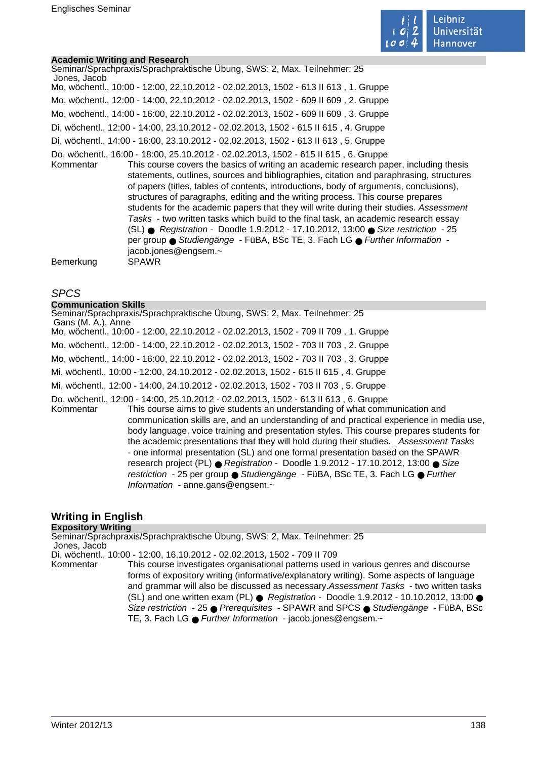

### **Academic Writing and Research**

| Jones, Jacob | Seminar/Sprachpraxis/Sprachpraktische Übung, SWS: 2, Max. Teilnehmer: 25                                                                                                                                                                                                                                                                                                                                                                                                                                                                                                                                                                                                                                                                                                                                                          |
|--------------|-----------------------------------------------------------------------------------------------------------------------------------------------------------------------------------------------------------------------------------------------------------------------------------------------------------------------------------------------------------------------------------------------------------------------------------------------------------------------------------------------------------------------------------------------------------------------------------------------------------------------------------------------------------------------------------------------------------------------------------------------------------------------------------------------------------------------------------|
|              | Mo, wöchentl., 10:00 - 12:00, 22.10.2012 - 02.02.2013, 1502 - 613 II 613, 1. Gruppe                                                                                                                                                                                                                                                                                                                                                                                                                                                                                                                                                                                                                                                                                                                                               |
|              | Mo, wöchentl., 12:00 - 14:00, 22.10.2012 - 02.02.2013, 1502 - 609 II 609, 2. Gruppe                                                                                                                                                                                                                                                                                                                                                                                                                                                                                                                                                                                                                                                                                                                                               |
|              | Mo, wöchentl., 14:00 - 16:00, 22.10.2012 - 02.02.2013, 1502 - 609 II 609, 3. Gruppe                                                                                                                                                                                                                                                                                                                                                                                                                                                                                                                                                                                                                                                                                                                                               |
|              | Di, wöchentl., 12:00 - 14:00, 23.10.2012 - 02.02.2013, 1502 - 615 II 615, 4. Gruppe                                                                                                                                                                                                                                                                                                                                                                                                                                                                                                                                                                                                                                                                                                                                               |
|              | Di, wöchentl., 14:00 - 16:00, 23.10.2012 - 02.02.2013, 1502 - 613 II 613, 5. Gruppe                                                                                                                                                                                                                                                                                                                                                                                                                                                                                                                                                                                                                                                                                                                                               |
| Kommentar    | Do, wöchentl., 16:00 - 18:00, 25.10.2012 - 02.02.2013, 1502 - 615 II 615, 6. Gruppe<br>This course covers the basics of writing an academic research paper, including thesis<br>statements, outlines, sources and bibliographies, citation and paraphrasing, structures<br>of papers (titles, tables of contents, introductions, body of arguments, conclusions),<br>structures of paragraphs, editing and the writing process. This course prepares<br>students for the academic papers that they will write during their studies. Assessment<br>Tasks - two written tasks which build to the final task, an academic research essay<br>(SL) ● Registration - Doodle 1.9.2012 - 17.10.2012, 13:00 ● Size restriction - 25<br>per group · Studiengänge - FüBA, BSc TE, 3. Fach LG · Further Information -<br>jacob.jones@engsem.~ |
| Bemerkung    | <b>SPAWR</b>                                                                                                                                                                                                                                                                                                                                                                                                                                                                                                                                                                                                                                                                                                                                                                                                                      |

### SPCS

### **Communication Skills**

# **Writing in English**

# **Expository Writing**

Seminar/Sprachpraxis/Sprachpraktische Übung, SWS: 2, Max. Teilnehmer: 25 Jones, Jacob

Di, wöchentl., 10:00 - 12:00, 16.10.2012 - 02.02.2013, 1502 - 709 II 709

Kommentar This course investigates organisational patterns used in various genres and discourse forms of expository writing (informative/explanatory writing). Some aspects of language and grammar will also be discussed as necessary.Assessment Tasks - two written tasks (SL) and one written exam (PL)  $\bullet$  Registration - Doodle 1.9.2012 - 10.10.2012, 13:00  $\bullet$ Size restriction - 25 ● Prerequisites - SPAWR and SPCS ● Studiengänge - FüBA, BSc TE, 3. Fach LG ● Further Information - jacob.jones@engsem.~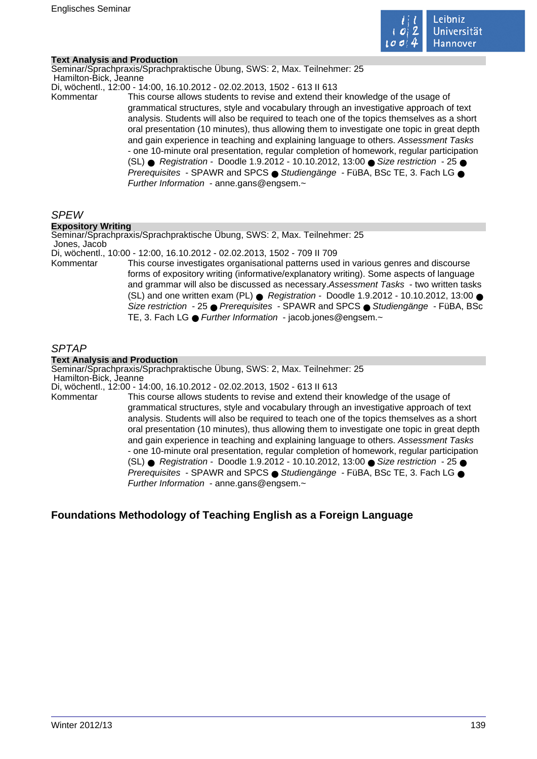

### **Text Analysis and Production**

Seminar/Sprachpraxis/Sprachpraktische Übung, SWS: 2, Max. Teilnehmer: 25 Hamilton-Bick, Jeanne

Di, wöchentl., 12:00 - 14:00, 16.10.2012 - 02.02.2013, 1502 - 613 II 613

Kommentar This course allows students to revise and extend their knowledge of the usage of grammatical structures, style and vocabulary through an investigative approach of text analysis. Students will also be required to teach one of the topics themselves as a short oral presentation (10 minutes), thus allowing them to investigate one topic in great depth and gain experience in teaching and explaining language to others. Assessment Tasks - one 10-minute oral presentation, regular completion of homework, regular participation (SL) ● Registration - Doodle 1.9.2012 - 10.10.2012, 13:00 ● Size restriction - 25 ● Prerequisites - SPAWR and SPCS ● Studiengänge - FüBA, BSc TE, 3. Fach LG ● Further Information - anne.gans@engsem.~

# SPEW

# **Expository Writing**

Seminar/Sprachpraxis/Sprachpraktische Übung, SWS: 2, Max. Teilnehmer: 25 Jones, Jacob

Di, wöchentl., 10:00 - 12:00, 16.10.2012 - 02.02.2013, 1502 - 709 II 709

Kommentar This course investigates organisational patterns used in various genres and discourse forms of expository writing (informative/explanatory writing). Some aspects of language and grammar will also be discussed as necessary.Assessment Tasks - two written tasks (SL) and one written exam (PL)  $\bullet$  Registration - Doodle 1.9.2012 - 10.10.2012, 13:00  $\bullet$ Size restriction - 25 ● Prerequisites - SPAWR and SPCS ● Studiengänge - FüBA, BSc TE, 3. Fach LG ● Further Information - jacob.jones@engsem.~

# SPTAP

# **Text Analysis and Production**

Seminar/Sprachpraxis/Sprachpraktische Übung, SWS: 2, Max. Teilnehmer: 25 Hamilton-Bick, Jeanne

Di, wöchentl., 12:00 - 14:00, 16.10.2012 - 02.02.2013, 1502 - 613 II 613

Kommentar This course allows students to revise and extend their knowledge of the usage of grammatical structures, style and vocabulary through an investigative approach of text analysis. Students will also be required to teach one of the topics themselves as a short oral presentation (10 minutes), thus allowing them to investigate one topic in great depth and gain experience in teaching and explaining language to others. Assessment Tasks - one 10-minute oral presentation, regular completion of homework, regular participation (SL) ● Registration - Doodle 1.9.2012 - 10.10.2012, 13:00 ● Size restriction - 25 ● Prerequisites - SPAWR and SPCS ● Studiengänge - FüBA, BSc TE, 3. Fach LG ● Further Information - anne.gans@engsem.~

# **Foundations Methodology of Teaching English as a Foreign Language**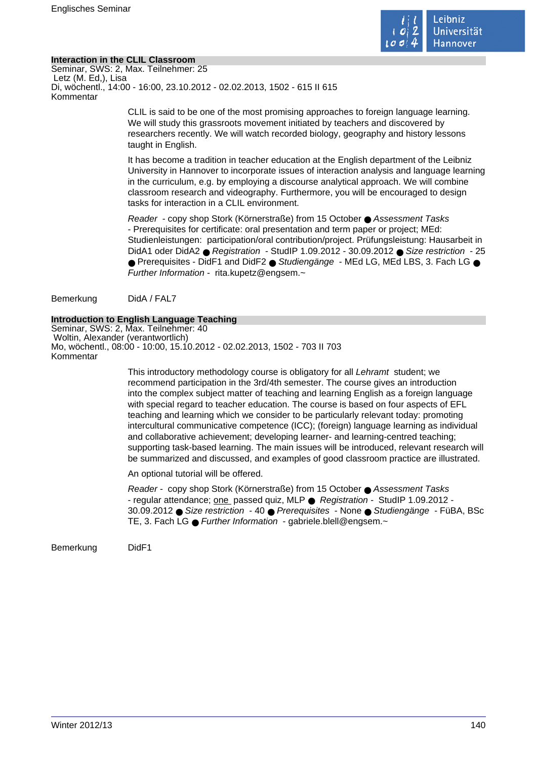

### **Interaction in the CLIL Classroom**

Seminar, SWS: 2, Max. Teilnehmer: 25 Letz (M. Ed,), Lisa Di, wöchentl., 14:00 - 16:00, 23.10.2012 - 02.02.2013, 1502 - 615 II 615 Kommentar

> CLIL is said to be one of the most promising approaches to foreign language learning. We will study this grassroots movement initiated by teachers and discovered by researchers recently. We will watch recorded biology, geography and history lessons taught in English.

It has become a tradition in teacher education at the English department of the Leibniz University in Hannover to incorporate issues of interaction analysis and language learning in the curriculum, e.g. by employing a discourse analytical approach. We will combine classroom research and videography. Furthermore, you will be encouraged to design tasks for interaction in a CLIL environment.

Reader - copy shop Stork (Körnerstraße) from 15 October ● Assessment Tasks - Prerequisites for certificate: oral presentation and term paper or project; MEd: Studienleistungen: participation/oral contribution/project. Prüfungsleistung: Hausarbeit in DidA1 oder DidA2 ● Registration - StudIP 1.09.2012 - 30.09.2012 ● Size restriction - 25 ● Prerequisites - DidF1 and DidF2 ● Studiengänge - MEd LG, MEd LBS, 3. Fach LG ● Further Information - rita.kupetz@engsem.~

Bemerkung DidA / FAL7

# **Introduction to English Language Teaching**

Seminar, SWS: 2, Max. Teilnehmer: 40 Woltin, Alexander (verantwortlich) Mo, wöchentl., 08:00 - 10:00, 15.10.2012 - 02.02.2013, 1502 - 703 II 703 Kommentar

> This introductory methodology course is obligatory for all Lehramt student; we recommend participation in the 3rd/4th semester. The course gives an introduction into the complex subject matter of teaching and learning English as a foreign language with special regard to teacher education. The course is based on four aspects of EFL teaching and learning which we consider to be particularly relevant today: promoting intercultural communicative competence (ICC); (foreign) language learning as individual and collaborative achievement; developing learner- and learning-centred teaching; supporting task-based learning. The main issues will be introduced, relevant research will be summarized and discussed, and examples of good classroom practice are illustrated.

An optional tutorial will be offered.

Reader - copy shop Stork (Körnerstraße) from 15 October ● Assessment Tasks - regular attendance; one passed quiz, MLP ● Registration - StudIP 1.09.2012 - 30.09.2012 ● Size restriction - 40 ● Prerequisites - None ● Studiengänge - FüBA, BSc TE, 3. Fach LG ● Further Information - gabriele.blell@engsem.~

Bemerkung DidF1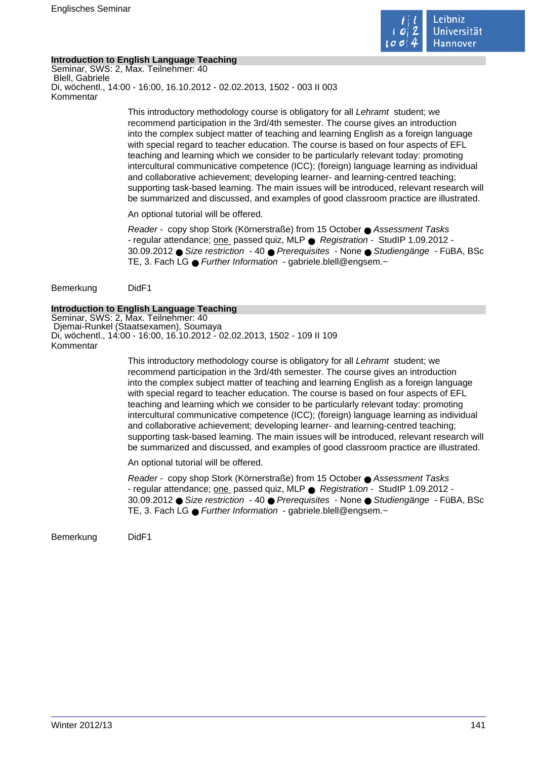

# **Introduction to English Language Teaching**

Seminar, SWS: 2, Max. Teilnehmer: 40 Blell, Gabriele Di, wöchentl., 14:00 - 16:00, 16.10.2012 - 02.02.2013, 1502 - 003 II 003 Kommentar

> This introductory methodology course is obligatory for all Lehramt student; we recommend participation in the 3rd/4th semester. The course gives an introduction into the complex subject matter of teaching and learning English as a foreign language with special regard to teacher education. The course is based on four aspects of EFL teaching and learning which we consider to be particularly relevant today: promoting intercultural communicative competence (ICC); (foreign) language learning as individual and collaborative achievement; developing learner- and learning-centred teaching; supporting task-based learning. The main issues will be introduced, relevant research will be summarized and discussed, and examples of good classroom practice are illustrated.

An optional tutorial will be offered.

Reader - copy shop Stork (Körnerstraße) from 15 October ● Assessment Tasks - regular attendance; one passed quiz, MLP ● Registration - StudIP 1.09.2012 - 30.09.2012 ● Size restriction - 40 ● Prerequisites - None ● Studiengänge - FüBA, BSc TE, 3. Fach LG ● Further Information - gabriele.blell@engsem.~

Bemerkung DidF1

### **Introduction to English Language Teaching**

Seminar, SWS: 2, Max. Teilnehmer: 40 Djemai-Runkel (Staatsexamen), Soumaya Di, wöchentl., 14:00 - 16:00, 16.10.2012 - 02.02.2013, 1502 - 109 II 109 Kommentar

> This introductory methodology course is obligatory for all Lehramt student; we recommend participation in the 3rd/4th semester. The course gives an introduction into the complex subject matter of teaching and learning English as a foreign language with special regard to teacher education. The course is based on four aspects of EFL teaching and learning which we consider to be particularly relevant today: promoting intercultural communicative competence (ICC); (foreign) language learning as individual and collaborative achievement; developing learner- and learning-centred teaching; supporting task-based learning. The main issues will be introduced, relevant research will be summarized and discussed, and examples of good classroom practice are illustrated.

An optional tutorial will be offered.

Reader - copy shop Stork (Körnerstraße) from 15 October ● Assessment Tasks - regular attendance; one passed quiz, MLP ● Registration - StudIP 1.09.2012 - 30.09.2012 ● Size restriction - 40 ● Prerequisites - None ● Studiengänge - FüBA, BSc TE, 3. Fach LG ● Further Information - gabriele.blell@engsem.~

Bemerkung DidF1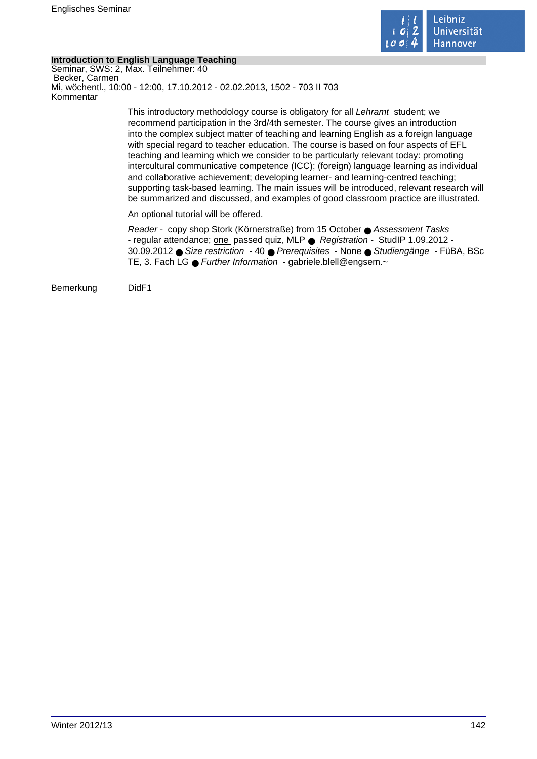

# **Introduction to English Language Teaching**

Seminar, SWS: 2, Max. Teilnehmer: 40 Becker, Carmen Mi, wöchentl., 10:00 - 12:00, 17.10.2012 - 02.02.2013, 1502 - 703 II 703 Kommentar

> This introductory methodology course is obligatory for all Lehramt student; we recommend participation in the 3rd/4th semester. The course gives an introduction into the complex subject matter of teaching and learning English as a foreign language with special regard to teacher education. The course is based on four aspects of EFL teaching and learning which we consider to be particularly relevant today: promoting intercultural communicative competence (ICC); (foreign) language learning as individual and collaborative achievement; developing learner- and learning-centred teaching; supporting task-based learning. The main issues will be introduced, relevant research will be summarized and discussed, and examples of good classroom practice are illustrated.

An optional tutorial will be offered.

Reader - copy shop Stork (Körnerstraße) from 15 October ● Assessment Tasks - regular attendance; one passed quiz, MLP ● Registration - StudIP 1.09.2012 - 30.09.2012 ● Size restriction - 40 ● Prerequisites - None ● Studiengänge - FüBA, BSc TE, 3. Fach LG ● Further Information - gabriele.blell@engsem.~

Bemerkung DidF1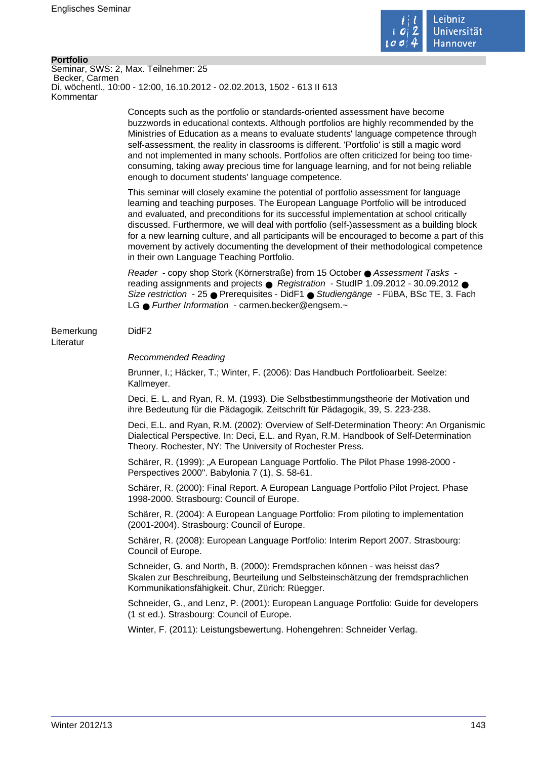

#### **Portfolio**

Seminar, SWS: 2, Max. Teilnehmer: 25 Becker, Carmen Di, wöchentl., 10:00 - 12:00, 16.10.2012 - 02.02.2013, 1502 - 613 II 613 Kommentar

> Concepts such as the portfolio or standards-oriented assessment have become buzzwords in educational contexts. Although portfolios are highly recommended by the Ministries of Education as a means to evaluate students' language competence through self-assessment, the reality in classrooms is different. 'Portfolio' is still a magic word and not implemented in many schools. Portfolios are often criticized for being too timeconsuming, taking away precious time for language learning, and for not being reliable enough to document students' language competence.

This seminar will closely examine the potential of portfolio assessment for language learning and teaching purposes. The European Language Portfolio will be introduced and evaluated, and preconditions for its successful implementation at school critically discussed. Furthermore, we will deal with portfolio (self-)assessment as a building block for a new learning culture, and all participants will be encouraged to become a part of this movement by actively documenting the development of their methodological competence in their own Language Teaching Portfolio.

Reader - copy shop Stork (Körnerstraße) from 15 October ● Assessment Tasks reading assignments and projects ● Registration - StudIP 1.09.2012 - 30.09.2012 ● Size restriction - 25 ● Prerequisites - DidF1 ● Studiengänge - FüBA, BSc TE, 3. Fach LG ● Further Information - carmen.becker@engsem.~

### Bemerkung DidF2

Literatur

#### Recommended Reading

Brunner, I.; Häcker, T.; Winter, F. (2006): Das Handbuch Portfolioarbeit. Seelze: Kallmeyer.

Deci, E. L. and Ryan, R. M. (1993). Die Selbstbestimmungstheorie der Motivation und ihre Bedeutung für die Pädagogik. Zeitschrift für Pädagogik, 39, S. 223-238.

Deci, E.L. and Ryan, R.M. (2002): Overview of Self-Determination Theory: An Organismic Dialectical Perspective. In: Deci, E.L. and Ryan, R.M. Handbook of Self-Determination Theory. Rochester, NY: The University of Rochester Press.

Schärer, R. (1999): "A European Language Portfolio. The Pilot Phase 1998-2000 - Perspectives 2000". Babylonia 7 (1), S. 58-61.

Schärer, R. (2000): Final Report. A European Language Portfolio Pilot Project. Phase 1998-2000. Strasbourg: Council of Europe.

Schärer, R. (2004): A European Language Portfolio: From piloting to implementation (2001-2004). Strasbourg: Council of Europe.

Schärer, R. (2008): European Language Portfolio: Interim Report 2007. Strasbourg: Council of Europe.

Schneider, G. and North, B. (2000): Fremdsprachen können - was heisst das? Skalen zur Beschreibung, Beurteilung und Selbsteinschätzung der fremdsprachlichen Kommunikationsfähigkeit. Chur, Zürich: Rüegger.

Schneider, G., and Lenz, P. (2001): European Language Portfolio: Guide for developers (1 st ed.). Strasbourg: Council of Europe.

Winter, F. (2011): Leistungsbewertung. Hohengehren: Schneider Verlag.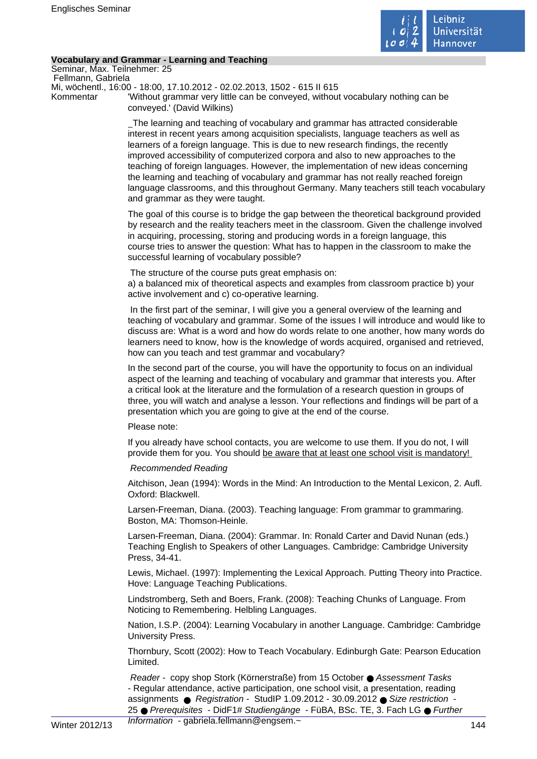

# **Vocabulary and Grammar - Learning and Teaching**

Seminar, Max. Teilnehmer: 25 Fellmann, Gabriela

Mi, wöchentl., 16:00 - 18:00, 17.10.2012 - 02.02.2013, 1502 - 615 II 615

Kommentar 'Without grammar very little can be conveyed, without vocabulary nothing can be conveyed.' (David Wilkins)

> The learning and teaching of vocabulary and grammar has attracted considerable interest in recent years among acquisition specialists, language teachers as well as learners of a foreign language. This is due to new research findings, the recently improved accessibility of computerized corpora and also to new approaches to the teaching of foreign languages. However, the implementation of new ideas concerning the learning and teaching of vocabulary and grammar has not really reached foreign language classrooms, and this throughout Germany. Many teachers still teach vocabulary and grammar as they were taught.

> The goal of this course is to bridge the gap between the theoretical background provided by research and the reality teachers meet in the classroom. Given the challenge involved in acquiring, processing, storing and producing words in a foreign language, this course tries to answer the question: What has to happen in the classroom to make the successful learning of vocabulary possible?

The structure of the course puts great emphasis on:

a) a balanced mix of theoretical aspects and examples from classroom practice b) your active involvement and c) co-operative learning.

 In the first part of the seminar, I will give you a general overview of the learning and teaching of vocabulary and grammar. Some of the issues I will introduce and would like to discuss are: What is a word and how do words relate to one another, how many words do learners need to know, how is the knowledge of words acquired, organised and retrieved, how can you teach and test grammar and vocabulary?

In the second part of the course, you will have the opportunity to focus on an individual aspect of the learning and teaching of vocabulary and grammar that interests you. After a critical look at the literature and the formulation of a research question in groups of three, you will watch and analyse a lesson. Your reflections and findings will be part of a presentation which you are going to give at the end of the course.

### Please note:

If you already have school contacts, you are welcome to use them. If you do not, I will provide them for you. You should be aware that at least one school visit is mandatory!

### Recommended Reading

Aitchison, Jean (1994): Words in the Mind: An Introduction to the Mental Lexicon, 2. Aufl. Oxford: Blackwell.

Larsen-Freeman, Diana. (2003). Teaching language: From grammar to grammaring. Boston, MA: Thomson-Heinle.

Larsen-Freeman, Diana. (2004): Grammar. In: Ronald Carter and David Nunan (eds.) Teaching English to Speakers of other Languages. Cambridge: Cambridge University Press, 34-41.

Lewis, Michael. (1997): Implementing the Lexical Approach. Putting Theory into Practice. Hove: Language Teaching Publications.

Lindstromberg, Seth and Boers, Frank. (2008): Teaching Chunks of Language. From Noticing to Remembering. Helbling Languages.

Nation, I.S.P. (2004): Learning Vocabulary in another Language. Cambridge: Cambridge University Press.

Thornbury, Scott (2002): How to Teach Vocabulary. Edinburgh Gate: Pearson Education Limited.

Reader - copy shop Stork (Körnerstraße) from 15 October ● Assessment Tasks - Regular attendance, active participation, one school visit, a presentation, reading assignments ● Registration - StudIP 1.09.2012 - 30.09.2012 ● Size restriction - 25 ● Prerequisites - DidF1# Studiengänge - FüBA, BSc. TE, 3. Fach LG ● Further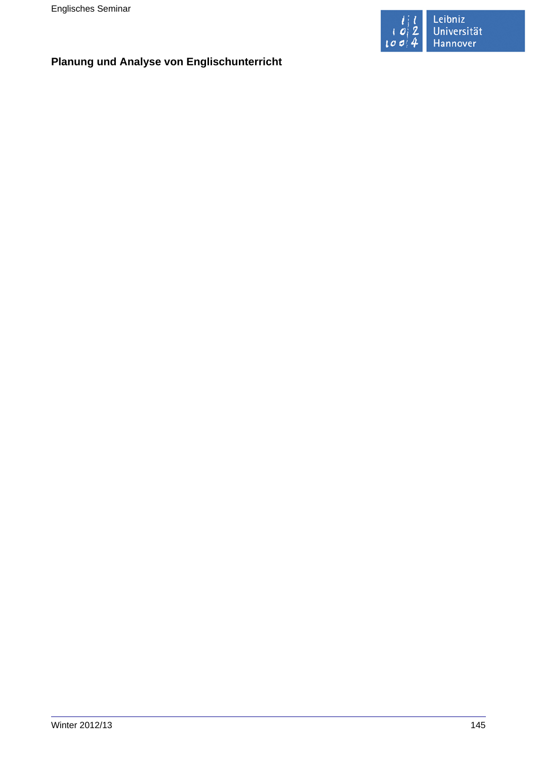

# **Planung und Analyse von Englischunterricht**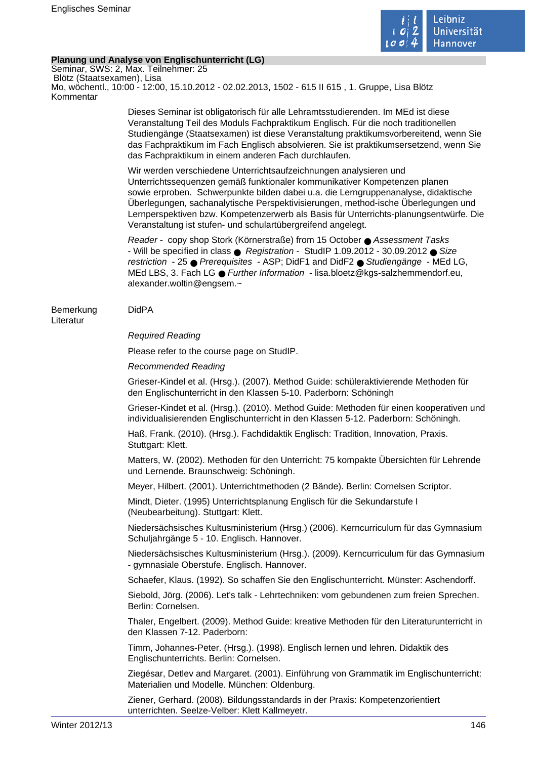

# **Planung und Analyse von Englischunterricht (LG)**

Seminar, SWS: 2, Max. Teilnehmer: 25 Blötz (Staatsexamen), Lisa Mo, wöchentl., 10:00 - 12:00, 15.10.2012 - 02.02.2013, 1502 - 615 II 615 , 1. Gruppe, Lisa Blötz Kommentar

> Dieses Seminar ist obligatorisch für alle Lehramtsstudierenden. Im MEd ist diese Veranstaltung Teil des Moduls Fachpraktikum Englisch. Für die noch traditionellen Studiengänge (Staatsexamen) ist diese Veranstaltung praktikumsvorbereitend, wenn Sie das Fachpraktikum im Fach Englisch absolvieren. Sie ist praktikumsersetzend, wenn Sie das Fachpraktikum in einem anderen Fach durchlaufen.

> Wir werden verschiedene Unterrichtsaufzeichnungen analysieren und Unterrichtssequenzen gemäß funktionaler kommunikativer Kompetenzen planen sowie erproben. Schwerpunkte bilden dabei u.a. die Lerngruppenanalyse, didaktische Überlegungen, sachanalytische Perspektivisierungen, method-ische Überlegungen und Lernperspektiven bzw. Kompetenzerwerb als Basis für Unterrichts-planungsentwürfe. Die Veranstaltung ist stufen- und schulartübergreifend angelegt.

Reader - copy shop Stork (Körnerstraße) from 15 October ● Assessment Tasks - Will be specified in class ● Registration - StudIP 1.09.2012 - 30.09.2012 ● Size restriction - 25 ● Prerequisites - ASP; DidF1 and DidF2 ● Studiengänge - MEd LG, MEd LBS, 3. Fach LG ● Further Information - lisa.bloetz@kgs-salzhemmendorf.eu, alexander.woltin@engsem.~

# Bemerkung DidPA

# Literatur

# Required Reading

Please refer to the course page on StudIP.

# Recommended Reading

Grieser-Kindel et al. (Hrsg.). (2007). Method Guide: schüleraktivierende Methoden für den Englischunterricht in den Klassen 5-10. Paderborn: Schöningh

Grieser-Kindet et al. (Hrsg.). (2010). Method Guide: Methoden für einen kooperativen und individualisierenden Englischunterricht in den Klassen 5-12. Paderborn: Schöningh.

Haß, Frank. (2010). (Hrsg.). Fachdidaktik Englisch: Tradition, Innovation, Praxis. Stuttgart: Klett.

Matters, W. (2002). Methoden für den Unterricht: 75 kompakte Übersichten für Lehrende und Lernende. Braunschweig: Schöningh.

Meyer, Hilbert. (2001). Unterrichtmethoden (2 Bände). Berlin: Cornelsen Scriptor.

Mindt, Dieter. (1995) Unterrichtsplanung Englisch für die Sekundarstufe I (Neubearbeitung). Stuttgart: Klett.

Niedersächsisches Kultusministerium (Hrsg.) (2006). Kerncurriculum für das Gymnasium Schuljahrgänge 5 - 10. Englisch. Hannover.

Niedersächsisches Kultusministerium (Hrsg.). (2009). Kerncurriculum für das Gymnasium - gymnasiale Oberstufe. Englisch. Hannover.

Schaefer, Klaus. (1992). So schaffen Sie den Englischunterricht. Münster: Aschendorff.

Siebold, Jörg. (2006). Let's talk - Lehrtechniken: vom gebundenen zum freien Sprechen. Berlin: Cornelsen.

Thaler, Engelbert. (2009). Method Guide: kreative Methoden für den Literaturunterricht in den Klassen 7-12. Paderborn:

Timm, Johannes-Peter. (Hrsg.). (1998). Englisch lernen und lehren. Didaktik des Englischunterrichts. Berlin: Cornelsen.

Ziegésar, Detlev and Margaret. (2001). Einführung von Grammatik im Englischunterricht: Materialien und Modelle. München: Oldenburg.

Ziener, Gerhard. (2008). Bildungsstandards in der Praxis: Kompetenzorientiert unterrichten. Seelze-Velber: Klett Kallmeyetr.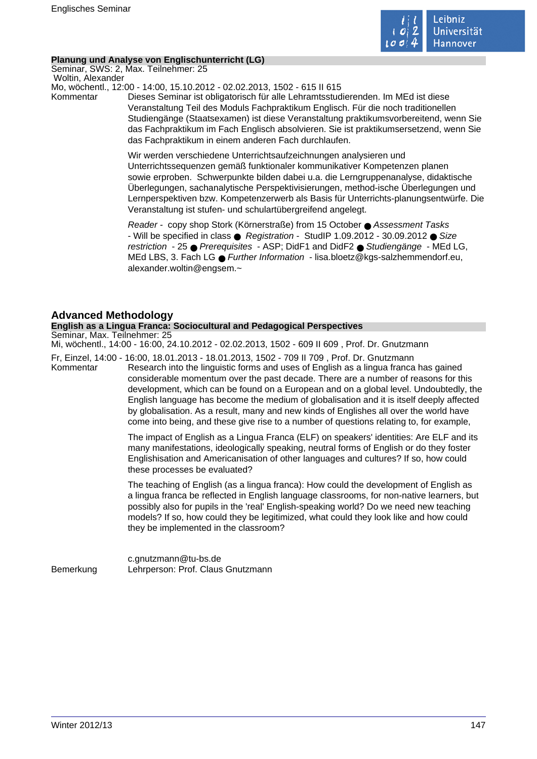

# **Planung und Analyse von Englischunterricht (LG)**

Seminar, SWS: 2, Max. Teilnehmer: 25 Woltin, Alexander

Mo, wöchentl., 12:00 - 14:00, 15.10.2012 - 02.02.2013, 1502 - 615 II 615

Kommentar Dieses Seminar ist obligatorisch für alle Lehramtsstudierenden. Im MEd ist diese Veranstaltung Teil des Moduls Fachpraktikum Englisch. Für die noch traditionellen Studiengänge (Staatsexamen) ist diese Veranstaltung praktikumsvorbereitend, wenn Sie das Fachpraktikum im Fach Englisch absolvieren. Sie ist praktikumsersetzend, wenn Sie das Fachpraktikum in einem anderen Fach durchlaufen.

> Wir werden verschiedene Unterrichtsaufzeichnungen analysieren und Unterrichtssequenzen gemäß funktionaler kommunikativer Kompetenzen planen sowie erproben. Schwerpunkte bilden dabei u.a. die Lerngruppenanalyse, didaktische Überlegungen, sachanalytische Perspektivisierungen, method-ische Überlegungen und Lernperspektiven bzw. Kompetenzerwerb als Basis für Unterrichts-planungsentwürfe. Die Veranstaltung ist stufen- und schulartübergreifend angelegt.

Reader - copy shop Stork (Körnerstraße) from 15 October ● Assessment Tasks - Will be specified in class  $\bullet$  Registration - StudIP 1.09.2012 - 30.09.2012  $\bullet$  Size restriction - 25 ● Prerequisites - ASP; DidF1 and DidF2 ● Studiengänge - MEd LG, MEd LBS, 3. Fach LG ● Further Information - lisa.bloetz@kgs-salzhemmendorf.eu, alexander.woltin@engsem.~

# **Advanced Methodology**

# **English as a Lingua Franca: Sociocultural and Pedagogical Perspectives**

Seminar, Max. Teilnehmer: 25

Mi, wöchentl., 14:00 - 16:00, 24.10.2012 - 02.02.2013, 1502 - 609 II 609 , Prof. Dr. Gnutzmann

Fr, Einzel, 14:00 - 16:00, 18.01.2013 - 18.01.2013, 1502 - 709 II 709 , Prof. Dr. Gnutzmann Kommentar Research into the linguistic forms and uses of English as a lingua franca has gained considerable momentum over the past decade. There are a number of reasons for this development, which can be found on a European and on a global level. Undoubtedly, the English language has become the medium of globalisation and it is itself deeply affected by globalisation. As a result, many and new kinds of Englishes all over the world have come into being, and these give rise to a number of questions relating to, for example,

> The impact of English as a Lingua Franca (ELF) on speakers' identities: Are ELF and its many manifestations, ideologically speaking, neutral forms of English or do they foster Englishisation and Americanisation of other languages and cultures? If so, how could these processes be evaluated?

> The teaching of English (as a lingua franca): How could the development of English as a lingua franca be reflected in English language classrooms, for non-native learners, but possibly also for pupils in the 'real' English-speaking world? Do we need new teaching models? If so, how could they be legitimized, what could they look like and how could they be implemented in the classroom?

c.gnutzmann@tu-bs.de Bemerkung Lehrperson: Prof. Claus Gnutzmann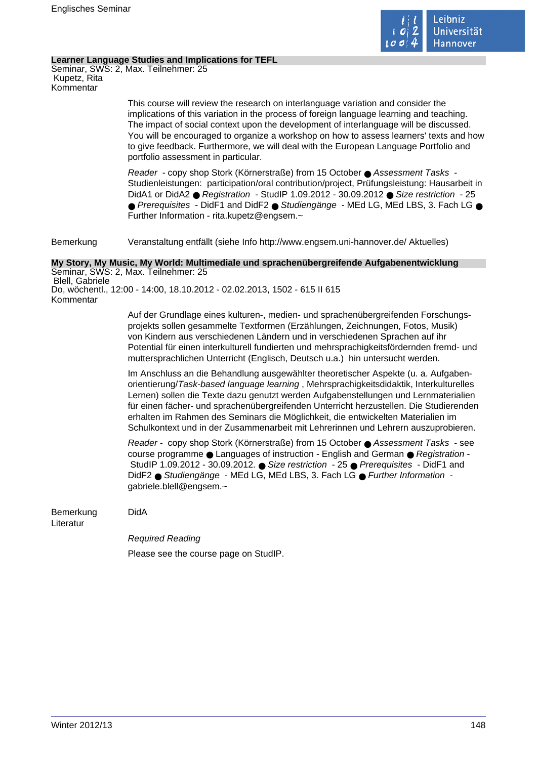

### **Learner Language Studies and Implications for TEFL**

Seminar, SWS: 2, Max. Teilnehmer: 25 Kupetz, Rita Kommentar

> This course will review the research on interlanguage variation and consider the implications of this variation in the process of foreign language learning and teaching. The impact of social context upon the development of interlanguage will be discussed. You will be encouraged to organize a workshop on how to assess learners' texts and how to give feedback. Furthermore, we will deal with the European Language Portfolio and portfolio assessment in particular.

> Reader - copy shop Stork (Körnerstraße) from 15 October ● Assessment Tasks -Studienleistungen: participation/oral contribution/project, Prüfungsleistung: Hausarbeit in DidA1 or DidA2 ● Registration - StudIP 1.09.2012 - 30.09.2012 ● Size restriction - 25 ● Prerequisites - DidF1 and DidF2 ● Studiengänge - MEd LG, MEd LBS, 3, Fach LG ● Further Information - rita.kupetz@engsem.~

Bemerkung Veranstaltung entfällt (siehe Info http://www.engsem.uni-hannover.de/ Aktuelles)

#### **My Story, My Music, My World: Multimediale und sprachenübergreifende Aufgabenentwicklung** Seminar, SWS: 2, Max. Teilnehmer: 25

 Blell, Gabriele Do, wöchentl., 12:00 - 14:00, 18.10.2012 - 02.02.2013, 1502 - 615 II 615 Kommentar

> Auf der Grundlage eines kulturen-, medien- und sprachenübergreifenden Forschungsprojekts sollen gesammelte Textformen (Erzählungen, Zeichnungen, Fotos, Musik) von Kindern aus verschiedenen Ländern und in verschiedenen Sprachen auf ihr Potential für einen interkulturell fundierten und mehrsprachigkeitsfördernden fremd- und muttersprachlichen Unterricht (Englisch, Deutsch u.a.) hin untersucht werden.

> Im Anschluss an die Behandlung ausgewählter theoretischer Aspekte (u. a. Aufgabenorientierung/Task-based language learning , Mehrsprachigkeitsdidaktik, Interkulturelles Lernen) sollen die Texte dazu genutzt werden Aufgabenstellungen und Lernmaterialien für einen fächer- und sprachenübergreifenden Unterricht herzustellen. Die Studierenden erhalten im Rahmen des Seminars die Möglichkeit, die entwickelten Materialien im Schulkontext und in der Zusammenarbeit mit Lehrerinnen und Lehrern auszuprobieren.

Reader - copy shop Stork (Körnerstraße) from 15 October ● Assessment Tasks - see course programme ● Languages of instruction - English and German ● Registration -StudIP 1.09.2012 - 30.09.2012. ● Size restriction - 25 ● Prerequisites - DidF1 and DidF2 ● Studiengänge - MEd LG, MEd LBS, 3. Fach LG ● Further Information gabriele.blell@engsem.~

Bemerkung DidA

Literatur

Required Reading Please see the course page on StudIP.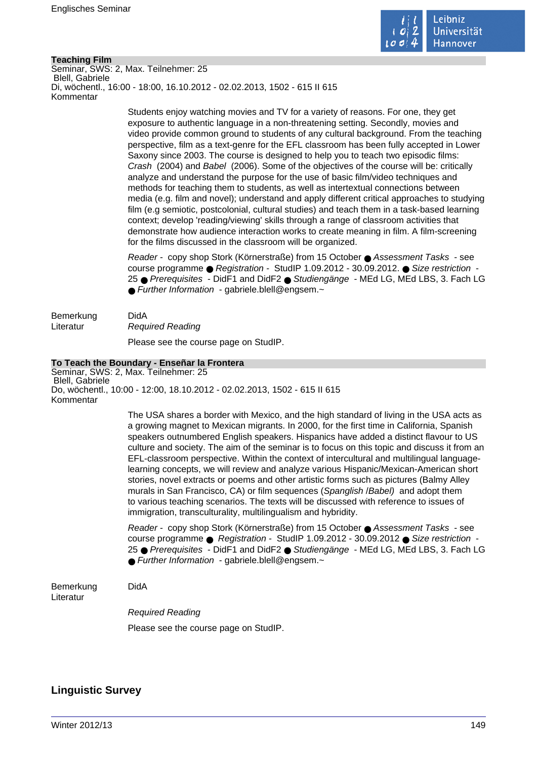

# **Teaching Film**

Seminar, SWS: 2, Max. Teilnehmer: 25 Blell, Gabriele Di, wöchentl., 16:00 - 18:00, 16.10.2012 - 02.02.2013, 1502 - 615 II 615 Kommentar

> Students enjoy watching movies and TV for a variety of reasons. For one, they get exposure to authentic language in a non-threatening setting. Secondly, movies and video provide common ground to students of any cultural background. From the teaching perspective, film as a text-genre for the EFL classroom has been fully accepted in Lower Saxony since 2003. The course is designed to help you to teach two episodic films: Crash (2004) and Babel (2006). Some of the objectives of the course will be: critically analyze and understand the purpose for the use of basic film/video techniques and methods for teaching them to students, as well as intertextual connections between media (e.g. film and novel); understand and apply different critical approaches to studying film (e.g semiotic, postcolonial, cultural studies) and teach them in a task-based learning context; develop 'reading/viewing' skills through a range of classroom activities that demonstrate how audience interaction works to create meaning in film. A film-screening for the films discussed in the classroom will be organized.

> Reader - copy shop Stork (Körnerstraße) from 15 October ● Assessment Tasks - see course programme ● Registration - StudIP 1.09.2012 - 30.09.2012. ● Size restriction - 25 ● Prerequisites - DidF1 and DidF2 ● Studiengänge - MEd LG, MEd LBS, 3. Fach LG ● Further Information - gabriele.blell@engsem.~

Bemerkung DidA Literatur Required Reading Please see the course page on StudIP.

## **To Teach the Boundary - Enseñar la Frontera**

Seminar, SWS: 2, Max. Teilnehmer: 25 Blell, Gabriele Do, wöchentl., 10:00 - 12:00, 18.10.2012 - 02.02.2013, 1502 - 615 II 615 Kommentar

> The USA shares a border with Mexico, and the high standard of living in the USA acts as a growing magnet to Mexican migrants. In 2000, for the first time in California, Spanish speakers outnumbered English speakers. Hispanics have added a distinct flavour to US culture and society. The aim of the seminar is to focus on this topic and discuss it from an EFL-classroom perspective. Within the context of intercultural and multilingual languagelearning concepts, we will review and analyze various Hispanic/Mexican-American short stories, novel extracts or poems and other artistic forms such as pictures (Balmy Alley murals in San Francisco, CA) or film sequences (Spanglish / Babel) and adopt them to various teaching scenarios. The texts will be discussed with reference to issues of immigration, transculturality, multilingualism and hybridity.

> Reader - copy shop Stork (Körnerstraße) from 15 October ● Assessment Tasks - see course programme ● Registration - StudIP 1.09.2012 - 30.09.2012 ● Size restriction - 25 ● Prerequisites - DidF1 and DidF2 ● Studiengänge - MEd LG, MEd LBS, 3. Fach LG  $\bullet$  Further Information - gabriele.blell@engsem. $\sim$

Bemerkung DidA Literatur

Required Reading

Please see the course page on StudIP.

# **Linguistic Survey**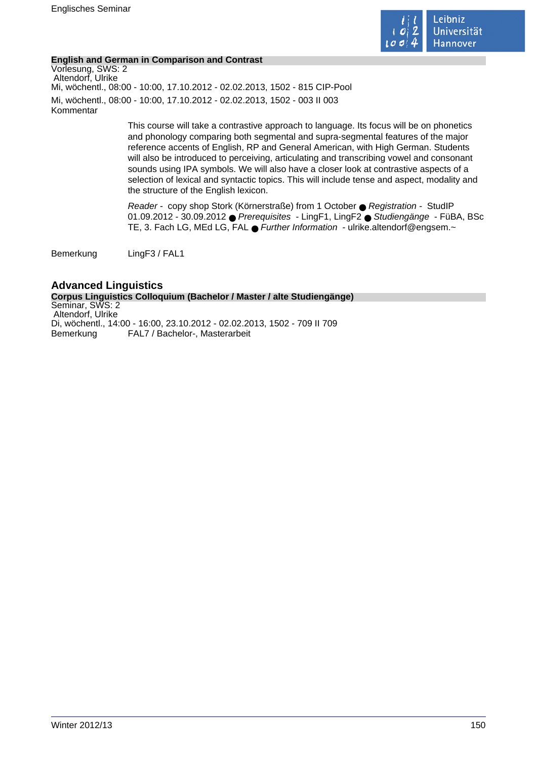

# **English and German in Comparison and Contrast**

Vorlesung, SWS: 2 Altendorf, Ulrike Mi, wöchentl., 08:00 - 10:00, 17.10.2012 - 02.02.2013, 1502 - 815 CIP-Pool Mi, wöchentl., 08:00 - 10:00, 17.10.2012 - 02.02.2013, 1502 - 003 II 003 Kommentar

> This course will take a contrastive approach to language. Its focus will be on phonetics and phonology comparing both segmental and supra-segmental features of the major reference accents of English, RP and General American, with High German. Students will also be introduced to perceiving, articulating and transcribing vowel and consonant sounds using IPA symbols. We will also have a closer look at contrastive aspects of a selection of lexical and syntactic topics. This will include tense and aspect, modality and the structure of the English lexicon.

Reader - copy shop Stork (Körnerstraße) from 1 October ● Registration - StudIP 01.09.2012 - 30.09.2012 ● Prerequisites - LingF1, LingF2 ● Studiengänge - FüBA, BSc TE, 3. Fach LG, MEd LG, FAL ● Further Information - ulrike.altendorf@engsem.~

Bemerkung LingF3 / FAL1

**Advanced Linguistics Corpus Linguistics Colloquium (Bachelor / Master / alte Studiengänge)** Seminar, SWS: 2 Altendorf, Ulrike Di, wöchentl., 14:00 - 16:00, 23.10.2012 - 02.02.2013, 1502 - 709 II 709 Bemerkung FAL7 / Bachelor-, Masterarbeit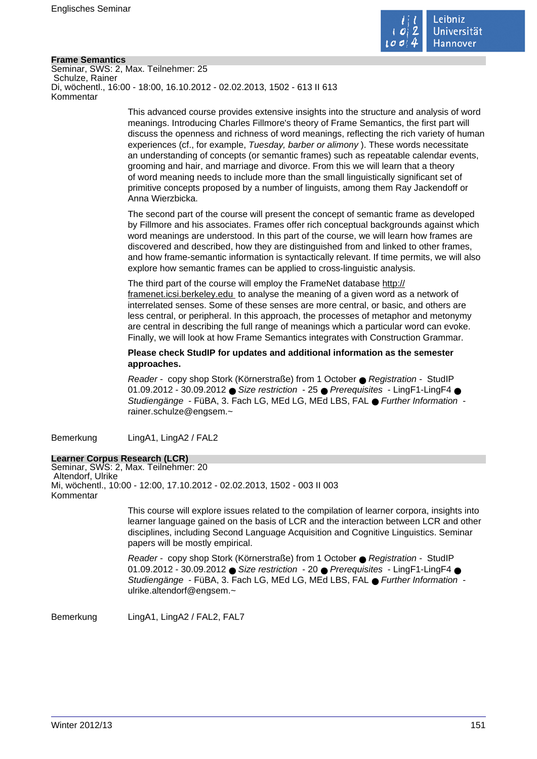

# **Frame Semantics**

Seminar, SWS: 2, Max. Teilnehmer: 25 Schulze, Rainer Di, wöchentl., 16:00 - 18:00, 16.10.2012 - 02.02.2013, 1502 - 613 II 613 Kommentar

> This advanced course provides extensive insights into the structure and analysis of word meanings. Introducing Charles Fillmore's theory of Frame Semantics, the first part will discuss the openness and richness of word meanings, reflecting the rich variety of human experiences (cf., for example, Tuesday, barber or alimony ). These words necessitate an understanding of concepts (or semantic frames) such as repeatable calendar events, grooming and hair, and marriage and divorce. From this we will learn that a theory of word meaning needs to include more than the small linguistically significant set of primitive concepts proposed by a number of linguists, among them Ray Jackendoff or Anna Wierzbicka.

The second part of the course will present the concept of semantic frame as developed by Fillmore and his associates. Frames offer rich conceptual backgrounds against which word meanings are understood. In this part of the course, we will learn how frames are discovered and described, how they are distinguished from and linked to other frames, and how frame-semantic information is syntactically relevant. If time permits, we will also explore how semantic frames can be applied to cross-linguistic analysis.

The third part of the course will employ the FrameNet database http:// framenet.icsi.berkeley.edu to analyse the meaning of a given word as a network of interrelated senses. Some of these senses are more central, or basic, and others are less central, or peripheral. In this approach, the processes of metaphor and metonymy are central in describing the full range of meanings which a particular word can evoke. Finally, we will look at how Frame Semantics integrates with Construction Grammar.

**Please check StudIP for updates and additional information as the semester approaches.** 

Reader - copy shop Stork (Körnerstraße) from 1 October ● Registration - StudIP 01.09.2012 - 30.09.2012 ● Size restriction - 25 ● Prerequisites - LingF1-LingF4 ● Studiengänge - FüBA, 3. Fach LG, MEd LG, MEd LBS, FAL ● Further Information rainer.schulze@engsem.~

Bemerkung LingA1, LingA2 / FAL2

# **Learner Corpus Research (LCR)**

Seminar, SWS: 2, Max. Teilnehmer: 20 Altendorf, Ulrike Mi, wöchentl., 10:00 - 12:00, 17.10.2012 - 02.02.2013, 1502 - 003 II 003 Kommentar

> This course will explore issues related to the compilation of learner corpora, insights into learner language gained on the basis of LCR and the interaction between LCR and other disciplines, including Second Language Acquisition and Cognitive Linguistics. Seminar papers will be mostly empirical.

Reader - copy shop Stork (Körnerstraße) from 1 October ● Registration - StudIP 01.09.2012 - 30.09.2012 ● Size restriction - 20 ● Prerequisites - LingF1-LingF4 ● Studiengänge - FüBA, 3. Fach LG, MEd LG, MEd LBS, FAL ● Further Information ulrike.altendorf@engsem.~

Bemerkung LingA1, LingA2 / FAL2, FAL7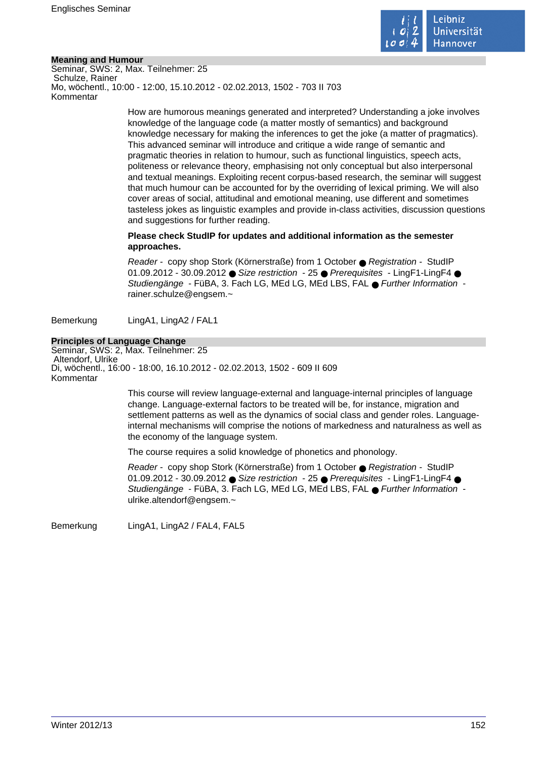

# **Meaning and Humour**

Seminar, SWS: 2, Max. Teilnehmer: 25 Schulze, Rainer Mo, wöchentl., 10:00 - 12:00, 15.10.2012 - 02.02.2013, 1502 - 703 II 703 Kommentar

> How are humorous meanings generated and interpreted? Understanding a joke involves knowledge of the language code (a matter mostly of semantics) and background knowledge necessary for making the inferences to get the joke (a matter of pragmatics). This advanced seminar will introduce and critique a wide range of semantic and pragmatic theories in relation to humour, such as functional linguistics, speech acts, politeness or relevance theory, emphasising not only conceptual but also interpersonal and textual meanings. Exploiting recent corpus-based research, the seminar will suggest that much humour can be accounted for by the overriding of lexical priming. We will also cover areas of social, attitudinal and emotional meaning, use different and sometimes tasteless jokes as linguistic examples and provide in-class activities, discussion questions and suggestions for further reading.

# **Please check StudIP for updates and additional information as the semester approaches.**

Reader - copy shop Stork (Körnerstraße) from 1 October ● Registration - StudIP 01.09.2012 - 30.09.2012 ● Size restriction - 25 ● Prerequisites - LingF1-LingF4 ● Studiengänge - FüBA, 3. Fach LG, MEd LG, MEd LBS, FAL ● Further Information rainer.schulze@engsem.~

Bemerkung LingA1, LingA2 / FAL1

# **Principles of Language Change**

Seminar, SWS: 2, Max. Teilnehmer: 25 Altendorf, Ulrike Di, wöchentl., 16:00 - 18:00, 16.10.2012 - 02.02.2013, 1502 - 609 II 609 Kommentar

> This course will review language-external and language-internal principles of language change. Language-external factors to be treated will be, for instance, migration and settlement patterns as well as the dynamics of social class and gender roles. Languageinternal mechanisms will comprise the notions of markedness and naturalness as well as the economy of the language system.

The course requires a solid knowledge of phonetics and phonology.

Reader - copy shop Stork (Körnerstraße) from 1 October ● Registration - StudIP 01.09.2012 - 30.09.2012 ● Size restriction - 25 ● Prerequisites - LingF1-LingF4 ● Studiengänge - FüBA, 3. Fach LG, MEd LG, MEd LBS, FAL ● Further Information ulrike.altendorf@engsem.~

Bemerkung LingA1, LingA2 / FAL4, FAL5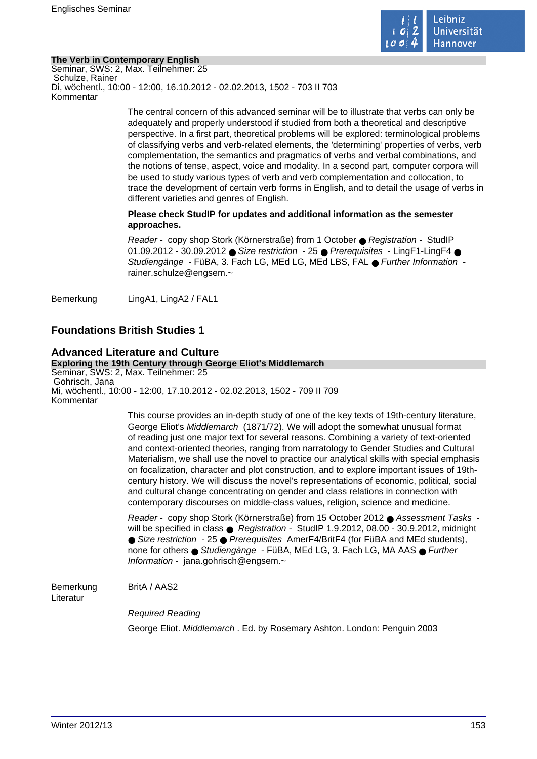

# **The Verb in Contemporary English**

Seminar, SWS: 2, Max. Teilnehmer: 25 Schulze, Rainer Di, wöchentl., 10:00 - 12:00, 16.10.2012 - 02.02.2013, 1502 - 703 II 703 Kommentar

> The central concern of this advanced seminar will be to illustrate that verbs can only be adequately and properly understood if studied from both a theoretical and descriptive perspective. In a first part, theoretical problems will be explored: terminological problems of classifying verbs and verb-related elements, the 'determining' properties of verbs, verb complementation, the semantics and pragmatics of verbs and verbal combinations, and the notions of tense, aspect, voice and modality. In a second part, computer corpora will be used to study various types of verb and verb complementation and collocation, to trace the development of certain verb forms in English, and to detail the usage of verbs in different varieties and genres of English.

# **Please check StudIP for updates and additional information as the semester approaches.**

Reader - copy shop Stork (Körnerstraße) from 1 October ● Registration - StudIP 01.09.2012 - 30.09.2012 ● Size restriction - 25 ● Prerequisites - LingF1-LingF4 ● Studiengänge - FüBA, 3. Fach LG, MEd LG, MEd LBS, FAL ● Further Information rainer.schulze@engsem.~

Bemerkung LingA1, LingA2 / FAL1

# **Foundations British Studies 1**

#### **Advanced Literature and Culture Exploring the 19th Century through George Eliot's Middlemarch** Seminar, SWS: 2, Max. Teilnehmer: 25 Gohrisch, Jana Mi, wöchentl., 10:00 - 12:00, 17.10.2012 - 02.02.2013, 1502 - 709 II 709 Kommentar

This course provides an in-depth study of one of the key texts of 19th-century literature, George Eliot's Middlemarch (1871/72). We will adopt the somewhat unusual format of reading just one major text for several reasons. Combining a variety of text-oriented and context-oriented theories, ranging from narratology to Gender Studies and Cultural Materialism, we shall use the novel to practice our analytical skills with special emphasis on focalization, character and plot construction, and to explore important issues of 19thcentury history. We will discuss the novel's representations of economic, political, social and cultural change concentrating on gender and class relations in connection with contemporary discourses on middle-class values, religion, science and medicine.

Reader - copy shop Stork (Körnerstraße) from 15 October 2012 ● Assessment Tasks will be specified in class ● Registration - StudIP 1.9.2012, 08.00 - 30.9.2012, midnight ● Size restriction - 25 ● Prerequisites AmerF4/BritF4 (for FüBA and MEd students), none for others ● Studiengänge - FüBA, MEd LG, 3. Fach LG, MA AAS ● Further Information - jana.gohrisch@engsem.~

Bemerkung BritA / AAS2

Literatur

Required Reading

George Eliot. Middlemarch . Ed. by Rosemary Ashton. London: Penguin 2003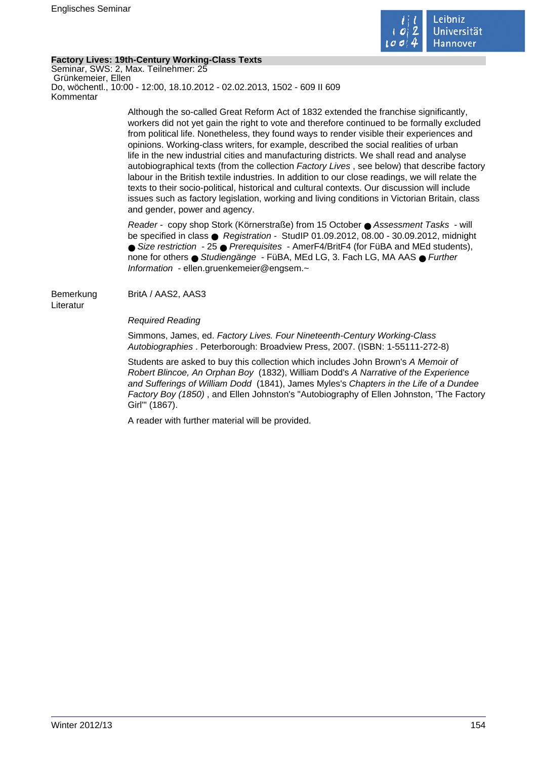

# **Factory Lives: 19th-Century Working-Class Texts**

Seminar, SWS: 2, Max. Teilnehmer: 25 Grünkemeier, Ellen Do, wöchentl., 10:00 - 12:00, 18.10.2012 - 02.02.2013, 1502 - 609 II 609 Kommentar

> Although the so-called Great Reform Act of 1832 extended the franchise significantly, workers did not yet gain the right to vote and therefore continued to be formally excluded from political life. Nonetheless, they found ways to render visible their experiences and opinions. Working-class writers, for example, described the social realities of urban life in the new industrial cities and manufacturing districts. We shall read and analyse autobiographical texts (from the collection Factory Lives , see below) that describe factory labour in the British textile industries. In addition to our close readings, we will relate the texts to their socio-political, historical and cultural contexts. Our discussion will include issues such as factory legislation, working and living conditions in Victorian Britain, class and gender, power and agency.

Reader - copy shop Stork (Körnerstraße) from 15 October ● Assessment Tasks - will be specified in class ● Registration - StudIP 01.09.2012, 08.00 - 30.09.2012, midnight ● Size restriction - 25 ● Prerequisites - AmerF4/BritF4 (for FüBA and MEd students), none for others ● Studiengänge - FüBA, MEd LG, 3. Fach LG, MA AAS ● Further Information - ellen.gruenkemeier@engsem.~

Bemerkung BritA / AAS2, AAS3 Literatur

Required Reading

Simmons, James, ed. Factory Lives. Four Nineteenth-Century Working-Class Autobiographies . Peterborough: Broadview Press, 2007. (ISBN: 1-55111-272-8)

Students are asked to buy this collection which includes John Brown's A Memoir of Robert Blincoe, An Orphan Boy (1832), William Dodd's A Narrative of the Experience and Sufferings of William Dodd (1841), James Myles's Chapters in the Life of a Dundee Factory Boy (1850) , and Ellen Johnston's "Autobiography of Ellen Johnston, 'The Factory Girl'" (1867).

A reader with further material will be provided.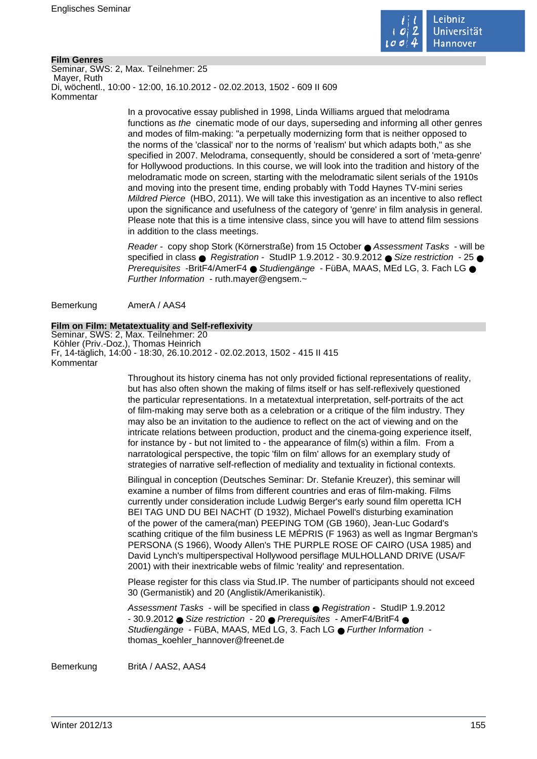

# **Film Genres**

Seminar, SWS: 2, Max. Teilnehmer: 25 Mayer, Ruth Di, wöchentl., 10:00 - 12:00, 16.10.2012 - 02.02.2013, 1502 - 609 II 609 Kommentar

> In a provocative essay published in 1998, Linda Williams argued that melodrama functions as the cinematic mode of our days, superseding and informing all other genres and modes of film-making: "a perpetually modernizing form that is neither opposed to the norms of the 'classical' nor to the norms of 'realism' but which adapts both," as she specified in 2007. Melodrama, consequently, should be considered a sort of 'meta-genre' for Hollywood productions. In this course, we will look into the tradition and history of the melodramatic mode on screen, starting with the melodramatic silent serials of the 1910s and moving into the present time, ending probably with Todd Haynes TV-mini series Mildred Pierce (HBO, 2011). We will take this investigation as an incentive to also reflect upon the significance and usefulness of the category of 'genre' in film analysis in general. Please note that this is a time intensive class, since you will have to attend film sessions in addition to the class meetings.

> Reader - copy shop Stork (Körnerstraße) from 15 October ● Assessment Tasks - will be specified in class  $\bullet$  Registration - StudIP 1.9.2012 - 30.9.2012  $\bullet$  Size restriction - 25  $\bullet$ Prerequisites -BritF4/AmerF4 ● Studiengänge - FüBA, MAAS, MEd LG, 3, Fach LG ● Further Information - ruth.mayer@engsem.~

Bemerkung AmerA / AAS4

## **Film on Film: Metatextuality and Self-reflexivity**

Seminar, SWS: 2, Max. Teilnehmer: 20 Köhler (Priv.-Doz.), Thomas Heinrich Fr, 14-täglich, 14:00 - 18:30, 26.10.2012 - 02.02.2013, 1502 - 415 II 415 Kommentar

> Throughout its history cinema has not only provided fictional representations of reality, but has also often shown the making of films itself or has self-reflexively questioned the particular representations. In a metatextual interpretation, self-portraits of the act of film-making may serve both as a celebration or a critique of the film industry. They may also be an invitation to the audience to reflect on the act of viewing and on the intricate relations between production, product and the cinema-going experience itself, for instance by - but not limited to - the appearance of film(s) within a film. From a narratological perspective, the topic 'film on film' allows for an exemplary study of strategies of narrative self-reflection of mediality and textuality in fictional contexts.

Bilingual in conception (Deutsches Seminar: Dr. Stefanie Kreuzer), this seminar will examine a number of films from different countries and eras of film-making. Films currently under consideration include Ludwig Berger's early sound film operetta ICH BEI TAG UND DU BEI NACHT (D 1932), Michael Powell's disturbing examination of the power of the camera(man) PEEPING TOM (GB 1960), Jean-Luc Godard's scathing critique of the film business LE MÉPRIS (F 1963) as well as Ingmar Bergman's PERSONA (S 1966), Woody Allen's THE PURPLE ROSE OF CAIRO (USA 1985) and David Lynch's multiperspectival Hollywood persiflage MULHOLLAND DRIVE (USA/F 2001) with their inextricable webs of filmic 'reality' and representation.

Please register for this class via Stud.IP. The number of participants should not exceed 30 (Germanistik) and 20 (Anglistik/Amerikanistik).

Assessment Tasks - will be specified in class ● Registration - StudIP 1.9.2012 - 30.9.2012 ● Size restriction - 20 ● Prerequisites - AmerF4/BritF4 ● Studiengänge - FüBA, MAAS, MEd LG, 3, Fach LG ● Further Information thomas\_koehler\_hannover@freenet.de

Bemerkung BritA / AAS2, AAS4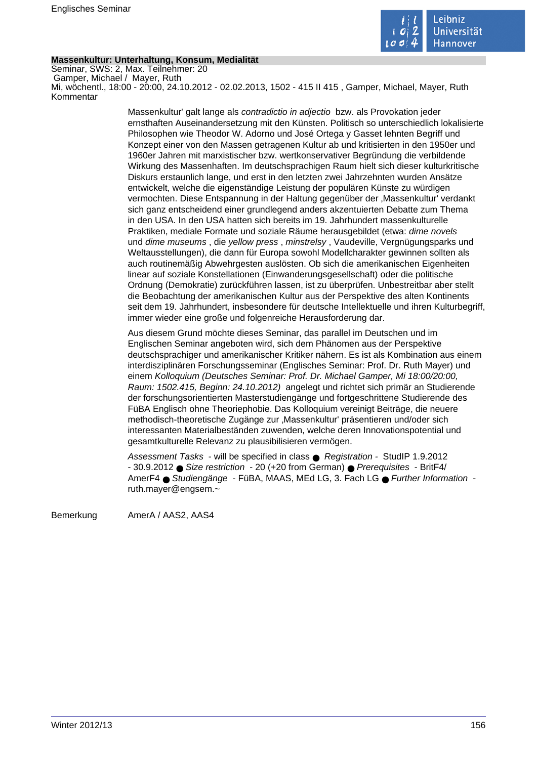

# **Massenkultur: Unterhaltung, Konsum, Medialität**

Seminar, SWS: 2, Max. Teilnehmer: 20 Gamper, Michael / Mayer, Ruth Mi, wöchentl., 18:00 - 20:00, 24.10.2012 - 02.02.2013, 1502 - 415 II 415 , Gamper, Michael, Mayer, Ruth Kommentar

> Massenkultur' galt lange als contradictio in adjectio bzw. als Provokation jeder ernsthaften Auseinandersetzung mit den Künsten. Politisch so unterschiedlich lokalisierte Philosophen wie Theodor W. Adorno und José Ortega y Gasset lehnten Begriff und Konzept einer von den Massen getragenen Kultur ab und kritisierten in den 1950er und 1960er Jahren mit marxistischer bzw. wertkonservativer Begründung die verbildende Wirkung des Massenhaften. Im deutschsprachigen Raum hielt sich dieser kulturkritische Diskurs erstaunlich lange, und erst in den letzten zwei Jahrzehnten wurden Ansätze entwickelt, welche die eigenständige Leistung der populären Künste zu würdigen vermochten. Diese Entspannung in der Haltung gegenüber der "Massenkultur' verdankt sich ganz entscheidend einer grundlegend anders akzentuierten Debatte zum Thema in den USA. In den USA hatten sich bereits im 19. Jahrhundert massenkulturelle Praktiken, mediale Formate und soziale Räume herausgebildet (etwa: dime novels und dime museums , die yellow press , minstrelsy , Vaudeville, Vergnügungsparks und Weltausstellungen), die dann für Europa sowohl Modellcharakter gewinnen sollten als auch routinemäßig Abwehrgesten auslösten. Ob sich die amerikanischen Eigenheiten linear auf soziale Konstellationen (Einwanderungsgesellschaft) oder die politische Ordnung (Demokratie) zurückführen lassen, ist zu überprüfen. Unbestreitbar aber stellt die Beobachtung der amerikanischen Kultur aus der Perspektive des alten Kontinents seit dem 19. Jahrhundert, insbesondere für deutsche Intellektuelle und ihren Kulturbegriff, immer wieder eine große und folgenreiche Herausforderung dar.

> Aus diesem Grund möchte dieses Seminar, das parallel im Deutschen und im Englischen Seminar angeboten wird, sich dem Phänomen aus der Perspektive deutschsprachiger und amerikanischer Kritiker nähern. Es ist als Kombination aus einem interdisziplinären Forschungsseminar (Englisches Seminar: Prof. Dr. Ruth Mayer) und einem Kolloquium (Deutsches Seminar: Prof. Dr. Michael Gamper, Mi 18:00/20:00, Raum: 1502.415, Beginn: 24.10.2012) angelegt und richtet sich primär an Studierende der forschungsorientierten Masterstudiengänge und fortgeschrittene Studierende des FüBA Englisch ohne Theoriephobie. Das Kolloquium vereinigt Beiträge, die neuere methodisch-theoretische Zugänge zur 'Massenkultur' präsentieren und/oder sich interessanten Materialbeständen zuwenden, welche deren Innovationspotential und gesamtkulturelle Relevanz zu plausibilisieren vermögen.

Assessment Tasks - will be specified in class ● Registration - StudIP 1.9.2012 - 30.9.2012 ● Size restriction - 20 (+20 from German) ● Prerequisites - BritF4/ AmerF4 ● Studiengänge - FüBA, MAAS, MEd LG, 3. Fach LG ● Further Information ruth.mayer@engsem.~

Bemerkung AmerA / AAS2, AAS4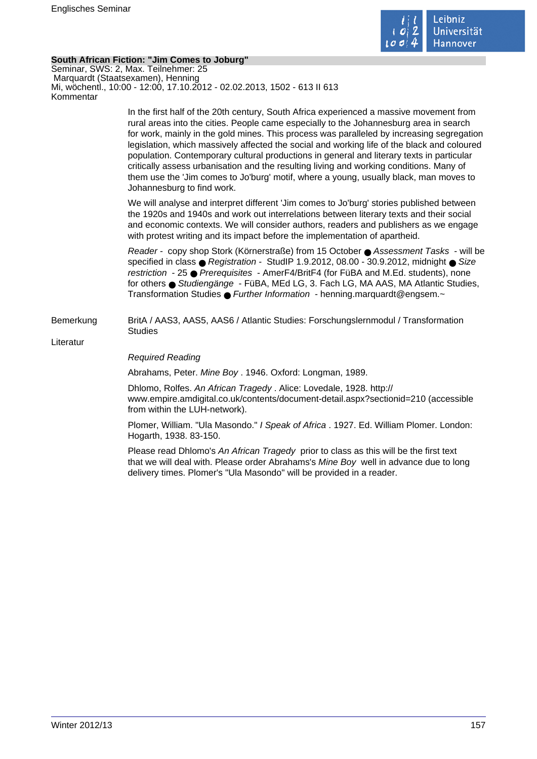

# **South African Fiction: "Jim Comes to Joburg"**

Seminar, SWS: 2, Max. Teilnehmer: 25 Marquardt (Staatsexamen), Henning Mi, wöchentl., 10:00 - 12:00, 17.10.2012 - 02.02.2013, 1502 - 613 II 613 Kommentar

> In the first half of the 20th century, South Africa experienced a massive movement from rural areas into the cities. People came especially to the Johannesburg area in search for work, mainly in the gold mines. This process was paralleled by increasing segregation legislation, which massively affected the social and working life of the black and coloured population. Contemporary cultural productions in general and literary texts in particular critically assess urbanisation and the resulting living and working conditions. Many of them use the 'Jim comes to Jo'burg' motif, where a young, usually black, man moves to Johannesburg to find work.

We will analyse and interpret different 'Jim comes to Jo'burg' stories published between the 1920s and 1940s and work out interrelations between literary texts and their social and economic contexts. We will consider authors, readers and publishers as we engage with protest writing and its impact before the implementation of apartheid.

Reader - copy shop Stork (Körnerstraße) from 15 October ● Assessment Tasks - will be specified in class ● Registration - StudIP 1.9.2012, 08.00 - 30.9.2012, midnight ● Size restriction - 25 ● Prerequisites - AmerF4/BritF4 (for FüBA and M.Ed. students), none for others ● Studiengänge - FüBA, MEd LG, 3. Fach LG, MA AAS, MA Atlantic Studies, Transformation Studies ● Further Information - henning.marquardt@engsem.~

Bemerkung BritA / AAS3, AAS5, AAS6 / Atlantic Studies: Forschungslernmodul / Transformation **Studies** 

Literatur

## Required Reading

Abrahams, Peter. Mine Boy . 1946. Oxford: Longman, 1989.

Dhlomo, Rolfes. An African Tragedy . Alice: Lovedale, 1928. http:// www.empire.amdigital.co.uk/contents/document-detail.aspx?sectionid=210 (accessible from within the LUH-network).

Plomer, William. "Ula Masondo." I Speak of Africa . 1927. Ed. William Plomer. London: Hogarth, 1938. 83-150.

Please read Dhlomo's An African Tragedy prior to class as this will be the first text that we will deal with. Please order Abrahams's Mine Boy well in advance due to long delivery times. Plomer's "Ula Masondo" will be provided in a reader.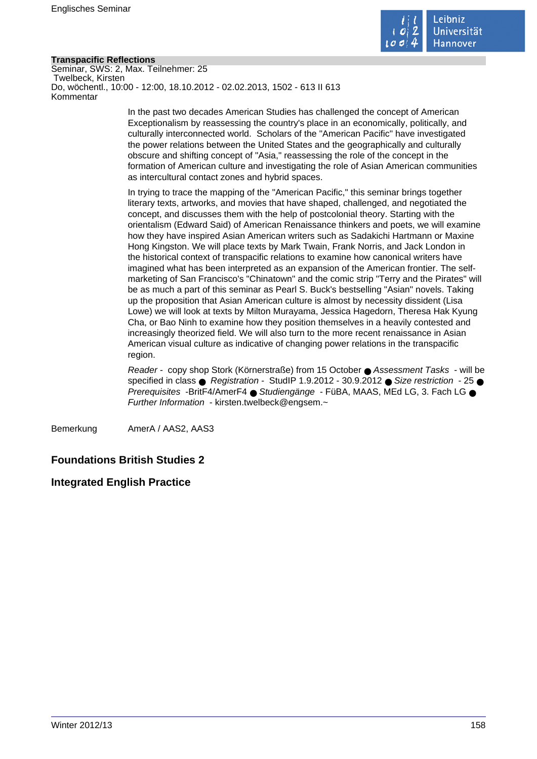

# **Transpacific Reflections**

Seminar, SWS: 2, Max. Teilnehmer: 25 Twelbeck, Kirsten Do, wöchentl., 10:00 - 12:00, 18.10.2012 - 02.02.2013, 1502 - 613 II 613 Kommentar

> In the past two decades American Studies has challenged the concept of American Exceptionalism by reassessing the country's place in an economically, politically, and culturally interconnected world. Scholars of the "American Pacific" have investigated the power relations between the United States and the geographically and culturally obscure and shifting concept of "Asia," reassessing the role of the concept in the formation of American culture and investigating the role of Asian American communities as intercultural contact zones and hybrid spaces.

In trying to trace the mapping of the "American Pacific," this seminar brings together literary texts, artworks, and movies that have shaped, challenged, and negotiated the concept, and discusses them with the help of postcolonial theory. Starting with the orientalism (Edward Said) of American Renaissance thinkers and poets, we will examine how they have inspired Asian American writers such as Sadakichi Hartmann or Maxine Hong Kingston. We will place texts by Mark Twain, Frank Norris, and Jack London in the historical context of transpacific relations to examine how canonical writers have imagined what has been interpreted as an expansion of the American frontier. The selfmarketing of San Francisco's "Chinatown" and the comic strip "Terry and the Pirates" will be as much a part of this seminar as Pearl S. Buck's bestselling "Asian" novels. Taking up the proposition that Asian American culture is almost by necessity dissident (Lisa Lowe) we will look at texts by Milton Murayama, Jessica Hagedorn, Theresa Hak Kyung Cha, or Bao Ninh to examine how they position themselves in a heavily contested and increasingly theorized field. We will also turn to the more recent renaissance in Asian American visual culture as indicative of changing power relations in the transpacific region.

Reader - copy shop Stork (Körnerstraße) from 15 October ● Assessment Tasks - will be specified in class  $\bullet$  Registration - StudIP 1.9.2012 - 30.9.2012  $\bullet$  Size restriction - 25  $\bullet$ Prerequisites -BritF4/AmerF4 ● Studiengänge - FüBA, MAAS, MEd LG, 3. Fach LG ● Further Information - kirsten.twelbeck@engsem.~

Bemerkung AmerA / AAS2, AAS3

# **Foundations British Studies 2**

# **Integrated English Practice**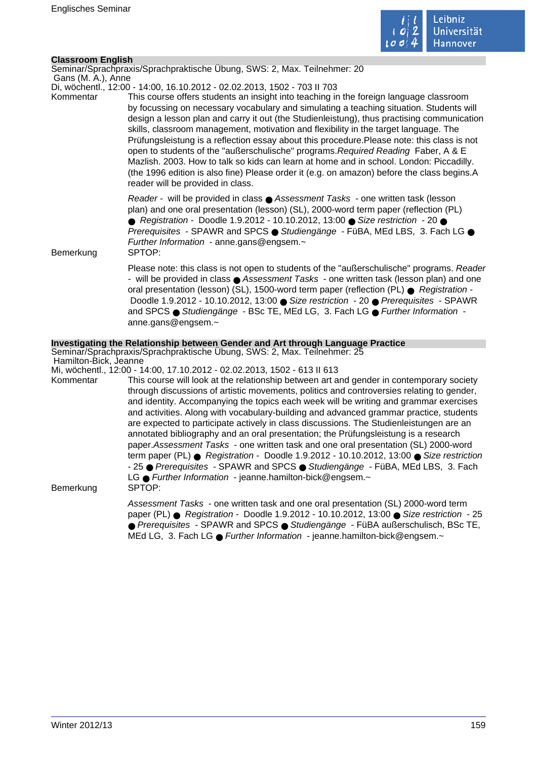

# **Classroom English**

Seminar/Sprachpraxis/Sprachpraktische Übung, SWS: 2, Max. Teilnehmer: 20

 Gans (M. A.), Anne Di, wöchentl., 12:00 - 14:00, 16.10.2012 - 02.02.2013, 1502 - 703 II 703

Kommentar This course offers students an insight into teaching in the foreign language classroom by focussing on necessary vocabulary and simulating a teaching situation. Students will design a lesson plan and carry it out (the Studienleistung), thus practising communication skills, classroom management, motivation and flexibility in the target language. The Prüfungsleistung is a reflection essay about this procedure.Please note: this class is not open to students of the "außerschulische" programs.Required Reading Faber, A & E Mazlish. 2003. How to talk so kids can learn at home and in school. London: Piccadilly. (the 1996 edition is also fine) Please order it (e.g. on amazon) before the class begins.A reader will be provided in class.

> Reader - will be provided in class ● Assessment Tasks - one written task (lesson plan) and one oral presentation (lesson) (SL), 2000-word term paper (reflection (PL) ● Registration - Doodle 1.9.2012 - 10.10.2012, 13:00 ● Size restriction - 20 ● Prerequisites - SPAWR and SPCS ● Studiengänge - FüBA, MEd LBS, 3. Fach LG ● Further Information - anne.gans@engsem.~

Bemerkung SPTOP:

Please note: this class is not open to students of the "außerschulische" programs. Reader - will be provided in class ● Assessment Tasks - one written task (lesson plan) and one oral presentation (lesson) (SL), 1500-word term paper (reflection (PL) ● Registration - Doodle 1.9.2012 - 10.10.2012, 13:00 ● Size restriction - 20 ● Prerequisites - SPAWR and SPCS ● Studiengänge - BSc TE, MEd LG, 3, Fach LG ● Further Information anne.gans@engsem.~

# **Investigating the Relationship between Gender and Art through Language Practice**

Seminar/Sprachpraxis/Sprachpraktische Übung, SWS: 2, Max. Teilnehmer: 25 Hamilton-Bick, Jeanne

Mi, wöchentl., 12:00 - 14:00, 17.10.2012 - 02.02.2013, 1502 - 613 II 613

Kommentar This course will look at the relationship between art and gender in contemporary society through discussions of artistic movements, politics and controversies relating to gender, and identity. Accompanying the topics each week will be writing and grammar exercises and activities. Along with vocabulary-building and advanced grammar practice, students are expected to participate actively in class discussions. The Studienleistungen are an annotated bibliography and an oral presentation; the Prüfungsleistung is a research paper.Assessment Tasks - one written task and one oral presentation (SL) 2000-word term paper (PL) ● Registration - Doodle 1.9.2012 - 10.10.2012, 13:00 ● Size restriction - 25 ● Prerequisites - SPAWR and SPCS ● Studiengänge - FüBA, MEd LBS, 3. Fach LG ● Further Information - jeanne.hamilton-bick@engsem.~ Bemerkung SPTOP:

> Assessment Tasks - one written task and one oral presentation (SL) 2000-word term paper (PL) ● Registration - Doodle 1.9.2012 - 10.10.2012, 13:00 ● Size restriction - 25 ● Prerequisites - SPAWR and SPCS ● Studiengänge - FüBA außerschulisch, BSc TE, MEd LG, 3. Fach LG ● Further Information - jeanne.hamilton-bick@engsem.~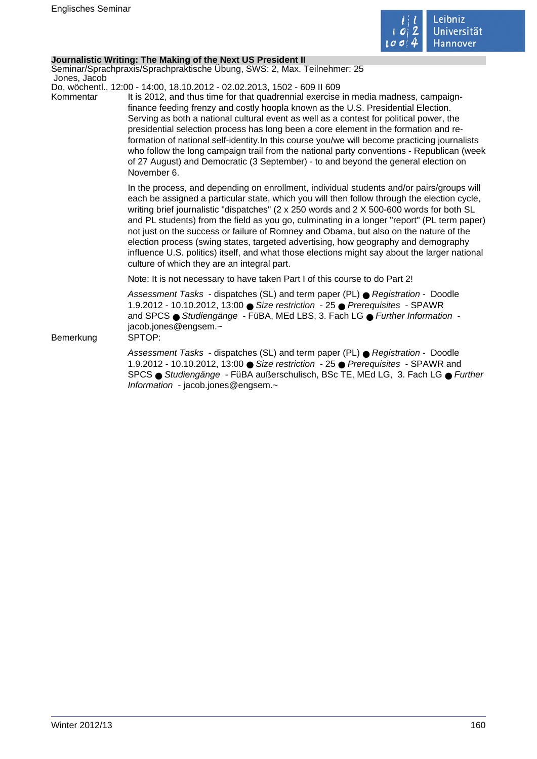

# **Journalistic Writing: The Making of the Next US President II**

Seminar/Sprachpraxis/Sprachpraktische Übung, SWS: 2, Max. Teilnehmer: 25 Jones, Jacob

Do, wöchentl., 12:00 - 14:00, 18.10.2012 - 02.02.2013, 1502 - 609 II 609

Kommentar It is 2012, and thus time for that quadrennial exercise in media madness, campaignfinance feeding frenzy and costly hoopla known as the U.S. Presidential Election. Serving as both a national cultural event as well as a contest for political power, the presidential selection process has long been a core element in the formation and reformation of national self-identity.In this course you/we will become practicing journalists who follow the long campaign trail from the national party conventions - Republican (week of 27 August) and Democratic (3 September) - to and beyond the general election on November 6.

> In the process, and depending on enrollment, individual students and/or pairs/groups will each be assigned a particular state, which you will then follow through the election cycle, writing brief journalistic "dispatches" (2 x 250 words and 2 X 500-600 words for both SL and PL students) from the field as you go, culminating in a longer "report" (PL term paper) not just on the success or failure of Romney and Obama, but also on the nature of the election process (swing states, targeted advertising, how geography and demography influence U.S. politics) itself, and what those elections might say about the larger national culture of which they are an integral part.

Note: It is not necessary to have taken Part I of this course to do Part 2!

Assessment Tasks - dispatches (SL) and term paper (PL) ● Registration - Doodle 1.9.2012 - 10.10.2012, 13:00 ● Size restriction - 25 ● Prerequisites - SPAWR and SPCS ● Studiengänge - FüBA, MEd LBS, 3. Fach LG ● Further Information jacob.jones@engsem.~

Bemerkung SPTOP:

Assessment Tasks - dispatches (SL) and term paper (PL) ● Registration - Doodle 1.9.2012 - 10.10.2012, 13:00 ● Size restriction - 25 ● Prerequisites - SPAWR and SPCS ● Studiengänge - FüBA außerschulisch, BSc TE, MEd LG, 3. Fach LG ● Further Information - jacob.jones@engsem.~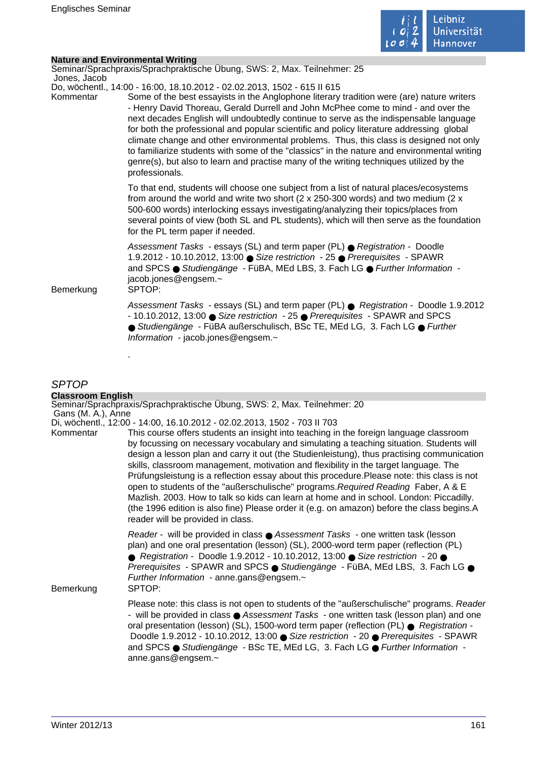

 $\mathcal{L}_{\mathcal{A}}$ 

# **Nature and Environmental Writing**

| Jones, Jacob           | Seminar/Sprachpraxis/Sprachpraktische Übung, SWS: 2, Max. Teilnehmer: 25                                                                                                                                                                                                                                                                                                                                                                                                                                                                                                                                                                                                                                                                              |
|------------------------|-------------------------------------------------------------------------------------------------------------------------------------------------------------------------------------------------------------------------------------------------------------------------------------------------------------------------------------------------------------------------------------------------------------------------------------------------------------------------------------------------------------------------------------------------------------------------------------------------------------------------------------------------------------------------------------------------------------------------------------------------------|
| Kommentar<br>Bemerkung | Do, wöchentl., 14:00 - 16:00, 18.10.2012 - 02.02.2013, 1502 - 615 II 615<br>Some of the best essayists in the Anglophone literary tradition were (are) nature writers<br>- Henry David Thoreau, Gerald Durrell and John McPhee come to mind - and over the<br>next decades English will undoubtedly continue to serve as the indispensable language<br>for both the professional and popular scientific and policy literature addressing global<br>climate change and other environmental problems. Thus, this class is designed not only<br>to familiarize students with some of the "classics" in the nature and environmental writing<br>genre(s), but also to learn and practise many of the writing techniques utilized by the<br>professionals. |
|                        | To that end, students will choose one subject from a list of natural places/ecosystems<br>from around the world and write two short ( $2 \times 250-300$ words) and two medium ( $2 \times$<br>500-600 words) interlocking essays investigating/analyzing their topics/places from<br>several points of view (both SL and PL students), which will then serve as the foundation<br>for the PL term paper if needed.                                                                                                                                                                                                                                                                                                                                   |
|                        | Assessment Tasks - essays (SL) and term paper (PL) ● Registration - Doodle<br>1.9.2012 - 10.10.2012, 13:00 · Size restriction - 25 · Prerequisites - SPAWR<br>and SPCS ● Studiengänge - FüBA, MEd LBS, 3. Fach LG ● Further Information -<br>jacob.jones@engsem.~<br>SPTOP:                                                                                                                                                                                                                                                                                                                                                                                                                                                                           |
|                        | Assessment Tasks - essays (SL) and term paper (PL) $\bullet$ Registration - Doodle 1.9.2012<br>- 10.10.2012, 13:00 ● Size restriction - 25 ● Prerequisites - SPAWR and SPCS<br>● Studiengänge - FüBA außerschulisch, BSc TE, MEd LG, 3. Fach LG ● Further<br>Information - jacob.jones@engsem.~                                                                                                                                                                                                                                                                                                                                                                                                                                                       |
|                        |                                                                                                                                                                                                                                                                                                                                                                                                                                                                                                                                                                                                                                                                                                                                                       |

# SPTOP

| <b>Classroom English</b> |                                                                                                                                                                                                                                                                                                                                                                                                                                                                                                                                                                                                                                                                                                                                                                                           |
|--------------------------|-------------------------------------------------------------------------------------------------------------------------------------------------------------------------------------------------------------------------------------------------------------------------------------------------------------------------------------------------------------------------------------------------------------------------------------------------------------------------------------------------------------------------------------------------------------------------------------------------------------------------------------------------------------------------------------------------------------------------------------------------------------------------------------------|
| Gans (M. A.), Anne       | Seminar/Sprachpraxis/Sprachpraktische Übung, SWS: 2, Max. Teilnehmer: 20                                                                                                                                                                                                                                                                                                                                                                                                                                                                                                                                                                                                                                                                                                                  |
|                          | Di, wöchentl., 12:00 - 14:00, 16.10.2012 - 02.02.2013, 1502 - 703 II 703                                                                                                                                                                                                                                                                                                                                                                                                                                                                                                                                                                                                                                                                                                                  |
| Kommentar                | This course offers students an insight into teaching in the foreign language classroom<br>by focussing on necessary vocabulary and simulating a teaching situation. Students will<br>design a lesson plan and carry it out (the Studienleistung), thus practising communication<br>skills, classroom management, motivation and flexibility in the target language. The<br>Prüfungsleistung is a reflection essay about this procedure. Please note: this class is not<br>open to students of the "außerschulische" programs. Required Reading Faber, A & E<br>Mazlish. 2003. How to talk so kids can learn at home and in school. London: Piccadilly.<br>(the 1996 edition is also fine) Please order it (e.g. on amazon) before the class begins.A<br>reader will be provided in class. |
| Bemerkung                | Reader - will be provided in class ● Assessment Tasks - one written task (lesson<br>plan) and one oral presentation (lesson) (SL), 2000-word term paper (reflection (PL)<br>● Registration - Doodle 1.9.2012 - 10.10.2012, 13:00 ● Size restriction - 20 ●<br>Prerequisites - SPAWR and SPCS · Studiengänge - FüBA, MEd LBS, 3. Fach LG ·<br>Further Information - anne.gans@engsem.~<br>SPTOP:                                                                                                                                                                                                                                                                                                                                                                                           |
|                          | Please note: this class is not open to students of the "außerschulische" programs. Reader<br>- will be provided in class ● Assessment Tasks - one written task (lesson plan) and one<br>oral presentation (lesson) (SL), 1500-word term paper (reflection (PL) ● Registration -<br>Doodle 1.9.2012 - 10.10.2012, 13:00 ● Size restriction - 20 ● Prerequisites - SPAWR<br>and SPCS ● Studiengänge - BSc TE, MEd LG, 3. Fach LG ● Further Information -<br>anne.gans@engsem.~                                                                                                                                                                                                                                                                                                              |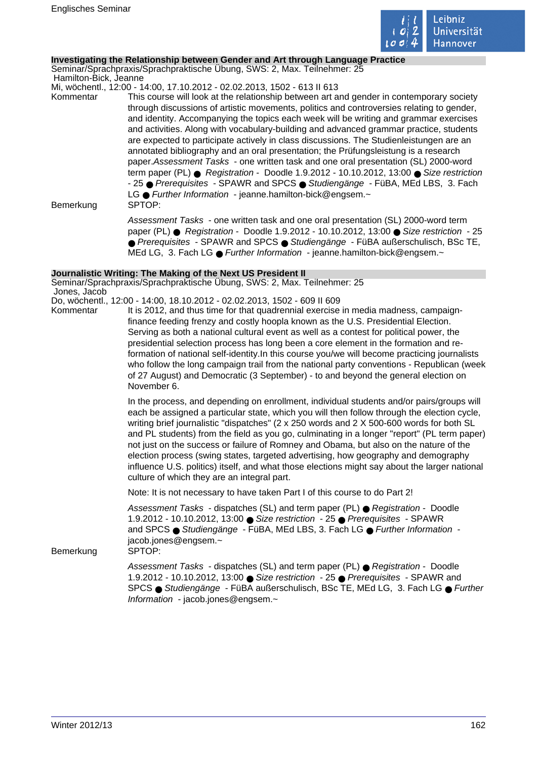

### **Investigating the Relationship between Gender and Art through Language Practice**

Seminar/Sprachpraxis/Sprachpraktische Übung, SWS: 2, Max. Teilnehmer: 25 Hamilton-Bick, Jeanne

Mi, wöchentl., 12:00 - 14:00, 17.10.2012 - 02.02.2013, 1502 - 613 II 613

Kommentar This course will look at the relationship between art and gender in contemporary society through discussions of artistic movements, politics and controversies relating to gender, and identity. Accompanying the topics each week will be writing and grammar exercises and activities. Along with vocabulary-building and advanced grammar practice, students are expected to participate actively in class discussions. The Studienleistungen are an annotated bibliography and an oral presentation; the Prüfungsleistung is a research paper.Assessment Tasks - one written task and one oral presentation (SL) 2000-word term paper (PL) ● Registration - Doodle 1.9.2012 - 10.10.2012, 13:00 ● Size restriction - 25 ● Prerequisites - SPAWR and SPCS ● Studiengänge - FüBA, MEd LBS, 3. Fach LG ● Further Information - jeanne.hamilton-bick@engsem.~ Bemerkung SPTOP:

Assessment Tasks - one written task and one oral presentation (SL) 2000-word term paper (PL) ● Registration - Doodle 1.9.2012 - 10.10.2012, 13:00 ● Size restriction - 25 ● Prerequisites - SPAWR and SPCS ● Studiengänge - FüBA außerschulisch, BSc TE, MEd LG, 3. Fach LG ● Further Information - jeanne.hamilton-bick@engsem.~

## **Journalistic Writing: The Making of the Next US President II**

Seminar/Sprachpraxis/Sprachpraktische Übung, SWS: 2, Max. Teilnehmer: 25 Jones, Jacob

- Do, wöchentl., 12:00 14:00, 18.10.2012 02.02.2013, 1502 609 II 609
- Kommentar It is 2012, and thus time for that quadrennial exercise in media madness, campaignfinance feeding frenzy and costly hoopla known as the U.S. Presidential Election. Serving as both a national cultural event as well as a contest for political power, the presidential selection process has long been a core element in the formation and reformation of national self-identity.In this course you/we will become practicing journalists who follow the long campaign trail from the national party conventions - Republican (week of 27 August) and Democratic (3 September) - to and beyond the general election on November 6.

In the process, and depending on enrollment, individual students and/or pairs/groups will each be assigned a particular state, which you will then follow through the election cycle, writing brief journalistic "dispatches" (2 x 250 words and 2 X 500-600 words for both SL and PL students) from the field as you go, culminating in a longer "report" (PL term paper) not just on the success or failure of Romney and Obama, but also on the nature of the election process (swing states, targeted advertising, how geography and demography influence U.S. politics) itself, and what those elections might say about the larger national culture of which they are an integral part.

Note: It is not necessary to have taken Part I of this course to do Part 2!

Assessment Tasks - dispatches (SL) and term paper (PL) ● Registration - Doodle 1.9.2012 - 10.10.2012, 13:00 ● Size restriction - 25 ● Prerequisites - SPAWR and SPCS ● Studiengänge - FüBA, MEd LBS, 3. Fach LG ● Further Information jacob.jones@engsem.~

Bemerkung SPTOP:

Assessment Tasks - dispatches (SL) and term paper (PL) ● Registration - Doodle 1.9.2012 - 10.10.2012, 13:00 ● Size restriction - 25 ● Prerequisites - SPAWR and SPCS ● Studiengänge - FüBA außerschulisch, BSc TE, MEd LG, 3. Fach LG ● Further Information - jacob.jones@engsem.~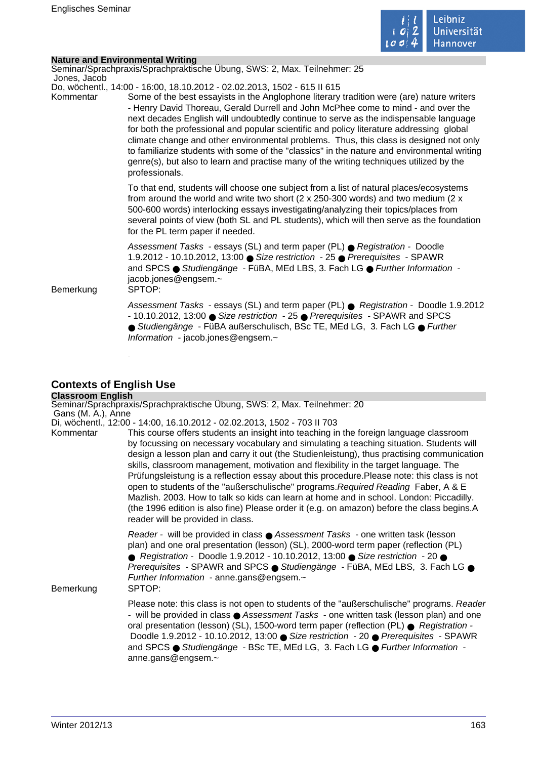

÷,

| Nature and Environmental Writing |  |
|----------------------------------|--|
|                                  |  |

| Jones, Jacob           | Seminar/Sprachpraxis/Sprachpraktische Übung, SWS: 2, Max. Teilnehmer: 25                                                                                                                                                                                                                                                                                                                                                                                                                                                                                                                                                                                                                                                                              |
|------------------------|-------------------------------------------------------------------------------------------------------------------------------------------------------------------------------------------------------------------------------------------------------------------------------------------------------------------------------------------------------------------------------------------------------------------------------------------------------------------------------------------------------------------------------------------------------------------------------------------------------------------------------------------------------------------------------------------------------------------------------------------------------|
| Kommentar<br>Bemerkung | Do, wöchentl., 14:00 - 16:00, 18.10.2012 - 02.02.2013, 1502 - 615 II 615<br>Some of the best essayists in the Anglophone literary tradition were (are) nature writers<br>- Henry David Thoreau, Gerald Durrell and John McPhee come to mind - and over the<br>next decades English will undoubtedly continue to serve as the indispensable language<br>for both the professional and popular scientific and policy literature addressing global<br>climate change and other environmental problems. Thus, this class is designed not only<br>to familiarize students with some of the "classics" in the nature and environmental writing<br>genre(s), but also to learn and practise many of the writing techniques utilized by the<br>professionals. |
|                        | To that end, students will choose one subject from a list of natural places/ecosystems<br>from around the world and write two short ( $2 \times 250-300$ words) and two medium ( $2 \times$<br>500-600 words) interlocking essays investigating/analyzing their topics/places from<br>several points of view (both SL and PL students), which will then serve as the foundation<br>for the PL term paper if needed.                                                                                                                                                                                                                                                                                                                                   |
|                        | Assessment Tasks - essays (SL) and term paper (PL) ● Registration - Doodle<br>1.9.2012 - 10.10.2012, 13:00 ● Size restriction - 25 ● Prerequisites - SPAWR<br>and SPCS · Studiengänge - FüBA, MEd LBS, 3. Fach LG · Further Information -<br>jacob.jones@engsem.~<br>SPTOP:                                                                                                                                                                                                                                                                                                                                                                                                                                                                           |
|                        | Assessment Tasks - essays (SL) and term paper (PL) ● Registration - Doodle 1.9.2012<br>- 10.10.2012, 13:00 ● Size restriction - 25 ● Prerequisites - SPAWR and SPCS<br>● Studiengänge - FüBA außerschulisch, BSc TE, MEd LG, 3. Fach LG ● Further<br>Information - jacob.jones@engsem.~                                                                                                                                                                                                                                                                                                                                                                                                                                                               |
|                        |                                                                                                                                                                                                                                                                                                                                                                                                                                                                                                                                                                                                                                                                                                                                                       |

# **Contexts of English Use**

| <b>Classroom English</b> |                                                                                                                                                                                                                                                                                                                                                                                                                                                                                                                                                                                                                                                                                                                                                                                           |
|--------------------------|-------------------------------------------------------------------------------------------------------------------------------------------------------------------------------------------------------------------------------------------------------------------------------------------------------------------------------------------------------------------------------------------------------------------------------------------------------------------------------------------------------------------------------------------------------------------------------------------------------------------------------------------------------------------------------------------------------------------------------------------------------------------------------------------|
| Gans (M. A.), Anne       | Seminar/Sprachpraxis/Sprachpraktische Übung, SWS: 2, Max. Teilnehmer: 20                                                                                                                                                                                                                                                                                                                                                                                                                                                                                                                                                                                                                                                                                                                  |
|                          | Di, wöchentl., 12:00 - 14:00, 16.10.2012 - 02.02.2013, 1502 - 703 II 703                                                                                                                                                                                                                                                                                                                                                                                                                                                                                                                                                                                                                                                                                                                  |
| Kommentar                | This course offers students an insight into teaching in the foreign language classroom<br>by focussing on necessary vocabulary and simulating a teaching situation. Students will<br>design a lesson plan and carry it out (the Studienleistung), thus practising communication<br>skills, classroom management, motivation and flexibility in the target language. The<br>Prüfungsleistung is a reflection essay about this procedure. Please note: this class is not<br>open to students of the "außerschulische" programs. Required Reading Faber, A & E<br>Mazlish. 2003. How to talk so kids can learn at home and in school. London: Piccadilly.<br>(the 1996 edition is also fine) Please order it (e.g. on amazon) before the class begins.A<br>reader will be provided in class. |
| Bemerkung                | Reader - will be provided in class ● Assessment Tasks - one written task (lesson<br>plan) and one oral presentation (lesson) (SL), 2000-word term paper (reflection (PL)<br>● Registration - Doodle 1.9.2012 - 10.10.2012, 13:00 ● Size restriction - 20 ●<br>Prerequisites - SPAWR and SPCS ● Studiengänge - FüBA, MEd LBS, 3. Fach LG ●<br>Further Information - anne.gans@engsem.~<br>SPTOP:                                                                                                                                                                                                                                                                                                                                                                                           |
|                          | Please note: this class is not open to students of the "außerschulische" programs. Reader<br>- will be provided in class ● Assessment Tasks - one written task (lesson plan) and one<br>oral presentation (lesson) (SL), 1500-word term paper (reflection (PL) ● Registration -<br>Doodle 1.9.2012 - 10.10.2012, 13:00 ● Size restriction - 20 ● Prerequisites - SPAWR<br>and SPCS ● Studiengänge - BSc TE, MEd LG, 3. Fach LG ● Further Information -<br>anne.gans@engsem.~                                                                                                                                                                                                                                                                                                              |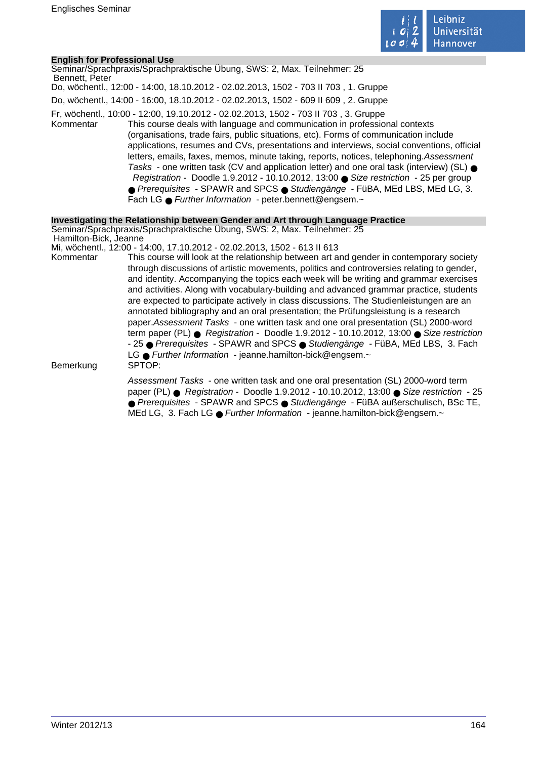

# **English for Professional Use**

| Bennett, Peter        | Seminar/Sprachpraxis/Sprachpraktische Übung, SWS: 2, Max. Teilnehmer: 25                                                                                                                                                                                                                                                                                                                                                                                                                                                                                                                                                                                                                                                                                                              |
|-----------------------|---------------------------------------------------------------------------------------------------------------------------------------------------------------------------------------------------------------------------------------------------------------------------------------------------------------------------------------------------------------------------------------------------------------------------------------------------------------------------------------------------------------------------------------------------------------------------------------------------------------------------------------------------------------------------------------------------------------------------------------------------------------------------------------|
|                       | Do, wöchentl., 12:00 - 14:00, 18.10.2012 - 02.02.2013, 1502 - 703 II 703, 1. Gruppe                                                                                                                                                                                                                                                                                                                                                                                                                                                                                                                                                                                                                                                                                                   |
|                       | Do, wöchentl., 14:00 - 16:00, 18.10.2012 - 02.02.2013, 1502 - 609 II 609, 2. Gruppe                                                                                                                                                                                                                                                                                                                                                                                                                                                                                                                                                                                                                                                                                                   |
| Kommentar             | Fr, wöchentl., 10:00 - 12:00, 19.10.2012 - 02.02.2013, 1502 - 703 II 703, 3. Gruppe<br>This course deals with language and communication in professional contexts<br>(organisations, trade fairs, public situations, etc). Forms of communication include<br>applications, resumes and CVs, presentations and interviews, social conventions, official<br>letters, emails, faxes, memos, minute taking, reports, notices, telephoning. Assessment<br>Tasks - one written task (CV and application letter) and one oral task (interview) (SL) $\bullet$<br>Registration - Doodle 1.9.2012 - 10.10.2012, 13:00 Size restriction - 25 per group<br>● Prerequisites - SPAWR and SPCS ● Studiengänge - FüBA, MEd LBS, MEd LG, 3.<br>Fach LG • Further Information - peter bennett@engsem.~ |
|                       | Investigating the Relationship between Gender and Art through Language Practice                                                                                                                                                                                                                                                                                                                                                                                                                                                                                                                                                                                                                                                                                                       |
| Hamilton-Bick, Jeanne | Seminar/Sprachpraxis/Sprachpraktische Ubung, SWS: 2, Max. Teilnehmer: 25<br>Mi, wöchentl., 12:00 - 14:00, 17.10.2012 - 02.02.2013, 1502 - 613 II 613                                                                                                                                                                                                                                                                                                                                                                                                                                                                                                                                                                                                                                  |
| Kommentar             | This course will look at the relationship between art and gender in contemporary society<br>through discussions of artistic movements, politics and controversies relating to gender,<br>and identity. Accompanying the topics each week will be writing and grammar exercises<br>and activities. Along with vocabulary-building and advanced grammar practice, students<br>are expected to participate actively in class discussions. The Studienleistungen are an<br>annotated bibliography and an oral presentation; the Prüfungsleistung is a research                                                                                                                                                                                                                            |

term paper (PL)  $\bullet$  Registration - Doodle 1.9.2012 - 10.10.2012, 13:00  $\bullet$  Size restriction - 25 ● Prerequisites - SPAWR and SPCS ● Studiengänge - FüBA, MEd LBS, 3. Fach LG ● Further Information - jeanne.hamilton-bick@engsem.~<br>SPTOP:

paper.Assessment Tasks - one written task and one oral presentation (SL) 2000-word

Bemerkung

Assessment Tasks - one written task and one oral presentation (SL) 2000-word term paper (PL) ● Registration - Doodle 1.9.2012 - 10.10.2012, 13:00 ● Size restriction - 25 ● Prerequisites - SPAWR and SPCS ● Studiengänge - FüBA außerschulisch, BSc TE, MEd LG, 3. Fach LG ● Further Information - jeanne.hamilton-bick@engsem.~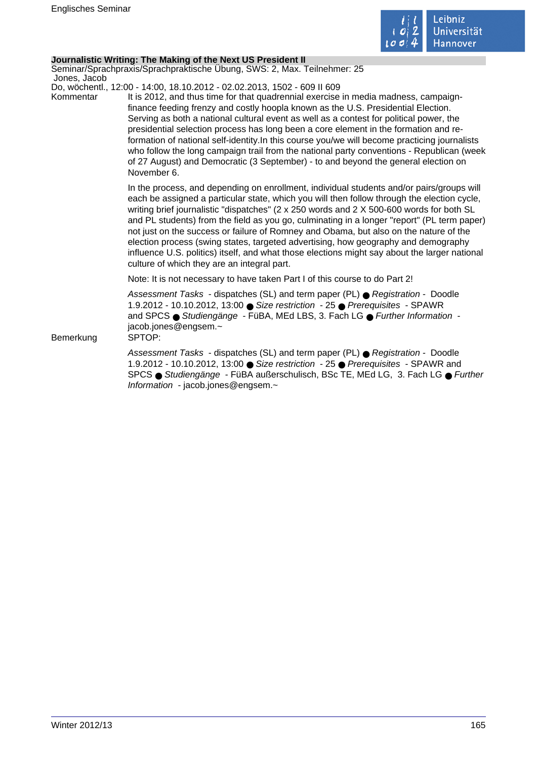

# **Journalistic Writing: The Making of the Next US President II**

Seminar/Sprachpraxis/Sprachpraktische Übung, SWS: 2, Max. Teilnehmer: 25 Jones, Jacob

Do, wöchentl., 12:00 - 14:00, 18.10.2012 - 02.02.2013, 1502 - 609 II 609

Kommentar It is 2012, and thus time for that quadrennial exercise in media madness, campaignfinance feeding frenzy and costly hoopla known as the U.S. Presidential Election. Serving as both a national cultural event as well as a contest for political power, the presidential selection process has long been a core element in the formation and reformation of national self-identity.In this course you/we will become practicing journalists who follow the long campaign trail from the national party conventions - Republican (week of 27 August) and Democratic (3 September) - to and beyond the general election on November 6.

> In the process, and depending on enrollment, individual students and/or pairs/groups will each be assigned a particular state, which you will then follow through the election cycle, writing brief journalistic "dispatches" (2 x 250 words and 2 X 500-600 words for both SL and PL students) from the field as you go, culminating in a longer "report" (PL term paper) not just on the success or failure of Romney and Obama, but also on the nature of the election process (swing states, targeted advertising, how geography and demography influence U.S. politics) itself, and what those elections might say about the larger national culture of which they are an integral part.

Note: It is not necessary to have taken Part I of this course to do Part 2!

Assessment Tasks - dispatches (SL) and term paper (PL) ● Registration - Doodle 1.9.2012 - 10.10.2012, 13:00 ● Size restriction - 25 ● Prerequisites - SPAWR and SPCS ● Studiengänge - FüBA, MEd LBS, 3. Fach LG ● Further Information jacob.jones@engsem.~

Bemerkung SPTOP:

Assessment Tasks - dispatches (SL) and term paper (PL) ● Registration - Doodle 1.9.2012 - 10.10.2012, 13:00 ● Size restriction - 25 ● Prerequisites - SPAWR and SPCS ● Studiengänge - FüBA außerschulisch, BSc TE, MEd LG, 3. Fach LG ● Further Information - jacob.jones@engsem.~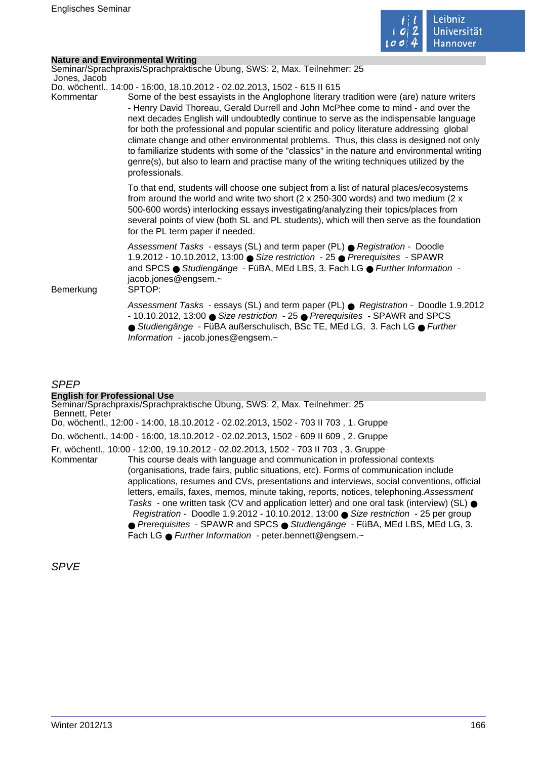

|              | <b>Nature and Environmental Writing</b>                                                                                                                                                                                                                                                                                                                                                                                                                                                                                                                                                                                                                                                                                                               |
|--------------|-------------------------------------------------------------------------------------------------------------------------------------------------------------------------------------------------------------------------------------------------------------------------------------------------------------------------------------------------------------------------------------------------------------------------------------------------------------------------------------------------------------------------------------------------------------------------------------------------------------------------------------------------------------------------------------------------------------------------------------------------------|
|              | Seminar/Sprachpraxis/Sprachpraktische Übung, SWS: 2, Max. Teilnehmer: 25                                                                                                                                                                                                                                                                                                                                                                                                                                                                                                                                                                                                                                                                              |
| Jones, Jacob |                                                                                                                                                                                                                                                                                                                                                                                                                                                                                                                                                                                                                                                                                                                                                       |
| Kommentar    | Do, wöchentl., 14:00 - 16:00, 18.10.2012 - 02.02.2013, 1502 - 615 II 615<br>Some of the best essayists in the Anglophone literary tradition were (are) nature writers<br>- Henry David Thoreau, Gerald Durrell and John McPhee come to mind - and over the<br>next decades English will undoubtedly continue to serve as the indispensable language<br>for both the professional and popular scientific and policy literature addressing global<br>climate change and other environmental problems. Thus, this class is designed not only<br>to familiarize students with some of the "classics" in the nature and environmental writing<br>genre(s), but also to learn and practise many of the writing techniques utilized by the<br>professionals. |
|              | To that end, students will choose one subject from a list of natural places/ecosystems<br>from around the world and write two short ( $2 \times 250-300$ words) and two medium ( $2 \times$<br>500-600 words) interlocking essays investigating/analyzing their topics/places from<br>several points of view (both SL and PL students), which will then serve as the foundation<br>for the PL term paper if needed.                                                                                                                                                                                                                                                                                                                                   |
| Bemerkung    | Assessment Tasks - essays (SL) and term paper (PL) ● Registration - Doodle<br>1.9.2012 - 10.10.2012, 13:00 ● Size restriction - 25 ● Prerequisites - SPAWR<br>and SPCS ● Studiengänge - FüBA, MEd LBS, 3. Fach LG ● Further Information -<br>jacob.jones@engsem.~<br>SPTOP:                                                                                                                                                                                                                                                                                                                                                                                                                                                                           |
|              | Assessment Tasks - essays (SL) and term paper (PL) $\bullet$ Registration - Doodle 1.9.2012<br>- 10.10.2012, 13:00 Size restriction - 25 ● Prerequisites - SPAWR and SPCS<br>● Studiengänge - FüBA außerschulisch, BSc TE, MEd LG, 3. Fach LG ● Further<br>Information - jacob.jones@engsem.~                                                                                                                                                                                                                                                                                                                                                                                                                                                         |
|              |                                                                                                                                                                                                                                                                                                                                                                                                                                                                                                                                                                                                                                                                                                                                                       |

# SPEP

# **English for Professional Use**

Seminar/Sprachpraxis/Sprachpraktische Übung, SWS: 2, Max. Teilnehmer: 25 Bennett, Peter Do, wöchentl., 12:00 - 14:00, 18.10.2012 - 02.02.2013, 1502 - 703 II 703 , 1. Gruppe Do, wöchentl., 14:00 - 16:00, 18.10.2012 - 02.02.2013, 1502 - 609 II 609 , 2. Gruppe Fr, wöchentl., 10:00 - 12:00, 19.10.2012 - 02.02.2013, 1502 - 703 II 703 , 3. Gruppe This course deals with language and communication in professional contexts (organisations, trade fairs, public situations, etc). Forms of communication include applications, resumes and CVs, presentations and interviews, social conventions, official letters, emails, faxes, memos, minute taking, reports, notices, telephoning.Assessment Tasks - one written task (CV and application letter) and one oral task (interview) (SL)  $\bullet$  Registration - Doodle 1.9.2012 - 10.10.2012, 13:00 ● Size restriction - 25 per group ● Prerequisites - SPAWR and SPCS ● Studiengänge - FüBA, MEd LBS, MEd LG, 3. Fach LG ● Further Information - peter.bennett@engsem.~

SPVE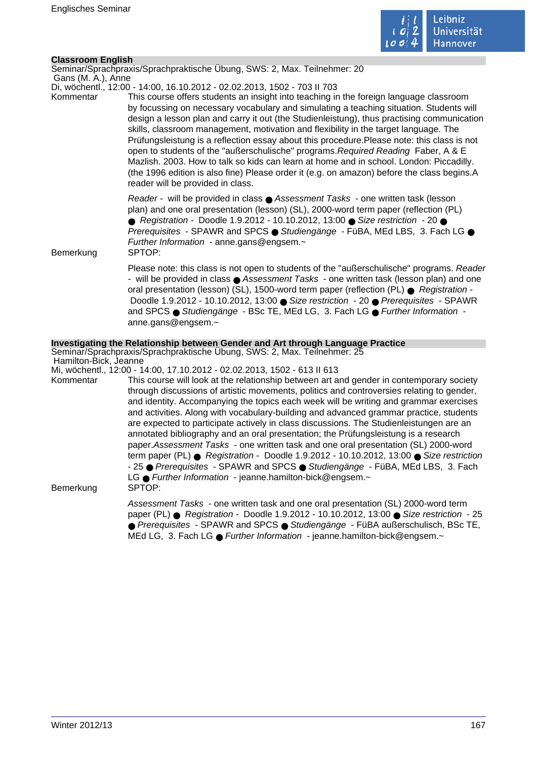

# **Classroom English**

Seminar/Sprachpraxis/Sprachpraktische Übung, SWS: 2, Max. Teilnehmer: 20

 Gans (M. A.), Anne Di, wöchentl., 12:00 - 14:00, 16.10.2012 - 02.02.2013, 1502 - 703 II 703

Kommentar This course offers students an insight into teaching in the foreign language classroom by focussing on necessary vocabulary and simulating a teaching situation. Students will design a lesson plan and carry it out (the Studienleistung), thus practising communication skills, classroom management, motivation and flexibility in the target language. The Prüfungsleistung is a reflection essay about this procedure.Please note: this class is not open to students of the "außerschulische" programs.Required Reading Faber, A & E Mazlish. 2003. How to talk so kids can learn at home and in school. London: Piccadilly. (the 1996 edition is also fine) Please order it (e.g. on amazon) before the class begins.A reader will be provided in class.

> Reader - will be provided in class ● Assessment Tasks - one written task (lesson plan) and one oral presentation (lesson) (SL), 2000-word term paper (reflection (PL) ● Registration - Doodle 1.9.2012 - 10.10.2012, 13:00 ● Size restriction - 20 ● Prerequisites - SPAWR and SPCS ● Studiengänge - FüBA, MEd LBS, 3. Fach LG ● Further Information - anne.gans@engsem.~

Bemerkung SPTOP:

Please note: this class is not open to students of the "außerschulische" programs. Reader - will be provided in class ● Assessment Tasks - one written task (lesson plan) and one oral presentation (lesson) (SL), 1500-word term paper (reflection (PL) ● Registration - Doodle 1.9.2012 - 10.10.2012, 13:00 ● Size restriction - 20 ● Prerequisites - SPAWR and SPCS ● Studiengänge - BSc TE, MEd LG, 3, Fach LG ● Further Information anne.gans@engsem.~

# **Investigating the Relationship between Gender and Art through Language Practice**

Seminar/Sprachpraxis/Sprachpraktische Übung, SWS: 2, Max. Teilnehmer: 25 Hamilton-Bick, Jeanne

Mi, wöchentl., 12:00 - 14:00, 17.10.2012 - 02.02.2013, 1502 - 613 II 613

Kommentar This course will look at the relationship between art and gender in contemporary society through discussions of artistic movements, politics and controversies relating to gender, and identity. Accompanying the topics each week will be writing and grammar exercises and activities. Along with vocabulary-building and advanced grammar practice, students are expected to participate actively in class discussions. The Studienleistungen are an annotated bibliography and an oral presentation; the Prüfungsleistung is a research paper.Assessment Tasks - one written task and one oral presentation (SL) 2000-word term paper (PL) ● Registration - Doodle 1.9.2012 - 10.10.2012, 13:00 ● Size restriction - 25 ● Prerequisites - SPAWR and SPCS ● Studiengänge - FüBA, MEd LBS, 3. Fach LG ● Further Information - jeanne.hamilton-bick@engsem.~ Bemerkung SPTOP:

> Assessment Tasks - one written task and one oral presentation (SL) 2000-word term paper (PL) ● Registration - Doodle 1.9.2012 - 10.10.2012, 13:00 ● Size restriction - 25 ● Prerequisites - SPAWR and SPCS ● Studiengänge - FüBA außerschulisch, BSc TE, MEd LG, 3. Fach LG ● Further Information - jeanne.hamilton-bick@engsem.~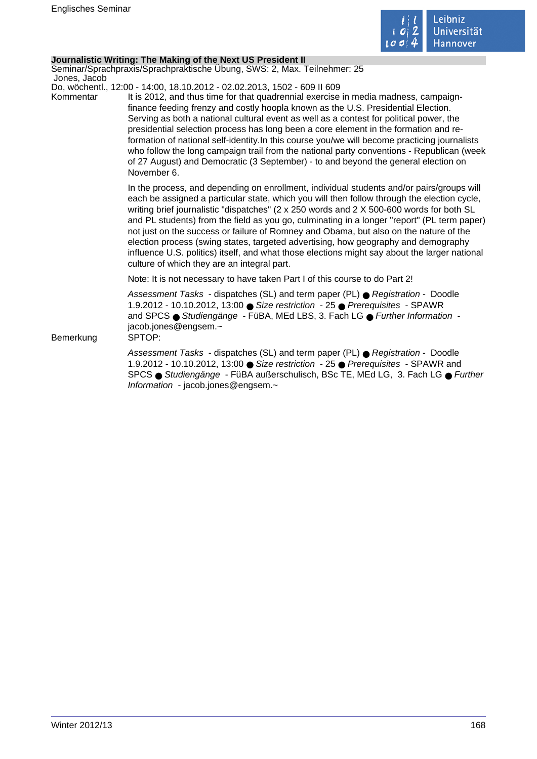

# **Journalistic Writing: The Making of the Next US President II**

Seminar/Sprachpraxis/Sprachpraktische Übung, SWS: 2, Max. Teilnehmer: 25 Jones, Jacob

Do, wöchentl., 12:00 - 14:00, 18.10.2012 - 02.02.2013, 1502 - 609 II 609

Kommentar It is 2012, and thus time for that quadrennial exercise in media madness, campaignfinance feeding frenzy and costly hoopla known as the U.S. Presidential Election. Serving as both a national cultural event as well as a contest for political power, the presidential selection process has long been a core element in the formation and reformation of national self-identity.In this course you/we will become practicing journalists who follow the long campaign trail from the national party conventions - Republican (week of 27 August) and Democratic (3 September) - to and beyond the general election on November 6.

> In the process, and depending on enrollment, individual students and/or pairs/groups will each be assigned a particular state, which you will then follow through the election cycle, writing brief journalistic "dispatches" (2 x 250 words and 2 X 500-600 words for both SL and PL students) from the field as you go, culminating in a longer "report" (PL term paper) not just on the success or failure of Romney and Obama, but also on the nature of the election process (swing states, targeted advertising, how geography and demography influence U.S. politics) itself, and what those elections might say about the larger national culture of which they are an integral part.

Note: It is not necessary to have taken Part I of this course to do Part 2!

Assessment Tasks - dispatches (SL) and term paper (PL) ● Registration - Doodle 1.9.2012 - 10.10.2012, 13:00 ● Size restriction - 25 ● Prerequisites - SPAWR and SPCS ● Studiengänge - FüBA, MEd LBS, 3. Fach LG ● Further Information jacob.jones@engsem.~

Bemerkung SPTOP:

Assessment Tasks - dispatches (SL) and term paper (PL) ● Registration - Doodle 1.9.2012 - 10.10.2012, 13:00 ● Size restriction - 25 ● Prerequisites - SPAWR and SPCS ● Studiengänge - FüBA außerschulisch, BSc TE, MEd LG, 3. Fach LG ● Further Information - jacob.jones@engsem.~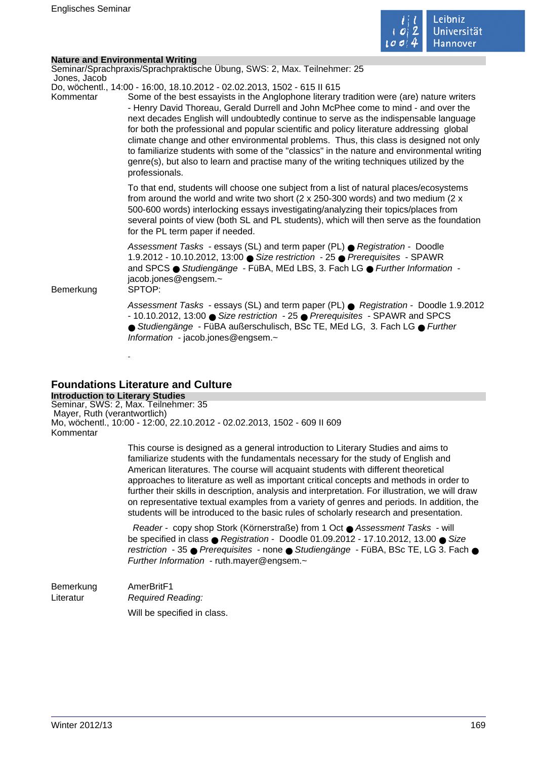

| <b>Nature and Environmental Writing</b> | Seminar/Sprachpraxis/Sprachpraktische Übung, SWS: 2, Max. Teilnehmer: 25                                                                                                                                                                                                                                                                                                                                                                                                                                                                                                                                                                                                                                                                              |
|-----------------------------------------|-------------------------------------------------------------------------------------------------------------------------------------------------------------------------------------------------------------------------------------------------------------------------------------------------------------------------------------------------------------------------------------------------------------------------------------------------------------------------------------------------------------------------------------------------------------------------------------------------------------------------------------------------------------------------------------------------------------------------------------------------------|
| Jones, Jacob<br>Kommentar               | Do, wöchentl., 14:00 - 16:00, 18.10.2012 - 02.02.2013, 1502 - 615 II 615<br>Some of the best essayists in the Anglophone literary tradition were (are) nature writers<br>- Henry David Thoreau, Gerald Durrell and John McPhee come to mind - and over the<br>next decades English will undoubtedly continue to serve as the indispensable language<br>for both the professional and popular scientific and policy literature addressing global<br>climate change and other environmental problems. Thus, this class is designed not only<br>to familiarize students with some of the "classics" in the nature and environmental writing<br>genre(s), but also to learn and practise many of the writing techniques utilized by the<br>professionals. |
|                                         | To that end, students will choose one subject from a list of natural places/ecosystems<br>from around the world and write two short ( $2 \times 250-300$ words) and two medium ( $2 \times$<br>500-600 words) interlocking essays investigating/analyzing their topics/places from<br>several points of view (both SL and PL students), which will then serve as the foundation<br>for the PL term paper if needed.                                                                                                                                                                                                                                                                                                                                   |
| Bemerkung                               | Assessment Tasks - essays (SL) and term paper (PL) ● Registration - Doodle<br>1.9.2012 - 10.10.2012, 13:00 ● Size restriction - 25 ● Prerequisites - SPAWR<br>and SPCS ● Studiengänge - FüBA, MEd LBS, 3. Fach LG ● Further Information -<br>jacob.jones@engsem.~<br>SPTOP:                                                                                                                                                                                                                                                                                                                                                                                                                                                                           |
|                                         | Assessment Tasks - essays (SL) and term paper (PL) ● Registration - Doodle 1.9.2012<br>- 10.10.2012, 13:00 ● Size restriction - 25 ● Prerequisites - SPAWR and SPCS<br>● Studiengänge - FüBA außerschulisch, BSc TE, MEd LG, 3. Fach LG ● Further<br>Information - jacob.jones@engsem.~                                                                                                                                                                                                                                                                                                                                                                                                                                                               |

# **Foundations Literature and Culture**

**Introduction to Literary Studies** Seminar, SWS: 2, Max. Teilnehmer: 35 Mayer, Ruth (verantwortlich) Mo, wöchentl., 10:00 - 12:00, 22.10.2012 - 02.02.2013, 1502 - 609 II 609 Kommentar

> This course is designed as a general introduction to Literary Studies and aims to familiarize students with the fundamentals necessary for the study of English and American literatures. The course will acquaint students with different theoretical approaches to literature as well as important critical concepts and methods in order to further their skills in description, analysis and interpretation. For illustration, we will draw on representative textual examples from a variety of genres and periods. In addition, the students will be introduced to the basic rules of scholarly research and presentation.

> Reader - copy shop Stork (Körnerstraße) from 1 Oct ● Assessment Tasks - will be specified in class  $\bullet$  Registration - Doodle 01.09.2012 - 17.10.2012, 13.00  $\bullet$  Size restriction - 35 ● Prerequisites - none ● Studiengänge - FüBA, BSc TE, LG 3. Fach ● Further Information - ruth.mayer@engsem.~

Bemerkung AmerBritF1 Literatur Required Reading: Will be specified in class.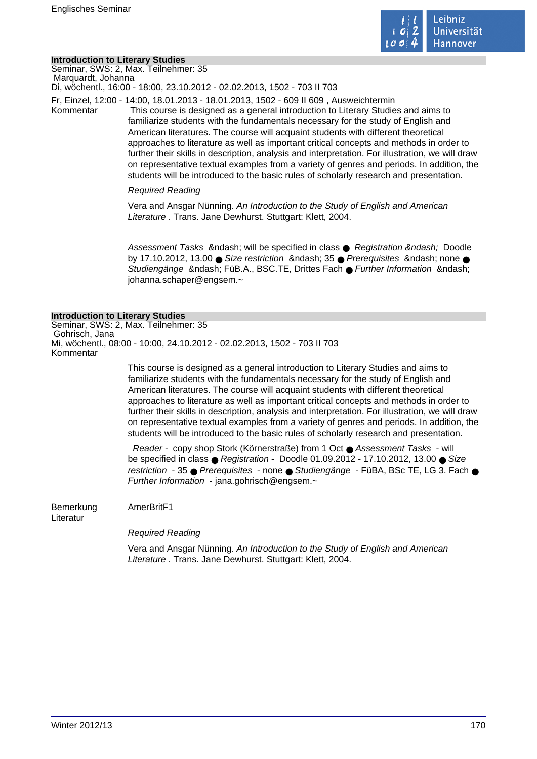

### **Introduction to Literary Studies**

Seminar, SWS: 2, Max. Teilnehmer: 35 Marquardt, Johanna

Di, wöchentl., 16:00 - 18:00, 23.10.2012 - 02.02.2013, 1502 - 703 II 703

Fr, Einzel, 12:00 - 14:00, 18.01.2013 - 18.01.2013, 1502 - 609 II 609 , Ausweichtermin

Kommentar This course is designed as a general introduction to Literary Studies and aims to familiarize students with the fundamentals necessary for the study of English and American literatures. The course will acquaint students with different theoretical approaches to literature as well as important critical concepts and methods in order to further their skills in description, analysis and interpretation. For illustration, we will draw on representative textual examples from a variety of genres and periods. In addition, the students will be introduced to the basic rules of scholarly research and presentation.

### Required Reading

Vera and Ansgar Nünning. An Introduction to the Study of English and American Literature . Trans. Jane Dewhurst. Stuttgart: Klett. 2004.

Assessment Tasks & ndash; will be specified in class  $\bullet$  Registration & ndash; Doodle by 17.10.2012, 13.00  $\bullet$  Size restriction & ndash; 35  $\bullet$  Prerequisites & ndash; none  $\bullet$ Studiengänge – FüB.A., BSC.TE, Drittes Fach ● Further Information – johanna.schaper@engsem.~

#### **Introduction to Literary Studies**

Seminar, SWS: 2, Max. Teilnehmer: 35 Gohrisch, Jana Mi, wöchentl., 08:00 - 10:00, 24.10.2012 - 02.02.2013, 1502 - 703 II 703 Kommentar

> This course is designed as a general introduction to Literary Studies and aims to familiarize students with the fundamentals necessary for the study of English and American literatures. The course will acquaint students with different theoretical approaches to literature as well as important critical concepts and methods in order to further their skills in description, analysis and interpretation. For illustration, we will draw on representative textual examples from a variety of genres and periods. In addition, the students will be introduced to the basic rules of scholarly research and presentation.

> Reader - copy shop Stork (Körnerstraße) from 1 Oct ● Assessment Tasks - will be specified in class  $\bullet$  Registration - Doodle 01.09.2012 - 17.10.2012, 13.00  $\bullet$  Size restriction - 35 ● Prerequisites - none ● Studiengänge - FüBA, BSc TE, LG 3. Fach ● Further Information - jana.gohrisch@engsem.~

Bemerkung AmerBritF1 Literatur

Required Reading

Vera and Ansgar Nünning. An Introduction to the Study of English and American Literature . Trans. Jane Dewhurst. Stuttgart: Klett, 2004.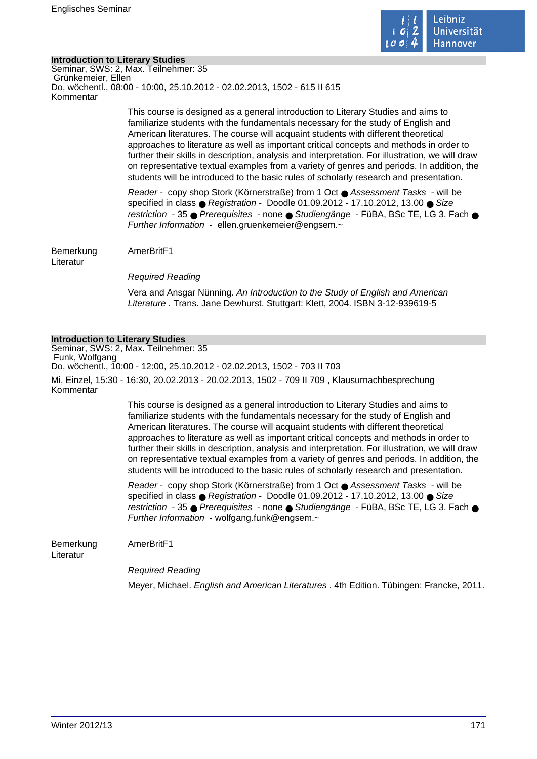

# **Introduction to Literary Studies**

Seminar, SWS: 2, Max. Teilnehmer: 35 Grünkemeier, Ellen Do, wöchentl., 08:00 - 10:00, 25.10.2012 - 02.02.2013, 1502 - 615 II 615 Kommentar

> This course is designed as a general introduction to Literary Studies and aims to familiarize students with the fundamentals necessary for the study of English and American literatures. The course will acquaint students with different theoretical approaches to literature as well as important critical concepts and methods in order to further their skills in description, analysis and interpretation. For illustration, we will draw on representative textual examples from a variety of genres and periods. In addition, the students will be introduced to the basic rules of scholarly research and presentation.

> Reader - copy shop Stork (Körnerstraße) from 1 Oct ● Assessment Tasks - will be specified in class  $\bullet$  Registration - Doodle 01.09.2012 - 17.10.2012, 13.00  $\bullet$  Size restriction - 35 ● Prerequisites - none ● Studiengänge - FüBA, BSc TE, LG 3, Fach ● Further Information - ellen.gruenkemeier@engsem.~

Bemerkung AmerBritF1

Literatur

Required Reading

Vera and Ansgar Nünning. An Introduction to the Study of English and American Literature . Trans. Jane Dewhurst. Stuttgart: Klett, 2004. ISBN 3-12-939619-5

# **Introduction to Literary Studies**

Seminar, SWS: 2, Max. Teilnehmer: 35 Funk, Wolfgang Do, wöchentl., 10:00 - 12:00, 25.10.2012 - 02.02.2013, 1502 - 703 II 703 Mi, Einzel, 15:30 - 16:30, 20.02.2013 - 20.02.2013, 1502 - 709 II 709 , Klausurnachbesprechung Kommentar

> This course is designed as a general introduction to Literary Studies and aims to familiarize students with the fundamentals necessary for the study of English and American literatures. The course will acquaint students with different theoretical approaches to literature as well as important critical concepts and methods in order to further their skills in description, analysis and interpretation. For illustration, we will draw on representative textual examples from a variety of genres and periods. In addition, the students will be introduced to the basic rules of scholarly research and presentation.

> Reader - copy shop Stork (Körnerstraße) from 1 Oct ● Assessment Tasks - will be specified in class ● Registration - Doodle 01.09.2012 - 17.10.2012, 13.00 ● Size restriction - 35 ● Prerequisites - none ● Studiengänge - FüBA, BSc TE, LG 3. Fach ● Further Information - wolfgang.funk@engsem.~

Bemerkung AmerBritF1

Literatur

Required Reading

Meyer, Michael. English and American Literatures . 4th Edition. Tübingen: Francke, 2011.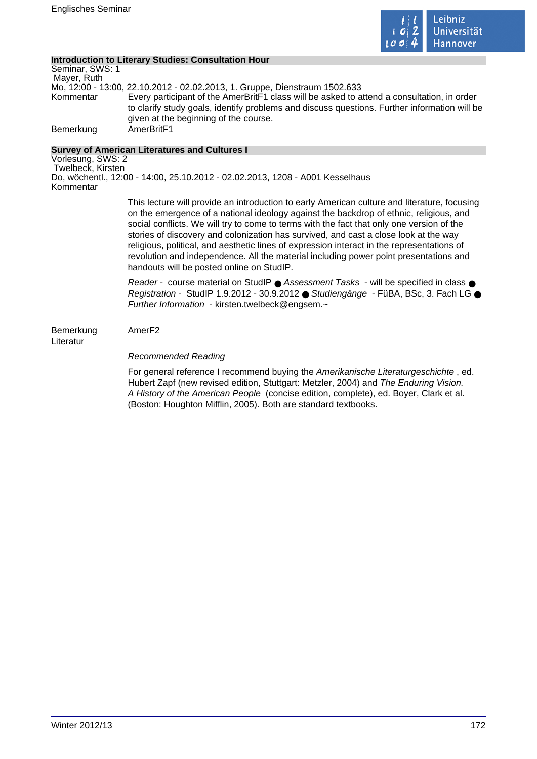

# **Introduction to Literary Studies: Consultation Hour**

Seminar, SWS: 1 Mayer, Ruth Mo, 12:00 - 13:00, 22.10.2012 - 02.02.2013, 1. Gruppe, Dienstraum 1502.633 Kommentar Every participant of the AmerBritF1 class will be asked to attend a consultation, in order to clarify study goals, identify problems and discuss questions. Further information will be given at the beginning of the course. Bemerkung AmerBritF1

# **Survey of American Literatures and Cultures I**

Vorlesung, SWS: 2 Twelbeck, Kirsten Do, wöchentl., 12:00 - 14:00, 25.10.2012 - 02.02.2013, 1208 - A001 Kesselhaus Kommentar

> This lecture will provide an introduction to early American culture and literature, focusing on the emergence of a national ideology against the backdrop of ethnic, religious, and social conflicts. We will try to come to terms with the fact that only one version of the stories of discovery and colonization has survived, and cast a close look at the way religious, political, and aesthetic lines of expression interact in the representations of revolution and independence. All the material including power point presentations and handouts will be posted online on StudIP.

> Reader - course material on StudIP ● Assessment Tasks - will be specified in class ● Registration - StudIP 1.9.2012 - 30.9.2012 ● Studiengänge - FüBA, BSc, 3. Fach LG ● Further Information - kirsten.twelbeck@engsem.~

Bemerkung AmerF2

Literatur

# Recommended Reading

For general reference I recommend buying the Amerikanische Literaturgeschichte , ed. Hubert Zapf (new revised edition, Stuttgart: Metzler, 2004) and The Enduring Vision. A History of the American People (concise edition, complete), ed. Boyer, Clark et al. (Boston: Houghton Mifflin, 2005). Both are standard textbooks.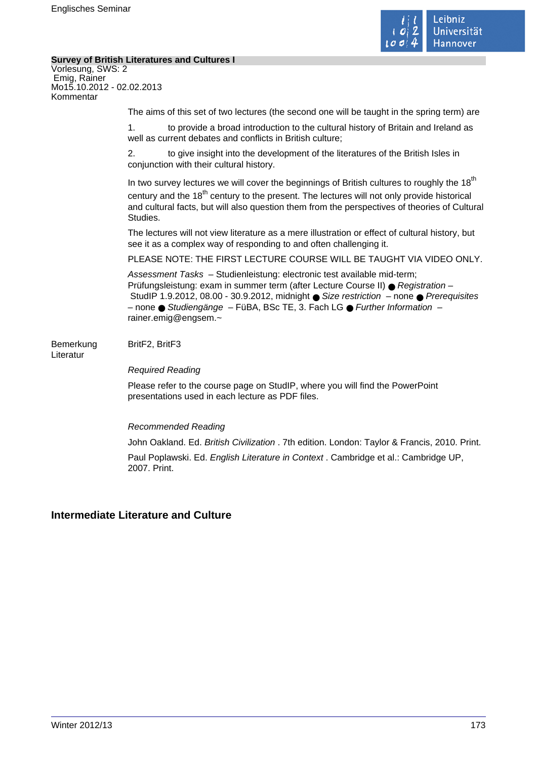

 $\mathcal{L}_{\mathcal{A}}$ 

# **Survey of British Literatures and Cultures I**

| Vorlesung, SWS: 2<br>Emig, Rainer<br>Mo15.10.2012 - 02.02.2013<br>Kommentar |                                                                                                                                                                                                                                                                                                                                                           |
|-----------------------------------------------------------------------------|-----------------------------------------------------------------------------------------------------------------------------------------------------------------------------------------------------------------------------------------------------------------------------------------------------------------------------------------------------------|
|                                                                             | The aims of this set of two lectures (the second one will be taught in the spring term) are                                                                                                                                                                                                                                                               |
|                                                                             | to provide a broad introduction to the cultural history of Britain and Ireland as<br>1 <sub>1</sub><br>well as current debates and conflicts in British culture;                                                                                                                                                                                          |
|                                                                             | 2.<br>to give insight into the development of the literatures of the British Isles in<br>conjunction with their cultural history.                                                                                                                                                                                                                         |
|                                                                             | In two survey lectures we will cover the beginnings of British cultures to roughly the 18 <sup>th</sup><br>century and the 18 <sup>th</sup> century to the present. The lectures will not only provide historical<br>and cultural facts, but will also question them from the perspectives of theories of Cultural<br>Studies.                            |
|                                                                             | The lectures will not view literature as a mere illustration or effect of cultural history, but<br>see it as a complex way of responding to and often challenging it.                                                                                                                                                                                     |
|                                                                             | PLEASE NOTE: THE FIRST LECTURE COURSE WILL BE TAUGHT VIA VIDEO ONLY.                                                                                                                                                                                                                                                                                      |
|                                                                             | Assessment Tasks - Studienleistung: electronic test available mid-term;<br>Prüfungsleistung: exam in summer term (after Lecture Course II) ● Registration -<br>StudIP 1.9.2012, 08.00 - 30.9.2012, midnight ● Size restriction - none ● Prerequisites<br>- none · Studiengänge - FüBA, BSc TE, 3. Fach LG · Further Information -<br>rainer.emig@engsem.~ |
| Bemerkung<br>Literatur                                                      | BritF2, BritF3                                                                                                                                                                                                                                                                                                                                            |
|                                                                             | <b>Required Reading</b>                                                                                                                                                                                                                                                                                                                                   |
|                                                                             | Please refer to the course page on StudIP, where you will find the PowerPoint<br>presentations used in each lecture as PDF files.                                                                                                                                                                                                                         |
|                                                                             | <b>Recommended Reading</b>                                                                                                                                                                                                                                                                                                                                |
|                                                                             | John Oakland. Ed. British Civilization . 7th edition. London: Taylor & Francis, 2010. Print.                                                                                                                                                                                                                                                              |
|                                                                             | Paul Poplawski. Ed. English Literature in Context . Cambridge et al.: Cambridge UP,                                                                                                                                                                                                                                                                       |

# **Intermediate Literature and Culture**

2007. Print.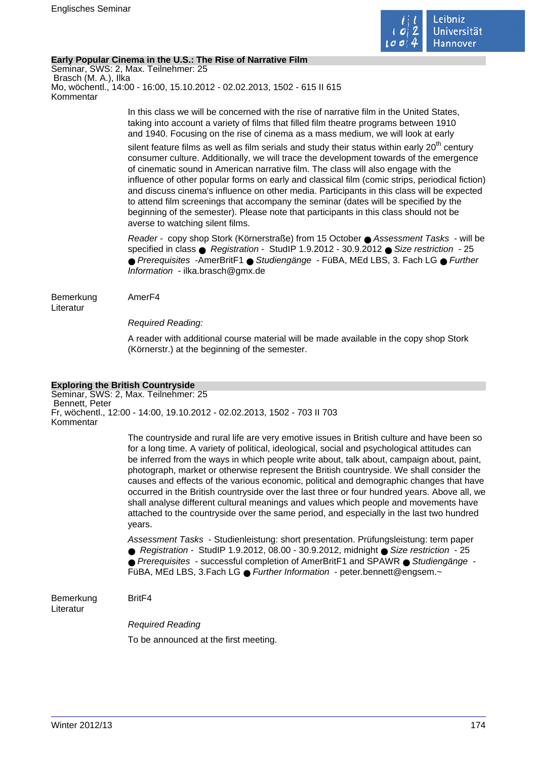

# **Early Popular Cinema in the U.S.: The Rise of Narrative Film**

Seminar, SWS: 2, Max. Teilnehmer: 25 Brasch (M. A.), Ilka Mo, wöchentl., 14:00 - 16:00, 15.10.2012 - 02.02.2013, 1502 - 615 II 615 Kommentar

> In this class we will be concerned with the rise of narrative film in the United States, taking into account a variety of films that filled film theatre programs between 1910 and 1940. Focusing on the rise of cinema as a mass medium, we will look at early

silent feature films as well as film serials and study their status within early  $20<sup>th</sup>$  century consumer culture. Additionally, we will trace the development towards of the emergence of cinematic sound in American narrative film. The class will also engage with the influence of other popular forms on early and classical film (comic strips, periodical fiction) and discuss cinema's influence on other media. Participants in this class will be expected to attend film screenings that accompany the seminar (dates will be specified by the beginning of the semester). Please note that participants in this class should not be averse to watching silent films.

Reader - copy shop Stork (Körnerstraße) from 15 October ● Assessment Tasks - will be specified in class ● Registration - StudIP 1.9.2012 - 30.9.2012 ● Size restriction - 25 ● Prerequisites -AmerBritF1 ● Studiengänge - FüBA, MEd LBS, 3. Fach LG ● Further Information - ilka.brasch@gmx.de

Bemerkung AmerF4 Literatur

Required Reading:

A reader with additional course material will be made available in the copy shop Stork (Körnerstr.) at the beginning of the semester.

# **Exploring the British Countryside**

Seminar, SWS: 2, Max. Teilnehmer: 25 Bennett, Peter Fr, wöchentl., 12:00 - 14:00, 19.10.2012 - 02.02.2013, 1502 - 703 II 703 Kommentar

> The countryside and rural life are very emotive issues in British culture and have been so for a long time. A variety of political, ideological, social and psychological attitudes can be inferred from the ways in which people write about, talk about, campaign about, paint, photograph, market or otherwise represent the British countryside. We shall consider the causes and effects of the various economic, political and demographic changes that have occurred in the British countryside over the last three or four hundred years. Above all, we shall analyse different cultural meanings and values which people and movements have attached to the countryside over the same period, and especially in the last two hundred years.

Assessment Tasks - Studienleistung: short presentation. Prüfungsleistung: term paper ● Registration - StudIP 1.9.2012, 08.00 - 30.9.2012, midnight ● Size restriction - 25 ● Prerequisites - successful completion of AmerBritF1 and SPAWR ● Studiengänge -

FüBA, MEd LBS, 3.Fach LG ● Further Information - peter.bennett@engsem.~

Bemerkung BritF4 Literatur

Required Reading

To be announced at the first meeting.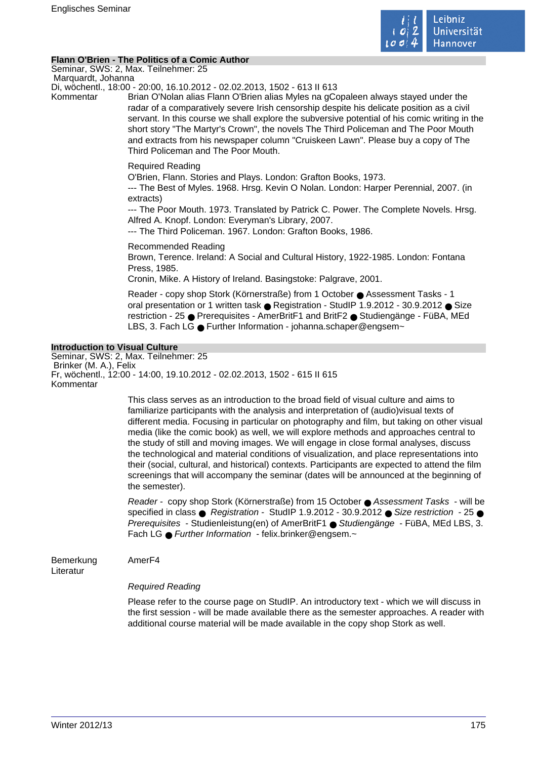

# **Flann O'Brien - The Politics of a Comic Author**

Seminar, SWS: 2, Max. Teilnehmer: 25 Marquardt, Johanna

Di, wöchentl., 18:00 - 20:00, 16.10.2012 - 02.02.2013, 1502 - 613 II 613

Kommentar Brian O'Nolan alias Flann O'Brien alias Myles na gCopaleen always stayed under the radar of a comparatively severe Irish censorship despite his delicate position as a civil servant. In this course we shall explore the subversive potential of his comic writing in the short story "The Martyr's Crown", the novels The Third Policeman and The Poor Mouth and extracts from his newspaper column "Cruiskeen Lawn". Please buy a copy of The Third Policeman and The Poor Mouth.

# Required Reading

O'Brien, Flann. Stories and Plays. London: Grafton Books, 1973.

--- The Best of Myles. 1968. Hrsg. Kevin O Nolan. London: Harper Perennial, 2007. (in extracts)

--- The Poor Mouth. 1973. Translated by Patrick C. Power. The Complete Novels. Hrsg. Alfred A. Knopf. London: Everyman's Library, 2007.

--- The Third Policeman. 1967. London: Grafton Books, 1986.

Recommended Reading Brown, Terence. Ireland: A Social and Cultural History, 1922-1985. London: Fontana Press, 1985.

Cronin, Mike. A History of Ireland. Basingstoke: Palgrave, 2001.

Reader - copy shop Stork (Körnerstraße) from 1 October ● Assessment Tasks - 1 oral presentation or 1 written task ● Registration - StudIP 1.9.2012 - 30.9.2012 ● Size restriction - 25 ● Prerequisites - AmerBritF1 and BritF2 ● Studiengänge - FüBA, MEd LBS, 3. Fach LG ● Further Information - johanna.schaper@engsem~

# **Introduction to Visual Culture**

Seminar, SWS: 2, Max. Teilnehmer: 25 Brinker (M. A.), Felix Fr, wöchentl., 12:00 - 14:00, 19.10.2012 - 02.02.2013, 1502 - 615 II 615 Kommentar

> This class serves as an introduction to the broad field of visual culture and aims to familiarize participants with the analysis and interpretation of (audio)visual texts of different media. Focusing in particular on photography and film, but taking on other visual media (like the comic book) as well, we will explore methods and approaches central to the study of still and moving images. We will engage in close formal analyses, discuss the technological and material conditions of visualization, and place representations into their (social, cultural, and historical) contexts. Participants are expected to attend the film screenings that will accompany the seminar (dates will be announced at the beginning of the semester).

> Reader - copy shop Stork (Körnerstraße) from 15 October ● Assessment Tasks - will be specified in class ● Registration - StudIP 1.9.2012 - 30.9.2012 ● Size restriction - 25 ● Prerequisites - Studienleistung(en) of AmerBritF1 ● Studiengänge - FüBA, MEd LBS, 3. Fach LG ● Further Information - felix.brinker@engsem.~

Bemerkung AmerF4

Literatur

# Required Reading

Please refer to the course page on StudIP. An introductory text - which we will discuss in the first session - will be made available there as the semester approaches. A reader with additional course material will be made available in the copy shop Stork as well.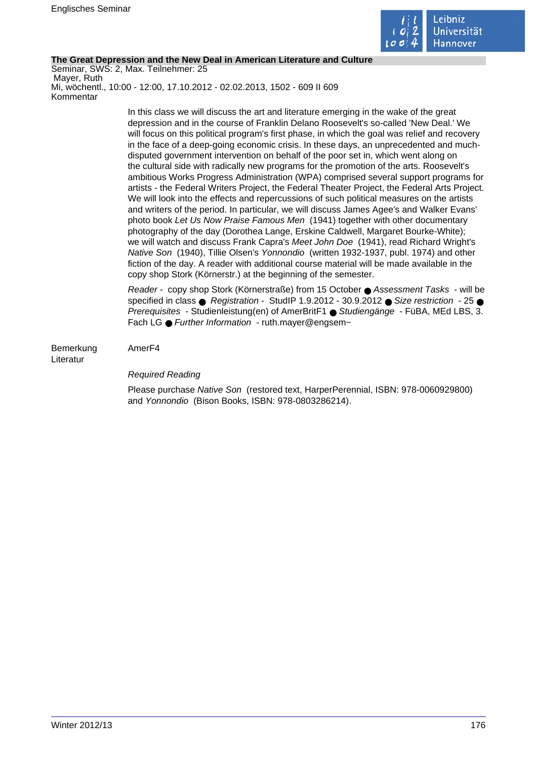

# **The Great Depression and the New Deal in American Literature and Culture**

Seminar, SWS: 2, Max. Teilnehmer: 25 Mayer, Ruth Mi, wöchentl., 10:00 - 12:00, 17.10.2012 - 02.02.2013, 1502 - 609 II 609 Kommentar

> In this class we will discuss the art and literature emerging in the wake of the great depression and in the course of Franklin Delano Roosevelt's so-called 'New Deal.' We will focus on this political program's first phase, in which the goal was relief and recovery in the face of a deep-going economic crisis. In these days, an unprecedented and muchdisputed government intervention on behalf of the poor set in, which went along on the cultural side with radically new programs for the promotion of the arts. Roosevelt's ambitious Works Progress Administration (WPA) comprised several support programs for artists - the Federal Writers Project, the Federal Theater Project, the Federal Arts Project. We will look into the effects and repercussions of such political measures on the artists and writers of the period. In particular, we will discuss James Agee's and Walker Evans' photo book Let Us Now Praise Famous Men (1941) together with other documentary photography of the day (Dorothea Lange, Erskine Caldwell, Margaret Bourke-White); we will watch and discuss Frank Capra's Meet John Doe (1941), read Richard Wright's Native Son (1940), Tillie Olsen's Yonnondio (written 1932-1937, publ. 1974) and other fiction of the day. A reader with additional course material will be made available in the copy shop Stork (Körnerstr.) at the beginning of the semester.

> Reader - copy shop Stork (Körnerstraße) from 15 October ● Assessment Tasks - will be specified in class  $\bullet$  Registration - StudIP 1.9.2012 - 30.9.2012  $\bullet$  Size restriction - 25  $\bullet$ Prerequisites - Studienleistung(en) of AmerBritF1 ● Studiengänge - FüBA, MEd LBS, 3. Fach LG ● Further Information - ruth.maver@engsem~

Bemerkung AmerF4 Literatur

# Required Reading

Please purchase Native Son (restored text, HarperPerennial, ISBN: 978-0060929800) and Yonnondio (Bison Books, ISBN: 978-0803286214).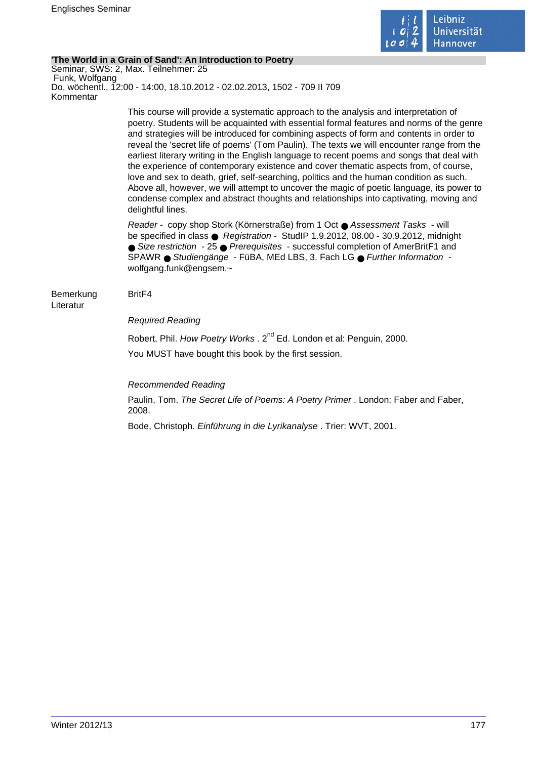

# **'The World in a Grain of Sand': An Introduction to Poetry**

Seminar, SWS: 2, Max. Teilnehmer: 25 Funk, Wolfgang Do, wöchentl., 12:00 - 14:00, 18.10.2012 - 02.02.2013, 1502 - 709 II 709 Kommentar

> This course will provide a systematic approach to the analysis and interpretation of poetry. Students will be acquainted with essential formal features and norms of the genre and strategies will be introduced for combining aspects of form and contents in order to reveal the 'secret life of poems' (Tom Paulin). The texts we will encounter range from the earliest literary writing in the English language to recent poems and songs that deal with the experience of contemporary existence and cover thematic aspects from, of course, love and sex to death, grief, self-searching, politics and the human condition as such. Above all, however, we will attempt to uncover the magic of poetic language, its power to condense complex and abstract thoughts and relationships into captivating, moving and delightful lines.

Reader - copy shop Stork (Körnerstraße) from 1 Oct ● Assessment Tasks - will be specified in class ● Registration - StudIP 1.9.2012, 08.00 - 30.9.2012, midnight ● Size restriction - 25 ● Prerequisites - successful completion of AmerBritF1 and SPAWR ● Studiengänge - FüBA, MEd LBS, 3. Fach LG ● Further Information wolfgang.funk@engsem.~

#### Bemerkung BritF4 Literatur

# Required Reading

Robert, Phil. How Poetry Works . 2<sup>nd</sup> Ed. London et al: Penguin, 2000. You MUST have bought this book by the first session.

Recommended Reading

Paulin, Tom. The Secret Life of Poems: A Poetry Primer . London: Faber and Faber, 2008.

Bode, Christoph. Einführung in die Lyrikanalyse . Trier: WVT, 2001.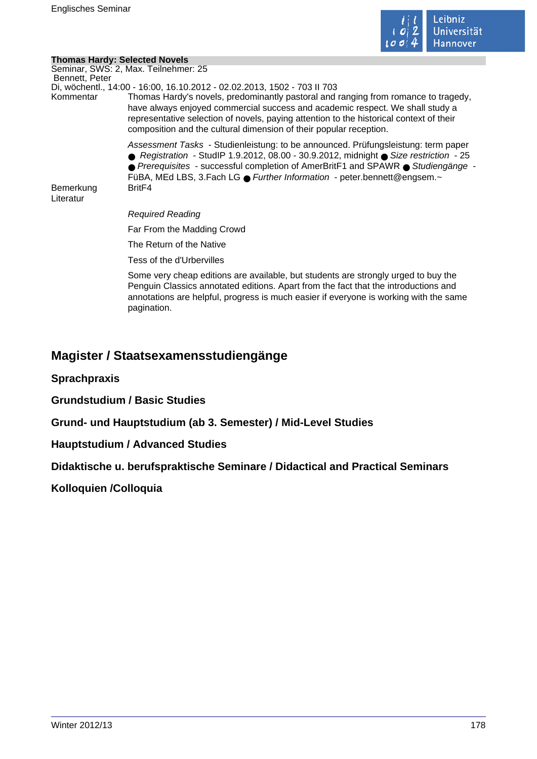

# **Thomas Hardy: Selected Novels**

|                        | Seminar, SWS: 2, Max. Teilnehmer: 25                                                                                                                                                                                                                                                                                                       |
|------------------------|--------------------------------------------------------------------------------------------------------------------------------------------------------------------------------------------------------------------------------------------------------------------------------------------------------------------------------------------|
| Bennett, Peter         | Di, wöchentl., 14:00 - 16:00, 16.10.2012 - 02.02.2013, 1502 - 703 II 703                                                                                                                                                                                                                                                                   |
| Kommentar              | Thomas Hardy's novels, predominantly pastoral and ranging from romance to tragedy,<br>have always enjoyed commercial success and academic respect. We shall study a<br>representative selection of novels, paying attention to the historical context of their<br>composition and the cultural dimension of their popular reception.       |
|                        | Assessment Tasks - Studienleistung: to be announced. Prüfungsleistung: term paper<br>● Registration - StudIP 1.9.2012, 08.00 - 30.9.2012, midnight ● Size restriction - 25<br>● Prerequisites - successful completion of AmerBritF1 and SPAWR ● Studiengänge -<br>FüBA, MEd LBS, 3. Fach LG ● Further Information - peter bennett@engsem.~ |
| Bemerkung<br>Literatur | Brit <sub>F4</sub>                                                                                                                                                                                                                                                                                                                         |
|                        | Required Reading                                                                                                                                                                                                                                                                                                                           |
|                        | Far From the Madding Crowd                                                                                                                                                                                                                                                                                                                 |
|                        | The Return of the Native                                                                                                                                                                                                                                                                                                                   |
|                        | Tess of the d'Urbervilles                                                                                                                                                                                                                                                                                                                  |
|                        | Some very cheap editions are available, but students are strongly urged to buy the                                                                                                                                                                                                                                                         |

Penguin Classics annotated editions. Apart from the fact that the introductions and annotations are helpful, progress is much easier if everyone is working with the same pagination.

# **Magister / Staatsexamensstudiengänge**

**Sprachpraxis**

**Grundstudium / Basic Studies**

**Grund- und Hauptstudium (ab 3. Semester) / Mid-Level Studies**

**Hauptstudium / Advanced Studies**

**Didaktische u. berufspraktische Seminare / Didactical and Practical Seminars**

**Kolloquien /Colloquia**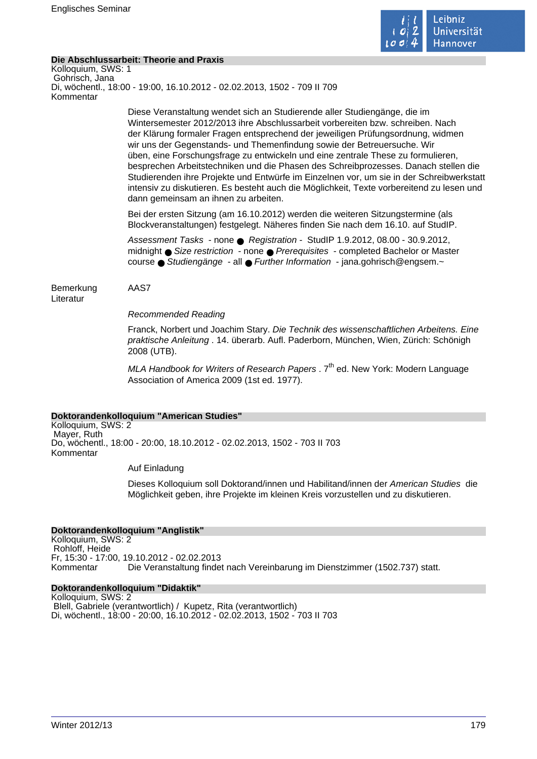

# **Die Abschlussarbeit: Theorie and Praxis**

Kolloquium, SWS: 1 Gohrisch, Jana Di, wöchentl., 18:00 - 19:00, 16.10.2012 - 02.02.2013, 1502 - 709 II 709 Kommentar

> Diese Veranstaltung wendet sich an Studierende aller Studiengänge, die im Wintersemester 2012/2013 ihre Abschlussarbeit vorbereiten bzw. schreiben. Nach der Klärung formaler Fragen entsprechend der jeweiligen Prüfungsordnung, widmen wir uns der Gegenstands- und Themenfindung sowie der Betreuersuche. Wir üben, eine Forschungsfrage zu entwickeln und eine zentrale These zu formulieren, besprechen Arbeitstechniken und die Phasen des Schreibprozesses. Danach stellen die Studierenden ihre Projekte und Entwürfe im Einzelnen vor, um sie in der Schreibwerkstatt intensiv zu diskutieren. Es besteht auch die Möglichkeit, Texte vorbereitend zu lesen und dann gemeinsam an ihnen zu arbeiten.

Bei der ersten Sitzung (am 16.10.2012) werden die weiteren Sitzungstermine (als Blockveranstaltungen) festgelegt. Näheres finden Sie nach dem 16.10. auf StudIP.

Assessment Tasks - none ● Registration - StudIP 1.9.2012, 08.00 - 30.9.2012, midnight ● Size restriction - none ● Prerequisites - completed Bachelor or Master course ● Studiengänge - all ● Further Information - jana.gohrisch@engsem.~

Bemerkung AAS7 Literatur

Recommended Reading

Franck, Norbert und Joachim Stary. Die Technik des wissenschaftlichen Arbeitens. Eine praktische Anleitung . 14. überarb. Aufl. Paderborn, München, Wien, Zürich: Schönigh 2008 (UTB).

MLA Handbook for Writers of Research Papers  $.7<sup>th</sup>$  ed. New York: Modern Language Association of America 2009 (1st ed. 1977).

## **Doktorandenkolloquium "American Studies"**

Kolloquium, SWS: 2 Mayer, Ruth Do, wöchentl., 18:00 - 20:00, 18.10.2012 - 02.02.2013, 1502 - 703 II 703 Kommentar

Auf Einladung

Dieses Kolloquium soll Doktorand/innen und Habilitand/innen der American Studies die Möglichkeit geben, ihre Projekte im kleinen Kreis vorzustellen und zu diskutieren.

## **Doktorandenkolloquium "Anglistik"**

Kolloquium, SWS: 2 Rohloff, Heide Fr, 15:30 - 17:00, 19.10.2012 - 02.02.2013 Die Veranstaltung findet nach Vereinbarung im Dienstzimmer (1502.737) statt.

## **Doktorandenkolloquium "Didaktik"**

Kolloquium, SWS: 2 Blell, Gabriele (verantwortlich) / Kupetz, Rita (verantwortlich) Di, wöchentl., 18:00 - 20:00, 16.10.2012 - 02.02.2013, 1502 - 703 II 703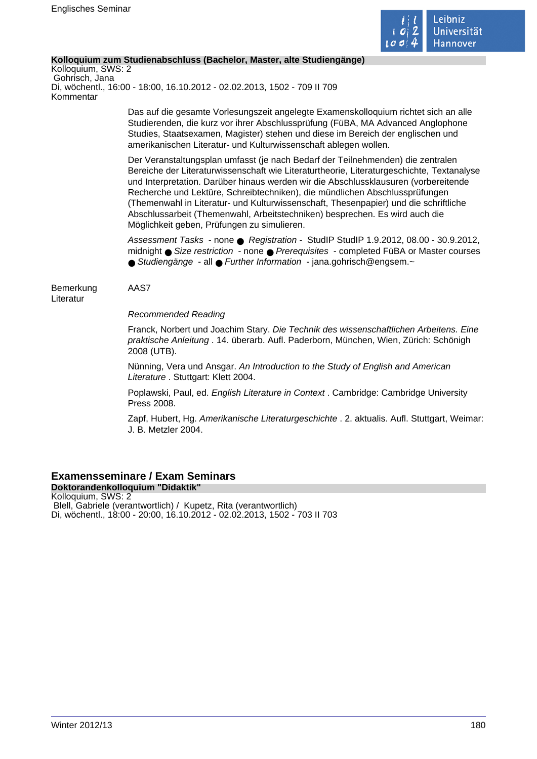

# **Kolloquium zum Studienabschluss (Bachelor, Master, alte Studiengänge)**

Kolloquium, SWS: 2 Gohrisch, Jana Di, wöchentl., 16:00 - 18:00, 16.10.2012 - 02.02.2013, 1502 - 709 II 709 Kommentar

> Das auf die gesamte Vorlesungszeit angelegte Examenskolloquium richtet sich an alle Studierenden, die kurz vor ihrer Abschlussprüfung (FüBA, MA Advanced Anglophone Studies, Staatsexamen, Magister) stehen und diese im Bereich der englischen und amerikanischen Literatur- und Kulturwissenschaft ablegen wollen.

Der Veranstaltungsplan umfasst (je nach Bedarf der Teilnehmenden) die zentralen Bereiche der Literaturwissenschaft wie Literaturtheorie, Literaturgeschichte, Textanalyse und Interpretation. Darüber hinaus werden wir die Abschlussklausuren (vorbereitende Recherche und Lektüre, Schreibtechniken), die mündlichen Abschlussprüfungen (Themenwahl in Literatur- und Kulturwissenschaft, Thesenpapier) und die schriftliche Abschlussarbeit (Themenwahl, Arbeitstechniken) besprechen. Es wird auch die Möglichkeit geben, Prüfungen zu simulieren.

Assessment Tasks - none ● Registration - StudIP StudIP 1.9.2012, 08.00 - 30.9.2012, midnight ● Size restriction - none ● Prerequisites - completed FüBA or Master courses ● Studiengänge - all ● Further Information - jana.gohrisch@engsem.~

Bemerkung AAS7 Literatur

Recommended Reading

Franck, Norbert und Joachim Stary. Die Technik des wissenschaftlichen Arbeitens. Eine praktische Anleitung . 14. überarb. Aufl. Paderborn, München, Wien, Zürich: Schönigh 2008 (UTB).

Nünning, Vera und Ansgar. An Introduction to the Study of English and American Literature . Stuttgart: Klett 2004.

Poplawski, Paul, ed. English Literature in Context . Cambridge: Cambridge University Press 2008.

Zapf, Hubert, Hg. Amerikanische Literaturgeschichte . 2. aktualis. Aufl. Stuttgart, Weimar: J. B. Metzler 2004.

# **Examensseminare / Exam Seminars**

**Doktorandenkolloquium "Didaktik"** Kolloquium, SWS: 2 Blell, Gabriele (verantwortlich) / Kupetz, Rita (verantwortlich) Di, wöchentl., 18:00 - 20:00, 16.10.2012 - 02.02.2013, 1502 - 703 II 703